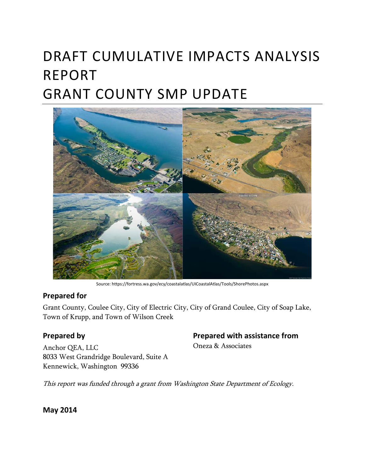# DRAFT CUMULATIVE IMPACTS ANALYSIS REPORT GRANT COUNTY SMP UPDATE



Source: https://fortress.wa.gov/ecy/coastalatlas/UICoastalAtlas/Tools/ShorePhotos.aspx

#### **Prepared for**

Grant County, Coulee City, City of Electric City, City of Grand Coulee, City of Soap Lake, Town of Krupp, and Town of Wilson Creek

### **Prepared by**

Anchor QEA, LLC 8033 West Grandridge Boulevard, Suite A Kennewick, Washington 99336

#### **Prepared with assistance from**

Oneza & Associates

This report was funded through a grant from Washington State Department of Ecology.

**May 2014**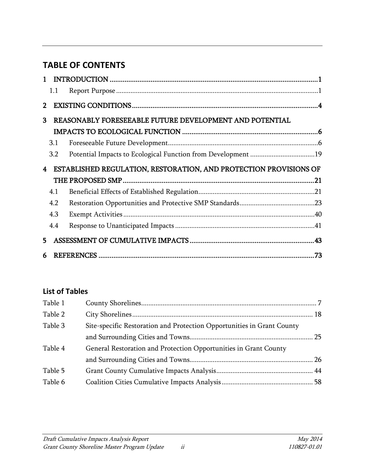# **TABLE OF CONTENTS**

|                         | 1.1 |                                                                   |  |  |
|-------------------------|-----|-------------------------------------------------------------------|--|--|
| $\overline{2}$          |     |                                                                   |  |  |
| 3                       |     | REASONABLY FORESEEABLE FUTURE DEVELOPMENT AND POTENTIAL           |  |  |
|                         |     |                                                                   |  |  |
|                         | 3.1 |                                                                   |  |  |
|                         | 3.2 |                                                                   |  |  |
| $\overline{\mathbf{4}}$ |     | ESTABLISHED REGULATION, RESTORATION, AND PROTECTION PROVISIONS OF |  |  |
|                         |     |                                                                   |  |  |
|                         | 4.1 |                                                                   |  |  |
|                         | 4.2 |                                                                   |  |  |
|                         | 4.3 |                                                                   |  |  |
|                         | 4.4 |                                                                   |  |  |
| 5.                      |     |                                                                   |  |  |
| 6                       |     |                                                                   |  |  |

### **List of Tables**

| Table 1 |                                                                        |  |
|---------|------------------------------------------------------------------------|--|
| Table 2 |                                                                        |  |
| Table 3 | Site-specific Restoration and Protection Opportunities in Grant County |  |
|         |                                                                        |  |
| Table 4 | General Restoration and Protection Opportunities in Grant County       |  |
|         |                                                                        |  |
| Table 5 |                                                                        |  |
| Table 6 |                                                                        |  |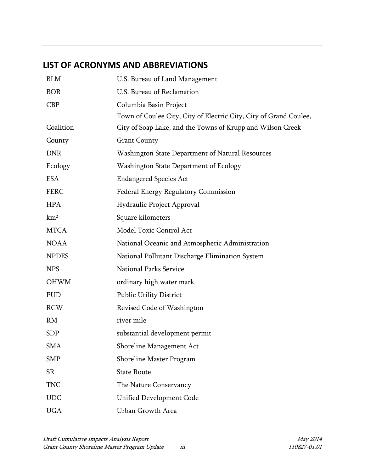## **LIST OF ACRONYMS AND ABBREVIATIONS**

| <b>BLM</b>      | U.S. Bureau of Land Management                                    |
|-----------------|-------------------------------------------------------------------|
| <b>BOR</b>      | U.S. Bureau of Reclamation                                        |
| CBP             | Columbia Basin Project                                            |
|                 | Town of Coulee City, City of Electric City, City of Grand Coulee, |
| Coalition       | City of Soap Lake, and the Towns of Krupp and Wilson Creek        |
| County          | <b>Grant County</b>                                               |
| <b>DNR</b>      | Washington State Department of Natural Resources                  |
| Ecology         | Washington State Department of Ecology                            |
| <b>ESA</b>      | <b>Endangered Species Act</b>                                     |
| <b>FERC</b>     | <b>Federal Energy Regulatory Commission</b>                       |
| <b>HPA</b>      | Hydraulic Project Approval                                        |
| km <sup>2</sup> | Square kilometers                                                 |
| <b>MTCA</b>     | Model Toxic Control Act                                           |
| <b>NOAA</b>     | National Oceanic and Atmospheric Administration                   |
| <b>NPDES</b>    | National Pollutant Discharge Elimination System                   |
| <b>NPS</b>      | <b>National Parks Service</b>                                     |
| <b>OHWM</b>     | ordinary high water mark                                          |
| PUD             | <b>Public Utility District</b>                                    |
| <b>RCW</b>      | Revised Code of Washington                                        |
| RM              | river mile                                                        |
| <b>SDP</b>      | substantial development permit                                    |
| <b>SMA</b>      | Shoreline Management Act                                          |
| <b>SMP</b>      | Shoreline Master Program                                          |
| <b>SR</b>       | <b>State Route</b>                                                |
| <b>TNC</b>      | The Nature Conservancy                                            |
| <b>UDC</b>      | <b>Unified Development Code</b>                                   |
| <b>UGA</b>      | Urban Growth Area                                                 |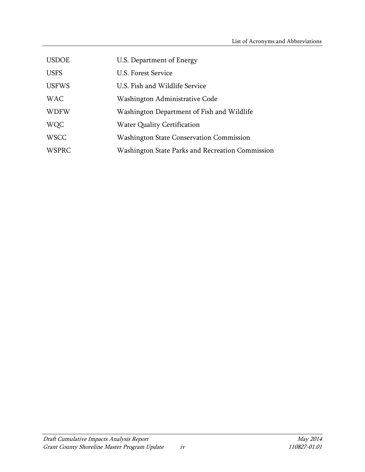| <b>USDOE</b> | U.S. Department of Energy                        |
|--------------|--------------------------------------------------|
| <b>USFS</b>  | U.S. Forest Service                              |
| <b>USFWS</b> | U.S. Fish and Wildlife Service                   |
| <b>WAC</b>   | Washington Administrative Code                   |
| <b>WDFW</b>  | Washington Department of Fish and Wildlife       |
| <b>WQC</b>   | <b>Water Quality Certification</b>               |
| <b>WSCC</b>  | <b>Washington State Conservation Commission</b>  |
| <b>WSPRC</b> | Washington State Parks and Recreation Commission |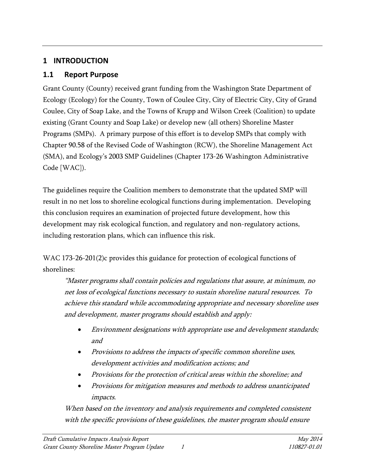### <span id="page-6-0"></span>**1 INTRODUCTION**

### <span id="page-6-1"></span>**1.1 Report Purpose**

Grant County (County) received grant funding from the Washington State Department of Ecology (Ecology) for the County, Town of Coulee City, City of Electric City, City of Grand Coulee, City of Soap Lake, and the Towns of Krupp and Wilson Creek (Coalition) to update existing (Grant County and Soap Lake) or develop new (all others) Shoreline Master Programs (SMPs). A primary purpose of this effort is to develop SMPs that comply with Chapter 90.58 of the Revised Code of Washington (RCW), the Shoreline Management Act (SMA), and Ecology's 2003 SMP Guidelines (Chapter 173-26 Washington Administrative Code [WAC]).

The guidelines require the Coalition members to demonstrate that the updated SMP will result in no net loss to shoreline ecological functions during implementation. Developing this conclusion requires an examination of projected future development, how this development may risk ecological function, and regulatory and non-regulatory actions, including restoration plans, which can influence this risk.

WAC 173-26-201(2)c provides this guidance for protection of ecological functions of shorelines:

"Master programs shall contain policies and regulations that assure, at minimum, no net loss of ecological functions necessary to sustain shoreline natural resources. To achieve this standard while accommodating appropriate and necessary shoreline uses and development, master programs should establish and apply:

- Environment designations with appropriate use and development standards; and
- Provisions to address the impacts of specific common shoreline uses, development activities and modification actions; and
- Provisions for the protection of critical areas within the shoreline; and
- Provisions for mitigation measures and methods to address unanticipated impacts.

When based on the inventory and analysis requirements and completed consistent with the specific provisions of these guidelines, the master program should ensure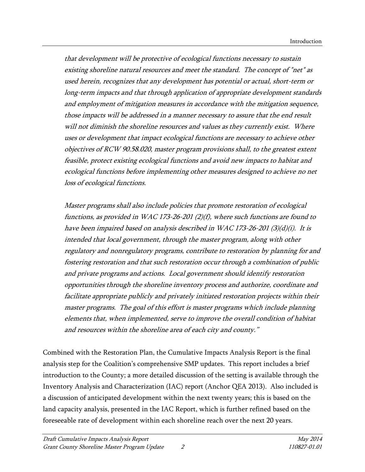that development will be protective of ecological functions necessary to sustain existing shoreline natural resources and meet the standard. The concept of "net" as used herein, recognizes that any development has potential or actual, short-term or long-term impacts and that through application of appropriate development standards and employment of mitigation measures in accordance with the mitigation sequence, those impacts will be addressed in a manner necessary to assure that the end result will not diminish the shoreline resources and values as they currently exist. Where uses or development that impact ecological functions are necessary to achieve other objectives of RC[W 90.58.020,](http://apps.leg.wa.gov/RCW/default.aspx?cite=90.58.020) master program provisions shall, to the greatest extent feasible, protect existing ecological functions and avoid new impacts to habitat and ecological functions before implementing other measures designed to achieve no net loss of ecological functions.

Master programs shall also include policies that promote restoration of ecological functions, as provided in WA[C 173-26-201](http://apps.leg.wa.gov/wac/default.aspx?cite=173-26-201) (2)(f), where such functions are found to have been impaired based on analysis described in WA[C 173-26-201](http://apps.leg.wa.gov/wac/default.aspx?cite=173-26-201) (3)(d)(i). It is intended that local government, through the master program, along with other regulatory and nonregulatory programs, contribute to restoration by planning for and fostering restoration and that such restoration occur through a combination of public and private programs and actions. Local government should identify restoration opportunities through the shoreline inventory process and authorize, coordinate and facilitate appropriate publicly and privately initiated restoration projects within their master programs. The goal of this effort is master programs which include planning elements that, when implemented, serve to improve the overall condition of habitat and resources within the shoreline area of each city and county."

Combined with the Restoration Plan, the Cumulative Impacts Analysis Report is the final analysis step for the Coalition's comprehensive SMP updates. This report includes a brief introduction to the County; a more detailed discussion of the setting is available through the Inventory Analysis and Characterization (IAC) report (Anchor QEA 2013). Also included is a discussion of anticipated development within the next twenty years; this is based on the land capacity analysis, presented in the IAC Report, which is further refined based on the foreseeable rate of development within each shoreline reach over the next 20 years.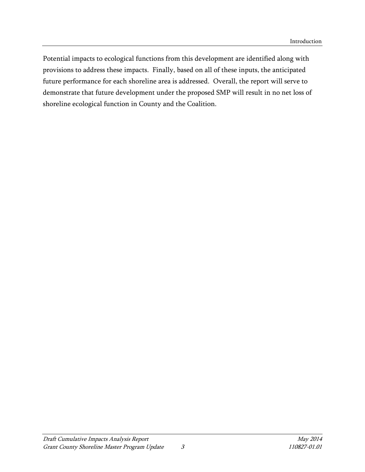Potential impacts to ecological functions from this development are identified along with provisions to address these impacts. Finally, based on all of these inputs, the anticipated future performance for each shoreline area is addressed. Overall, the report will serve to demonstrate that future development under the proposed SMP will result in no net loss of shoreline ecological function in County and the Coalition.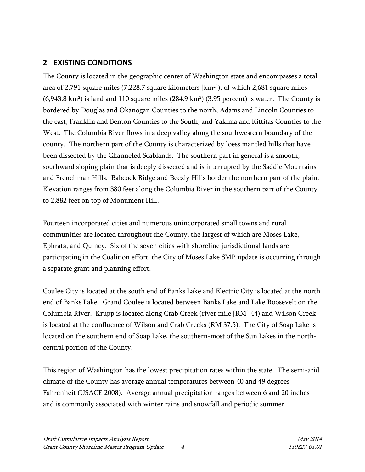### <span id="page-9-0"></span>**2 EXISTING CONDITIONS**

The County is located in the geographic center of Washington state and encompasses a total area of 2,791 square miles (7,228.7 square kilometers [km2 ]), of which 2,681 square miles  $(6,943.8 \text{ km}^2)$  is land and 110 square miles  $(284.9 \text{ km}^2)$   $(3.95 \text{ percent})$  is water. The County is bordered by Douglas and Okanogan Counties to the north, Adams and Lincoln Counties to the east, Franklin and Benton Counties to the South, and Yakima and Kittitas Counties to the West. The Columbia River flows in a deep valley along the southwestern boundary of the county. The northern part of the County is characterized by loess mantled hills that have been dissected by the Channeled Scablands. The southern part in general is a smooth, southward sloping plain that is deeply dissected and is interrupted by the Saddle Mountains and Frenchman Hills. Babcock Ridge and Beezly Hills border the northern part of the plain. Elevation ranges from 380 feet along the Columbia River in the southern part of the County to 2,882 feet on top of Monument Hill.

Fourteen incorporated cities and numerous unincorporated small towns and rural communities are located throughout the County, the largest of which are Moses Lake, Ephrata, and Quincy. Six of the seven cities with shoreline jurisdictional lands are participating in the Coalition effort; the City of Moses Lake SMP update is occurring through a separate grant and planning effort.

Coulee City is located at the south end of Banks Lake and Electric City is located at the north end of Banks Lake. Grand Coulee is located between Banks Lake and Lake Roosevelt on the Columbia River. Krupp is located along Crab Creek (river mile [RM] 44) and Wilson Creek is located at the confluence of Wilson and Crab Creeks (RM 37.5). The City of Soap Lake is located on the southern end of Soap Lake, the southern-most of the Sun Lakes in the northcentral portion of the County.

This region of Washington has the lowest precipitation rates within the state. The semi-arid climate of the County has average annual temperatures between 40 and 49 degrees Fahrenheit (USACE 2008). Average annual precipitation ranges between 6 and 20 inches and is commonly associated with winter rains and snowfall and periodic summer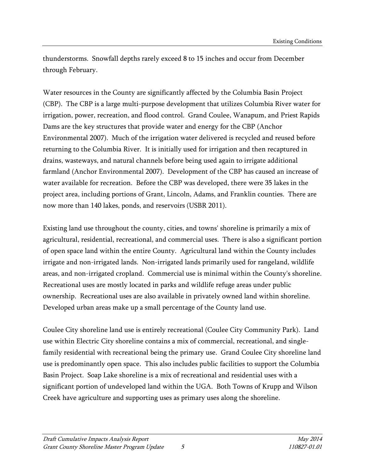thunderstorms. Snowfall depths rarely exceed 8 to 15 inches and occur from December through February.

Water resources in the County are significantly affected by the Columbia Basin Project (CBP). The CBP is a large multi-purpose development that utilizes Columbia River water for irrigation, power, recreation, and flood control. Grand Coulee, Wanapum, and Priest Rapids Dams are the key structures that provide water and energy for the CBP (Anchor Environmental 2007). Much of the irrigation water delivered is recycled and reused before returning to the Columbia River. It is initially used for irrigation and then recaptured in drains, wasteways, and natural channels before being used again to irrigate additional farmland (Anchor Environmental 2007). Development of the CBP has caused an increase of water available for recreation. Before the CBP was developed, there were 35 lakes in the project area, including portions of Grant, Lincoln, Adams, and Franklin counties. There are now more than 140 lakes, ponds, and reservoirs (USBR 2011).

Existing land use throughout the county, cities, and towns' shoreline is primarily a mix of agricultural, residential, recreational, and commercial uses. There is also a significant portion of open space land within the entire County. Agricultural land within the County includes irrigate and non-irrigated lands. Non-irrigated lands primarily used for rangeland, wildlife areas, and non-irrigated cropland. Commercial use is minimal within the County's shoreline. Recreational uses are mostly located in parks and wildlife refuge areas under public ownership. Recreational uses are also available in privately owned land within shoreline. Developed urban areas make up a small percentage of the County land use.

Coulee City shoreline land use is entirely recreational (Coulee City Community Park). Land use within Electric City shoreline contains a mix of commercial, recreational, and singlefamily residential with recreational being the primary use. Grand Coulee City shoreline land use is predominantly open space. This also includes public facilities to support the Columbia Basin Project. Soap Lake shoreline is a mix of recreational and residential uses with a significant portion of undeveloped land within the UGA. Both Towns of Krupp and Wilson Creek have agriculture and supporting uses as primary uses along the shoreline.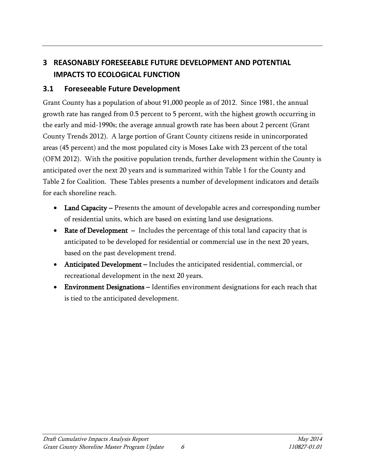# <span id="page-11-0"></span>**3 REASONABLY FORESEEABLE FUTURE DEVELOPMENT AND POTENTIAL IMPACTS TO ECOLOGICAL FUNCTION**

### <span id="page-11-1"></span>**3.1 Foreseeable Future Development**

Grant County has a population of about 91,000 people as of 2012. Since 1981, the annual growth rate has ranged from 0.5 percent to 5 percent, with the highest growth occurring in the early and mid-1990s; the average annual growth rate has been about 2 percent (Grant County Trends 2012). A large portion of Grant County citizens reside in unincorporated areas (45 percent) and the most populated city is Moses Lake with 23 percent of the total (OFM 2012). With the positive population trends, further development within the County is anticipated over the next 20 years and is summarized within Table 1 for the County and Table 2 for Coalition. These Tables presents a number of development indicators and details for each shoreline reach.

- Land Capacity Presents the amount of developable acres and corresponding number of residential units, which are based on existing land use designations.
- Rate of Development Includes the percentage of this total land capacity that is anticipated to be developed for residential or commercial use in the next 20 years, based on the past development trend.
- Anticipated Development Includes the anticipated residential, commercial, or recreational development in the next 20 years.
- Environment Designations Identifies environment designations for each reach that is tied to the anticipated development.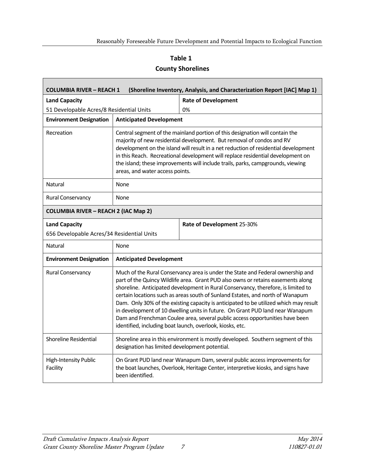#### **Table 1**

#### **County Shorelines**

| <b>COLUMBIA RIVER - REACH 1</b><br>(Shoreline Inventory, Analysis, and Characterization Report [IAC] Map 1)                                                                                                                     |                                                                                                                                                                                                                                                                                                                                                                                                                                                       |                                                                                                                                                                                                                                                                                                                                                                                                                                                                                                                                                                                                                                                                   |  |  |  |
|---------------------------------------------------------------------------------------------------------------------------------------------------------------------------------------------------------------------------------|-------------------------------------------------------------------------------------------------------------------------------------------------------------------------------------------------------------------------------------------------------------------------------------------------------------------------------------------------------------------------------------------------------------------------------------------------------|-------------------------------------------------------------------------------------------------------------------------------------------------------------------------------------------------------------------------------------------------------------------------------------------------------------------------------------------------------------------------------------------------------------------------------------------------------------------------------------------------------------------------------------------------------------------------------------------------------------------------------------------------------------------|--|--|--|
| <b>Land Capacity</b>                                                                                                                                                                                                            |                                                                                                                                                                                                                                                                                                                                                                                                                                                       | <b>Rate of Development</b>                                                                                                                                                                                                                                                                                                                                                                                                                                                                                                                                                                                                                                        |  |  |  |
| 51 Developable Acres/8 Residential Units                                                                                                                                                                                        |                                                                                                                                                                                                                                                                                                                                                                                                                                                       | 0%                                                                                                                                                                                                                                                                                                                                                                                                                                                                                                                                                                                                                                                                |  |  |  |
| <b>Environment Designation</b>                                                                                                                                                                                                  |                                                                                                                                                                                                                                                                                                                                                                                                                                                       | <b>Anticipated Development</b>                                                                                                                                                                                                                                                                                                                                                                                                                                                                                                                                                                                                                                    |  |  |  |
| Recreation                                                                                                                                                                                                                      | Central segment of the mainland portion of this designation will contain the<br>majority of new residential development. But removal of condos and RV<br>development on the island will result in a net reduction of residential development<br>in this Reach. Recreational development will replace residential development on<br>the island; these improvements will include trails, parks, campgrounds, viewing<br>areas, and water access points. |                                                                                                                                                                                                                                                                                                                                                                                                                                                                                                                                                                                                                                                                   |  |  |  |
| Natural                                                                                                                                                                                                                         | None                                                                                                                                                                                                                                                                                                                                                                                                                                                  |                                                                                                                                                                                                                                                                                                                                                                                                                                                                                                                                                                                                                                                                   |  |  |  |
| Rural Conservancy                                                                                                                                                                                                               | None                                                                                                                                                                                                                                                                                                                                                                                                                                                  |                                                                                                                                                                                                                                                                                                                                                                                                                                                                                                                                                                                                                                                                   |  |  |  |
|                                                                                                                                                                                                                                 | <b>COLUMBIA RIVER - REACH 2 (IAC Map 2)</b>                                                                                                                                                                                                                                                                                                                                                                                                           |                                                                                                                                                                                                                                                                                                                                                                                                                                                                                                                                                                                                                                                                   |  |  |  |
| <b>Land Capacity</b>                                                                                                                                                                                                            |                                                                                                                                                                                                                                                                                                                                                                                                                                                       | Rate of Development 25-30%                                                                                                                                                                                                                                                                                                                                                                                                                                                                                                                                                                                                                                        |  |  |  |
| 656 Developable Acres/34 Residential Units                                                                                                                                                                                      |                                                                                                                                                                                                                                                                                                                                                                                                                                                       |                                                                                                                                                                                                                                                                                                                                                                                                                                                                                                                                                                                                                                                                   |  |  |  |
| <b>Natural</b><br>None                                                                                                                                                                                                          |                                                                                                                                                                                                                                                                                                                                                                                                                                                       |                                                                                                                                                                                                                                                                                                                                                                                                                                                                                                                                                                                                                                                                   |  |  |  |
| <b>Environment Designation</b><br><b>Anticipated Development</b>                                                                                                                                                                |                                                                                                                                                                                                                                                                                                                                                                                                                                                       |                                                                                                                                                                                                                                                                                                                                                                                                                                                                                                                                                                                                                                                                   |  |  |  |
| Rural Conservancy                                                                                                                                                                                                               |                                                                                                                                                                                                                                                                                                                                                                                                                                                       | Much of the Rural Conservancy area is under the State and Federal ownership and<br>part of the Quincy Wildlife area. Grant PUD also owns or retains easements along<br>shoreline. Anticipated development in Rural Conservancy, therefore, is limited to<br>certain locations such as areas south of Sunland Estates, and north of Wanapum<br>Dam. Only 30% of the existing capacity is anticipated to be utilized which may result<br>in development of 10 dwelling units in future. On Grant PUD land near Wanapum<br>Dam and Frenchman Coulee area, several public access opportunities have been<br>identified, including boat launch, overlook, kiosks, etc. |  |  |  |
| Shoreline Residential<br>Shoreline area in this environment is mostly developed. Southern segment of this<br>designation has limited development potential.                                                                     |                                                                                                                                                                                                                                                                                                                                                                                                                                                       |                                                                                                                                                                                                                                                                                                                                                                                                                                                                                                                                                                                                                                                                   |  |  |  |
| <b>High-Intensity Public</b><br>On Grant PUD land near Wanapum Dam, several public access improvements for<br>Facility<br>the boat launches, Overlook, Heritage Center, interpretive kiosks, and signs have<br>been identified. |                                                                                                                                                                                                                                                                                                                                                                                                                                                       |                                                                                                                                                                                                                                                                                                                                                                                                                                                                                                                                                                                                                                                                   |  |  |  |

<span id="page-12-0"></span>Г

٦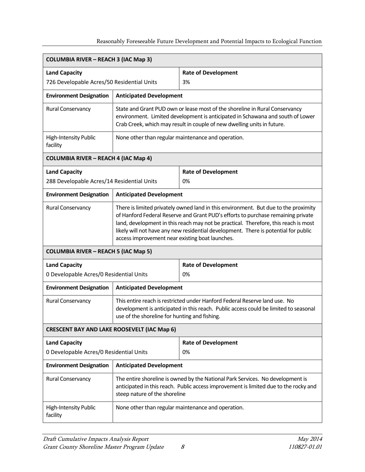| <b>COLUMBIA RIVER - REACH 3 (IAC Map 3)</b>                      |                                                                                                                                                                                                                                                                                                                                                                                                          |                                                                                                                                                                        |  |  |
|------------------------------------------------------------------|----------------------------------------------------------------------------------------------------------------------------------------------------------------------------------------------------------------------------------------------------------------------------------------------------------------------------------------------------------------------------------------------------------|------------------------------------------------------------------------------------------------------------------------------------------------------------------------|--|--|
| <b>Land Capacity</b>                                             |                                                                                                                                                                                                                                                                                                                                                                                                          | <b>Rate of Development</b>                                                                                                                                             |  |  |
| 726 Developable Acres/50 Residential Units                       |                                                                                                                                                                                                                                                                                                                                                                                                          | 3%                                                                                                                                                                     |  |  |
| <b>Environment Designation</b>                                   | <b>Anticipated Development</b>                                                                                                                                                                                                                                                                                                                                                                           |                                                                                                                                                                        |  |  |
| Rural Conservancy                                                | State and Grant PUD own or lease most of the shoreline in Rural Conservancy<br>environment. Limited development is anticipated in Schawana and south of Lower<br>Crab Creek, which may result in couple of new dwelling units in future.                                                                                                                                                                 |                                                                                                                                                                        |  |  |
| <b>High-Intensity Public</b><br>facility                         | None other than regular maintenance and operation.                                                                                                                                                                                                                                                                                                                                                       |                                                                                                                                                                        |  |  |
| <b>COLUMBIA RIVER - REACH 4 (IAC Map 4)</b>                      |                                                                                                                                                                                                                                                                                                                                                                                                          |                                                                                                                                                                        |  |  |
| <b>Land Capacity</b>                                             |                                                                                                                                                                                                                                                                                                                                                                                                          | <b>Rate of Development</b>                                                                                                                                             |  |  |
| 288 Developable Acres/14 Residential Units                       |                                                                                                                                                                                                                                                                                                                                                                                                          | 0%                                                                                                                                                                     |  |  |
| <b>Environment Designation</b>                                   | <b>Anticipated Development</b>                                                                                                                                                                                                                                                                                                                                                                           |                                                                                                                                                                        |  |  |
| Rural Conservancy                                                | There is limited privately owned land in this environment. But due to the proximity<br>of Hanford Federal Reserve and Grant PUD's efforts to purchase remaining private<br>land, development in this reach may not be practical. Therefore, this reach is most<br>likely will not have any new residential development. There is potential for public<br>access improvement near existing boat launches. |                                                                                                                                                                        |  |  |
|                                                                  | <b>COLUMBIA RIVER - REACH 5 (IAC Map 5)</b>                                                                                                                                                                                                                                                                                                                                                              |                                                                                                                                                                        |  |  |
| <b>Land Capacity</b>                                             |                                                                                                                                                                                                                                                                                                                                                                                                          | <b>Rate of Development</b>                                                                                                                                             |  |  |
| 0 Developable Acres/0 Residential Units                          |                                                                                                                                                                                                                                                                                                                                                                                                          | 0%                                                                                                                                                                     |  |  |
| <b>Environment Designation</b>                                   | <b>Anticipated Development</b>                                                                                                                                                                                                                                                                                                                                                                           |                                                                                                                                                                        |  |  |
| Rural Conservancy                                                | This entire reach is restricted under Hanford Federal Reserve land use. No<br>development is anticipated in this reach. Public access could be limited to seasonal<br>use of the shoreline for hunting and fishing.                                                                                                                                                                                      |                                                                                                                                                                        |  |  |
| <b>CRESCENT BAY AND LAKE ROOSEVELT (IAC Map 6)</b>               |                                                                                                                                                                                                                                                                                                                                                                                                          |                                                                                                                                                                        |  |  |
| <b>Land Capacity</b>                                             |                                                                                                                                                                                                                                                                                                                                                                                                          | <b>Rate of Development</b>                                                                                                                                             |  |  |
| 0 Developable Acres/0 Residential Units                          |                                                                                                                                                                                                                                                                                                                                                                                                          | 0%                                                                                                                                                                     |  |  |
| <b>Environment Designation</b><br><b>Anticipated Development</b> |                                                                                                                                                                                                                                                                                                                                                                                                          |                                                                                                                                                                        |  |  |
| Rural Conservancy<br>steep nature of the shoreline               |                                                                                                                                                                                                                                                                                                                                                                                                          | The entire shoreline is owned by the National Park Services. No development is<br>anticipated in this reach. Public access improvement is limited due to the rocky and |  |  |
| <b>High-Intensity Public</b><br>facility                         |                                                                                                                                                                                                                                                                                                                                                                                                          | None other than regular maintenance and operation.                                                                                                                     |  |  |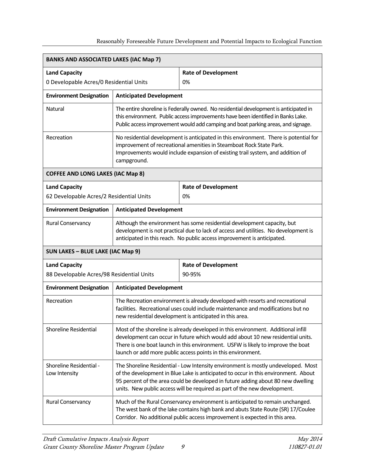| <b>BANKS AND ASSOCIATED LAKES (IAC Map 7)</b>                     |                                                                                                                                                                                                                                                                                                                          |                                                                                                                                                                                                                                                                                                                                          |  |  |
|-------------------------------------------------------------------|--------------------------------------------------------------------------------------------------------------------------------------------------------------------------------------------------------------------------------------------------------------------------------------------------------------------------|------------------------------------------------------------------------------------------------------------------------------------------------------------------------------------------------------------------------------------------------------------------------------------------------------------------------------------------|--|--|
| <b>Land Capacity</b>                                              |                                                                                                                                                                                                                                                                                                                          | <b>Rate of Development</b>                                                                                                                                                                                                                                                                                                               |  |  |
| 0 Developable Acres/0 Residential Units                           |                                                                                                                                                                                                                                                                                                                          | 0%                                                                                                                                                                                                                                                                                                                                       |  |  |
| <b>Environment Designation</b>                                    | <b>Anticipated Development</b>                                                                                                                                                                                                                                                                                           |                                                                                                                                                                                                                                                                                                                                          |  |  |
| <b>Natural</b>                                                    | The entire shoreline is Federally owned. No residential development is anticipated in<br>this environment. Public access improvements have been identified in Banks Lake.<br>Public access improvement would add camping and boat parking areas, and signage.                                                            |                                                                                                                                                                                                                                                                                                                                          |  |  |
| Recreation                                                        | No residential development is anticipated in this environment. There is potential for<br>improvement of recreational amenities in Steamboat Rock State Park.<br>Improvements would include expansion of existing trail system, and addition of<br>campground.                                                            |                                                                                                                                                                                                                                                                                                                                          |  |  |
| <b>COFFEE AND LONG LAKES (IAC Map 8)</b>                          |                                                                                                                                                                                                                                                                                                                          |                                                                                                                                                                                                                                                                                                                                          |  |  |
| <b>Land Capacity</b><br>62 Developable Acres/2 Residential Units  |                                                                                                                                                                                                                                                                                                                          | <b>Rate of Development</b><br>0%                                                                                                                                                                                                                                                                                                         |  |  |
| <b>Environment Designation</b>                                    | <b>Anticipated Development</b>                                                                                                                                                                                                                                                                                           |                                                                                                                                                                                                                                                                                                                                          |  |  |
| Rural Conservancy                                                 | Although the environment has some residential development capacity, but<br>development is not practical due to lack of access and utilities. No development is<br>anticipated in this reach. No public access improvement is anticipated.                                                                                |                                                                                                                                                                                                                                                                                                                                          |  |  |
| SUN LAKES - BLUE LAKE (IAC Map 9)                                 |                                                                                                                                                                                                                                                                                                                          |                                                                                                                                                                                                                                                                                                                                          |  |  |
| <b>Land Capacity</b><br>88 Developable Acres/98 Residential Units |                                                                                                                                                                                                                                                                                                                          | <b>Rate of Development</b><br>90-95%                                                                                                                                                                                                                                                                                                     |  |  |
| <b>Environment Designation</b>                                    | <b>Anticipated Development</b>                                                                                                                                                                                                                                                                                           |                                                                                                                                                                                                                                                                                                                                          |  |  |
| Recreation                                                        | The Recreation environment is already developed with resorts and recreational<br>facilities. Recreational uses could include maintenance and modifications but no<br>new residential development is anticipated in this area.                                                                                            |                                                                                                                                                                                                                                                                                                                                          |  |  |
| Shoreline Residential                                             | Most of the shoreline is already developed in this environment. Additional infill<br>development can occur in future which would add about 10 new residential units.<br>There is one boat launch in this environment. USFW is likely to improve the boat<br>launch or add more public access points in this environment. |                                                                                                                                                                                                                                                                                                                                          |  |  |
| Shoreline Residential -<br>Low Intensity                          |                                                                                                                                                                                                                                                                                                                          | The Shoreline Residential - Low Intensity environment is mostly undeveloped. Most<br>of the development in Blue Lake is anticipated to occur in this environment. About<br>95 percent of the area could be developed in future adding about 80 new dwelling<br>units. New public access will be required as part of the new development. |  |  |
| Rural Conservancy                                                 |                                                                                                                                                                                                                                                                                                                          | Much of the Rural Conservancy environment is anticipated to remain unchanged.<br>The west bank of the lake contains high bank and abuts State Route (SR) 17/Coulee<br>Corridor. No additional public access improvement is expected in this area.                                                                                        |  |  |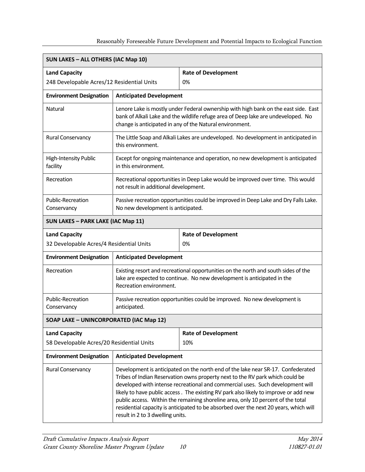| <b>SUN LAKES - ALL OTHERS (IAC Map 10)</b>                        |                                                                                                                                                                                                                                                                                                                                                                                                                                                                                                                                                              |                                                                                 |  |  |
|-------------------------------------------------------------------|--------------------------------------------------------------------------------------------------------------------------------------------------------------------------------------------------------------------------------------------------------------------------------------------------------------------------------------------------------------------------------------------------------------------------------------------------------------------------------------------------------------------------------------------------------------|---------------------------------------------------------------------------------|--|--|
| <b>Land Capacity</b>                                              |                                                                                                                                                                                                                                                                                                                                                                                                                                                                                                                                                              | <b>Rate of Development</b>                                                      |  |  |
| 248 Developable Acres/12 Residential Units                        |                                                                                                                                                                                                                                                                                                                                                                                                                                                                                                                                                              | 0%                                                                              |  |  |
| <b>Environment Designation</b>                                    | <b>Anticipated Development</b>                                                                                                                                                                                                                                                                                                                                                                                                                                                                                                                               |                                                                                 |  |  |
| <b>Natural</b>                                                    | Lenore Lake is mostly under Federal ownership with high bank on the east side. East<br>bank of Alkali Lake and the wildlife refuge area of Deep lake are undeveloped. No<br>change is anticipated in any of the Natural environment.                                                                                                                                                                                                                                                                                                                         |                                                                                 |  |  |
| Rural Conservancy                                                 | The Little Soap and Alkali Lakes are undeveloped. No development in anticipated in<br>this environment.                                                                                                                                                                                                                                                                                                                                                                                                                                                      |                                                                                 |  |  |
| High-Intensity Public<br>facility                                 | in this environment.                                                                                                                                                                                                                                                                                                                                                                                                                                                                                                                                         | Except for ongoing maintenance and operation, no new development is anticipated |  |  |
| Recreation<br>not result in additional development.               |                                                                                                                                                                                                                                                                                                                                                                                                                                                                                                                                                              | Recreational opportunities in Deep Lake would be improved over time. This would |  |  |
| Public-Recreation<br>Conservancy                                  | Passive recreation opportunities could be improved in Deep Lake and Dry Falls Lake.<br>No new development is anticipated.                                                                                                                                                                                                                                                                                                                                                                                                                                    |                                                                                 |  |  |
| <b>SUN LAKES - PARK LAKE (IAC Map 11)</b>                         |                                                                                                                                                                                                                                                                                                                                                                                                                                                                                                                                                              |                                                                                 |  |  |
| <b>Land Capacity</b>                                              |                                                                                                                                                                                                                                                                                                                                                                                                                                                                                                                                                              | <b>Rate of Development</b>                                                      |  |  |
| 32 Developable Acres/4 Residential Units                          |                                                                                                                                                                                                                                                                                                                                                                                                                                                                                                                                                              | 0%                                                                              |  |  |
| <b>Anticipated Development</b><br><b>Environment Designation</b>  |                                                                                                                                                                                                                                                                                                                                                                                                                                                                                                                                                              |                                                                                 |  |  |
| Recreation                                                        | Existing resort and recreational opportunities on the north and south sides of the<br>lake are expected to continue. No new development is anticipated in the<br>Recreation environment.                                                                                                                                                                                                                                                                                                                                                                     |                                                                                 |  |  |
| Public-Recreation<br>Conservancy                                  | Passive recreation opportunities could be improved. No new development is<br>anticipated.                                                                                                                                                                                                                                                                                                                                                                                                                                                                    |                                                                                 |  |  |
| SOAP LAKE - UNINCORPORATED (IAC Map 12)                           |                                                                                                                                                                                                                                                                                                                                                                                                                                                                                                                                                              |                                                                                 |  |  |
| <b>Land Capacity</b><br>58 Developable Acres/20 Residential Units |                                                                                                                                                                                                                                                                                                                                                                                                                                                                                                                                                              | <b>Rate of Development</b><br>10%                                               |  |  |
| <b>Environment Designation</b>                                    | <b>Anticipated Development</b>                                                                                                                                                                                                                                                                                                                                                                                                                                                                                                                               |                                                                                 |  |  |
| Rural Conservancy                                                 | Development is anticipated on the north end of the lake near SR-17. Confederated<br>Tribes of Indian Reservation owns property next to the RV park which could be<br>developed with intense recreational and commercial uses. Such development will<br>likely to have public access. The existing RV park also likely to improve or add new<br>public access. Within the remaining shoreline area, only 10 percent of the total<br>residential capacity is anticipated to be absorbed over the next 20 years, which will<br>result in 2 to 3 dwelling units. |                                                                                 |  |  |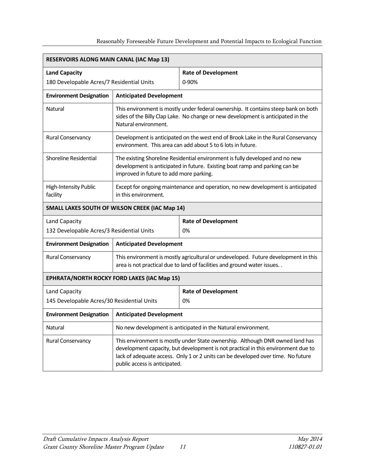| RESERVOIRS ALONG MAIN CANAL (IAC Map 13)           |                                                                                                                                                                                                                                                                                         |                                                                                                                                                  |  |  |
|----------------------------------------------------|-----------------------------------------------------------------------------------------------------------------------------------------------------------------------------------------------------------------------------------------------------------------------------------------|--------------------------------------------------------------------------------------------------------------------------------------------------|--|--|
| <b>Land Capacity</b>                               |                                                                                                                                                                                                                                                                                         | <b>Rate of Development</b>                                                                                                                       |  |  |
| 180 Developable Acres/7 Residential Units          |                                                                                                                                                                                                                                                                                         | 0-90%                                                                                                                                            |  |  |
| <b>Environment Designation</b>                     | <b>Anticipated Development</b>                                                                                                                                                                                                                                                          |                                                                                                                                                  |  |  |
| Natural                                            | This environment is mostly under federal ownership. It contains steep bank on both<br>sides of the Billy Clap Lake. No change or new development is anticipated in the<br>Natural environment.                                                                                          |                                                                                                                                                  |  |  |
| Rural Conservancy                                  |                                                                                                                                                                                                                                                                                         | Development is anticipated on the west end of Brook Lake in the Rural Conservancy<br>environment. This area can add about 5 to 6 lots in future. |  |  |
| Shoreline Residential                              | The existing Shoreline Residential environment is fully developed and no new<br>development is anticipated in future. Existing boat ramp and parking can be<br>improved in future to add more parking.                                                                                  |                                                                                                                                                  |  |  |
| <b>High-Intensity Public</b><br>facility           | Except for ongoing maintenance and operation, no new development is anticipated<br>in this environment.                                                                                                                                                                                 |                                                                                                                                                  |  |  |
| SMALL LAKES SOUTH OF WILSON CREEK (IAC Map 14)     |                                                                                                                                                                                                                                                                                         |                                                                                                                                                  |  |  |
| Land Capacity                                      |                                                                                                                                                                                                                                                                                         | <b>Rate of Development</b>                                                                                                                       |  |  |
| 132 Developable Acres/3 Residential Units          |                                                                                                                                                                                                                                                                                         | 0%                                                                                                                                               |  |  |
| <b>Environment Designation</b>                     | <b>Anticipated Development</b>                                                                                                                                                                                                                                                          |                                                                                                                                                  |  |  |
| Rural Conservancy                                  | This environment is mostly agricultural or undeveloped. Future development in this<br>area is not practical due to land of facilities and ground water issues                                                                                                                           |                                                                                                                                                  |  |  |
| <b>EPHRATA/NORTH ROCKY FORD LAKES (IAC Map 15)</b> |                                                                                                                                                                                                                                                                                         |                                                                                                                                                  |  |  |
| Land Capacity                                      |                                                                                                                                                                                                                                                                                         | <b>Rate of Development</b>                                                                                                                       |  |  |
| 145 Developable Acres/30 Residential Units         |                                                                                                                                                                                                                                                                                         | 0%                                                                                                                                               |  |  |
| <b>Environment Designation</b>                     | <b>Anticipated Development</b>                                                                                                                                                                                                                                                          |                                                                                                                                                  |  |  |
| Natural                                            | No new development is anticipated in the Natural environment.                                                                                                                                                                                                                           |                                                                                                                                                  |  |  |
| Rural Conservancy                                  | This environment is mostly under State ownership. Although DNR owned land has<br>development capacity, but development is not practical in this environment due to<br>lack of adequate access. Only 1 or 2 units can be developed over time. No future<br>public access is anticipated. |                                                                                                                                                  |  |  |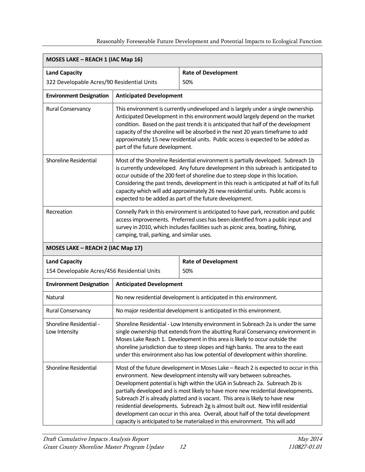| MOSES LAKE - REACH 1 (IAC Map 16)                                   |                                                                                                                                                                                                                                                                                                                                                                                                                                                                                                         |                                                                                                                                                                                                                                                                                                                                                                                                                                                                                                                                                                                                                                                                            |  |
|---------------------------------------------------------------------|---------------------------------------------------------------------------------------------------------------------------------------------------------------------------------------------------------------------------------------------------------------------------------------------------------------------------------------------------------------------------------------------------------------------------------------------------------------------------------------------------------|----------------------------------------------------------------------------------------------------------------------------------------------------------------------------------------------------------------------------------------------------------------------------------------------------------------------------------------------------------------------------------------------------------------------------------------------------------------------------------------------------------------------------------------------------------------------------------------------------------------------------------------------------------------------------|--|
| <b>Land Capacity</b>                                                |                                                                                                                                                                                                                                                                                                                                                                                                                                                                                                         | <b>Rate of Development</b>                                                                                                                                                                                                                                                                                                                                                                                                                                                                                                                                                                                                                                                 |  |
| 322 Developable Acres/90 Residential Units                          |                                                                                                                                                                                                                                                                                                                                                                                                                                                                                                         | 50%                                                                                                                                                                                                                                                                                                                                                                                                                                                                                                                                                                                                                                                                        |  |
| <b>Environment Designation</b>                                      | <b>Anticipated Development</b>                                                                                                                                                                                                                                                                                                                                                                                                                                                                          |                                                                                                                                                                                                                                                                                                                                                                                                                                                                                                                                                                                                                                                                            |  |
| Rural Conservancy                                                   | This environment is currently undeveloped and is largely under a single ownership.<br>Anticipated Development in this environment would largely depend on the market<br>condition. Based on the past trends it is anticipated that half of the development<br>capacity of the shoreline will be absorbed in the next 20 years timeframe to add<br>approximately 15 new residential units. Public access is expected to be added as<br>part of the future development.                                   |                                                                                                                                                                                                                                                                                                                                                                                                                                                                                                                                                                                                                                                                            |  |
| <b>Shoreline Residential</b>                                        | Most of the Shoreline Residential environment is partially developed. Subreach 1b<br>is currently undeveloped. Any future development in this subreach is anticipated to<br>occur outside of the 200 feet of shoreline due to steep slope in this location.<br>Considering the past trends, development in this reach is anticipated at half of its full<br>capacity which will add approximately 26 new residential units. Public access is<br>expected to be added as part of the future development. |                                                                                                                                                                                                                                                                                                                                                                                                                                                                                                                                                                                                                                                                            |  |
| Recreation                                                          | Connelly Park in this environment is anticipated to have park, recreation and public<br>access improvements. Preferred uses has been identified from a public input and<br>survey in 2010, which includes facilities such as picnic area, boating, fishing,<br>camping, trail, parking, and similar uses.                                                                                                                                                                                               |                                                                                                                                                                                                                                                                                                                                                                                                                                                                                                                                                                                                                                                                            |  |
| MOSES LAKE - REACH 2 (IAC Map 17)                                   |                                                                                                                                                                                                                                                                                                                                                                                                                                                                                                         |                                                                                                                                                                                                                                                                                                                                                                                                                                                                                                                                                                                                                                                                            |  |
| <b>Land Capacity</b><br>154 Developable Acres/456 Residential Units |                                                                                                                                                                                                                                                                                                                                                                                                                                                                                                         | <b>Rate of Development</b><br>50%                                                                                                                                                                                                                                                                                                                                                                                                                                                                                                                                                                                                                                          |  |
| <b>Environment Designation</b>                                      | <b>Anticipated Development</b>                                                                                                                                                                                                                                                                                                                                                                                                                                                                          |                                                                                                                                                                                                                                                                                                                                                                                                                                                                                                                                                                                                                                                                            |  |
| Natural                                                             |                                                                                                                                                                                                                                                                                                                                                                                                                                                                                                         | No new residential development is anticipated in this environment.                                                                                                                                                                                                                                                                                                                                                                                                                                                                                                                                                                                                         |  |
| Rural Conservancy                                                   | No major residential development is anticipated in this environment.                                                                                                                                                                                                                                                                                                                                                                                                                                    |                                                                                                                                                                                                                                                                                                                                                                                                                                                                                                                                                                                                                                                                            |  |
| Shoreline Residential -<br>Low Intensity                            | Shoreline Residential - Low Intensity environment in Subreach 2a is under the same<br>single ownership that extends from the abutting Rural Conservancy environment in<br>Moses Lake Reach 1. Development in this area is likely to occur outside the<br>shoreline jurisdiction due to steep slopes and high banks. The area to the east<br>under this environment also has low potential of development within shoreline.                                                                              |                                                                                                                                                                                                                                                                                                                                                                                                                                                                                                                                                                                                                                                                            |  |
| Shoreline Residential                                               |                                                                                                                                                                                                                                                                                                                                                                                                                                                                                                         | Most of the future development in Moses Lake - Reach 2 is expected to occur in this<br>environment. New development intensity will vary between subreaches.<br>Development potential is high within the UGA in Subreach 2a. Subreach 2b is<br>partially developed and is most likely to have more new residential developments.<br>Subreach 2f is already platted and is vacant. This area is likely to have new<br>residential developments. Subreach 2g is almost built out. New infill residential<br>development can occur in this area. Overall, about half of the total development<br>capacity is anticipated to be materialized in this environment. This will add |  |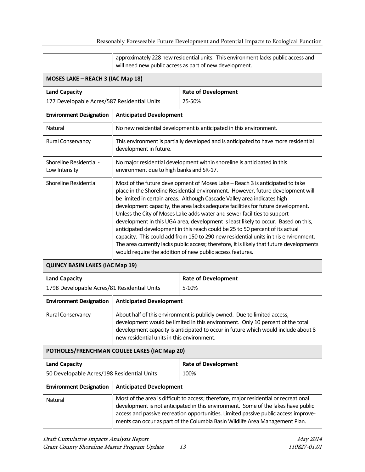|                                                                                                                                                                                                                                                                                                                                                                     | approximately 228 new residential units. This environment lacks public access and<br>will need new public access as part of new development.                                                                                                                                                                                                                                                                                                                                                                                                                                                                                                                                                                                                                                                                                         |                                                                          |  |  |  |
|---------------------------------------------------------------------------------------------------------------------------------------------------------------------------------------------------------------------------------------------------------------------------------------------------------------------------------------------------------------------|--------------------------------------------------------------------------------------------------------------------------------------------------------------------------------------------------------------------------------------------------------------------------------------------------------------------------------------------------------------------------------------------------------------------------------------------------------------------------------------------------------------------------------------------------------------------------------------------------------------------------------------------------------------------------------------------------------------------------------------------------------------------------------------------------------------------------------------|--------------------------------------------------------------------------|--|--|--|
|                                                                                                                                                                                                                                                                                                                                                                     | MOSES LAKE - REACH 3 (IAC Map 18)                                                                                                                                                                                                                                                                                                                                                                                                                                                                                                                                                                                                                                                                                                                                                                                                    |                                                                          |  |  |  |
| <b>Land Capacity</b><br>177 Developable Acres/587 Residential Units                                                                                                                                                                                                                                                                                                 |                                                                                                                                                                                                                                                                                                                                                                                                                                                                                                                                                                                                                                                                                                                                                                                                                                      | <b>Rate of Development</b><br>25-50%                                     |  |  |  |
| <b>Environment Designation</b>                                                                                                                                                                                                                                                                                                                                      | <b>Anticipated Development</b>                                                                                                                                                                                                                                                                                                                                                                                                                                                                                                                                                                                                                                                                                                                                                                                                       |                                                                          |  |  |  |
| Natural                                                                                                                                                                                                                                                                                                                                                             |                                                                                                                                                                                                                                                                                                                                                                                                                                                                                                                                                                                                                                                                                                                                                                                                                                      | No new residential development is anticipated in this environment.       |  |  |  |
| Rural Conservancy                                                                                                                                                                                                                                                                                                                                                   | This environment is partially developed and is anticipated to have more residential<br>development in future.                                                                                                                                                                                                                                                                                                                                                                                                                                                                                                                                                                                                                                                                                                                        |                                                                          |  |  |  |
| Shoreline Residential -<br>Low Intensity                                                                                                                                                                                                                                                                                                                            | environment due to high banks and SR-17.                                                                                                                                                                                                                                                                                                                                                                                                                                                                                                                                                                                                                                                                                                                                                                                             | No major residential development within shoreline is anticipated in this |  |  |  |
| Shoreline Residential                                                                                                                                                                                                                                                                                                                                               | Most of the future development of Moses Lake - Reach 3 is anticipated to take<br>place in the Shoreline Residential environment. However, future development will<br>be limited in certain areas. Although Cascade Valley area indicates high<br>development capacity, the area lacks adequate facilities for future development.<br>Unless the City of Moses Lake adds water and sewer facilities to support<br>development in this UGA area, development is least likely to occur. Based on this,<br>anticipated development in this reach could be 25 to 50 percent of its actual<br>capacity. This could add from 150 to 290 new residential units in this environment.<br>The area currently lacks public access; therefore, it is likely that future developments<br>would require the addition of new public access features. |                                                                          |  |  |  |
| <b>QUINCY BASIN LAKES (IAC Map 19)</b>                                                                                                                                                                                                                                                                                                                              |                                                                                                                                                                                                                                                                                                                                                                                                                                                                                                                                                                                                                                                                                                                                                                                                                                      |                                                                          |  |  |  |
| <b>Land Capacity</b><br>1798 Developable Acres/81 Residential Units                                                                                                                                                                                                                                                                                                 |                                                                                                                                                                                                                                                                                                                                                                                                                                                                                                                                                                                                                                                                                                                                                                                                                                      | <b>Rate of Development</b><br>5-10%                                      |  |  |  |
| <b>Environment Designation</b>                                                                                                                                                                                                                                                                                                                                      | <b>Anticipated Development</b>                                                                                                                                                                                                                                                                                                                                                                                                                                                                                                                                                                                                                                                                                                                                                                                                       |                                                                          |  |  |  |
| Rural Conservancy                                                                                                                                                                                                                                                                                                                                                   | About half of this environment is publicly owned. Due to limited access,<br>development would be limited in this environment. Only 10 percent of the total<br>development capacity is anticipated to occur in future which would include about 8<br>new residential units in this environment.                                                                                                                                                                                                                                                                                                                                                                                                                                                                                                                                       |                                                                          |  |  |  |
| POTHOLES/FRENCHMAN COULEE LAKES (IAC Map 20)                                                                                                                                                                                                                                                                                                                        |                                                                                                                                                                                                                                                                                                                                                                                                                                                                                                                                                                                                                                                                                                                                                                                                                                      |                                                                          |  |  |  |
| <b>Land Capacity</b><br>50 Developable Acres/198 Residential Units                                                                                                                                                                                                                                                                                                  | <b>Rate of Development</b><br>100%                                                                                                                                                                                                                                                                                                                                                                                                                                                                                                                                                                                                                                                                                                                                                                                                   |                                                                          |  |  |  |
| <b>Environment Designation</b>                                                                                                                                                                                                                                                                                                                                      | <b>Anticipated Development</b>                                                                                                                                                                                                                                                                                                                                                                                                                                                                                                                                                                                                                                                                                                                                                                                                       |                                                                          |  |  |  |
| Most of the area is difficult to access; therefore, major residential or recreational<br><b>Natural</b><br>development is not anticipated in this environment. Some of the lakes have public<br>access and passive recreation opportunities. Limited passive public access improve-<br>ments can occur as part of the Columbia Basin Wildlife Area Management Plan. |                                                                                                                                                                                                                                                                                                                                                                                                                                                                                                                                                                                                                                                                                                                                                                                                                                      |                                                                          |  |  |  |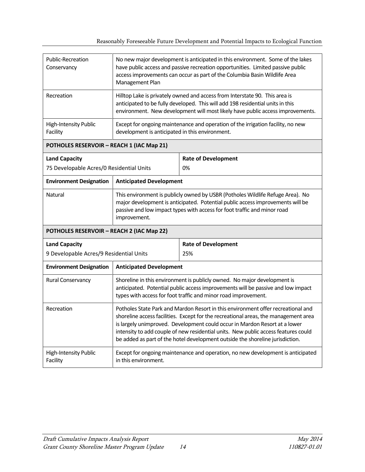| Public-Recreation<br>Conservancy          | No new major development is anticipated in this environment. Some of the lakes<br>have public access and passive recreation opportunities. Limited passive public<br>access improvements can occur as part of the Columbia Basin Wildlife Area<br>Management Plan |                                                                                                                                                                                                                                                                                                                                                                                                                              |  |  |
|-------------------------------------------|-------------------------------------------------------------------------------------------------------------------------------------------------------------------------------------------------------------------------------------------------------------------|------------------------------------------------------------------------------------------------------------------------------------------------------------------------------------------------------------------------------------------------------------------------------------------------------------------------------------------------------------------------------------------------------------------------------|--|--|
| Recreation                                | Hilltop Lake is privately owned and access from Interstate 90. This area is<br>anticipated to be fully developed. This will add 198 residential units in this<br>environment. New development will most likely have public access improvements.                   |                                                                                                                                                                                                                                                                                                                                                                                                                              |  |  |
| High-Intensity Public<br>Facility         | Except for ongoing maintenance and operation of the irrigation facility, no new<br>development is anticipated in this environment.                                                                                                                                |                                                                                                                                                                                                                                                                                                                                                                                                                              |  |  |
| POTHOLES RESERVOIR - REACH 1 (IAC Map 21) |                                                                                                                                                                                                                                                                   |                                                                                                                                                                                                                                                                                                                                                                                                                              |  |  |
| <b>Land Capacity</b>                      |                                                                                                                                                                                                                                                                   | <b>Rate of Development</b>                                                                                                                                                                                                                                                                                                                                                                                                   |  |  |
| 75 Developable Acres/0 Residential Units  |                                                                                                                                                                                                                                                                   | 0%                                                                                                                                                                                                                                                                                                                                                                                                                           |  |  |
| <b>Environment Designation</b>            | <b>Anticipated Development</b>                                                                                                                                                                                                                                    |                                                                                                                                                                                                                                                                                                                                                                                                                              |  |  |
| Natural                                   | This environment is publicly owned by USBR (Potholes Wildlife Refuge Area). No<br>major development is anticipated. Potential public access improvements will be<br>passive and low impact types with access for foot traffic and minor road<br>improvement.      |                                                                                                                                                                                                                                                                                                                                                                                                                              |  |  |
| POTHOLES RESERVOIR - REACH 2 (IAC Map 22) |                                                                                                                                                                                                                                                                   |                                                                                                                                                                                                                                                                                                                                                                                                                              |  |  |
| <b>Land Capacity</b>                      |                                                                                                                                                                                                                                                                   | <b>Rate of Development</b>                                                                                                                                                                                                                                                                                                                                                                                                   |  |  |
| 9 Developable Acres/9 Residential Units   |                                                                                                                                                                                                                                                                   | 25%                                                                                                                                                                                                                                                                                                                                                                                                                          |  |  |
| <b>Environment Designation</b>            | <b>Anticipated Development</b>                                                                                                                                                                                                                                    |                                                                                                                                                                                                                                                                                                                                                                                                                              |  |  |
| Rural Conservancy                         | Shoreline in this environment is publicly owned. No major development is<br>anticipated. Potential public access improvements will be passive and low impact<br>types with access for foot traffic and minor road improvement.                                    |                                                                                                                                                                                                                                                                                                                                                                                                                              |  |  |
| Recreation                                |                                                                                                                                                                                                                                                                   | Potholes State Park and Mardon Resort in this environment offer recreational and<br>shoreline access facilities. Except for the recreational areas, the management area<br>is largely unimproved. Development could occur in Mardon Resort at a lower<br>intensity to add couple of new residential units. New public access features could<br>be added as part of the hotel development outside the shoreline jurisdiction. |  |  |
| High-Intensity Public<br>Facility         | Except for ongoing maintenance and operation, no new development is anticipated<br>in this environment.                                                                                                                                                           |                                                                                                                                                                                                                                                                                                                                                                                                                              |  |  |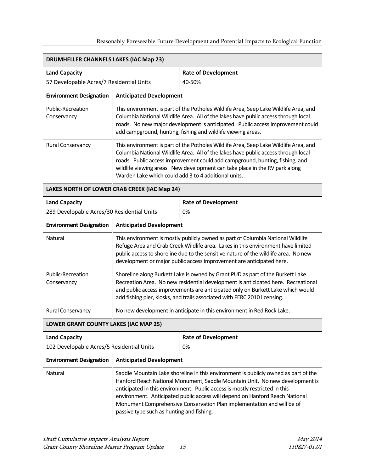| <b>DRUMHELLER CHANNELS LAKES (IAC Map 23)</b> |                                                                                                                                                                                                                                                                                                                                                                                                                                                           |                                                                                                                                                                                                                                                                                                                                                                                                     |  |  |  |  |  |
|-----------------------------------------------|-----------------------------------------------------------------------------------------------------------------------------------------------------------------------------------------------------------------------------------------------------------------------------------------------------------------------------------------------------------------------------------------------------------------------------------------------------------|-----------------------------------------------------------------------------------------------------------------------------------------------------------------------------------------------------------------------------------------------------------------------------------------------------------------------------------------------------------------------------------------------------|--|--|--|--|--|
| <b>Land Capacity</b>                          |                                                                                                                                                                                                                                                                                                                                                                                                                                                           | <b>Rate of Development</b>                                                                                                                                                                                                                                                                                                                                                                          |  |  |  |  |  |
| 57 Developable Acres/7 Residential Units      |                                                                                                                                                                                                                                                                                                                                                                                                                                                           | 40-50%                                                                                                                                                                                                                                                                                                                                                                                              |  |  |  |  |  |
| <b>Environment Designation</b>                | <b>Anticipated Development</b>                                                                                                                                                                                                                                                                                                                                                                                                                            |                                                                                                                                                                                                                                                                                                                                                                                                     |  |  |  |  |  |
| Public-Recreation<br>Conservancy              |                                                                                                                                                                                                                                                                                                                                                                                                                                                           | This environment is part of the Potholes Wildlife Area, Seep Lake Wildlife Area, and<br>Columbia National Wildlife Area. All of the lakes have public access through local<br>roads. No new major development is anticipated. Public access improvement could<br>add campground, hunting, fishing and wildlife viewing areas.                                                                       |  |  |  |  |  |
| Rural Conservancy                             |                                                                                                                                                                                                                                                                                                                                                                                                                                                           | This environment is part of the Potholes Wildlife Area, Seep Lake Wildlife Area, and<br>Columbia National Wildlife Area. All of the lakes have public access through local<br>roads. Public access improvement could add campground, hunting, fishing, and<br>wildlife viewing areas. New development can take place in the RV park along<br>Warden Lake which could add 3 to 4 additional units. . |  |  |  |  |  |
|                                               | LAKES NORTH OF LOWER CRAB CREEK (IAC Map 24)                                                                                                                                                                                                                                                                                                                                                                                                              |                                                                                                                                                                                                                                                                                                                                                                                                     |  |  |  |  |  |
| <b>Land Capacity</b>                          |                                                                                                                                                                                                                                                                                                                                                                                                                                                           | <b>Rate of Development</b>                                                                                                                                                                                                                                                                                                                                                                          |  |  |  |  |  |
| 289 Developable Acres/30 Residential Units    |                                                                                                                                                                                                                                                                                                                                                                                                                                                           | 0%                                                                                                                                                                                                                                                                                                                                                                                                  |  |  |  |  |  |
| <b>Environment Designation</b>                | <b>Anticipated Development</b>                                                                                                                                                                                                                                                                                                                                                                                                                            |                                                                                                                                                                                                                                                                                                                                                                                                     |  |  |  |  |  |
| Natural                                       |                                                                                                                                                                                                                                                                                                                                                                                                                                                           | This environment is mostly publicly owned as part of Columbia National Wildlife<br>Refuge Area and Crab Creek Wildlife area. Lakes in this environment have limited<br>public access to shoreline due to the sensitive nature of the wildlife area. No new<br>development or major public access improvement are anticipated here.                                                                  |  |  |  |  |  |
| Public-Recreation<br>Conservancy              |                                                                                                                                                                                                                                                                                                                                                                                                                                                           | Shoreline along Burkett Lake is owned by Grant PUD as part of the Burkett Lake<br>Recreation Area. No new residential development is anticipated here. Recreational<br>and public access improvements are anticipated only on Burkett Lake which would<br>add fishing pier, kiosks, and trails associated with FERC 2010 licensing.                                                                 |  |  |  |  |  |
| Rural Conservancy                             |                                                                                                                                                                                                                                                                                                                                                                                                                                                           | No new development in anticipate in this environment in Red Rock Lake.                                                                                                                                                                                                                                                                                                                              |  |  |  |  |  |
| <b>LOWER GRANT COUNTY LAKES (IAC MAP 25)</b>  |                                                                                                                                                                                                                                                                                                                                                                                                                                                           |                                                                                                                                                                                                                                                                                                                                                                                                     |  |  |  |  |  |
| <b>Land Capacity</b>                          |                                                                                                                                                                                                                                                                                                                                                                                                                                                           | <b>Rate of Development</b>                                                                                                                                                                                                                                                                                                                                                                          |  |  |  |  |  |
| 102 Developable Acres/5 Residential Units     |                                                                                                                                                                                                                                                                                                                                                                                                                                                           | 0%                                                                                                                                                                                                                                                                                                                                                                                                  |  |  |  |  |  |
| <b>Environment Designation</b>                | <b>Anticipated Development</b>                                                                                                                                                                                                                                                                                                                                                                                                                            |                                                                                                                                                                                                                                                                                                                                                                                                     |  |  |  |  |  |
| <b>Natural</b>                                | Saddle Mountain Lake shoreline in this environment is publicly owned as part of the<br>Hanford Reach National Monument, Saddle Mountain Unit. No new development is<br>anticipated in this environment. Public access is mostly restricted in this<br>environment. Anticipated public access will depend on Hanford Reach National<br>Monument Comprehensive Conservation Plan implementation and will be of<br>passive type such as hunting and fishing. |                                                                                                                                                                                                                                                                                                                                                                                                     |  |  |  |  |  |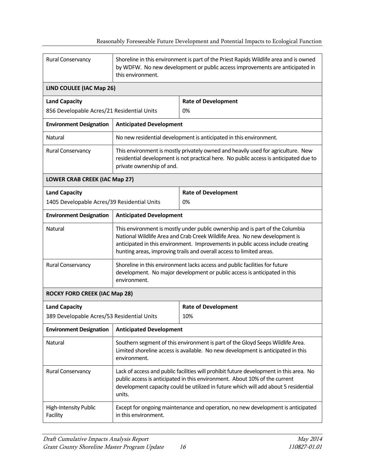| Rural Conservancy                           | Shoreline in this environment is part of the Priest Rapids Wildlife area and is owned<br>by WDFW. No new development or public access improvements are anticipated in<br>this environment.                                                                            |                                                                                                                                                                                                                                                                                                                        |  |  |  |  |  |  |  |
|---------------------------------------------|-----------------------------------------------------------------------------------------------------------------------------------------------------------------------------------------------------------------------------------------------------------------------|------------------------------------------------------------------------------------------------------------------------------------------------------------------------------------------------------------------------------------------------------------------------------------------------------------------------|--|--|--|--|--|--|--|
| LIND COULEE (IAC Map 26)                    |                                                                                                                                                                                                                                                                       |                                                                                                                                                                                                                                                                                                                        |  |  |  |  |  |  |  |
| <b>Land Capacity</b>                        |                                                                                                                                                                                                                                                                       | <b>Rate of Development</b>                                                                                                                                                                                                                                                                                             |  |  |  |  |  |  |  |
| 856 Developable Acres/21 Residential Units  |                                                                                                                                                                                                                                                                       | 0%                                                                                                                                                                                                                                                                                                                     |  |  |  |  |  |  |  |
| <b>Environment Designation</b>              | <b>Anticipated Development</b>                                                                                                                                                                                                                                        |                                                                                                                                                                                                                                                                                                                        |  |  |  |  |  |  |  |
| <b>Natural</b>                              |                                                                                                                                                                                                                                                                       | No new residential development is anticipated in this environment.                                                                                                                                                                                                                                                     |  |  |  |  |  |  |  |
| Rural Conservancy                           | private ownership of and.                                                                                                                                                                                                                                             | This environment is mostly privately owned and heavily used for agriculture. New<br>residential development is not practical here. No public access is anticipated due to                                                                                                                                              |  |  |  |  |  |  |  |
| <b>LOWER CRAB CREEK (IAC Map 27)</b>        |                                                                                                                                                                                                                                                                       |                                                                                                                                                                                                                                                                                                                        |  |  |  |  |  |  |  |
| <b>Land Capacity</b>                        |                                                                                                                                                                                                                                                                       | <b>Rate of Development</b>                                                                                                                                                                                                                                                                                             |  |  |  |  |  |  |  |
| 1405 Developable Acres/39 Residential Units |                                                                                                                                                                                                                                                                       | 0%                                                                                                                                                                                                                                                                                                                     |  |  |  |  |  |  |  |
| <b>Environment Designation</b>              | <b>Anticipated Development</b>                                                                                                                                                                                                                                        |                                                                                                                                                                                                                                                                                                                        |  |  |  |  |  |  |  |
| <b>Natural</b>                              |                                                                                                                                                                                                                                                                       | This environment is mostly under public ownership and is part of the Columbia<br>National Wildlife Area and Crab Creek Wildlife Area. No new development is<br>anticipated in this environment. Improvements in public access include creating<br>hunting areas, improving trails and overall access to limited areas. |  |  |  |  |  |  |  |
| Rural Conservancy                           | environment.                                                                                                                                                                                                                                                          | Shoreline in this environment lacks access and public facilities for future<br>development. No major development or public access is anticipated in this                                                                                                                                                               |  |  |  |  |  |  |  |
| <b>ROCKY FORD CREEK (IAC Map 28)</b>        |                                                                                                                                                                                                                                                                       |                                                                                                                                                                                                                                                                                                                        |  |  |  |  |  |  |  |
| <b>Land Capacity</b>                        |                                                                                                                                                                                                                                                                       | <b>Rate of Development</b>                                                                                                                                                                                                                                                                                             |  |  |  |  |  |  |  |
| 389 Developable Acres/53 Residential Units  |                                                                                                                                                                                                                                                                       | 10%                                                                                                                                                                                                                                                                                                                    |  |  |  |  |  |  |  |
| <b>Environment Designation</b>              | <b>Anticipated Development</b>                                                                                                                                                                                                                                        |                                                                                                                                                                                                                                                                                                                        |  |  |  |  |  |  |  |
| Natural                                     | Southern segment of this environment is part of the Gloyd Seeps Wildlife Area.<br>Limited shoreline access is available. No new development is anticipated in this<br>environment.                                                                                    |                                                                                                                                                                                                                                                                                                                        |  |  |  |  |  |  |  |
| Rural Conservancy                           | Lack of access and public facilities will prohibit future development in this area. No<br>public access is anticipated in this environment. About 10% of the current<br>development capacity could be utilized in future which will add about 5 residential<br>units. |                                                                                                                                                                                                                                                                                                                        |  |  |  |  |  |  |  |
| High-Intensity Public<br>Facility           | in this environment.                                                                                                                                                                                                                                                  | Except for ongoing maintenance and operation, no new development is anticipated                                                                                                                                                                                                                                        |  |  |  |  |  |  |  |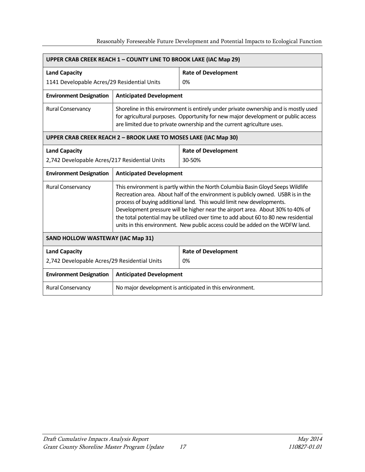| <b>UPPER CRAB CREEK REACH 1 - COUNTY LINE TO BROOK LAKE (IAC Map 29)</b> |                                                                  |                                                                                                                                                                                                                                                                                                                                                                                                                                                                                                        |  |  |  |  |  |
|--------------------------------------------------------------------------|------------------------------------------------------------------|--------------------------------------------------------------------------------------------------------------------------------------------------------------------------------------------------------------------------------------------------------------------------------------------------------------------------------------------------------------------------------------------------------------------------------------------------------------------------------------------------------|--|--|--|--|--|
| <b>Land Capacity</b>                                                     |                                                                  | <b>Rate of Development</b>                                                                                                                                                                                                                                                                                                                                                                                                                                                                             |  |  |  |  |  |
| 1141 Developable Acres/29 Residential Units                              |                                                                  | 0%                                                                                                                                                                                                                                                                                                                                                                                                                                                                                                     |  |  |  |  |  |
| <b>Environment Designation</b>                                           | <b>Anticipated Development</b>                                   |                                                                                                                                                                                                                                                                                                                                                                                                                                                                                                        |  |  |  |  |  |
| Rural Conservancy                                                        |                                                                  | Shoreline in this environment is entirely under private ownership and is mostly used<br>for agricultural purposes. Opportunity for new major development or public access<br>are limited due to private ownership and the current agriculture uses.                                                                                                                                                                                                                                                    |  |  |  |  |  |
|                                                                          | UPPER CRAB CREEK REACH 2 - BROOK LAKE TO MOSES LAKE (IAC Map 30) |                                                                                                                                                                                                                                                                                                                                                                                                                                                                                                        |  |  |  |  |  |
| <b>Land Capacity</b>                                                     |                                                                  | <b>Rate of Development</b>                                                                                                                                                                                                                                                                                                                                                                                                                                                                             |  |  |  |  |  |
| 2,742 Developable Acres/217 Residential Units                            |                                                                  | 30-50%                                                                                                                                                                                                                                                                                                                                                                                                                                                                                                 |  |  |  |  |  |
| <b>Environment Designation</b>                                           | <b>Anticipated Development</b>                                   |                                                                                                                                                                                                                                                                                                                                                                                                                                                                                                        |  |  |  |  |  |
| Rural Conservancy                                                        |                                                                  | This environment is partly within the North Columbia Basin Gloyd Seeps Wildlife<br>Recreation area. About half of the environment is publicly owned. USBR is in the<br>process of buying additional land. This would limit new developments.<br>Development pressure will be higher near the airport area. About 30% to 40% of<br>the total potential may be utilized over time to add about 60 to 80 new residential<br>units in this environment. New public access could be added on the WDFW land. |  |  |  |  |  |
| <b>SAND HOLLOW WASTEWAY (IAC Map 31)</b>                                 |                                                                  |                                                                                                                                                                                                                                                                                                                                                                                                                                                                                                        |  |  |  |  |  |
| <b>Land Capacity</b>                                                     |                                                                  | <b>Rate of Development</b>                                                                                                                                                                                                                                                                                                                                                                                                                                                                             |  |  |  |  |  |
| 2,742 Developable Acres/29 Residential Units                             |                                                                  | 0%                                                                                                                                                                                                                                                                                                                                                                                                                                                                                                     |  |  |  |  |  |
| <b>Environment Designation</b>                                           | <b>Anticipated Development</b>                                   |                                                                                                                                                                                                                                                                                                                                                                                                                                                                                                        |  |  |  |  |  |
| Rural Conservancy                                                        |                                                                  | No major development is anticipated in this environment.                                                                                                                                                                                                                                                                                                                                                                                                                                               |  |  |  |  |  |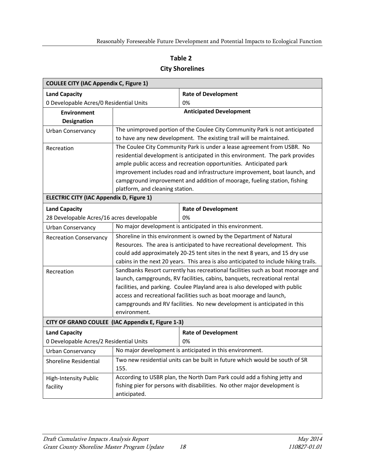#### **Table 2**

#### **City Shorelines**

<span id="page-23-0"></span>

| <b>COULEE CITY (IAC Appendix C, Figure 1)</b>   |                                                   |                                                                                      |  |  |  |  |  |  |
|-------------------------------------------------|---------------------------------------------------|--------------------------------------------------------------------------------------|--|--|--|--|--|--|
| <b>Land Capacity</b>                            |                                                   | <b>Rate of Development</b>                                                           |  |  |  |  |  |  |
| 0 Developable Acres/0 Residential Units         |                                                   | 0%                                                                                   |  |  |  |  |  |  |
| <b>Environment</b>                              |                                                   | <b>Anticipated Development</b>                                                       |  |  |  |  |  |  |
| Designation                                     |                                                   |                                                                                      |  |  |  |  |  |  |
| <b>Urban Conservancy</b>                        |                                                   | The unimproved portion of the Coulee City Community Park is not anticipated          |  |  |  |  |  |  |
|                                                 |                                                   | to have any new development. The existing trail will be maintained.                  |  |  |  |  |  |  |
| Recreation                                      |                                                   | The Coulee City Community Park is under a lease agreement from USBR. No              |  |  |  |  |  |  |
|                                                 |                                                   | residential development is anticipated in this environment. The park provides        |  |  |  |  |  |  |
|                                                 |                                                   | ample public access and recreation opportunities. Anticipated park                   |  |  |  |  |  |  |
|                                                 |                                                   | improvement includes road and infrastructure improvement, boat launch, and           |  |  |  |  |  |  |
|                                                 |                                                   | campground improvement and addition of moorage, fueling station, fishing             |  |  |  |  |  |  |
|                                                 | platform, and cleaning station.                   |                                                                                      |  |  |  |  |  |  |
| <b>ELECTRIC CITY (IAC Appendix D, Figure 1)</b> |                                                   |                                                                                      |  |  |  |  |  |  |
| <b>Land Capacity</b>                            |                                                   | <b>Rate of Development</b>                                                           |  |  |  |  |  |  |
| 28 Developable Acres/16 acres developable       |                                                   | 0%                                                                                   |  |  |  |  |  |  |
| Urban Conservancy                               |                                                   | No major development is anticipated in this environment.                             |  |  |  |  |  |  |
| <b>Recreation Conservancy</b>                   |                                                   | Shoreline in this environment is owned by the Department of Natural                  |  |  |  |  |  |  |
|                                                 |                                                   | Resources. The area is anticipated to have recreational development. This            |  |  |  |  |  |  |
|                                                 |                                                   | could add approximately 20-25 tent sites in the next 8 years, and 15 dry use         |  |  |  |  |  |  |
|                                                 |                                                   | cabins in the next 20 years. This area is also anticipated to include hiking trails. |  |  |  |  |  |  |
| Recreation                                      |                                                   | Sandbanks Resort currently has recreational facilities such as boat moorage and      |  |  |  |  |  |  |
|                                                 |                                                   | launch, campgrounds, RV facilities, cabins, banquets, recreational rental            |  |  |  |  |  |  |
|                                                 |                                                   | facilities, and parking. Coulee Playland area is also developed with public          |  |  |  |  |  |  |
|                                                 |                                                   | access and recreational facilities such as boat moorage and launch,                  |  |  |  |  |  |  |
|                                                 |                                                   | campgrounds and RV facilities. No new development is anticipated in this             |  |  |  |  |  |  |
|                                                 | environment.                                      |                                                                                      |  |  |  |  |  |  |
|                                                 | CITY OF GRAND COULEE (IAC Appendix E, Figure 1-3) |                                                                                      |  |  |  |  |  |  |
| <b>Land Capacity</b>                            |                                                   | <b>Rate of Development</b>                                                           |  |  |  |  |  |  |
| 0 Developable Acres/2 Residential Units         |                                                   | 0%                                                                                   |  |  |  |  |  |  |
| <b>Urban Conservancy</b>                        |                                                   | No major development is anticipated in this environment.                             |  |  |  |  |  |  |
| Shoreline Residential                           |                                                   | Two new residential units can be built in future which would be south of SR          |  |  |  |  |  |  |
|                                                 | 155.                                              |                                                                                      |  |  |  |  |  |  |
| High-Intensity Public                           |                                                   | According to USBR plan, the North Dam Park could add a fishing jetty and             |  |  |  |  |  |  |
| facility                                        |                                                   | fishing pier for persons with disabilities. No other major development is            |  |  |  |  |  |  |
|                                                 | anticipated.                                      |                                                                                      |  |  |  |  |  |  |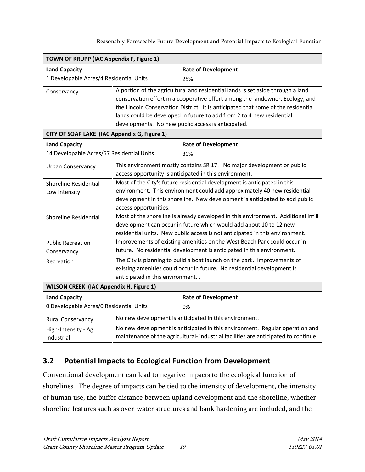| Reasonably Foreseeable Future Development and Potential Impacts to Ecological Function |  |  |
|----------------------------------------------------------------------------------------|--|--|
|                                                                                        |  |  |

|                                                | TOWN OF KRUPP (IAC Appendix F, Figure 1) |                                                                                                                                                                                                                                                                                                                                                                                      |  |  |  |  |  |
|------------------------------------------------|------------------------------------------|--------------------------------------------------------------------------------------------------------------------------------------------------------------------------------------------------------------------------------------------------------------------------------------------------------------------------------------------------------------------------------------|--|--|--|--|--|
| <b>Land Capacity</b>                           |                                          | <b>Rate of Development</b>                                                                                                                                                                                                                                                                                                                                                           |  |  |  |  |  |
| 1 Developable Acres/4 Residential Units        |                                          | 25%                                                                                                                                                                                                                                                                                                                                                                                  |  |  |  |  |  |
| Conservancy                                    |                                          | A portion of the agricultural and residential lands is set aside through a land<br>conservation effort in a cooperative effort among the landowner, Ecology, and<br>the Lincoln Conservation District. It is anticipated that some of the residential<br>lands could be developed in future to add from 2 to 4 new residential<br>developments. No new public access is anticipated. |  |  |  |  |  |
| CITY OF SOAP LAKE (IAC Appendix G, Figure 1)   |                                          |                                                                                                                                                                                                                                                                                                                                                                                      |  |  |  |  |  |
| <b>Land Capacity</b>                           |                                          | <b>Rate of Development</b>                                                                                                                                                                                                                                                                                                                                                           |  |  |  |  |  |
| 14 Developable Acres/57 Residential Units      |                                          | 30%                                                                                                                                                                                                                                                                                                                                                                                  |  |  |  |  |  |
| Urban Conservancy                              |                                          | This environment mostly contains SR 17. No major development or public                                                                                                                                                                                                                                                                                                               |  |  |  |  |  |
|                                                |                                          | access opportunity is anticipated in this environment.                                                                                                                                                                                                                                                                                                                               |  |  |  |  |  |
| Shoreline Residential -                        |                                          | Most of the City's future residential development is anticipated in this                                                                                                                                                                                                                                                                                                             |  |  |  |  |  |
| Low Intensity                                  |                                          | environment. This environment could add approximately 40 new residential                                                                                                                                                                                                                                                                                                             |  |  |  |  |  |
|                                                | access opportunities.                    | development in this shoreline. New development is anticipated to add public                                                                                                                                                                                                                                                                                                          |  |  |  |  |  |
| <b>Shoreline Residential</b>                   |                                          | Most of the shoreline is already developed in this environment. Additional infill                                                                                                                                                                                                                                                                                                    |  |  |  |  |  |
|                                                |                                          | development can occur in future which would add about 10 to 12 new                                                                                                                                                                                                                                                                                                                   |  |  |  |  |  |
|                                                |                                          | residential units. New public access is not anticipated in this environment.                                                                                                                                                                                                                                                                                                         |  |  |  |  |  |
| <b>Public Recreation</b>                       |                                          | Improvements of existing amenities on the West Beach Park could occur in                                                                                                                                                                                                                                                                                                             |  |  |  |  |  |
| Conservancy                                    |                                          | future. No residential development is anticipated in this environment.                                                                                                                                                                                                                                                                                                               |  |  |  |  |  |
| Recreation                                     |                                          | The City is planning to build a boat launch on the park. Improvements of                                                                                                                                                                                                                                                                                                             |  |  |  |  |  |
|                                                |                                          | existing amenities could occur in future. No residential development is                                                                                                                                                                                                                                                                                                              |  |  |  |  |  |
|                                                | anticipated in this environment          |                                                                                                                                                                                                                                                                                                                                                                                      |  |  |  |  |  |
| <b>WILSON CREEK (IAC Appendix H, Figure 1)</b> |                                          |                                                                                                                                                                                                                                                                                                                                                                                      |  |  |  |  |  |
| <b>Land Capacity</b>                           |                                          | <b>Rate of Development</b>                                                                                                                                                                                                                                                                                                                                                           |  |  |  |  |  |
| 0 Developable Acres/0 Residential Units        |                                          | 0%                                                                                                                                                                                                                                                                                                                                                                                   |  |  |  |  |  |
| <b>Rural Conservancy</b>                       |                                          | No new development is anticipated in this environment.                                                                                                                                                                                                                                                                                                                               |  |  |  |  |  |
| High-Intensity - Ag                            |                                          | No new development is anticipated in this environment. Regular operation and                                                                                                                                                                                                                                                                                                         |  |  |  |  |  |
| Industrial                                     |                                          | maintenance of the agricultural-industrial facilities are anticipated to continue.                                                                                                                                                                                                                                                                                                   |  |  |  |  |  |

### <span id="page-24-0"></span>**3.2 Potential Impacts to Ecological Function from Development**

Conventional development can lead to negative impacts to the ecological function of shorelines. The degree of impacts can be tied to the intensity of development, the intensity of human use, the buffer distance between upland development and the shoreline, whether shoreline features such as over-water structures and bank hardening are included, and the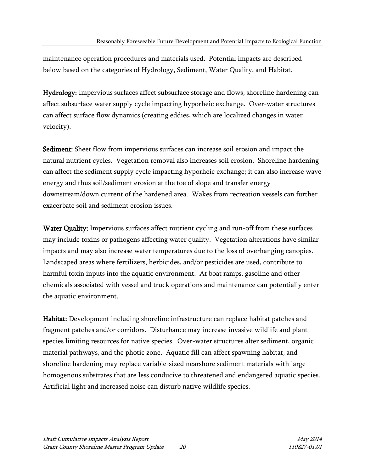maintenance operation procedures and materials used. Potential impacts are described below based on the categories of Hydrology, Sediment, Water Quality, and Habitat.

Hydrology: Impervious surfaces affect subsurface storage and flows, shoreline hardening can affect subsurface water supply cycle impacting hyporheic exchange. Over-water structures can affect surface flow dynamics (creating eddies, which are localized changes in water velocity).

Sediment: Sheet flow from impervious surfaces can increase soil erosion and impact the natural nutrient cycles. Vegetation removal also increases soil erosion. Shoreline hardening can affect the sediment supply cycle impacting hyporheic exchange; it can also increase wave energy and thus soil/sediment erosion at the toe of slope and transfer energy downstream/down current of the hardened area. Wakes from recreation vessels can further exacerbate soil and sediment erosion issues.

Water Quality: Impervious surfaces affect nutrient cycling and run-off from these surfaces may include toxins or pathogens affecting water quality. Vegetation alterations have similar impacts and may also increase water temperatures due to the loss of overhanging canopies. Landscaped areas where fertilizers, herbicides, and/or pesticides are used, contribute to harmful toxin inputs into the aquatic environment. At boat ramps, gasoline and other chemicals associated with vessel and truck operations and maintenance can potentially enter the aquatic environment.

Habitat: Development including shoreline infrastructure can replace habitat patches and fragment patches and/or corridors. Disturbance may increase invasive wildlife and plant species limiting resources for native species. Over-water structures alter sediment, organic material pathways, and the photic zone. Aquatic fill can affect spawning habitat, and shoreline hardening may replace variable-sized nearshore sediment materials with large homogenous substrates that are less conducive to threatened and endangered aquatic species. Artificial light and increased noise can disturb native wildlife species.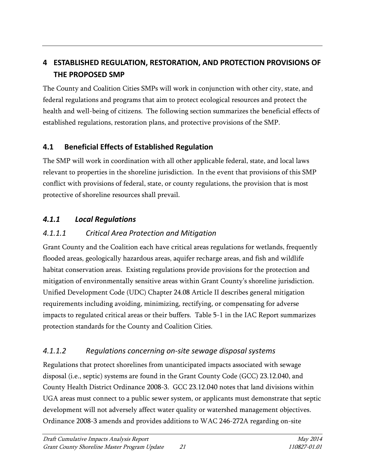# <span id="page-26-0"></span>**4 ESTABLISHED REGULATION, RESTORATION, AND PROTECTION PROVISIONS OF THE PROPOSED SMP**

The County and Coalition Cities SMPs will work in conjunction with other city, state, and federal regulations and programs that aim to protect ecological resources and protect the health and well-being of citizens. The following section summarizes the beneficial effects of established regulations, restoration plans, and protective provisions of the SMP.

### <span id="page-26-1"></span>**4.1 Beneficial Effects of Established Regulation**

The SMP will work in coordination with all other applicable federal, state, and local laws relevant to properties in the shoreline jurisdiction. In the event that provisions of this SMP conflict with provisions of federal, state, or county regulations, the provision that is most protective of shoreline resources shall prevail.

### *4.1.1 Local Regulations*

### *4.1.1.1 Critical Area Protection and Mitigation*

Grant County and the Coalition each have critical areas regulations for wetlands, frequently flooded areas, geologically hazardous areas, aquifer recharge areas, and fish and wildlife habitat conservation areas. Existing regulations provide provisions for the protection and mitigation of environmentally sensitive areas within Grant County's shoreline jurisdiction. Unified Development Code (UDC) Chapter 24.08 Article II describes general mitigation requirements including avoiding, minimizing, rectifying, or compensating for adverse impacts to regulated critical areas or their buffers. Table 5-1 in the IAC Report summarizes protection standards for the County and Coalition Cities.

### *4.1.1.2 Regulations concerning on-site sewage disposal systems*

Regulations that protect shorelines from unanticipated impacts associated with sewage disposal (i.e., septic) systems are found in the Grant County Code (GCC) 23.12.040, and County Health District Ordinance 2008-3. GCC 23.12.040 notes that land divisions within UGA areas must connect to a public sewer system, or applicants must demonstrate that septic development will not adversely affect water quality or watershed management objectives. Ordinance 2008-3 amends and provides additions to WAC 246-272A regarding on-site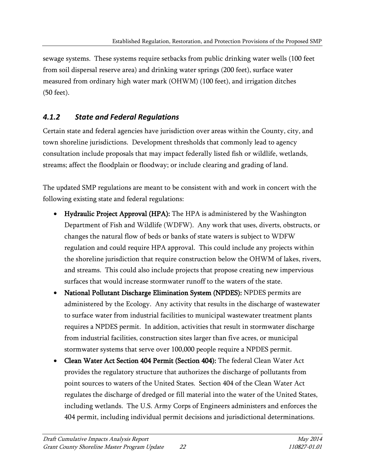sewage systems. These systems require setbacks from public drinking water wells (100 feet from soil dispersal reserve area) and drinking water springs (200 feet), surface water measured from ordinary high water mark (OHWM) (100 feet), and irrigation ditches (50 feet).

### *4.1.2 State and Federal Regulations*

Certain state and federal agencies have jurisdiction over areas within the County, city, and town shoreline jurisdictions. Development thresholds that commonly lead to agency consultation include proposals that may impact federally listed fish or wildlife, wetlands, streams; affect the floodplain or floodway; or include clearing and grading of land.

The updated SMP regulations are meant to be consistent with and work in concert with the following existing state and federal regulations:

- Hydraulic Project Approval (HPA): The HPA is administered by the Washington Department of Fish and Wildlife (WDFW). Any work that uses, diverts, obstructs, or changes the natural flow of beds or banks of state waters is subject to WDFW regulation and could require HPA approval. This could include any projects within the shoreline jurisdiction that require construction below the OHWM of lakes, rivers, and streams. This could also include projects that propose creating new impervious surfaces that would increase stormwater runoff to the waters of the state.
- National Pollutant Discharge Elimination System (NPDES): NPDES permits are administered by the Ecology. Any activity that results in the discharge of wastewater to surface water from industrial facilities to municipal wastewater treatment plants requires a NPDES permit. In addition, activities that result in stormwater discharge from industrial facilities, construction sites larger than five acres, or municipal stormwater systems that serve over 100,000 people require a NPDES permit.
- Clean Water Act Section 404 Permit (Section 404): The federal Clean Water Act provides the regulatory structure that authorizes the discharge of pollutants from point sources to waters of the United States. Section 404 of the Clean Water Act regulates the discharge of dredged or fill material into the water of the United States, including wetlands. The U.S. Army Corps of Engineers administers and enforces the 404 permit, including individual permit decisions and jurisdictional determinations.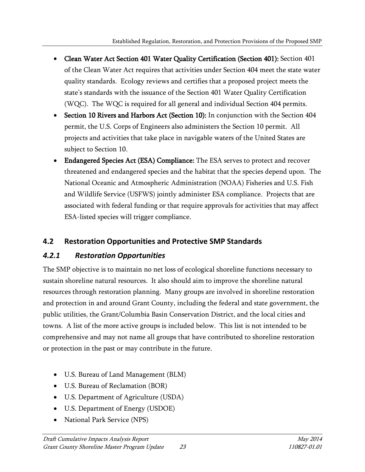- Clean Water Act Section 401 Water Quality Certification (Section 401): Section 401 of the Clean Water Act requires that activities under Section 404 meet the state water quality standards. Ecology reviews and certifies that a proposed project meets the state's standards with the issuance of the Section 401 Water Quality Certification (WQC). The WQC is required for all general and individual Section 404 permits.
- Section 10 Rivers and Harbors Act (Section 10): In conjunction with the Section 404 permit, the U.S. Corps of Engineers also administers the Section 10 permit. All projects and activities that take place in navigable waters of the United States are subject to Section 10.
- Endangered Species Act (ESA) Compliance: The ESA serves to protect and recover threatened and endangered species and the habitat that the species depend upon. The National Oceanic and Atmospheric Administration (NOAA) Fisheries and U.S. Fish and Wildlife Service (USFWS) jointly administer ESA compliance. Projects that are associated with federal funding or that require approvals for activities that may affect ESA-listed species will trigger compliance.

### <span id="page-28-0"></span>**4.2 Restoration Opportunities and Protective SMP Standards**

### *4.2.1 Restoration Opportunities*

The SMP objective is to maintain no net loss of ecological shoreline functions necessary to sustain shoreline natural resources. It also should aim to improve the shoreline natural resources through restoration planning. Many groups are involved in shoreline restoration and protection in and around Grant County, including the federal and state government, the public utilities, the Grant/Columbia Basin Conservation District, and the local cities and towns. A list of the more active groups is included below. This list is not intended to be comprehensive and may not name all groups that have contributed to shoreline restoration or protection in the past or may contribute in the future.

- U.S. Bureau of Land Management (BLM)
- U.S. Bureau of Reclamation (BOR)
- U.S. Department of Agriculture (USDA)
- U.S. Department of Energy (USDOE)
- National Park Service (NPS)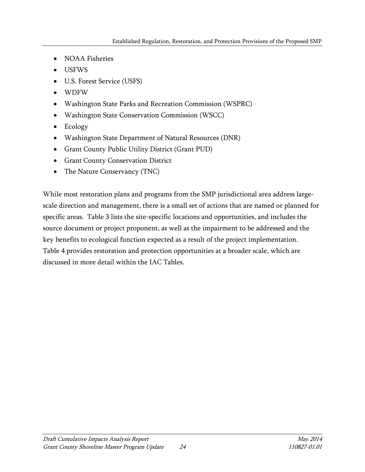- NOAA Fisheries
- USFWS
- U.S. Forest Service (USFS)
- WDFW
- Washington State Parks and Recreation Commission (WSPRC)
- Washington State Conservation Commission (WSCC)
- Ecology
- Washington State Department of Natural Resources (DNR)
- Grant County Public Utility District (Grant PUD)
- Grant County Conservation District
- The Nature Conservancy (TNC)

While most restoration plans and programs from the SMP jurisdictional area address largescale direction and management, there is a small set of actions that are named or planned for specific areas. Table 3 lists the site-specific locations and opportunities, and includes the source document or project proponent, as well as the impairment to be addressed and the key benefits to ecological function expected as a result of the project implementation. Table 4 provides restoration and protection opportunities at a broader scale, which are discussed in more detail within the IAC Tables.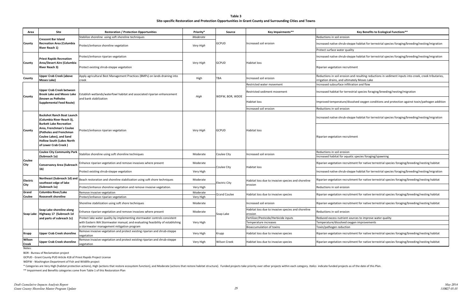**Table 3 Site-specific Restoration and Protection Opportunities in Grant County and Surrounding Cities and Towns**

#### **Key Benefits to Ecological Functions\*\***

<span id="page-30-0"></span>

| Area                               | Site                                                                                                                                       | <b>Restoration / Protection Opportunities</b>                                           | <b>Priority*</b> | Source               | Key Impairments**                                             | Key Benefits to Ecological Functions**                                                                                                                |
|------------------------------------|--------------------------------------------------------------------------------------------------------------------------------------------|-----------------------------------------------------------------------------------------|------------------|----------------------|---------------------------------------------------------------|-------------------------------------------------------------------------------------------------------------------------------------------------------|
|                                    | <b>Crescent Bar Island</b>                                                                                                                 | Stabilize shoreline using soft shoreline techniques                                     | Moderate         |                      |                                                               | Reductions in soil erosion                                                                                                                            |
| County                             | <b>Recreation Area (Columbia</b>                                                                                                           | Protect/enhance shoreline vegetation                                                    | Very High        | <b>GCPUD</b>         | Increased soil erosion                                        | Increased native shrub-steppe habitat for terrestrial species foraging/breeding/nesting/migration                                                     |
|                                    | River Reach 1)                                                                                                                             |                                                                                         |                  |                      |                                                               | Protect surface water quality                                                                                                                         |
|                                    | <b>Priest Rapids Recreation</b>                                                                                                            | Protect/enhance riparian vegetation                                                     |                  |                      |                                                               | Increased native shrub-steppe habitat for terrestrial species foraging/breeding/nesting/migration                                                     |
| County                             | Area/Desert Aire (Columbia<br><b>River Reach 3)</b>                                                                                        | Protect existing shrub-steppe vegetation                                                | Very High        | <b>GCPUD</b>         | Habitat loss                                                  | Riparian vegetation recruitment                                                                                                                       |
| County                             | <b>Upper Crab Creek (above</b><br>Moses Lake)                                                                                              | Apply agricultural Best Management Practices (BMPs) on lands draining into<br>creek     | High             | TBA                  | Increased soil erosion                                        | Reductions in soil erosion and resulting reductions in sediment inputs into creek, creek tributaries,<br>irrigation drains, and ultimately Moses Lake |
|                                    |                                                                                                                                            |                                                                                         |                  |                      | Restricted water movement                                     | Increased subsurface infiltration and flow                                                                                                            |
| County                             | <b>Upper Crab Creek between</b><br><b>Brook Lake and Moses Lake</b>                                                                        | Establish wetlands/waterfowl habitat and associated riparian enhancement                | High             | WDFW, BOR, WDOE      | Restricted sediment movement                                  | Increased habitat for terrestrial species foraging/breeding/nesting/migration                                                                         |
|                                    | known as Potholes)<br><b>Supplemental Feed Route)</b>                                                                                      | and bank stabilization                                                                  |                  |                      | Habitat loss                                                  | Improved temperature/dissolved oxygen conditions and protection against toxin/pathogen additic                                                        |
|                                    |                                                                                                                                            |                                                                                         |                  |                      | Increased soil erosion                                        | Reductions in soil erosion                                                                                                                            |
|                                    | <b>Buckshot Ranch Boat Launch</b><br>(Columbia River Reach 3),<br><b>Burkett Lake Recreation</b>                                           |                                                                                         | Very High        | <b>GCPUD</b>         |                                                               | Increased native shrub-steppe habitat for terrestrial species foraging/breeding/nesting/migration                                                     |
| County                             | Area, Frenchman's Coulee<br>(Potholes and Frenchman<br>Coulee Lakes), and Sand<br><b>Hollow South (Lakes North</b><br>of Lower Crab Creek) | Protect/enhance riparian vegetation                                                     |                  |                      | Habitat loss                                                  | Riparian vegetation recruitment                                                                                                                       |
|                                    | <b>Coulee City Community Park</b>                                                                                                          | Stabilize shoreline using soft shoreline techniques                                     | Moderate         | Coulee City          | Increased soil erosion                                        | Reductions in soil erosion                                                                                                                            |
|                                    | (Subreach 1a)                                                                                                                              |                                                                                         |                  |                      |                                                               | Increased habitat for aquatic species foraging/spawning                                                                                               |
| Coulee<br>City<br>Electric<br>City | Conservancy Area (Subreach                                                                                                                 | Enhance riparian vegetation and remove invasives where present                          | Moderate         | Coulee City          | Habitat loss                                                  | Riparian vegetation recruitment for native terrestrial species foraging/breeding/nesting habitat                                                      |
|                                    | 1 <sub>b</sub>                                                                                                                             | Protect existing shrub-steppe vegetation                                                | Very High        |                      |                                                               | Increased native shrub-steppe habitat for terrestrial species foraging/breeding/nesting/migration                                                     |
|                                    | Northeast (Subreach 1d) and<br>southeast edge of lake                                                                                      | Beach restoration and shoreline stabilization using soft shore techniques               | Moderate         | <b>Electric City</b> | Habitat loss due to invasive species and shoreline            | Riparian vegetation recruitment for native terrestrial species foraging/breeding/nesting habitat                                                      |
|                                    | (Subreach 1a)                                                                                                                              | Protect/enhance shoreline vegetation and remove invasive vegetation.                    | Very High        |                      | erosion                                                       | Reductions in soil erosion                                                                                                                            |
| Grand                              | Columbia River/Lake                                                                                                                        | Remove invasive vegetation                                                              | Moderate         |                      |                                                               |                                                                                                                                                       |
| Coulee                             | <b>Roosevelt shoreline</b>                                                                                                                 | Protect/enhance riparian vegetation                                                     | Very High        | <b>Grand Coulee</b>  | Habitat loss due to invasive species                          | Riparian vegetation recruitment for native terrestrial species foraging/breeding/nesting habitat                                                      |
|                                    |                                                                                                                                            | Shoreline stabilization using soft shore techniques                                     | Moderate         |                      | Increased soil erosion                                        | Riparian vegetation recruitment for native terrestrial species foraging/breeding/nesting habitat                                                      |
|                                    | Soap Lake shoreline along<br>Soap Lake Highway 17 (Subreach 1d                                                                             | Enhance riparian vegetation and remove invasives where present                          | Moderate         | Soap Lake            | Habitat loss due to invasive species and shoreline<br>erosion | Reductions in soil erosion                                                                                                                            |
|                                    | and parts of subreach 1c)                                                                                                                  | Protect lake water quality by implementing stormwater controls consistent               |                  |                      | Fertilizer/Pesticide/Herbicide inputs                         | Reduced excess nutrient sources to improve water quality                                                                                              |
|                                    |                                                                                                                                            | with Eastern WA Stormwater manual; and evaluating feasibility of establishing           | Very High        |                      | Temperature increases                                         | Temperature/dissolved oxygen improvements                                                                                                             |
|                                    |                                                                                                                                            | a stormwater management mitigation program                                              |                  |                      | Bioaccumulation of toxins                                     | Toxin/pathogen reduction                                                                                                                              |
| Krupp                              | <b>Upper Crab Creek shoreline</b>                                                                                                          | Remove invasive vegetation and protect existing riparian and shrub-steppe<br>vegetation | Very High        | Krupp                | Habitat loss due to invasive species                          | Riparian vegetation recruitment for native terrestrial species foraging/breeding/nesting habitat                                                      |
| Wilson<br>Creek                    | <b>Upper Crab Creek shoreline</b>                                                                                                          | Remove invasive vegetation and protect existing riparian and shrub-steppe<br>vegetation | Very High        | Wilson Creek         | Habitat loss due to invasive species                          | Riparian vegetation recruitment for native terrestrial species foraging/breeding/nesting habitat                                                      |

Notes:

BOR - Bureau of Reclamation project

GCPUD - Grant County PUD Article 418 of Priest Rapids Project License

WDFW - Washington Department of Fish and Wildlife project

\* Categories are Very High (habitat protection actions), High (actions that restore ecosystem function), and Moderate (actions that restore habitat structure). Funded projects take priority over other projects within each

\*\* Impairment and Benefits categories come from Table 1 of this Restoration Plan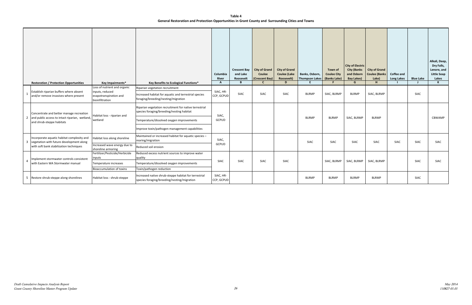**Table 4 General Restoration and Protection Opportunities in Grant County and Surrounding Cities and Towns**

<span id="page-32-0"></span>

|    | <b>Restoration / Protection Opportunities</b>                                                                             | Key Impairments*                                             | Key Benefits to Ecological Functions*                                                                | Columbia<br><b>River</b><br>A | <b>Crescent Bay</b><br>and Lake<br>Roosevelt<br>B | <b>City of Grand</b><br>Coulee<br>(Crescent Bay)<br>C | <b>City of Grand</b><br><b>Coulee (Lake</b><br>Roosevelt)<br>D | Banks, Osborn,<br>Thompson Lakes | Town of<br><b>Coulee City</b><br>(Banks Lake) | <b>City of Electric</b><br><b>City (Banks</b><br>and Osborn<br><b>Bay Lakes)</b><br>G | <b>City of Grand</b><br><b>Coulee (Banks</b><br>Lake)<br>H | <b>Coffee and</b><br><b>Long Lakes</b> | <b>Blue Lake</b> | Alkali, Deep,<br>Dry Falls,<br>Lenore, and<br><b>Little Soap</b><br>Lakes<br>K. |  |
|----|---------------------------------------------------------------------------------------------------------------------------|--------------------------------------------------------------|------------------------------------------------------------------------------------------------------|-------------------------------|---------------------------------------------------|-------------------------------------------------------|----------------------------------------------------------------|----------------------------------|-----------------------------------------------|---------------------------------------------------------------------------------------|------------------------------------------------------------|----------------------------------------|------------------|---------------------------------------------------------------------------------|--|
|    |                                                                                                                           | Loss of nutrient and organic                                 | Riparian vegetation recruitment                                                                      |                               |                                                   |                                                       |                                                                |                                  |                                               |                                                                                       |                                                            |                                        |                  |                                                                                 |  |
|    | Establish riparian buffers where absent<br>and/or remove invasives where present                                          | inputs, reduced<br>evapotranspiration and<br>bioinfiltration | Increased habitat for aquatic and terrestrial species<br>foraging/breeding/nesting/migration         | SIAC, HR-<br>CCP, GCPUD       | <b>SIAC</b>                                       | SIAC                                                  | <b>SIAC</b>                                                    | <b>BLRMP</b>                     | SIAC, BLRMP                                   | <b>BLRMP</b>                                                                          | SIAC, BLRMP                                                |                                        | <b>SIAC</b>      |                                                                                 |  |
|    | Concentrate and better manage recreation<br>2 and public access to intact riparian, wetland,<br>and shrub-steppe habitats | Habitat loss - riparian and                                  | Riparian vegetation recruitment for native terrestrial<br>species foraging/breeding/nesting habitat  | SIAC,<br><b>GCPUD</b>         |                                                   |                                                       |                                                                |                                  |                                               |                                                                                       |                                                            |                                        |                  |                                                                                 |  |
|    |                                                                                                                           | wetland                                                      | Temperature/dissolved oxygen improvements                                                            |                               |                                                   |                                                       |                                                                |                                  |                                               |                                                                                       | <b>BLRMP</b>                                               | <b>BLRMP</b>                           | SIAC, BLRMP      | <b>BLRMP</b>                                                                    |  |
|    |                                                                                                                           |                                                              | Improve toxin/pathogen management capabilities                                                       |                               |                                                   |                                                       |                                                                |                                  |                                               |                                                                                       |                                                            |                                        |                  |                                                                                 |  |
| 3  | Incorporate aquatic habitat complexity and<br>vegetation with future development along                                    | Habitat loss along shoreline                                 | Maintained or increased habitat for aquatic species -<br>rearing/migration                           | SIAC,                         |                                                   |                                                       |                                                                | <b>SIAC</b>                      | <b>SIAC</b>                                   | <b>SIAC</b>                                                                           | SIAC                                                       | <b>SIAC</b>                            | SIAC             | SIAC                                                                            |  |
|    | with soft bank stabilization techniques                                                                                   | Increased wave energy due to<br>shoreline armoring           | Reduced soil erosion                                                                                 | GCPUD                         |                                                   |                                                       |                                                                |                                  |                                               |                                                                                       |                                                            |                                        |                  |                                                                                 |  |
|    |                                                                                                                           | Fertilizer/Pesticide/Herbicide                               | Reduced excess nutrient sources to improve water                                                     |                               |                                                   |                                                       |                                                                |                                  |                                               |                                                                                       |                                                            |                                        |                  | SIAC                                                                            |  |
| -4 | Implement stormwater controls consistent                                                                                  | inputs                                                       | quality                                                                                              | SIAC                          | <b>SIAC</b>                                       | <b>SIAC</b>                                           | <b>SIAC</b>                                                    |                                  | SIAC, BLRMP                                   | SIAC, BLRMP                                                                           | SIAC, BLRMP                                                |                                        | <b>SIAC</b>      |                                                                                 |  |
|    | with Eastern WA Stormwater manual                                                                                         | Temperature increases                                        | Temperature/dissolved oxygen improvements                                                            |                               |                                                   |                                                       |                                                                |                                  |                                               |                                                                                       |                                                            |                                        |                  |                                                                                 |  |
|    |                                                                                                                           | Bioaccumulation of toxins                                    | Toxin/pathogen reduction                                                                             |                               |                                                   |                                                       |                                                                |                                  |                                               |                                                                                       |                                                            |                                        |                  |                                                                                 |  |
|    | 5 Restore shrub-steppe along shorelines                                                                                   | Habitat loss - shrub-steppe                                  | Increased native shrub-steppe habitat for terrestrial<br>species foraging/breeding/nesting/migration | SIAC, HR-<br>CCP, GCPUD       |                                                   |                                                       |                                                                | <b>BLRMP</b>                     | <b>BLRMP</b>                                  | <b>BLRMP</b>                                                                          | <b>BLRMP</b>                                               |                                        | SIAC             |                                                                                 |  |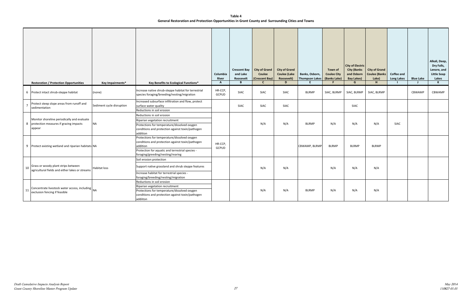**Table 4 General Restoration and Protection Opportunities in Grant County and Surrounding Cities and Towns**

|     | <b>Restoration / Protection Opportunities</b>                                                     | Key Impairments*          | Key Benefits to Ecological Functions*                                                                                                                                                                 | Columbia<br><b>River</b><br>A | <b>Crescent Bay</b><br>and Lake<br>Roosevelt<br>B | <b>City of Grand</b><br>Coulee<br>(Crescent Bay)<br>$\mathsf{C}$ | <b>City of Grand</b><br><b>Coulee (Lake</b><br>Roosevelt)<br>D | Banks, Osborn,<br><b>Thompson Lakes</b><br>E. | Town of<br><b>Coulee City</b><br>(Banks Lake) | <b>City of Electric</b><br><b>City (Banks</b><br>and Osborn<br><b>Bay Lakes)</b><br>G | <b>City of Grand</b><br>Coulee (Banks<br>Lake)<br>H | <b>Coffee and</b><br><b>Long Lakes</b> | <b>Blue Lake</b><br>$\mathbf{I}$ | Alkali, Deep,<br>Dry Falls,<br>Lenore, and<br><b>Little Soap</b><br>Lakes<br>K |
|-----|---------------------------------------------------------------------------------------------------|---------------------------|-------------------------------------------------------------------------------------------------------------------------------------------------------------------------------------------------------|-------------------------------|---------------------------------------------------|------------------------------------------------------------------|----------------------------------------------------------------|-----------------------------------------------|-----------------------------------------------|---------------------------------------------------------------------------------------|-----------------------------------------------------|----------------------------------------|----------------------------------|--------------------------------------------------------------------------------|
|     | 6 Protect intact shrub-steppe habitat                                                             | (none)                    | Increase native shrub-steppe habitat for terrestrial<br>species foraging/breeding/nesting/migration                                                                                                   | HR-CCP,<br>GCPUD              | <b>SIAC</b>                                       | SIAC                                                             | SIAC                                                           | <b>BLRMP</b>                                  | SIAC, BLRMP                                   | SIAC, BLRMP                                                                           | SIAC, BLRMP                                         |                                        | CBWAMP                           | CBWAMP                                                                         |
|     | Protect steep slope areas from runoff and<br>sedimentation                                        | Sediment cycle disruption | Increased subsurface infiltration and flow, protect<br>surface water quality<br>Reductions in soil erosion                                                                                            |                               | <b>SIAC</b>                                       | SIAC                                                             | SIAC                                                           |                                               |                                               | SIAC                                                                                  |                                                     |                                        |                                  |                                                                                |
|     | Monitor shoreline periodically and evaluate<br>8 protection measures if grazing impacts<br>appear | <b>NA</b>                 | Reductions in soil erosion<br>Riparian vegetation recruitment<br>Protections for temperature/dissolved oxygen<br>conditions and protection against toxin/pathogen<br>addition                         |                               |                                                   | N/A                                                              | N/A                                                            | <b>BLRMP</b>                                  | N/A                                           | N/A                                                                                   | N/A                                                 | SIAC                                   |                                  |                                                                                |
|     | 9 Protect existing wetland and riparian habitats NA                                               |                           | Protections for temperature/dissolved oxygen<br>conditions and protection against toxin/pathogen<br>addition<br>Protection for aquatic and terrestrial species -<br>foraging/greeding/nesting/rearing | HR-CCP,<br>GCPUD              |                                                   |                                                                  |                                                                | CBWAMP, BLRMP                                 | <b>BLRMP</b>                                  | <b>BLRMP</b>                                                                          | <b>BLRMP</b>                                        |                                        |                                  |                                                                                |
| 10  | Grass or woody plant strips between<br>agricultural fields and either lakes or streams            | Habitat loss              | Soil erosion protection<br>Support native grassland and shrub steppe features<br>Increase habitat for terrestrial species -<br>foraging/breeding/nesting/migration                                    |                               |                                                   | N/A                                                              | N/A                                                            |                                               | N/A                                           | N/A                                                                                   | N/A                                                 |                                        |                                  |                                                                                |
| -11 | Concentrate livestock water access, including $\bigg _{\sf NA}$<br>exclusion fencing if feasible  |                           | Reductions in soil erosion<br>Riparian vegetation recruitment<br>Protections for temperature/dissolved oxygen<br>conditions and protection against toxin/pathogen<br>addiiton                         |                               |                                                   | N/A                                                              | N/A                                                            | <b>BLRMP</b>                                  | N/A                                           | N/A                                                                                   | N/A                                                 |                                        |                                  |                                                                                |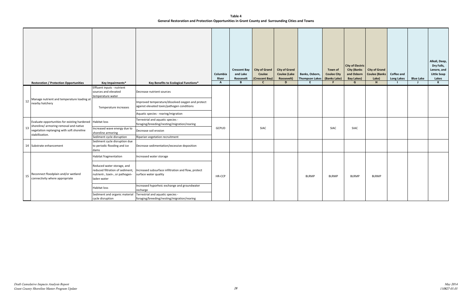**Table 4 General Restoration and Protection Opportunities in Grant County and Surrounding Cities and Towns**

| <b>Restoration / Protection Opportunities</b>                                          | <b>Key Impairments*</b>                                                                                         | Key Benefits to Ecological Functions*                                                           | Columbia<br><b>River</b><br>A | <b>Crescent Bay</b><br>and Lake<br>Roosevelt<br>B | <b>City of Grand</b><br>Coulee<br>(Crescent Bay)<br>$\mathbf{C}$ | <b>City of Grand</b><br><b>Coulee (Lake</b><br>Roosevelt)<br>D | Banks, Osborn,<br><b>Thompson Lakes</b><br>E. | Town of<br><b>Coulee City</b><br>(Banks Lake)<br>F. | <b>City of Electric</b><br><b>City (Banks</b><br>and Osborn<br><b>Bay Lakes)</b><br>G | <b>City of Grand</b><br><b>Coulee (Banks</b><br>Lake)<br>H | <b>Coffee and</b><br><b>Long Lakes</b> | <b>Blue Lake</b> | Alkali, Deep,<br>Dry Falls,<br>Lenore, and<br><b>Little Soap</b><br>Lakes<br>K |
|----------------------------------------------------------------------------------------|-----------------------------------------------------------------------------------------------------------------|-------------------------------------------------------------------------------------------------|-------------------------------|---------------------------------------------------|------------------------------------------------------------------|----------------------------------------------------------------|-----------------------------------------------|-----------------------------------------------------|---------------------------------------------------------------------------------------|------------------------------------------------------------|----------------------------------------|------------------|--------------------------------------------------------------------------------|
|                                                                                        | Effluent inputs - nutrient<br>sources and elevated<br>temperature water                                         | Decrease nutrient sources                                                                       |                               |                                                   |                                                                  |                                                                |                                               |                                                     |                                                                                       |                                                            |                                        |                  |                                                                                |
| Manage nutrient and temperature loading at<br>12<br>nearby hatchery                    | Temperature increases                                                                                           | Improved temperature/dissolved oxygen and protect<br>against elevated toxin/pathogen conditions |                               |                                                   |                                                                  |                                                                |                                               |                                                     |                                                                                       |                                                            |                                        |                  |                                                                                |
|                                                                                        |                                                                                                                 | Aquatic species - rearing/migration                                                             |                               |                                                   |                                                                  |                                                                |                                               |                                                     |                                                                                       |                                                            |                                        |                  |                                                                                |
| Evaluate opportunities for existing hardened<br>shoreline/ armoring removal and native | Habitat loss                                                                                                    | Terrestrial and aquatic species -<br>foraging/breeding/nesting/migration/rearing                |                               |                                                   |                                                                  |                                                                |                                               |                                                     |                                                                                       |                                                            |                                        |                  |                                                                                |
| 13<br>vegetation replanging with soft shoreline<br>stabillization.                     | Increased wave energy due to<br>shoreline armoring                                                              | Decrease soil erosion                                                                           | GCPUD                         |                                                   | <b>SIAC</b>                                                      |                                                                |                                               | <b>SIAC</b>                                         | SIAC                                                                                  |                                                            |                                        |                  |                                                                                |
|                                                                                        | Sediment cycle disruption                                                                                       | Riparian vegetation recruitment                                                                 |                               |                                                   |                                                                  |                                                                |                                               |                                                     |                                                                                       |                                                            |                                        |                  |                                                                                |
| 14 Substrate enhancement                                                               | Sediment cycle disruption due<br>to periodic flooding and ice<br>dams                                           | Decrease sedimentation/excessive deposition                                                     |                               |                                                   |                                                                  |                                                                |                                               |                                                     |                                                                                       |                                                            |                                        |                  |                                                                                |
|                                                                                        | Habitat fragmentation                                                                                           | Increased water storage                                                                         |                               |                                                   |                                                                  |                                                                |                                               |                                                     |                                                                                       |                                                            |                                        |                  |                                                                                |
| Reconnect floodplain and/or wetland<br>15<br>connectivity where appropriate            | Reduced water storage, and<br>reduced filtration of sediment,<br>nutrient-, toxin-, or pathogen-<br>laden water | Increased subsurface infiltration and flow, protect<br>surface water quality                    | HR-CCP                        |                                                   |                                                                  |                                                                | <b>BLRMP</b>                                  | <b>BLRMP</b>                                        | <b>BLRMP</b>                                                                          | <b>BLRMP</b>                                               |                                        |                  |                                                                                |
|                                                                                        | Habitat loss                                                                                                    | Increased hyporheic exchange and groundwater<br>recharge                                        |                               |                                                   |                                                                  |                                                                |                                               |                                                     |                                                                                       |                                                            |                                        |                  |                                                                                |
|                                                                                        | Sediment and organic material<br>cycle disruption                                                               | Terrestrial and aquatic species -<br>foraging/breeding/nesting/migration/rearing                |                               |                                                   |                                                                  |                                                                |                                               |                                                     |                                                                                       |                                                            |                                        |                  |                                                                                |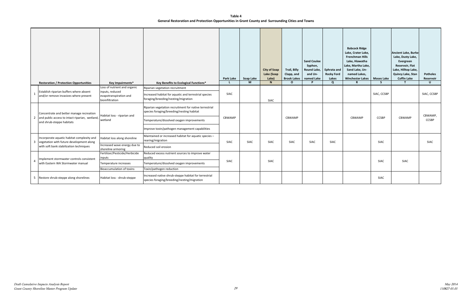**Table 4 General Restoration and Protection Opportunities in Grant County and Surrounding Cities and Towns**

| <b>Restoration / Protection Opportunities</b>                                                | Key Impairments*                                                                             | Key Benefits to Ecological Functions*                                                                                           | <b>Park Lake</b><br>L. | Soap Lake<br>M | <b>City of Soap</b><br>Lake (Soap<br>Lake)<br>N | Trail, Billy<br>Clapp, and<br><b>Brook Lakes</b><br>$\Omega$ | <b>Sand Coulee</b><br>Syphon,<br>Round Lake,<br>and Un-<br>named Lake<br><b>D</b> | <b>Ephrata and</b><br><b>Rocky Ford</b><br>Lakes<br>$\Omega$ | <b>Babcock Ridge</b><br>Lake, Crater Lake,<br><b>Frenchman Hills</b><br>Lake, Hiawatha<br>Lake, Martha Lake,<br>Sand Lake, Un-<br>named Lakes,<br><b>Winchester Lakes</b><br>R | <b>Moses Lake</b><br>S. | <b>Ancient Lake, Burke</b><br>Lake, Dusty Lake,<br>Evergreen<br>Reservoir, Flat<br>Lake, Hilltop Lake,<br>Quincy Lake, Stan<br><b>Coffin Lake</b><br>T | <b>Potholes</b><br>Reservoir<br>U |
|----------------------------------------------------------------------------------------------|----------------------------------------------------------------------------------------------|---------------------------------------------------------------------------------------------------------------------------------|------------------------|----------------|-------------------------------------------------|--------------------------------------------------------------|-----------------------------------------------------------------------------------|--------------------------------------------------------------|--------------------------------------------------------------------------------------------------------------------------------------------------------------------------------|-------------------------|--------------------------------------------------------------------------------------------------------------------------------------------------------|-----------------------------------|
| Establish riparian buffers where absent<br>and/or remove invasives where present             | Loss of nutrient and organic<br>inputs, reduced<br>evapotranspiration and<br>bioinfiltration | Riparian vegetation recruitment<br>Increased habitat for aquatic and terrestrial species<br>foraging/breeding/nesting/migration | <b>SIAC</b>            |                | SIAC                                            |                                                              |                                                                                   |                                                              |                                                                                                                                                                                | SIAC, CCSBP             |                                                                                                                                                        | SIAC, CCSBP                       |
| Concentrate and better manage recreation<br>2 and public access to intact riparian, wetland, | Habitat loss - riparian and                                                                  | Riparian vegetation recruitment for native terrestrial<br>species foraging/breeding/nesting habitat                             | CBWAMP                 |                |                                                 | CBWAMP                                                       |                                                                                   |                                                              | CBWAMP                                                                                                                                                                         | <b>CCSBP</b>            | CBWAMP                                                                                                                                                 | CBWAMP,                           |
| and shrub-steppe habitats                                                                    | wetland                                                                                      | Temperature/dissolved oxygen improvements<br>Improve toxin/pathogen management capabilities                                     |                        |                |                                                 |                                                              |                                                                                   |                                                              |                                                                                                                                                                                |                         |                                                                                                                                                        | CCSBP                             |
| Incorporate aquatic habitat complexity and<br>3 vegetation with future development along     | Habitat loss along shoreline<br>Increased wave energy due to                                 | Maintained or increased habitat for aquatic species -<br>rearing/migration                                                      | <b>SIAC</b>            | SIAC           | SIAC                                            | <b>SIAC</b>                                                  | SIAC                                                                              | SIAC                                                         |                                                                                                                                                                                | <b>SIAC</b>             |                                                                                                                                                        | SIAC                              |
| with soft bank stabilization techniques                                                      | shoreline armoring<br>Fertilizer/Pesticide/Herbicide                                         | Reduced soil erosion<br>Reduced excess nutrient sources to improve water                                                        |                        |                |                                                 |                                                              |                                                                                   |                                                              |                                                                                                                                                                                |                         |                                                                                                                                                        |                                   |
| Implement stormwater controls consistent<br>with Eastern WA Stormwater manual                | inputs<br>Temperature increases<br><b>Bioaccumulation of toxins</b>                          | quality<br>Temperature/dissolved oxygen improvements<br>Toxin/pathogen reduction                                                | <b>SIAC</b>            |                | SIAC                                            |                                                              |                                                                                   |                                                              |                                                                                                                                                                                | <b>SIAC</b>             | <b>SIAC</b>                                                                                                                                            |                                   |
| 5 Restore shrub-steppe along shorelines                                                      | Habitat loss - shrub-steppe                                                                  | Increased native shrub-steppe habitat for terrestrial<br>species foraging/breeding/nesting/migration                            |                        |                |                                                 |                                                              |                                                                                   |                                                              |                                                                                                                                                                                | <b>SIAC</b>             |                                                                                                                                                        |                                   |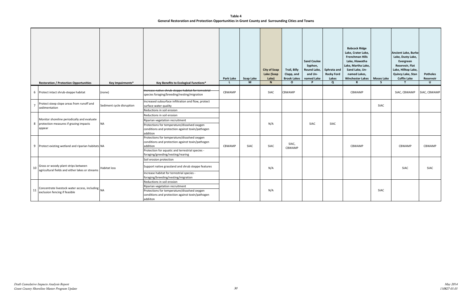**Table 4 General Restoration and Protection Opportunities in Grant County and Surrounding Cities and Towns**

|    | <b>Restoration / Protection Opportunities</b>                                                      | Key Impairments*          | Key Benefits to Ecological Functions*                                                                                                                                                                 | Park Lake<br>L. | Soap Lake<br>M | <b>City of Soap</b><br>Lake (Soap<br>Lake)<br>$\mathbf N$ | <b>Trail, Billy</b><br>Clapp, and<br><b>Brook Lakes</b><br>$\mathbf{o}$ | <b>Sand Coulee</b><br>Syphon,<br>Round Lake,<br>and Un-<br>named Lake<br>P | Ephrata and<br><b>Rocky Ford</b><br>Lakes<br>$\mathbf{Q}$ | <b>Babcock Ridge</b><br>Lake, Crater Lake,<br><b>Frenchman Hills</b><br>Lake, Hiawatha<br>Lake, Martha Lake,<br>Sand Lake, Un-<br>named Lakes,<br><b>Winchester Lakes</b><br>R | <b>Moses Lake</b><br>S. | <b>Ancient Lake, Burke</b><br>Lake, Dusty Lake,<br>Evergreen<br>Reservoir, Flat<br>Lake, Hilltop Lake,<br>Quincy Lake, Stan<br><b>Coffin Lake</b><br>$\mathbf{T}$ | <b>Potholes</b><br>Reservoir<br>$\cup$ |
|----|----------------------------------------------------------------------------------------------------|---------------------------|-------------------------------------------------------------------------------------------------------------------------------------------------------------------------------------------------------|-----------------|----------------|-----------------------------------------------------------|-------------------------------------------------------------------------|----------------------------------------------------------------------------|-----------------------------------------------------------|--------------------------------------------------------------------------------------------------------------------------------------------------------------------------------|-------------------------|-------------------------------------------------------------------------------------------------------------------------------------------------------------------|----------------------------------------|
|    | 6 Protect intact shrub-steppe habitat                                                              | (none)                    | Increase native shrub-steppe habitat for terrestrial<br>species foraging/breeding/nesting/migration                                                                                                   | CBWAMP          |                | <b>SIAC</b>                                               | <b>CBWAMP</b>                                                           |                                                                            |                                                           | CBWAMP                                                                                                                                                                         |                         | SIAC, CBWAMP                                                                                                                                                      | SIAC, CBWAMP                           |
|    | Protect steep slope areas from runoff and<br>sedimentation                                         | Sediment cycle disruption | Increased subsurface infiltration and flow, protect<br>surface water quality<br>Reductions in soil erosion                                                                                            |                 |                |                                                           |                                                                         |                                                                            |                                                           |                                                                                                                                                                                | SIAC                    |                                                                                                                                                                   |                                        |
|    | Monitor shoreline periodically and evaluate<br>8 protection measures if grazing impacts<br>appear  | <b>NA</b>                 | Reductions in soil erosion<br>Riparian vegetation recruitment<br>Protections for temperature/dissolved oxygen<br>conditions and protection against toxin/pathogen<br>addition                         |                 |                | N/A                                                       |                                                                         | SIAC                                                                       | SIAC                                                      |                                                                                                                                                                                |                         |                                                                                                                                                                   |                                        |
|    | 9 Protect existing wetland and riparian habitats NA                                                |                           | Protections for temperature/dissolved oxygen<br>conditions and protection against toxin/pathogen<br>addition<br>Protection for aquatic and terrestrial species -<br>foraging/greeding/nesting/rearing | CBWAMP          | <b>SIAC</b>    | <b>SIAC</b>                                               | SIAC,<br>CBWAMP                                                         |                                                                            |                                                           | CBWAMP                                                                                                                                                                         |                         | CBWAMP                                                                                                                                                            | CBWAMP                                 |
| 10 | Grass or woody plant strips between<br>agricultural fields and either lakes or streams             | Habitat loss              | Soil erosion protection<br>Support native grassland and shrub steppe features<br>Increase habitat for terrestrial species -<br>foraging/breeding/nesting/migration                                    |                 |                | N/A                                                       |                                                                         |                                                                            |                                                           |                                                                                                                                                                                |                         | <b>SIAC</b>                                                                                                                                                       | SIAC                                   |
| 11 | Concentrate livestock water access, including $\vert_{\text{NA}}$<br>exclusion fencing if feasible |                           | Reductions in soil erosion<br>Riparian vegetation recruitment<br>Protections for temperature/dissolved oxygen<br>conditions and protection against toxin/pathogen<br>addiiton                         |                 |                | N/A                                                       |                                                                         |                                                                            |                                                           |                                                                                                                                                                                | SIAC                    |                                                                                                                                                                   |                                        |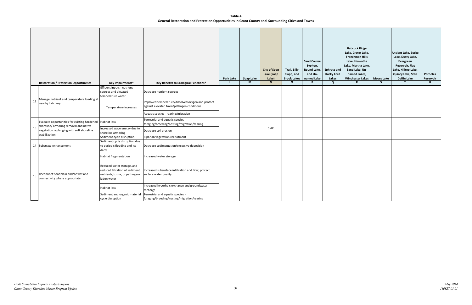**Table 4 General Restoration and Protection Opportunities in Grant County and Surrounding Cities and Towns**

|    |                                                                                                       |                                                                                                                 |                                                                                                 |                 |                |                                   |                                    | <b>Sand Coulee</b>                |                                         | <b>Babcock Ridge</b><br>Lake, Crater Lake,<br><b>Frenchman Hills</b><br>Lake, Hiawatha |                        | <b>Ancient Lake, Burke</b><br>Lake, Dusty Lake,<br>Evergreen       |                           |
|----|-------------------------------------------------------------------------------------------------------|-----------------------------------------------------------------------------------------------------------------|-------------------------------------------------------------------------------------------------|-----------------|----------------|-----------------------------------|------------------------------------|-----------------------------------|-----------------------------------------|----------------------------------------------------------------------------------------|------------------------|--------------------------------------------------------------------|---------------------------|
|    |                                                                                                       |                                                                                                                 |                                                                                                 |                 |                | <b>City of Soap</b><br>Lake (Soap | <b>Trail, Billy</b><br>Clapp, and  | Syphon,<br>Round Lake,<br>and Un- | <b>Ephrata and</b><br><b>Rocky Ford</b> | Lake, Martha Lake,<br>Sand Lake, Un-<br>named Lakes,                                   |                        | <b>Reservoir, Flat</b><br>Lake, Hilltop Lake,<br>Quincy Lake, Stan | <b>Potholes</b>           |
|    | <b>Restoration / Protection Opportunities</b>                                                         | Key Impairments*                                                                                                | Key Benefits to Ecological Functions*                                                           | Park Lake<br>L. | Soap Lake<br>M | Lake)<br>N                        | <b>Brook Lakes</b><br>$\mathbf{o}$ | named Lake<br>P                   | Lakes<br>$\mathbf{Q}$                   | <b>Winchester Lakes</b><br>$\mathbb{R}$                                                | <b>Moses Lake</b><br>S | <b>Coffin Lake</b><br>$\mathsf{T}$                                 | Reservoir<br>$\mathsf{U}$ |
|    |                                                                                                       | Effluent inputs - nutrient<br>sources and elevated<br>temperature water                                         | Decrease nutrient sources                                                                       |                 |                |                                   |                                    |                                   |                                         |                                                                                        |                        |                                                                    |                           |
| 12 | Manage nutrient and temperature loading at<br>nearby hatchery                                         | Temperature increases                                                                                           | Improved temperature/dissolved oxygen and protect<br>against elevated toxin/pathogen conditions |                 |                |                                   |                                    |                                   |                                         |                                                                                        |                        |                                                                    |                           |
|    |                                                                                                       |                                                                                                                 | Aquatic species - rearing/migration                                                             |                 |                |                                   |                                    |                                   |                                         |                                                                                        |                        |                                                                    |                           |
|    | Evaluate opportunities for existing hardened   Habitat loss<br>shoreline/ armoring removal and native |                                                                                                                 | Terrestrial and aquatic species -<br>foraging/breeding/nesting/migration/rearing                |                 |                |                                   |                                    |                                   |                                         |                                                                                        |                        |                                                                    |                           |
| 13 | vegetation replanging with soft shoreline<br>stabillization.                                          | Increased wave energy due to<br>shoreline armoring                                                              | Decrease soil erosion                                                                           |                 |                | <b>SIAC</b>                       |                                    |                                   |                                         |                                                                                        |                        |                                                                    |                           |
|    |                                                                                                       | Sediment cycle disruption                                                                                       | Riparian vegetation recruitment                                                                 |                 |                |                                   |                                    |                                   |                                         |                                                                                        |                        |                                                                    |                           |
|    | 14 Substrate enhancement                                                                              | Sediment cycle disruption due<br>to periodic flooding and ice<br>dams                                           | Decrease sedimentation/excessive deposition                                                     |                 |                |                                   |                                    |                                   |                                         |                                                                                        |                        |                                                                    |                           |
|    |                                                                                                       | Habitat fragmentation                                                                                           | Increased water storage                                                                         |                 |                |                                   |                                    |                                   |                                         |                                                                                        |                        |                                                                    |                           |
| 15 | Reconnect floodplain and/or wetland<br>connectivity where appropriate                                 | Reduced water storage, and<br>reduced filtration of sediment,<br>nutrient-, toxin-, or pathogen-<br>laden water | Increased subsurface infiltration and flow, protect<br>surface water quality                    |                 |                |                                   |                                    |                                   |                                         |                                                                                        |                        |                                                                    |                           |
|    |                                                                                                       | Habitat loss                                                                                                    | Increased hyporheic exchange and groundwater<br>recharge                                        |                 |                |                                   |                                    |                                   |                                         |                                                                                        |                        |                                                                    |                           |
|    |                                                                                                       | Sediment and organic material<br>cycle disruption                                                               | Terrestrial and aquatic species -<br>foraging/breeding/nesting/migration/rearing                |                 |                |                                   |                                    |                                   |                                         |                                                                                        |                        |                                                                    |                           |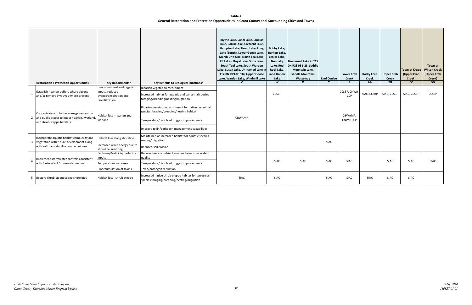## **Table 4 General Restoration and Protection Opportunities in Grant County and Surrounding Cities and Towns**

|   | <b>Restoration / Protection Opportunities</b>                                          | Key Impairments*                                             | Key Benefits to Ecological Functions*                                                                | <b>Blythe Lake, Canal Lake, Chukar</b><br>Lake, Corral Lake, Crescent Lake,<br>Hampton Lake, Heart Lake, Long<br>Lake (South), Lower Goose Lake,<br>Marsh Unit One, North Teal Lake,<br>Pit Lakes, Royal Lake, Soda Lake,<br>South Teal Lake, South Warden<br>Lake, Susan Lake, Un-named Lake in<br>T17-0N R29-0E S34, Upper Goose<br>Lake, Warden Lake, Windmill Lake<br>$\mathbf{v}$ | Bobby Lake,<br><b>Burkett Lake,</b><br>Lenice Lake,<br><b>Nunnally</b><br>Lake, Red<br>Rock Lake,<br><b>Sand Hollow</b><br>Lake<br>W | Un-named Lake in T15<br>ON R23 OE S 28, Saddle<br><b>Mountain Lake,</b><br><b>Saddle Mountain</b><br>Wasteway<br>$\mathbf{x}$ | <b>Lind Coulee</b><br>Y | <b>Lower Crab</b><br><b>Creek</b><br>z | <b>Rocky Ford</b><br><b>Creek</b><br>AA | <b>Upper Crab</b><br><b>Creek</b><br>BB | <b>Town of Krupp</b><br>(Upper Crab<br>Creek)<br>cc | Town of<br><b>Wilson Creek</b><br>(Upper Crab<br>Creek)<br><b>DD</b> |
|---|----------------------------------------------------------------------------------------|--------------------------------------------------------------|------------------------------------------------------------------------------------------------------|----------------------------------------------------------------------------------------------------------------------------------------------------------------------------------------------------------------------------------------------------------------------------------------------------------------------------------------------------------------------------------------|--------------------------------------------------------------------------------------------------------------------------------------|-------------------------------------------------------------------------------------------------------------------------------|-------------------------|----------------------------------------|-----------------------------------------|-----------------------------------------|-----------------------------------------------------|----------------------------------------------------------------------|
|   |                                                                                        | Loss of nutrient and organic                                 | Riparian vegetation recruitment                                                                      |                                                                                                                                                                                                                                                                                                                                                                                        |                                                                                                                                      |                                                                                                                               |                         |                                        |                                         |                                         |                                                     |                                                                      |
|   | Establish riparian buffers where absent<br>and/or remove invasives where present       | inputs, reduced<br>evapotranspiration and<br>bioinfiltration | Increased habitat for aquatic and terrestrial species<br>foraging/breeding/nesting/migration         |                                                                                                                                                                                                                                                                                                                                                                                        | <b>CCSBP</b>                                                                                                                         |                                                                                                                               |                         | CCSBP, CNWR-<br>CCP                    | SIAC, CCSBP                             | SIAC, CCSBP                             | SIAC, CCSBP                                         | CCSBP                                                                |
|   | Concentrate and better manage recreation                                               | Habitat loss - riparian and                                  | Riparian vegetation recruitment for native terrestrial<br>species foraging/breeding/nesting habitat  |                                                                                                                                                                                                                                                                                                                                                                                        |                                                                                                                                      |                                                                                                                               |                         | CBWAMP.                                |                                         |                                         |                                                     |                                                                      |
|   | and public access to intact riparian, wetland,<br>and shrub-steppe habitats            | wetland                                                      | Temperature/dissolved oxygen improvements                                                            | CBWAMP                                                                                                                                                                                                                                                                                                                                                                                 |                                                                                                                                      |                                                                                                                               |                         | CNWR-CCP                               |                                         |                                         |                                                     |                                                                      |
|   |                                                                                        |                                                              | Improve toxin/pathogen management capabilities                                                       |                                                                                                                                                                                                                                                                                                                                                                                        |                                                                                                                                      |                                                                                                                               |                         |                                        |                                         |                                         |                                                     |                                                                      |
| 3 | Incorporate aquatic habitat complexity and<br>vegetation with future development along | Habitat loss along shoreline                                 | Maintained or increased habitat for aquatic species -<br>rearing/migration                           |                                                                                                                                                                                                                                                                                                                                                                                        |                                                                                                                                      |                                                                                                                               | <b>SIAC</b>             |                                        |                                         |                                         |                                                     |                                                                      |
|   | with soft bank stabilization techniques                                                | Increased wave energy due to<br>shoreline armoring           | Reduced soil erosion                                                                                 |                                                                                                                                                                                                                                                                                                                                                                                        |                                                                                                                                      |                                                                                                                               |                         |                                        |                                         |                                         |                                                     |                                                                      |
|   | Implement stormwater controls consistent                                               | Fertilizer/Pesticide/Herbicide<br>inputs                     | Reduced excess nutrient sources to improve water<br>quality                                          |                                                                                                                                                                                                                                                                                                                                                                                        |                                                                                                                                      |                                                                                                                               |                         |                                        |                                         |                                         |                                                     |                                                                      |
|   | with Eastern WA Stormwater manual                                                      | Temperature increases                                        | Temperature/dissolved oxygen improvements                                                            |                                                                                                                                                                                                                                                                                                                                                                                        | <b>SIAC</b>                                                                                                                          | <b>SIAC</b>                                                                                                                   | <b>SIAC</b>             | <b>SIAC</b>                            |                                         | <b>SIAC</b>                             | <b>SIAC</b>                                         | <b>SIAC</b>                                                          |
|   |                                                                                        | <b>Bioaccumulation of toxins</b>                             | Toxin/pathogen reduction                                                                             |                                                                                                                                                                                                                                                                                                                                                                                        |                                                                                                                                      |                                                                                                                               |                         |                                        |                                         |                                         |                                                     |                                                                      |
|   | 5  Restore shrub-steppe along shorelines                                               | Habitat loss - shrub-steppe                                  | Increased native shrub-steppe habitat for terrestrial<br>species foraging/breeding/nesting/migration | SIAC                                                                                                                                                                                                                                                                                                                                                                                   | SIAC                                                                                                                                 |                                                                                                                               | SIAC                    | SIAC                                   | <b>SIAC</b>                             | <b>SIAC</b>                             | SIAC                                                |                                                                      |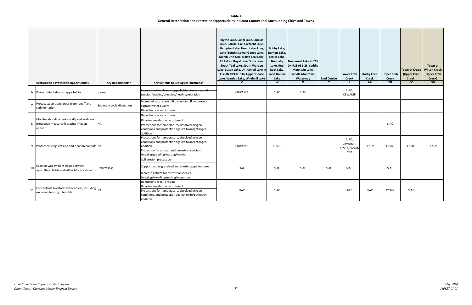## **Table 4 General Restoration and Protection Opportunities in Grant County and Surrounding Cities and Towns**

|    | <b>Restoration / Protection Opportunities</b>                                                     | Key Impairments*          | Key Benefits to Ecological Functions*                                                                                                                                                                 | Blythe Lake, Canal Lake, Chukar<br>Lake, Corral Lake, Crescent Lake,<br>Hampton Lake, Heart Lake, Long<br>Lake (South), Lower Goose Lake,<br>Marsh Unit One, North Teal Lake,<br>Pit Lakes, Royal Lake, Soda Lake,<br>South Teal Lake, South Warden<br>Lake, Susan Lake, Un-named Lake in<br>T17-0N R29-0E S34, Upper Goose<br>Lake, Warden Lake, Windmill Lake<br>$\mathbf{v}$ | Bobby Lake,<br><b>Burkett Lake,</b><br>Lenice Lake,<br><b>Nunnally</b><br>Lake, Red<br>Rock Lake,<br><b>Sand Hollow</b><br>Lake<br>W | Un-named Lake in T15<br>ON R23 OE S 28, Saddle<br><b>Mountain Lake,</b><br><b>Saddle Mountain</b><br>Wasteway<br>$\mathbf{x}$ | <b>Lind Coulee</b> | <b>Lower Crab</b><br><b>Creek</b><br>z         | <b>Rocky Ford</b><br><b>Creek</b><br>AA | <b>Upper Crab</b><br><b>Creek</b><br><b>BB</b> | Town of Krupp   Wilson Creek<br>(Upper Crab<br>Creek)<br>cc | Town of<br>(Upper Crab<br>Creek)<br><b>DD</b> |
|----|---------------------------------------------------------------------------------------------------|---------------------------|-------------------------------------------------------------------------------------------------------------------------------------------------------------------------------------------------------|---------------------------------------------------------------------------------------------------------------------------------------------------------------------------------------------------------------------------------------------------------------------------------------------------------------------------------------------------------------------------------|--------------------------------------------------------------------------------------------------------------------------------------|-------------------------------------------------------------------------------------------------------------------------------|--------------------|------------------------------------------------|-----------------------------------------|------------------------------------------------|-------------------------------------------------------------|-----------------------------------------------|
|    | 6 Protect intact shrub-steppe habitat                                                             | (none)                    | Increase native shrub-steppe habitat for terrestrial<br>species foraging/breeding/nesting/migration                                                                                                   | CBWAMP                                                                                                                                                                                                                                                                                                                                                                          | SIAC                                                                                                                                 | SIAC                                                                                                                          |                    | SIAC,<br>CBWAMP                                |                                         |                                                |                                                             |                                               |
|    | Protect steep slope areas from runoff and<br>sedimentation                                        | Sediment cycle disruption | Increased subsurface infiltration and flow, protect<br>surface water quality<br>Reductions in soil erosion                                                                                            |                                                                                                                                                                                                                                                                                                                                                                                 |                                                                                                                                      |                                                                                                                               |                    |                                                |                                         |                                                |                                                             |                                               |
|    | Monitor shoreline periodically and evaluate<br>8 protection measures if grazing impacts<br>appear | <b>NA</b>                 | Reductions in soil erosion<br>Riparian vegetation recruitment<br>Protections for temperature/dissolved oxygen<br>conditions and protection against toxin/pathogen<br>addition                         |                                                                                                                                                                                                                                                                                                                                                                                 |                                                                                                                                      |                                                                                                                               |                    |                                                |                                         | <b>SIAC</b>                                    |                                                             |                                               |
|    | 9 Protect existing wetland and riparian habitats NA                                               |                           | Protections for temperature/dissolved oxygen<br>conditions and protection against toxin/pathogen<br>addition<br>Protection for aquatic and terrestrial species -<br>foraging/greeding/nesting/rearing | CBWAMP                                                                                                                                                                                                                                                                                                                                                                          | <b>CCSBP</b>                                                                                                                         |                                                                                                                               |                    | SIAC,<br>CBWAMP,<br>CCSBP, CNWR-<br><b>CCP</b> | <b>CCSBP</b>                            | <b>CCSBP</b>                                   | <b>CCSBP</b>                                                | <b>CCSBP</b>                                  |
| 10 | Grass or woody plant strips between<br>agricultural fields and either lakes or streams            | Habitat loss              | Soil erosion protection<br>Support native grassland and shrub steppe features<br>Increase habitat for terrestrial species -<br>foraging/breeding/nesting/migration                                    | <b>SIAC</b>                                                                                                                                                                                                                                                                                                                                                                     | SIAC                                                                                                                                 | SIAC                                                                                                                          | SIAC               | <b>SIAC</b>                                    |                                         | SIAC                                           |                                                             |                                               |
| 11 | Concentrate livestock water access, including NA<br>exclusion fencing if feasible                 |                           | Reductions in soil erosion<br>Riparian vegetation recruitment<br>Protections for temperature/dissolved oxygen<br>conditions and protection against toxin/pathogen<br>addiiton                         | SIAC                                                                                                                                                                                                                                                                                                                                                                            | SIAC                                                                                                                                 |                                                                                                                               |                    | <b>SIAC</b>                                    | <b>SIAC</b>                             | <b>CCSBP</b>                                   | <b>SIAC</b>                                                 |                                               |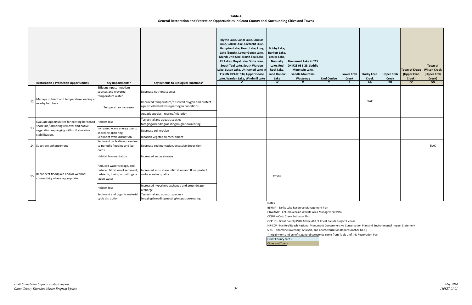### **Table 4 General Restoration and Protection Opportunities in Grant County and Surrounding Cities and Towns**

|    | <b>Restoration / Protection Opportunities</b>                                                                                       | Key Impairments*                                                                                                | Key Benefits to Ecological Functions*                                                                                        | Blythe Lake, Canal Lake, Chukar<br>Lake, Corral Lake, Crescent Lake,<br>Hampton Lake, Heart Lake, Long<br>Lake (South), Lower Goose Lake,<br>Marsh Unit One, North Teal Lake,<br>Pit Lakes, Royal Lake, Soda Lake,<br>South Teal Lake, South Warden<br>Lake, Susan Lake, Un-named Lake in<br>T17-0N R29-0E S34, Upper Goose<br>Lake, Warden Lake, Windmill Lake<br>$\mathsf{V}$ | <b>Bobby Lake,</b><br><b>Burkett Lake,</b><br>Lenice Lake,<br><b>Nunnally</b><br>Lake, Red<br>Rock Lake,<br><b>Sand Hollow</b><br>Lake<br>$\overline{w}$ | Un-named Lake in T15<br>ON R23 OE S 28, Saddle<br><b>Mountain Lake,</b><br><b>Saddle Mountain</b><br>Wasteway<br>$\mathbf{x}$ | <b>Lind Coulee</b><br>Y | <b>Lower Crab</b><br><b>Creek</b><br>z | <b>Rocky Ford</b><br><b>Creek</b><br>AA | <b>Upper Crab</b><br><b>Creek</b><br><b>BB</b> | <b>Town of Krupp</b><br>(Upper Crab<br>Creek)<br>cc | Town of<br><b>Wilson Creek</b><br>(Upper Crab<br>Creek)<br><b>DD</b> |
|----|-------------------------------------------------------------------------------------------------------------------------------------|-----------------------------------------------------------------------------------------------------------------|------------------------------------------------------------------------------------------------------------------------------|---------------------------------------------------------------------------------------------------------------------------------------------------------------------------------------------------------------------------------------------------------------------------------------------------------------------------------------------------------------------------------|----------------------------------------------------------------------------------------------------------------------------------------------------------|-------------------------------------------------------------------------------------------------------------------------------|-------------------------|----------------------------------------|-----------------------------------------|------------------------------------------------|-----------------------------------------------------|----------------------------------------------------------------------|
| 12 | Manage nutrient and temperature loading at<br>nearby hatchery                                                                       | Effluent inputs - nutrient<br>sources and elevated<br>temperature water<br>Temperature increases                | Decrease nutrient sources<br>Improved temperature/dissolved oxygen and protect<br>against elevated toxin/pathogen conditions |                                                                                                                                                                                                                                                                                                                                                                                 |                                                                                                                                                          |                                                                                                                               |                         |                                        | <b>SIAC</b>                             |                                                |                                                     |                                                                      |
|    |                                                                                                                                     |                                                                                                                 | Aquatic species - rearing/migration<br>Terrestrial and aquatic species -                                                     |                                                                                                                                                                                                                                                                                                                                                                                 |                                                                                                                                                          |                                                                                                                               |                         |                                        |                                         |                                                |                                                     |                                                                      |
| 13 | Evaluate opportunities for existing hardened<br>shoreline/ armoring removal and native<br>vegetation replanging with soft shoreline | <b>Habitat loss</b><br>Increased wave energy due to                                                             | foraging/breeding/nesting/migration/rearing<br>Decrease soil erosion                                                         |                                                                                                                                                                                                                                                                                                                                                                                 |                                                                                                                                                          |                                                                                                                               |                         |                                        |                                         |                                                |                                                     |                                                                      |
|    | stabillization.                                                                                                                     | shoreline armoring<br>Sediment cycle disruption                                                                 | Riparian vegetation recruitment                                                                                              |                                                                                                                                                                                                                                                                                                                                                                                 |                                                                                                                                                          |                                                                                                                               |                         |                                        |                                         |                                                |                                                     |                                                                      |
|    | 14 Substrate enhancement                                                                                                            | Sediment cycle disruption due<br>to periodic flooding and ice<br>dams                                           | Decrease sedimentation/excessive deposition                                                                                  |                                                                                                                                                                                                                                                                                                                                                                                 |                                                                                                                                                          |                                                                                                                               |                         |                                        |                                         |                                                |                                                     | SIAC                                                                 |
|    |                                                                                                                                     | Habitat fragmentation                                                                                           | Increased water storage                                                                                                      |                                                                                                                                                                                                                                                                                                                                                                                 |                                                                                                                                                          |                                                                                                                               |                         |                                        |                                         |                                                |                                                     |                                                                      |
| 15 | Reconnect floodplain and/or wetland<br>connectivity where appropriate                                                               | Reduced water storage, and<br>reduced filtration of sediment,<br>nutrient-, toxin-, or pathogen-<br>laden water | Increased subsurface infiltration and flow, protect<br>surface water quality                                                 |                                                                                                                                                                                                                                                                                                                                                                                 | <b>CCSBP</b>                                                                                                                                             |                                                                                                                               |                         |                                        |                                         |                                                |                                                     |                                                                      |
|    |                                                                                                                                     | Habitat loss                                                                                                    | Increased hyporheic exchange and groundwater<br>recharge                                                                     |                                                                                                                                                                                                                                                                                                                                                                                 |                                                                                                                                                          |                                                                                                                               |                         |                                        |                                         |                                                |                                                     |                                                                      |
|    |                                                                                                                                     | Sediment and organic material<br>cycle disruption                                                               | Terrestrial and aquatic species -<br>foraging/breeding/nesting/migration/rearing                                             |                                                                                                                                                                                                                                                                                                                                                                                 |                                                                                                                                                          |                                                                                                                               |                         |                                        |                                         |                                                |                                                     |                                                                      |

Notes:

BLRMP - Banks Lake Resource Management Plan CBWAMP - Columbia Basin Wildlife Area Management Plan CCSBP – Crab Creek Subbasin Plan

GCPUD - Grant County PUD Article 418 of Priest Rapids Project License HR-CCP - Hanford Reach National Monument Comprehensive Conservation Plan and Environmental Impact Statement SIAC – Shoreline Inventory, Analysis, and Characterization Report (Anchor QEA )

\* Impairment and benefits general categories come from Table 1 of this Restoration Plan

Grant County areas

Cities and Towns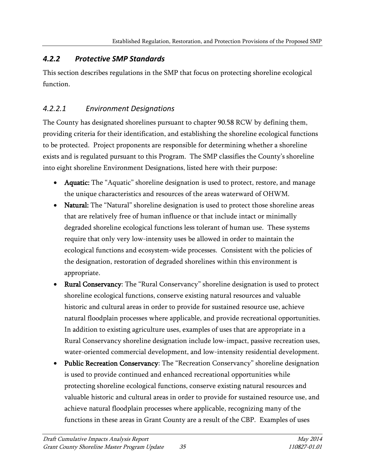# *4.2.2 Protective SMP Standards*

This section describes regulations in the SMP that focus on protecting shoreline ecological function.

# *4.2.2.1 Environment Designations*

The County has designated shorelines pursuant to chapter 90.58 RCW by defining them, providing criteria for their identification, and establishing the shoreline ecological functions to be protected. Project proponents are responsible for determining whether a shoreline exists and is regulated pursuant to this Program. The SMP classifies the County's shoreline into eight shoreline Environment Designations, listed here with their purpose:

- Aquatic: The "Aquatic" shoreline designation is used to protect, restore, and manage the unique characteristics and resources of the areas waterward of OHWM.
- Natural: The "Natural" shoreline designation is used to protect those shoreline areas that are relatively free of human influence or that include intact or minimally degraded shoreline ecological functions less tolerant of human use. These systems require that only very low-intensity uses be allowed in order to maintain the ecological functions and ecosystem-wide processes. Consistent with the policies of the designation, restoration of degraded shorelines within this environment is appropriate.
- Rural Conservancy: The "Rural Conservancy" shoreline designation is used to protect shoreline ecological functions, conserve existing natural resources and valuable historic and cultural areas in order to provide for sustained resource use, achieve natural floodplain processes where applicable, and provide recreational opportunities. In addition to existing agriculture uses, examples of uses that are appropriate in a Rural Conservancy shoreline designation include low-impact, passive recreation uses, water-oriented commercial development, and low-intensity residential development.
- Public Recreation Conservancy: The "Recreation Conservancy" shoreline designation is used to provide continued and enhanced recreational opportunities while protecting shoreline ecological functions, conserve existing natural resources and valuable historic and cultural areas in order to provide for sustained resource use, and achieve natural floodplain processes where applicable, recognizing many of the functions in these areas in Grant County are a result of the CBP. Examples of uses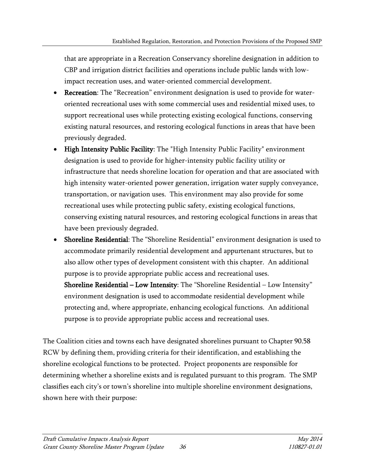that are appropriate in a Recreation Conservancy shoreline designation in addition to CBP and irrigation district facilities and operations include public lands with lowimpact recreation uses, and water-oriented commercial development.

- Recreation: The "Recreation" environment designation is used to provide for wateroriented recreational uses with some commercial uses and residential mixed uses, to support recreational uses while protecting existing ecological functions, conserving existing natural resources, and restoring ecological functions in areas that have been previously degraded.
- High Intensity Public Facility: The "High Intensity Public Facility" environment designation is used to provide for higher-intensity public facility utility or infrastructure that needs shoreline location for operation and that are associated with high intensity water-oriented power generation, irrigation water supply conveyance, transportation, or navigation uses. This environment may also provide for some recreational uses while protecting public safety, existing ecological functions, conserving existing natural resources, and restoring ecological functions in areas that have been previously degraded.
- Shoreline Residential: The "Shoreline Residential" environment designation is used to accommodate primarily residential development and appurtenant structures, but to also allow other types of development consistent with this chapter. An additional purpose is to provide appropriate public access and recreational uses. Shoreline Residential – Low Intensity: The "Shoreline Residential – Low Intensity" environment designation is used to accommodate residential development while protecting and, where appropriate, enhancing ecological functions. An additional purpose is to provide appropriate public access and recreational uses.

The Coalition cities and towns each have designated shorelines pursuant to Chapter 90.58 RCW by defining them, providing criteria for their identification, and establishing the shoreline ecological functions to be protected. Project proponents are responsible for determining whether a shoreline exists and is regulated pursuant to this program. The SMP classifies each city's or town's shoreline into multiple shoreline environment designations, shown here with their purpose: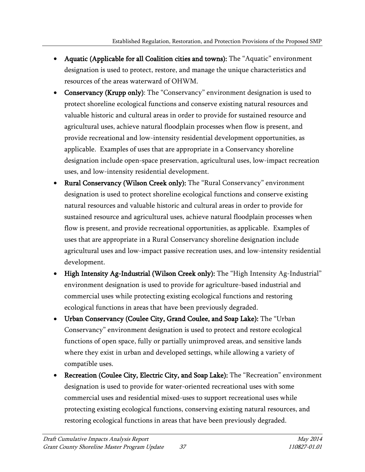- Aquatic (Applicable for all Coalition cities and towns): The "Aquatic" environment designation is used to protect, restore, and manage the unique characteristics and resources of the areas waterward of OHWM.
- Conservancy (Krupp only): The "Conservancy" environment designation is used to protect shoreline ecological functions and conserve existing natural resources and valuable historic and cultural areas in order to provide for sustained resource and agricultural uses, achieve natural floodplain processes when flow is present, and provide recreational and low-intensity residential development opportunities, as applicable. Examples of uses that are appropriate in a Conservancy shoreline designation include open-space preservation, agricultural uses, low-impact recreation uses, and low-intensity residential development.
- Rural Conservancy (Wilson Creek only): The "Rural Conservancy" environment designation is used to protect shoreline ecological functions and conserve existing natural resources and valuable historic and cultural areas in order to provide for sustained resource and agricultural uses, achieve natural floodplain processes when flow is present, and provide recreational opportunities, as applicable. Examples of uses that are appropriate in a Rural Conservancy shoreline designation include agricultural uses and low-impact passive recreation uses, and low-intensity residential development.
- High Intensity Ag-Industrial (Wilson Creek only): The "High Intensity Ag-Industrial" environment designation is used to provide for agriculture-based industrial and commercial uses while protecting existing ecological functions and restoring ecological functions in areas that have been previously degraded.
- Urban Conservancy (Coulee City, Grand Coulee, and Soap Lake): The "Urban Conservancy" environment designation is used to protect and restore ecological functions of open space, fully or partially unimproved areas, and sensitive lands where they exist in urban and developed settings, while allowing a variety of compatible uses.
- Recreation (Coulee City, Electric City, and Soap Lake): The "Recreation" environment designation is used to provide for water-oriented recreational uses with some commercial uses and residential mixed-uses to support recreational uses while protecting existing ecological functions, conserving existing natural resources, and restoring ecological functions in areas that have been previously degraded.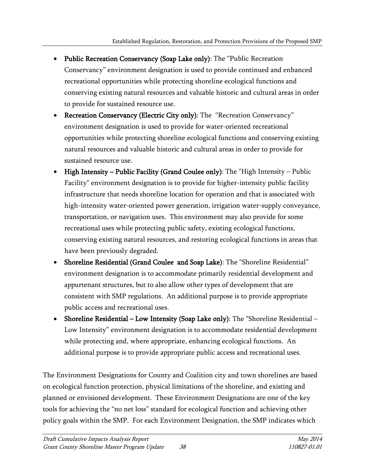- Public Recreation Conservancy (Soap Lake only): The "Public Recreation Conservancy" environment designation is used to provide continued and enhanced recreational opportunities while protecting shoreline ecological functions and conserving existing natural resources and valuable historic and cultural areas in order to provide for sustained resource use.
- Recreation Conservancy (Electric City only): The "Recreation Conservancy" environment designation is used to provide for water-oriented recreational opportunities while protecting shoreline ecological functions and conserving existing natural resources and valuable historic and cultural areas in order to provide for sustained resource use.
- High Intensity Public Facility (Grand Coulee only): The "High Intensity Public Facility" environment designation is to provide for higher-intensity public facility infrastructure that needs shoreline location for operation and that is associated with high-intensity water-oriented power generation, irrigation water-supply conveyance, transportation, or navigation uses. This environment may also provide for some recreational uses while protecting public safety, existing ecological functions, conserving existing natural resources, and restoring ecological functions in areas that have been previously degraded.
- Shoreline Residential (Grand Coulee and Soap Lake): The "Shoreline Residential" environment designation is to accommodate primarily residential development and appurtenant structures, but to also allow other types of development that are consistent with SMP regulations. An additional purpose is to provide appropriate public access and recreational uses.
- Shoreline Residential Low Intensity (Soap Lake only): The "Shoreline Residential Low Intensity" environment designation is to accommodate residential development while protecting and, where appropriate, enhancing ecological functions. An additional purpose is to provide appropriate public access and recreational uses.

The Environment Designations for County and Coalition city and town shorelines are based on ecological function protection, physical limitations of the shoreline, and existing and planned or envisioned development. These Environment Designations are one of the key tools for achieving the "no net loss" standard for ecological function and achieving other policy goals within the SMP. For each Environment Designation, the SMP indicates which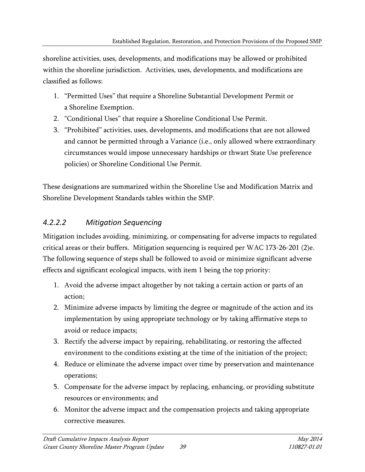shoreline activities, uses, developments, and modifications may be allowed or prohibited within the shoreline jurisdiction. Activities, uses, developments, and modifications are classified as follows:

- 1. "Permitted Uses" that require a Shoreline Substantial Development Permit or a Shoreline Exemption.
- 2. "Conditional Uses" that require a Shoreline Conditional Use Permit.
- 3. "Prohibited" activities, uses, developments, and modifications that are not allowed and cannot be permitted through a Variance (i.e., only allowed where extraordinary circumstances would impose unnecessary hardships or thwart State Use preference policies) or Shoreline Conditional Use Permit.

These designations are summarized within the Shoreline Use and Modification Matrix and Shoreline Development Standards tables within the SMP.

# *4.2.2.2 Mitigation Sequencing*

Mitigation includes avoiding, minimizing, or compensating for adverse impacts to regulated critical areas or their buffers. Mitigation sequencing is required per WAC 173-26-201 (2)e. The following sequence of steps shall be followed to avoid or minimize significant adverse effects and significant ecological impacts, with item 1 being the top priority:

- 1. Avoid the adverse impact altogether by not taking a certain action or parts of an action;
- 2. Minimize adverse impacts by limiting the degree or magnitude of the action and its implementation by using appropriate technology or by taking affirmative steps to avoid or reduce impacts;
- 3. Rectify the adverse impact by repairing, rehabilitating, or restoring the affected environment to the conditions existing at the time of the initiation of the project;
- 4. Reduce or eliminate the adverse impact over time by preservation and maintenance operations;
- 5. Compensate for the adverse impact by replacing, enhancing, or providing substitute resources or environments; and
- 6. Monitor the adverse impact and the compensation projects and taking appropriate corrective measures.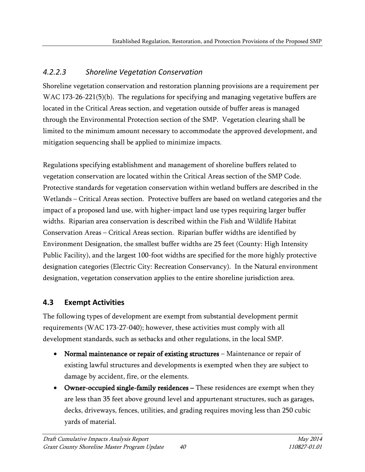# *4.2.2.3 Shoreline Vegetation Conservation*

Shoreline vegetation conservation and restoration planning provisions are a requirement per WAC 173-26-221(5)(b). The regulations for specifying and managing vegetative buffers are located in the Critical Areas section, and vegetation outside of buffer areas is managed through the Environmental Protection section of the SMP. Vegetation clearing shall be limited to the minimum amount necessary to accommodate the approved development, and mitigation sequencing shall be applied to minimize impacts.

Regulations specifying establishment and management of shoreline buffers related to vegetation conservation are located within the Critical Areas section of the SMP Code. Protective standards for vegetation conservation within wetland buffers are described in the Wetlands – Critical Areas section. Protective buffers are based on wetland categories and the impact of a proposed land use, with higher-impact land use types requiring larger buffer widths. Riparian area conservation is described within the Fish and Wildlife Habitat Conservation Areas – Critical Areas section. Riparian buffer widths are identified by Environment Designation, the smallest buffer widths are 25 feet (County: High Intensity Public Facility), and the largest 100-foot widths are specified for the more highly protective designation categories (Electric City: Recreation Conservancy). In the Natural environment designation, vegetation conservation applies to the entire shoreline jurisdiction area.

# **4.3 Exempt Activities**

The following types of development are exempt from substantial development permit requirements (WAC 173-27-040); however, these activities must comply with all development standards, such as setbacks and other regulations, in the local SMP.

- [Normal maintenance or repair of existing structures](http://www.ecy.wa.gov/programs/sea/sma/st_guide/administration/exemptions/maintenance.html)  Maintenance or repair of existing lawful structures and developments is exempted when they are subject to damage by accident, fire, or the elements.
- Owner-occupied single-family residences These residences are exempt when they [are less than 35 feet above ground level](http://www.ecy.wa.gov/programs/sea/sma/st_guide/administration/exemptions/SFR.html) and appurtenant structures, such as garages, decks, driveways, fences, utilities, and grading requires moving less than 250 cubic yards of material.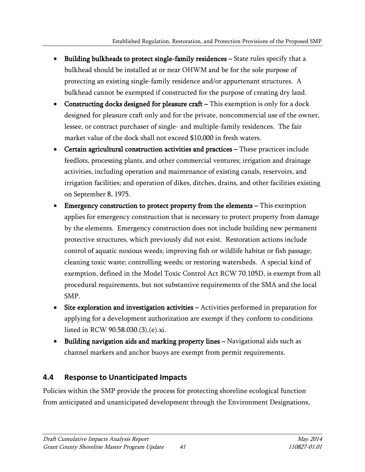- [Building bulkheads to protect single-family residences](http://www.ecy.wa.gov/programs/sea/sma/st_guide/administration/exemptions/bulkhead.html)  State rules specify that a bulkhead should be installed at or near OHWM and be for the sole purpose of protecting an existing single-family residence and/or appurtenant structures. A bulkhead cannot be exempted if constructed for the purpose of creating dry land.
- [Constructing docks designed for pleasure craft](http://www.ecy.wa.gov/programs/sea/sma/st_guide/administration/exemptions/docks.html)  This exemption is only for a dock designed for pleasure craft only and for the private, noncommercial use of the owner, lessee, or contract purchaser of single- and multiple-family residences. The fair market value of the dock shall not exceed \$10,000 in fresh waters.
- Certain agricultural construction activities and practices These practices include feedlots, processing plants, and other commercial ventures; irrigation and drainage activities, including operation and maintenance of existing canals, reservoirs, and irrigation facilities; and operation of dikes, ditches, drains, and other facilities existing on September 8, 1975.
- [Emergency construction to protect property from the elements](http://www.ecy.wa.gov/programs/sea/sma/st_guide/administration/exemptions/emergency.html)  This exemption applies for emergency construction that is necessary to protect property from damage by the elements. Emergency construction does not include building new permanent protective structures, which previously did not exist. Restoration actions include control of aquatic noxious weeds; improving fish or wildlife habitat or fish passage; cleaning toxic waste; controlling weeds; or restoring watersheds. A special kind of exemption, defined in the Model Toxic Control Act RCW 70.105D, is exempt from all procedural requirements, but not substantive requirements of the SMA and the local SMP.
- [Site exploration and investigation activities](http://www.ecy.wa.gov/programs/sea/sma/st_guide/administration/exemptions/site_investigation.html)  Activities performed in preparation for applying for a development authorization are exempt if they conform to conditions listed in RCW 90.58.030.(3).(e).xi.
- Building navigation aids and marking property lines Navigational aids such as channel markers and anchor buoys are exempt from permit requirements.

# **4.4 Response to Unanticipated Impacts**

Policies within the SMP provide the process for protecting shoreline ecological function from anticipated and unanticipated development through the Environment Designations,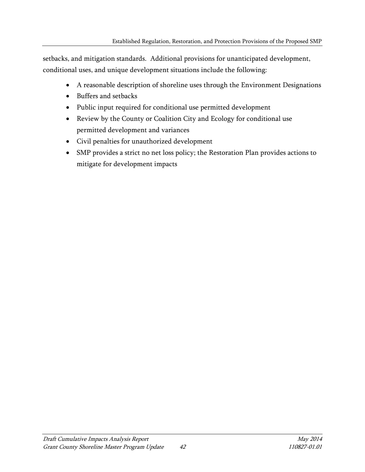setbacks, and mitigation standards. Additional provisions for unanticipated development, conditional uses, and unique development situations include the following:

- A reasonable description of shoreline uses through the Environment Designations
- Buffers and setbacks
- Public input required for conditional use permitted development
- Review by the County or Coalition City and Ecology for conditional use permitted development and variances
- Civil penalties for unauthorized development
- SMP provides a strict no net loss policy; the Restoration Plan provides actions to mitigate for development impacts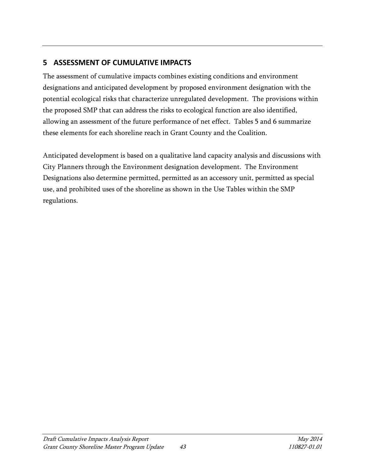# **5 ASSESSMENT OF CUMULATIVE IMPACTS**

The assessment of cumulative impacts combines existing conditions and environment designations and anticipated development by proposed environment designation with the potential ecological risks that characterize unregulated development. The provisions within the proposed SMP that can address the risks to ecological function are also identified, allowing an assessment of the future performance of net effect. Tables 5 and 6 summarize these elements for each shoreline reach in Grant County and the Coalition.

Anticipated development is based on a qualitative land capacity analysis and discussions with City Planners through the Environment designation development. The Environment Designations also determine permitted, permitted as an accessory unit, permitted as special use, and prohibited uses of the shoreline as shown in the Use Tables within the SMP regulations.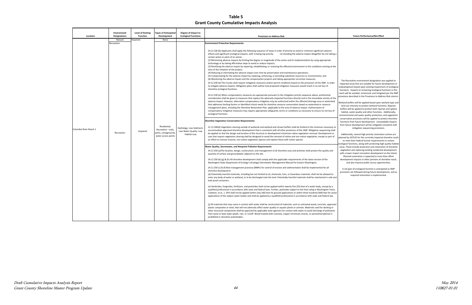## **Table 5 Grant County Cumulative Impacts Analysis**

### **Future Performance/Net Effect**

Recreation environment designation was applied to ted areas that are suitable for future development or lopment based upon existing impairment of ecological ons. Impacts to remaining ecological functions in this will be avoided, minimized, and mitigated per the SMP provisions described in the Provisions to Address Risk column

d buffers will be applied based upon wetland type and use intensity to protect wetland functions. Riparian rs will be applied to protect both riparian and upland itat, water quality and other functions. Additionally, nmental and water quality protection, and vegetatior vation provisions will be applied to protect shoreline ons from future development. Unavoidable impacts future development will be mitigated consistent with mitigation sequencing provisions.

tionally, several high priority restoration actions are planned by GCPUD for this currently impaired shoreline reach to meet their federal license requirements to restore cal functions, along with protecting high quality habitat These include protection and restoration of shoreline ation and replacing existing residential development lower impact recreation development on the Island. nned restoration is expected to more than offset pment impacts in other portions of shoreline reach, and also improve public access opportunities.

t gain of ecological function is anticipated as SMP ions are followed during future development, and as required restoration is implemented.

| Location               | Environment<br><b>Designations</b>  | <b>Level of Existing</b><br><b>Function</b> | <b>Types of Anticipated</b><br>Development                                                 | Degree of Impact to<br><b>Ecological Functions</b>                       | <b>Provisions to Address Risk</b>                                                                                                                                                                                                                                                                                                                                                                                                                                                                                                                                                                                                                                                                                                                                                                                                                                                                                                                                                                                                                                                                                                                                                                                                                                                                                                                                                                                                                                                                                                                                                                                                                                                                                                                                                                                                                                                                                                                                                                                                                                                                                                                                                                                                                                                                                                                                                                                                                                                                                                                                                                                                                                                                                                                                                                                                                                                                                                                                                                                                                |                                                                                                                                                                                                               |
|------------------------|-------------------------------------|---------------------------------------------|--------------------------------------------------------------------------------------------|--------------------------------------------------------------------------|--------------------------------------------------------------------------------------------------------------------------------------------------------------------------------------------------------------------------------------------------------------------------------------------------------------------------------------------------------------------------------------------------------------------------------------------------------------------------------------------------------------------------------------------------------------------------------------------------------------------------------------------------------------------------------------------------------------------------------------------------------------------------------------------------------------------------------------------------------------------------------------------------------------------------------------------------------------------------------------------------------------------------------------------------------------------------------------------------------------------------------------------------------------------------------------------------------------------------------------------------------------------------------------------------------------------------------------------------------------------------------------------------------------------------------------------------------------------------------------------------------------------------------------------------------------------------------------------------------------------------------------------------------------------------------------------------------------------------------------------------------------------------------------------------------------------------------------------------------------------------------------------------------------------------------------------------------------------------------------------------------------------------------------------------------------------------------------------------------------------------------------------------------------------------------------------------------------------------------------------------------------------------------------------------------------------------------------------------------------------------------------------------------------------------------------------------------------------------------------------------------------------------------------------------------------------------------------------------------------------------------------------------------------------------------------------------------------------------------------------------------------------------------------------------------------------------------------------------------------------------------------------------------------------------------------------------------------------------------------------------------------------------------------------------|---------------------------------------------------------------------------------------------------------------------------------------------------------------------------------------------------------------|
|                        |                                     |                                             |                                                                                            |                                                                          |                                                                                                                                                                                                                                                                                                                                                                                                                                                                                                                                                                                                                                                                                                                                                                                                                                                                                                                                                                                                                                                                                                                                                                                                                                                                                                                                                                                                                                                                                                                                                                                                                                                                                                                                                                                                                                                                                                                                                                                                                                                                                                                                                                                                                                                                                                                                                                                                                                                                                                                                                                                                                                                                                                                                                                                                                                                                                                                                                                                                                                                  |                                                                                                                                                                                                               |
| Columbia River-Reach 1 | Natural<br>Recreation<br>Recreation | mpaired<br>Impaired                         | None<br>Residential,<br>Recreation - trails,<br>parks, campgrounds,<br>water access points | Hydrology: Low Sediment:<br>Low Water Quality: Low<br><b>Habitat Low</b> | <b>Environment Protection Requirements</b><br>24.12.230 (b) Applicants shall apply the following sequence of steps in order of priority to avoid or minimize significant adverse<br>effects and significant ecological impacts, with 1) being top priority:<br>(1) Avoiding the adverse impact altogether by not taking a<br>certain action or parts of an action;<br>(2) Minimizing adverse impacts by limiting the degree or magnitude of the action and its implementation by using appropriate<br>technology or by taking affirmative steps to avoid or reduce impacts;<br>(3) Rectifying the adverse impact by repairing, rehabilitating, or restoring the affected environment to the conditions existing at the<br>time of the initiation of the project;<br>(4) Reducing or eliminating the adverse impact over time by preservation and maintenance operations;<br>(5) Compensating for the adverse impact by replacing, enhancing, or providing substitute resources or environments; and<br>(6) Monitoring the adverse impact and the compensation projects and taking appropriate corrective measures.<br>24.12.230 (d) The County shall require mitigation measures and/or permit conditions based on the provisions of this SMP, in order<br>to mitigate adverse impacts. Mitigation plans shall outline how proposed mitigation measures would result in no net loss of<br>shoreline ecological functions.<br>24.12.230 (e) When compensatory measures are appropriate pursuant to the mitigation priority sequence above, preferential<br>consideration shall be given to measures that replace the adversely impacted functions directly and in the immediate vicinity of the<br>adverse impact. However, alternative compensatory mitigation may be authorized within the affected drainage area or watershed<br>that addresses limiting factors or identified critical needs for shoreline resource conservation based on watershed or resource<br>management plans, including the Shoreline Restoration Plan, applicable to the area of adverse impact. Authorization of<br>compensatory mitigation measures may require appropriate safeguards, terms or conditions as necessary to ensure no net loss of<br>ecological functions.<br><b>Shoreline Vegetation Conservation Requirements</b><br>21.12.240(d) Vegetation clearing outside of wetlands and wetland and stream buffers shall be limited to the minimum necessary to<br>accommodate approved shoreline development that is consistent with all other provisions of this SMP. Mitigation sequencing shall<br>be applied so that the design and location of the structure or development minimizes native vegetation removal. Development or<br>uses that require vegetation clearing shall be designed to avoid the removal of native and non-native vegetation, except as part of<br>an effort to remove invasive, non-native vegetation species and replace these with native species.<br><b>Nater Quality, Stormwater, and Nonpoint Pollution Requirements</b> | The R<br>impacte<br>redevelo<br>function<br>reach wi<br>provision<br>Wetland<br>land u<br>buffers<br>habita<br>environ<br>conserv<br>functio<br>from fu<br>Additi<br>planned<br>to m<br>ecologica<br>areas. T |
|                        |                                     |                                             |                                                                                            |                                                                          | 24.12.250 (a) The location, design, construction, and management of all shoreline uses and activities shall protect the quality and<br>quantity of surface and groundwater adjacent to the site.<br>24.12.250 (b) (g) & (h) All shoreline development shall comply with the applicable requirements of the latest version of the<br>Washington State Department of Ecology's (Ecology) Stormwater Management Manual for Eastern Washington.<br>24.12.250 (c) & (f) Best management practices (BMPs) for control of erosion and sedimentation shall be implemented for all<br>shoreline development.<br>(d) Potentially harmful materials, including but not limited to oil, chemicals, tires, or hazardous materials, shall not be allowed to<br>enter any body of water or wetland, or to be discharged onto the land. Potentially harmful materials shall be maintained in safe and<br>leak-proof containers.<br>(e) Herbicides, fungicides, fertilizers, and pesticides shall not be applied within twenty-five (25) feet of a water body, except by a<br>qualified professional in accordance with state and federal laws. Further, pesticides subject to the final ruling in Washington Toxics<br>Coalition, et al., v. EPA shall not be applied within sixty (60) feet for ground applications or within three hundred (300) feet for aerial<br>applications of the subject water bodies and shall be applied by a qualified professional in accordance with state and federal law.<br>(j) All materials that may come in contact with water shall be constructed of materials, such as untreated wood, concrete, approved<br>plastic composites or steel, that will not adversely affect water quality or aquatic plants or animals. Materials used for decking or<br>other structural components shall be approved by applicable state agencies for contact with water to avoid discharge of pollutants<br>from wave or boat wake splash, rain, or runoff. Wood treated with creosote, copper chromium arsenic, or pentachlorophenol is<br>prohibited in shoreline waterbodies.                                                                                                                                                                                                                                                                                                                                                                                                                                                                                                                                                                                                                                                                                                                                                                                                                                                                                                                                                          | vegeta<br>with a l<br>Plar<br>develo<br>A net<br>provisio                                                                                                                                                     |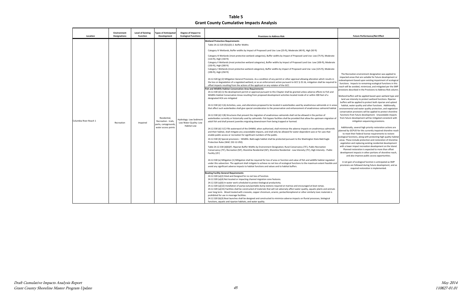## **Table 5 Grant County Cumulative Impacts Analysis**

#### **Future Performance/Net Effect**

 redevelopment based upon existing impairment of ecological functions. Impacts to remaining ecological functions in this reach will be avoided, minimized, and mitigated per the SMP provisions described in the Provisions to Address Risk column. Recreation environment designation was applied to ted areas that are suitable for future development or

 Additionally, several high priority restoration actions are to meet their federal license requirements to restore ecological functions, along with protecting high quality habitat vegetation and replacing existing residential development with a lower impact recreation development on the Island. Planned restoration is expected to more than offset and also improve public access opportunities. d by GCPUD for this currently impaired shoreline reach These include protection and restoration of shoreline lopment impacts in other portions of shoreline reach,

 Wetland buffers will be applied based upon wetland type and buffers will be applied to protect both riparian and upland habitat, water quality and other functions. Additionally, environmental and water quality protection, and vegetation conservation provisions will be applied to protect shoreline functions from future development. Unavoidable impacts from future development will be mitigated consistent with l use intensity to protect wetland functions. Riparian mitigation sequencing provisions.

| Location               | <b>Environment</b><br><b>Designations</b> | <b>Level of Existing</b><br><b>Function</b> | <b>Types of Anticipated</b><br>Development                                         | Degree of Impact to<br><b>Ecological Functions</b>                       | <b>Provisions to Address Risk</b>                                                                                                                                                                                                                                                                                                                                                                                                                                                                                                                                                                                                                                                                                                                                                                                                                                                                                                                                                                                                                                                                                                                                                                                                                                                                                                                                                                                                                                                                                                                                                                                                                                                                                                                                                                                                                                                                                                                                                                                                                                                                                                                                                 |                                                                                                                                                                                                                            |
|------------------------|-------------------------------------------|---------------------------------------------|------------------------------------------------------------------------------------|--------------------------------------------------------------------------|-----------------------------------------------------------------------------------------------------------------------------------------------------------------------------------------------------------------------------------------------------------------------------------------------------------------------------------------------------------------------------------------------------------------------------------------------------------------------------------------------------------------------------------------------------------------------------------------------------------------------------------------------------------------------------------------------------------------------------------------------------------------------------------------------------------------------------------------------------------------------------------------------------------------------------------------------------------------------------------------------------------------------------------------------------------------------------------------------------------------------------------------------------------------------------------------------------------------------------------------------------------------------------------------------------------------------------------------------------------------------------------------------------------------------------------------------------------------------------------------------------------------------------------------------------------------------------------------------------------------------------------------------------------------------------------------------------------------------------------------------------------------------------------------------------------------------------------------------------------------------------------------------------------------------------------------------------------------------------------------------------------------------------------------------------------------------------------------------------------------------------------------------------------------------------------|----------------------------------------------------------------------------------------------------------------------------------------------------------------------------------------------------------------------------|
|                        |                                           |                                             |                                                                                    |                                                                          | <b>Wetland Protection Requirements</b><br>Table 24.12.520 (f)(1)(D)-2. Buffer Widths<br>Category IV Wetlands, Buffer widths by Impact of Proposed Land Use: Low (25-ft), Moderate (40-ft), High (50 ft)<br>Category III Wetlands (most protective wetland categories), Buffer widths by Impact of Proposed Land Use: Low (75-ft), Moderate<br>(110-ft), High (150 ft)<br>Category II Wetlands (most protective wetland categories), Buffer widths by Impact of Proposed Land Use: Low (100-ft), Moderate<br>(150-ft), High (200 ft)<br>Category I Wetlands (most protective wetland categories), Buffer widths by Impact of Proposed Land Use: Low (125-ft), Moderate<br>(190-ft), High (250 ft)                                                                                                                                                                                                                                                                                                                                                                                                                                                                                                                                                                                                                                                                                                                                                                                                                                                                                                                                                                                                                                                                                                                                                                                                                                                                                                                                                                                                                                                                                  | The R                                                                                                                                                                                                                      |
| Columbia River-Reach 1 | Recreation                                | Impaired                                    | Residential,<br>Recreation - trails,<br>parks, campgrounds,<br>water access points | Hydrology: Low Sediment:<br>Low Water Quality: Low<br><b>Habitat Low</b> | 24.12.520 (g) (2) Mitigation General Provisions. As a condition of any permit or other approval allowing alteration which results in<br>the loss or degradation of a regulated wetland, or as an enforcement action pursuant to GCC § 25.16, mitigation shall be required to<br>offset impacts resulting from the actions of the applicant or any violator of the GCC.<br>ish and Wildlife Habitat Conservation Area Requirements<br>24.12.530 (d) (1) No development permit or approval pursuant to this Chapter shall be granted unless adverse effects to Fish and<br>Wildlife Habitat Conservation Areas resulting from proposed development activities located inside of or within 300 feet of a<br>designated HCA are mitigated<br>24.12.530 (d) 3 (A) Activities, uses, and alterations proposed to be located in waterbodies used by anadromous salmonids or in areas<br>that affect such waterbodies shall give special consideration to the preservation and enhancement of anadromous salmonid habitat<br>24.12.530 (d) 3 (B) Structures that prevent the migration of anadromous salmonids shall not be allowed in the portion of<br>waterbodies currently or historically used by salmonids. Fish bypass facilities shall be provided that allow the upstream migration of<br>adult fish and shall prevent juveniles migrating downstream from being trapped or harmed.<br>24.12.530 (d) 3 (C) Fills waterward of the OHWM, when authorized, shall minimize the adverse impacts on anadromous salmonids<br>and their habitat, shall mitigate any unavoidable impacts, and shall only be allowed for water-dependent uses or for uses that<br>enable public access or recreation for significant numbers of the public.<br>24.12.530 (4) Special provisions - Wildlife. Bald eagle habitat shall be protected pursuant to the Washington State Bald Eagle<br>Protection Rules (WAC 232-12-292).<br>Table 24.12.530 (d)(6)(F). Riparian Buffer Widths by Environment Designation; Rural Conservancy (75'), Public Recreation<br>Conservancy (75'), Recreation (50'), Shoreline Residential (50'), Shoreline Residential - Low Intensity (75'), High Intensity - Public | impact<br>redevelo<br>functio<br>reach w<br>provision<br>Wetland<br>land u<br>buffers<br>habita<br>environ<br>conser<br>functio<br>from fu<br>Addit<br>planned<br>to n<br>ecologica<br>areas. 1<br>vegeta<br>with a<br>Pla |
|                        |                                           |                                             |                                                                                    |                                                                          | Facility (25')<br>24.12.530 (e) Mitigation (1) Mitigation shall be required for loss of area or function and value of fish and wildlife habitat regulated<br>under this subsection. The applicant shall mitigate to achieve no net loss of ecological functions to the maximum extent feasible and<br>avoid any significant adverse impacts to habitat functions and values and to habitat buffers.<br>Boating Facility General Requirements<br>24.12.320 (a)(2) Sited and Designed for no net loss of function.<br>24.12.320 (a)(4) Not located or impacting channel migration zone features.<br>24.12.320 (a)(6) In-water work scheduled to protect biological productivity.<br>24.12.320 (a)(12) Installation of pump-outs/portable dump stations required at marinas and encouraged at boat ramps.<br>24.12.320 (a)(15) Facilities shall be constructed of materials that will not adversely affect water quality, aquatic plants and animals<br>over long term. Wood treated with creosote, copper chromium, arsenic, pentachlorophenol or other similarly toxic materials is<br>prohibited for use in moorage facilities.<br>24.12.320 (b)(3) Boat launches shall be designed and constructed to minimize adverse impacts on fluvial processes, biological<br>functions, aquatic and riparian habitats, and water quality.                                                                                                                                                                                                                                                                                                                                                                                                                                                                                                                                                                                                                                                                                                                                                                                                                                                  | develo<br>A ne<br>provisi                                                                                                                                                                                                  |

 A net gain of ecological function is anticipated as SMP ions are followed during future development, and as required restoration is implemented.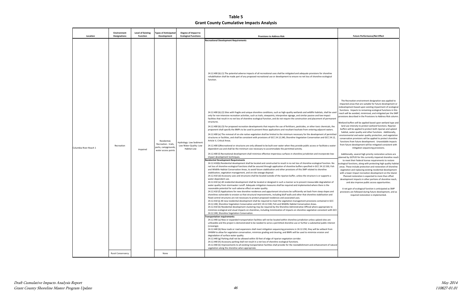impacted areas that are suitable for future development or redevelopment based upon existing impairment of ecological functions. Impacts to remaining ecological functions in this reach will be avoided, minimized, and mitigated per the SMP ŗ provisions described in the Provisions to Address Risk column. Recreation environment designation was applied to

 Wetland buffers will be applied based upon wetland type and buffers will be applied to protect both riparian and upland environmental and water quality protection, and vegetation conservation provisions will be applied to protect shoreline functions from future development. Unavoidable impacts ı. from future development will be mitigated consistent with l use intensity to protect wetland functions. Riparian itat, water quality and other functions. Additionally, mitigation sequencing provisions.

> et gain of ecological function is anticipated as SMP sions are followed during future development, and as required restoration is implemented.

**Table 5 Grant County Cumulative Impacts Analysis**

|                                    | <b>Environment</b>                | <b>Level of Existing</b>    | <b>Types of Anticipated</b>                                                                       | Degree of Impact to                                                                              |                                                                                                                                                                                                                                                                                                                                                                                                                                                                                                                                                                                                                                                                                                                                                                                                                                                                                                                                                                                                                                                                                                                                                                                                                                                                                                                                                                                                                                                                                                                                                                                                                                                                                                                                                                                                                                                                                                                                                                                                                                                                                                                                                                                                                                                                                                                                                                                                                                                                                                                                                                                                                                                                                                                                                                                                                                                                                                                                                                                                                                                                                                                                                                                                                                                                                                                                                                                                                                                                                                                                                                                                                                                                                                                                                                                                                                                                                                                                                                                                                                                                                                                                          |                                                                                                                                                                                                                                                                                                                                                                                                                                                                                                                                                                                                                                                                                                                                                                                                                                                                                                                                                                                                                                                                                                                                                                                                                                                                                                                                                                                                         |
|------------------------------------|-----------------------------------|-----------------------------|---------------------------------------------------------------------------------------------------|--------------------------------------------------------------------------------------------------|------------------------------------------------------------------------------------------------------------------------------------------------------------------------------------------------------------------------------------------------------------------------------------------------------------------------------------------------------------------------------------------------------------------------------------------------------------------------------------------------------------------------------------------------------------------------------------------------------------------------------------------------------------------------------------------------------------------------------------------------------------------------------------------------------------------------------------------------------------------------------------------------------------------------------------------------------------------------------------------------------------------------------------------------------------------------------------------------------------------------------------------------------------------------------------------------------------------------------------------------------------------------------------------------------------------------------------------------------------------------------------------------------------------------------------------------------------------------------------------------------------------------------------------------------------------------------------------------------------------------------------------------------------------------------------------------------------------------------------------------------------------------------------------------------------------------------------------------------------------------------------------------------------------------------------------------------------------------------------------------------------------------------------------------------------------------------------------------------------------------------------------------------------------------------------------------------------------------------------------------------------------------------------------------------------------------------------------------------------------------------------------------------------------------------------------------------------------------------------------------------------------------------------------------------------------------------------------------------------------------------------------------------------------------------------------------------------------------------------------------------------------------------------------------------------------------------------------------------------------------------------------------------------------------------------------------------------------------------------------------------------------------------------------------------------------------------------------------------------------------------------------------------------------------------------------------------------------------------------------------------------------------------------------------------------------------------------------------------------------------------------------------------------------------------------------------------------------------------------------------------------------------------------------------------------------------------------------------------------------------------------------------------------------------------------------------------------------------------------------------------------------------------------------------------------------------------------------------------------------------------------------------------------------------------------------------------------------------------------------------------------------------------------------------------------------------------------------------------------------------------------------|---------------------------------------------------------------------------------------------------------------------------------------------------------------------------------------------------------------------------------------------------------------------------------------------------------------------------------------------------------------------------------------------------------------------------------------------------------------------------------------------------------------------------------------------------------------------------------------------------------------------------------------------------------------------------------------------------------------------------------------------------------------------------------------------------------------------------------------------------------------------------------------------------------------------------------------------------------------------------------------------------------------------------------------------------------------------------------------------------------------------------------------------------------------------------------------------------------------------------------------------------------------------------------------------------------------------------------------------------------------------------------------------------------|
|                                    |                                   |                             |                                                                                                   |                                                                                                  |                                                                                                                                                                                                                                                                                                                                                                                                                                                                                                                                                                                                                                                                                                                                                                                                                                                                                                                                                                                                                                                                                                                                                                                                                                                                                                                                                                                                                                                                                                                                                                                                                                                                                                                                                                                                                                                                                                                                                                                                                                                                                                                                                                                                                                                                                                                                                                                                                                                                                                                                                                                                                                                                                                                                                                                                                                                                                                                                                                                                                                                                                                                                                                                                                                                                                                                                                                                                                                                                                                                                                                                                                                                                                                                                                                                                                                                                                                                                                                                                                                                                                                                                          |                                                                                                                                                                                                                                                                                                                                                                                                                                                                                                                                                                                                                                                                                                                                                                                                                                                                                                                                                                                                                                                                                                                                                                                                                                                                                                                                                                                                         |
| Location<br>Columbia River-Reach 1 | <b>Designations</b><br>Recreation | <b>Function</b><br>Impaired | Development<br>Residential,<br>Recreation - trails,<br>parks, campgrounds,<br>water access points | <b>Ecological Functions</b><br>Hydrology: Low Sediment:<br>Low Water Quality: Low<br>Habitat Low | <b>Provisions to Address Risk</b><br><b>Recreational Development Requirements</b><br>24.12.400 (b) (1) The potential adverse impacts of all recreational uses shall be mitigated and adequate provisions for shoreline<br>rehabilitation shall be made part of any proposed recreational use or development to ensure no net loss of shoreline ecological<br>function.<br>24.12.400 (b) (2) Sites with fragile and unique shoreline conditions, such as high-quality wetlands and wildlife habitats, shall be used<br>only for non-intensive recreation activities, such as trails, viewpoints, interpretive signage, and similar passive and low-impact<br>facilities that result in no net loss of shoreline ecological function, and do not require the construction and placement of permanent<br>structures.<br>24.12.400 (b) (3) For proposed recreation developments that require the use of fertilizers, pesticides, or other toxic chemicals, the<br>proponent shall specify the BMPs to be used to prevent these applications and resultant leachate from entering adjacent waters.<br>24.12.400 (e) The removal of on-site native vegetation shall be limited to the minimum necessary for the development of permitted<br>structures or facilities, and shall be consistent with provisions of GCC 24.12.240, Shoreline Vegetation Conservation and GCC 24.12,<br>Article V, Critical Areas.<br>24.12.400 (i)Recreational or structures are only allowed to be built over water when they provide public access or facilitate a water<br>dependent use and shall be the minimum size necessary to accommodate the permitted activity.<br>24.12.400 (I) Recreational development shall minimize effective impervious surfaces in shoreline jurisdiction and incorporate low-<br>impact development techniques.<br>esidential Development Requirements<br>24.12.410(b) Residential development shall be located and constructed to result in no net loss of shoreline ecological function. No<br>net loss of shoreline ecological functions shall be assured through application of shoreline buffers specified in GCC 24.12.530, Fish<br>and Wildlife Habitat Conservation Areas, to avoid future stabilization and other provisions of this SMP related to shoreline<br>stabilization, vegetation management, and on-site sewage disposal.<br>24.12.410 (d) Accessory uses and structures shall be located outside of the riparian buffer, unless the structure is or supports a<br>water-dependent use.<br>24.12.410 (e) All residential development shall be located or designed in such a manner as to prevent measurable degradation of<br>water quality from stormwater runoff. Adequate mitigation measures shall be required and implemented where there is the<br>reasonable potential for such adverse effect on water quality.<br>24.12.410 (f) Applications for new shoreline residences and appurtenant structures be sufficiently set back from steep slopes and<br>shorelines vulnerable to erosion so that structural improvements, including bluff walls and other that shoreline stabilization and<br>flood control structures are not necessary to protect proposed residences and associated uses.<br>24.12.410 (j) All new residential development shall be required to meet the vegetation management provisions contained in GCC<br>24.12.240, Shoreline Vegetation Conservation and GCC 24.12.530, Fish and Wildlife Habitat Conservation Areas.<br>24.12.410 (k) Residential development clustering may be required by the Shoreline Administrative Official where appropriate to<br>minimize ecological and visual impacts on shorelines, including minimization of impacts on shoreline vegetation consistent with GCC<br>24.12.240, Shoreline Vegetation Conservation.<br>ransportation requirements:<br>24.12.440 (a) New or expanded transportation facilities will not be located within shoreline jurisdiction unless upland sites are<br>unfeasible and the project is demonstrated to be needed to serve a permitted shoreline use or further a substantial public interest<br>(crossings). | <b>Future Performance/Net Effect</b><br>The Recreation environment designation w<br>impacted areas that are suitable for future de<br>redevelopment based upon existing impairme<br>functions. Impacts to remaining ecological fu<br>reach will be avoided, minimized, and mitigat<br>provisions described in the Provisions to Addre<br>Wetland buffers will be applied based upon w<br>land use intensity to protect wetland functi<br>buffers will be applied to protect both riparia<br>habitat, water quality and other functions.<br>environmental and water quality protection,<br>conservation provisions will be applied to pro<br>functions from future development. Unavoi<br>from future development will be mitigated c<br>mitigation sequencing provision<br>Additionally, several high priority restoratio<br>planned by GCPUD for this currently impaired<br>to meet their federal license requirement<br>ecological functions, along with protecting high<br>areas. These include protection and restoration<br>vegetation and replacing existing residential<br>with a lower impact recreation development<br>Planned restoration is expected to more t<br>development impacts in other portions of sh<br>and also improve public access opport<br>A net gain of ecological function is anticipa<br>provisions are followed during future develo<br>required restoration is implement |
|                                    |                                   |                             |                                                                                                   |                                                                                                  | 24.12.440 (b) New roads or road expansions shall meet mitigation sequencing provisions in 24.12.230, they will be setback from<br>OHWM to allow for vegetation conservation, minimize grading and clearing, and BMPs will be used to minimize erosion and<br>degradation of surface water quality.<br>24.12.440 (g) Parking shall not be allowed within 50 feet of edge of riparian vegetation corridor.<br>24.12.440 (h) Accessory parking shall not result in a net loss of shoreline ecological functions.<br>24.12.440 (k) Improvements to all existing transportation facilities shall provide for the reestablishment and enhancement of natural                                                                                                                                                                                                                                                                                                                                                                                                                                                                                                                                                                                                                                                                                                                                                                                                                                                                                                                                                                                                                                                                                                                                                                                                                                                                                                                                                                                                                                                                                                                                                                                                                                                                                                                                                                                                                                                                                                                                                                                                                                                                                                                                                                                                                                                                                                                                                                                                                                                                                                                                                                                                                                                                                                                                                                                                                                                                                                                                                                                                                                                                                                                                                                                                                                                                                                                                                                                                                                                                                   |                                                                                                                                                                                                                                                                                                                                                                                                                                                                                                                                                                                                                                                                                                                                                                                                                                                                                                                                                                                                                                                                                                                                                                                                                                                                                                                                                                                                         |
|                                    | Rural Conservancy                 |                             | None                                                                                              |                                                                                                  | vegetation along the shoreline when appropriate.                                                                                                                                                                                                                                                                                                                                                                                                                                                                                                                                                                                                                                                                                                                                                                                                                                                                                                                                                                                                                                                                                                                                                                                                                                                                                                                                                                                                                                                                                                                                                                                                                                                                                                                                                                                                                                                                                                                                                                                                                                                                                                                                                                                                                                                                                                                                                                                                                                                                                                                                                                                                                                                                                                                                                                                                                                                                                                                                                                                                                                                                                                                                                                                                                                                                                                                                                                                                                                                                                                                                                                                                                                                                                                                                                                                                                                                                                                                                                                                                                                                                                         |                                                                                                                                                                                                                                                                                                                                                                                                                                                                                                                                                                                                                                                                                                                                                                                                                                                                                                                                                                                                                                                                                                                                                                                                                                                                                                                                                                                                         |
|                                    |                                   |                             |                                                                                                   |                                                                                                  |                                                                                                                                                                                                                                                                                                                                                                                                                                                                                                                                                                                                                                                                                                                                                                                                                                                                                                                                                                                                                                                                                                                                                                                                                                                                                                                                                                                                                                                                                                                                                                                                                                                                                                                                                                                                                                                                                                                                                                                                                                                                                                                                                                                                                                                                                                                                                                                                                                                                                                                                                                                                                                                                                                                                                                                                                                                                                                                                                                                                                                                                                                                                                                                                                                                                                                                                                                                                                                                                                                                                                                                                                                                                                                                                                                                                                                                                                                                                                                                                                                                                                                                                          |                                                                                                                                                                                                                                                                                                                                                                                                                                                                                                                                                                                                                                                                                                                                                                                                                                                                                                                                                                                                                                                                                                                                                                                                                                                                                                                                                                                                         |

 planned by GCPUD for this currently impaired shoreline reach to meet their federal license requirements to restore ecological functions, along with protecting high quality habitat with a lower impact recreation development on the Island. Planned restoration is expected to more than offset itionally, several high priority restoration actions are . These include protection and restoration of shoreline tation and replacing existing residential development lopment impacts in other portions of shoreline reach, and also improve public access opportunities.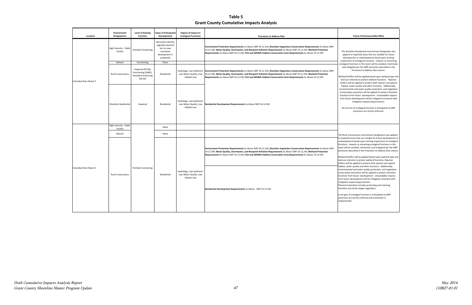Wetland buffers will be applied based upon wetland type and land use intensity to protect wetland functions. Riparian buffers will be applied to protect both riparian and upland conservation provisions will be applied to protect shoreline functions from future development. Unavoidable impacts water quality and other functions. Additionally, nental and water quality protection, and vegetation ture development will be mitigated consistent with ion sequencing provisions.

Planned restoration includes protecting and restoring e and shrub steppe vegetation.

ain of ecological function is anticipated as SMP ns are strictly enforced and restoration is nted.

 The Rural Conservancy environment designation was applied to impacted areas that are suitable for future development or functions. Impacts to remaining ecological functions in this provisions described in the Provisions to Address Risk column. redevelopment based upon existing impairment of ecological reach will be avoided, minimized, and mitigated per the SMP

Shoreline Residential environment designation was blied to impacted areas that are suitable for future elopment or redevelopment based upon existing rment of ecological functions. Impacts to remaining ical functions in this reach will be avoided, minimized mitigated per the SMP provisions described in the Provisions to Address Risk column.

**Table 5 Grant County Cumulative Impacts Analysis**

| Location               | Environment<br><b>Designations</b>  | <b>Level of Existing</b><br><b>Function</b>                                         | <b>Types of Anticipated</b><br>Development                                                          | Degree of Impact to<br><b>Ecological Functions</b>                       | <b>Provisions to Address Risk</b>                                                                                                                                                                                                                                                                                                                                   | <b>Future Performance/Net Effect</b>                                                                                                                                                                                                                                                                                                                                                                                                                                                                         |  |                                                                                                                                                                                                                                                                                                                                                                     |                                                                                                                                                                                                                                                                                                                                                                                                                |
|------------------------|-------------------------------------|-------------------------------------------------------------------------------------|-----------------------------------------------------------------------------------------------------|--------------------------------------------------------------------------|---------------------------------------------------------------------------------------------------------------------------------------------------------------------------------------------------------------------------------------------------------------------------------------------------------------------------------------------------------------------|--------------------------------------------------------------------------------------------------------------------------------------------------------------------------------------------------------------------------------------------------------------------------------------------------------------------------------------------------------------------------------------------------------------------------------------------------------------------------------------------------------------|--|---------------------------------------------------------------------------------------------------------------------------------------------------------------------------------------------------------------------------------------------------------------------------------------------------------------------------------------------------------------------|----------------------------------------------------------------------------------------------------------------------------------------------------------------------------------------------------------------------------------------------------------------------------------------------------------------------------------------------------------------------------------------------------------------|
|                        | High Intensity - Publio<br>Facility | <b>Partially Functioning</b>                                                        | Recreation (facility<br>upgrades planned<br>but no new<br>recreation<br>development is<br>proposed) |                                                                          | Environment Protection Requirements As Above SMP 24.12.230; Shoreline Vegetation Conservation Requirements As Above SMP<br>24.12.240; Water Quality, Stormwater, and Nonpoint Pollution Requirements As Above SMP 24.12.250; Wetland Protection<br>Requirements As Above SMP 24.12.520; Fish and Wildlife Habitat Conservation Area Requirements As Above 24.12.530 | The Shoreline Residential environment des<br>applied to impacted areas that are suitabl<br>development or redevelopment based up                                                                                                                                                                                                                                                                                                                                                                             |  |                                                                                                                                                                                                                                                                                                                                                                     |                                                                                                                                                                                                                                                                                                                                                                                                                |
|                        | Natural                             | Functioning                                                                         | None                                                                                                |                                                                          |                                                                                                                                                                                                                                                                                                                                                                     | impairment of ecological functions. Impacts<br>ecological functions in this reach will be avoid                                                                                                                                                                                                                                                                                                                                                                                                              |  |                                                                                                                                                                                                                                                                                                                                                                     |                                                                                                                                                                                                                                                                                                                                                                                                                |
| Columbia River-Reach 2 | Rural Conservancy                   | Impaired (SR 2B),<br>Functioning (2A&C),<br><b>Partially Functioning</b><br>(SR 2D) | Residential                                                                                         | Hydrology: Low Sediment<br>Low Water Quality: Low<br><b>Habitat Low</b>  | Environment Protection Requirements As Above SMP 24.12.230; Shoreline Vegetation Conservation Requirements As Above SMP<br>24.12.240; Water Quality, Stormwater, and Nonpoint Pollution Requirements As Above SMP 24.12.250; Wetland Protection<br>Requirements As Above SMP 24.12.520; Fish and Wildlife Habitat Conservation Area Requirements As Above 24.12.530 | and mitigated per the SMP provisions desc<br>Provisions to Address Risk colum<br>Wetland buffers will be applied based upon w<br>land use intensity to protect wetland function<br>buffers will be applied to protect both riparia                                                                                                                                                                                                                                                                           |  |                                                                                                                                                                                                                                                                                                                                                                     |                                                                                                                                                                                                                                                                                                                                                                                                                |
|                        | Shoreline Residential               | Impaired                                                                            | Residential                                                                                         | Hydrology: Low Sediment<br>Low Water Quality: Low<br><b>Habitat Low</b>  | Residential Development Requirements As Above SMP 24.12.410                                                                                                                                                                                                                                                                                                         | habitat, water quality and other functions.<br>environmental and water quality protection,<br>conservation provisions will be applied to pro<br>functions from future development. Unavoi<br>from future development will be mitigated c<br>mitigation sequencing provision<br>No net loss of ecological function is anticip<br>provisions are strictly enforced                                                                                                                                             |  |                                                                                                                                                                                                                                                                                                                                                                     |                                                                                                                                                                                                                                                                                                                                                                                                                |
|                        | High Intensity - Public<br>Facility |                                                                                     | None                                                                                                |                                                                          |                                                                                                                                                                                                                                                                                                                                                                     |                                                                                                                                                                                                                                                                                                                                                                                                                                                                                                              |  |                                                                                                                                                                                                                                                                                                                                                                     |                                                                                                                                                                                                                                                                                                                                                                                                                |
|                        | Natural                             |                                                                                     | None                                                                                                |                                                                          |                                                                                                                                                                                                                                                                                                                                                                     | The Rural Conservancy environment designatio                                                                                                                                                                                                                                                                                                                                                                                                                                                                 |  |                                                                                                                                                                                                                                                                                                                                                                     |                                                                                                                                                                                                                                                                                                                                                                                                                |
|                        |                                     |                                                                                     |                                                                                                     |                                                                          |                                                                                                                                                                                                                                                                                                                                                                     |                                                                                                                                                                                                                                                                                                                                                                                                                                                                                                              |  | Environment Protection Requirements As Above SMP 24.12.230; Shoreline Vegetation Conservation Requirements As Above SMP<br>24.12.240; Water Quality, Stormwater, and Nonpoint Pollution Requirements As Above SMP 24.12.250; Wetland Protection<br>Requirements As Above SMP 24.12.520; Fish and Wildlife Habitat Conservation Area Requirements As Above 24.12.530 | to impacted areas that are suitable for future o<br>redevelopment based upon existing impairmer<br>functions. Impacts to remaining ecological fun<br>reach will be avoided, minimized, and mitigate<br>provisions described in the Provisions to Addre<br>Wetland buffers will be applied based upon we<br>land use intensity to protect wetland functions<br>buffers will be applied to protect both riparian |
| Columbia River-Reach 3 | Rural Conservancy                   | <b>Partially Functioning</b>                                                        | Residential                                                                                         | Hydrology: Low Sediment:<br>Low Water Quality: Low<br><b>Habitat Low</b> | Residential Development Requirements As Above - SMP 24.12.410                                                                                                                                                                                                                                                                                                       | habitat, water quality and other functions. Ad<br>environmental and water quality protection, a<br>conservation provisions will be applied to prote<br>functions from future development. Unavoida<br>from future development will be mitigated cor<br>mitigation sequencing provisions.<br>Planned restoration includes protecting and re<br>shoreline and shrub steppe vegetation.<br>A net gain of ecological function is anticipated<br>provisions are strictly enforced and restoration<br>implemented. |  |                                                                                                                                                                                                                                                                                                                                                                     |                                                                                                                                                                                                                                                                                                                                                                                                                |
|                        |                                     |                                                                                     |                                                                                                     |                                                                          |                                                                                                                                                                                                                                                                                                                                                                     |                                                                                                                                                                                                                                                                                                                                                                                                                                                                                                              |  |                                                                                                                                                                                                                                                                                                                                                                     |                                                                                                                                                                                                                                                                                                                                                                                                                |

 buffers will be applied to protect both riparian and upland environmental and water quality protection, and vegetation conservation provisions will be applied to protect shoreline from future development will be mitigated consistent with d buffers will be applied based upon wetland type and use intensity to protect wetland functions. Riparian itat, water quality and other functions. Additionally, ons from future development. Unavoidable impacts mitigation sequencing provisions.

 No net loss of ecological function is anticipated as SMP provisions are strictly enforced.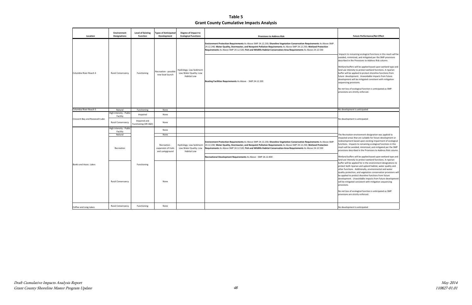ts to remaining ecological functions in this reach will be l, minimized, and mitigated per the SMP provisions ed in the Provisions to Address Risk column.

 sequencing provisions. d buffers will be applied based upon wetland type and e intensity to protect wetland functions. A riparian will be applied to protect shoreline functions from development. Unavoidable impacts from future ment will be mitigated consistent with mitigation

 The Recreation environment designation was applied to impacted areas that are suitable for future development or functions. Impacts to remaining ecological functions in this reach will be avoided, minimized, and mitigated per the SMP provisions described in the Provisions to Address Risk column. opment based upon existing impairment of ecological

 Wetland buffers will be applied based upon wetland type and land use intensity to protect wetland functions. A riparian buffer will be applied for in the environment designations to quality protection, and vegetation conservation provisions will be applied to protect shoreline functions from future both riparian and upland habitat, water quality and inctions. Additionally, environmental and water ment. Unavoidable impacts from future developme mitigated consistent with mitigation sequencing pns.

> loss of ecological function is anticipated as SMP pns are strictly enforced.

 No net loss of ecological function is anticipated as SMP provisions are strictly enforced.

### lopment is anticipated

**Table 5 Grant County Cumulative Impacts Analysis**

| Location                        | Environment<br><b>Designations</b>  | <b>Level of Existing</b><br><b>Function</b> | <b>Types of Anticipated</b><br>Development            | Degree of Impact to<br><b>Ecological Functions</b>                      | <b>Provisions to Address Risk</b>                                                                                                                                                                                                                                                                                                                                   | <b>Future Performance/Net Effect</b>                                                                                                                                                                                                                                                                                                                                                                                                                                                                                           |
|---------------------------------|-------------------------------------|---------------------------------------------|-------------------------------------------------------|-------------------------------------------------------------------------|---------------------------------------------------------------------------------------------------------------------------------------------------------------------------------------------------------------------------------------------------------------------------------------------------------------------------------------------------------------------|--------------------------------------------------------------------------------------------------------------------------------------------------------------------------------------------------------------------------------------------------------------------------------------------------------------------------------------------------------------------------------------------------------------------------------------------------------------------------------------------------------------------------------|
|                                 |                                     |                                             |                                                       |                                                                         | Environment Protection Requirements As Above SMP 24.12.230; Shoreline Vegetation Conservation Requirements As Above SMP<br>24.12.240; Water Quality, Stormwater, and Nonpoint Pollution Requirements As Above SMP 24.12.250; Wetland Protection<br>Requirements As Above SMP 24.12.520; Fish and Wildlife Habitat Conservation Area Requirements As Above 24.12.530 |                                                                                                                                                                                                                                                                                                                                                                                                                                                                                                                                |
| Columbia River-Reach 4          | Rural Conservancy                   | Functioning                                 | Recreation - possible<br>new boat launch              | Hydrology: Low Sediment:<br>Low Water Quality: Low<br>Habitat Low       | Boating Facilities Requirements As Above - SMP 24.12.320                                                                                                                                                                                                                                                                                                            | Impacts to remaining ecological functions in th<br>avoided, minimized, and mitigated per the SM<br>described in the Provisions to Address Risk col<br>Wetland buffers will be applied based upon we<br>land use intensity to protect wetland functions<br>buffer will be applied to protect shoreline fund<br>future development. Unavoidable impacts fro<br>development will be mitigated consistent with<br>sequencing provisions.<br>No net loss of ecological function is anticipated<br>provisions are strictly enforced. |
| Columbia River-Reach 5          | Natural                             | Functioning                                 | None                                                  |                                                                         |                                                                                                                                                                                                                                                                                                                                                                     | No development is anticipated                                                                                                                                                                                                                                                                                                                                                                                                                                                                                                  |
|                                 | High Intensity - Public<br>Facility | Impaired                                    | None                                                  |                                                                         |                                                                                                                                                                                                                                                                                                                                                                     |                                                                                                                                                                                                                                                                                                                                                                                                                                                                                                                                |
| Crescent Bay and Roosevelt Lake | Rural Conservancy                   | Impaired and<br>Functioning (SR C&D)        | None                                                  |                                                                         |                                                                                                                                                                                                                                                                                                                                                                     | No development is anticipated                                                                                                                                                                                                                                                                                                                                                                                                                                                                                                  |
|                                 | High Intensity - Public<br>Facility |                                             | None                                                  |                                                                         |                                                                                                                                                                                                                                                                                                                                                                     |                                                                                                                                                                                                                                                                                                                                                                                                                                                                                                                                |
|                                 | Natural                             |                                             | None                                                  |                                                                         |                                                                                                                                                                                                                                                                                                                                                                     | The Recreation environment designation was a                                                                                                                                                                                                                                                                                                                                                                                                                                                                                   |
|                                 | Recreation                          |                                             | Recreation -<br>expansion of trails<br>and campground | Hydrology: Low Sediment<br>Low Water Quality: Low<br><b>Habitat Low</b> | Environment Protection Requirements As Above SMP 24.12.230; Shoreline Vegetation Conservation Requirements As Above SMP<br>24.12.240; Water Quality, Stormwater, and Nonpoint Pollution Requirements As Above SMP 24.12.250; Wetland Protection<br>Requirements As Above SMP 24.12.520; Fish and Wildlife Habitat Conservation Area Requirements As Above 24.12.530 | impacted areas that are suitable for future dev<br>redevelopment based upon existing impairmer<br>functions. Impacts to remaining ecological fun<br>reach will be avoided, minimized, and mitigate<br>provisions described in the Provisions to Addre                                                                                                                                                                                                                                                                          |
|                                 |                                     |                                             |                                                       |                                                                         | Recreational Development Requirements As Above - SMP 24.12.400                                                                                                                                                                                                                                                                                                      | Wetland buffers will be applied based upon we<br>land use intensity to protect wetland functions                                                                                                                                                                                                                                                                                                                                                                                                                               |
| Banks and Assoc. Lakes          | <b>Rural Conservancy</b>            | Functioning                                 | None                                                  |                                                                         |                                                                                                                                                                                                                                                                                                                                                                     | buffer will be applied for in the environment d<br>protect both riparian and upland habitat, wate<br>other functions. Additionally, environmental a<br>quality protection, and vegetation conservatio<br>be applied to protect shoreline functions from<br>development. Unavoidable impacts from futu<br>will be mitigated consistent with mitigation ser<br>provisions.<br>No net loss of ecological function is anticipated<br>provisions are strictly enforced.                                                             |
| Coffee and Long Lakes           | Rural Conservancy                   | Functioning                                 | None                                                  |                                                                         |                                                                                                                                                                                                                                                                                                                                                                     | No development is anticipated                                                                                                                                                                                                                                                                                                                                                                                                                                                                                                  |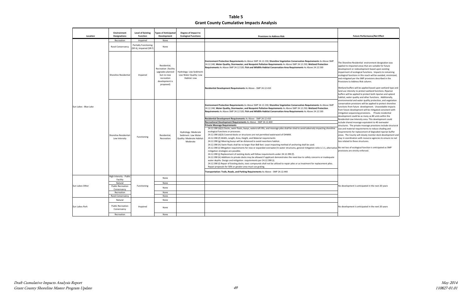Provisions to Address Risk column. oreline Residential environment designation was to impacted areas that are suitable for future oment or redevelopment based upon existing impatrian in the oriental functions. Impacts to remaining cal functions in this reach will be avoided, minimized, tigated per the SMP provisions described in the

 Wetland buffers will be applied based upon wetland type and land use intensity to protect wetland functions. Riparian habitat, water quality and other functions. Additionally, conservation provisions will be applied to protect shoreline functions from future development. Unavoidable impacts from future development will be mitigated consistent with mitigation sequencing provisions. Private residential j development could be as many as 80 units within the include shared moorage equivalent to 40 overwater structures. The private moorage provisions include structural size and material requirements to reduce shading and areas. The County will closely monitor dock development and stay in coordination with resource agencies to ensure no net will be applied to protect both riparian and upland imental and water quality protection, and vegetation Residential-Low Intensity area. This development could ments for replacement of degraded riparian buffer ated to these structures.

#### **Ecological Functions Provisions to Address Risk Future Performance/Net Effect**

**Table 5 Grant County Cumulative Impacts Analysis**

| Location              | <b>Environment</b><br><b>Designations</b> | <b>Level of Existing</b><br><b>Function</b>             | <b>Types of Anticipated</b><br>Development                                                                          | Degree of Impact to<br><b>Ecological Functions</b>                                   | <b>Provisions to Address Risk</b>                                                                                                                                                                                                                                                                                                                                   |                                                                                                                                 |
|-----------------------|-------------------------------------------|---------------------------------------------------------|---------------------------------------------------------------------------------------------------------------------|--------------------------------------------------------------------------------------|---------------------------------------------------------------------------------------------------------------------------------------------------------------------------------------------------------------------------------------------------------------------------------------------------------------------------------------------------------------------|---------------------------------------------------------------------------------------------------------------------------------|
|                       | Recreation                                | Impaired                                                | None                                                                                                                |                                                                                      |                                                                                                                                                                                                                                                                                                                                                                     |                                                                                                                                 |
| Sun Lakes - Blue Lake | <b>Rural Conservancy</b>                  | <b>Partially Functioning</b><br>(SR A), Impaired (SR F) | None                                                                                                                |                                                                                      |                                                                                                                                                                                                                                                                                                                                                                     |                                                                                                                                 |
|                       | Shoreline Residential                     | Impaired                                                | Residential.<br>Recreation (facility<br>upgrades planned<br>but no new<br>recreation<br>development is<br>proposed) | Hydrology: Low Sediment:<br>Low Water Quality: Low<br>Habitat: Low                   | Environment Protection Requirements As Above SMP 24.12.230; Shoreline Vegetation Conservation Requirements As Above SMP<br>24.12.240; Water Quality, Stormwater, and Nonpoint Pollution Requirements As Above SMP 24.12.250; Wetland Protection<br>Requirements As Above SMP 24.12.520; Fish and Wildlife Habitat Conservation Area Requirements As Above 24.12.530 | The Shor<br>applied t<br>develop<br>impairm<br>ecologic<br>and miti<br>Provisio<br>Wetland<br>land use<br>buffers \<br>habitat, |
|                       |                                           |                                                         |                                                                                                                     |                                                                                      | Residential Development Requirements As Above - SMP 24.12.410                                                                                                                                                                                                                                                                                                       |                                                                                                                                 |
|                       | Shoreline Residential<br>Low Intensity    | Functioning                                             | Residential,<br>Recreation                                                                                          | Hydrology: Moderate<br>Sediment: Low Water<br>Quality: Moderate Habitat:<br>Moderate | Environment Protection Requirements As Above SMP 24.12.230; Shoreline Vegetation Conservation Requirements As Above SMP<br>24.12.240; Water Quality, Stormwater, and Nonpoint Pollution Requirements As Above SMP 24.12.250; Wetland Protection<br>Requirements As Above SMP 24.12.520; Fish and Wildlife Habitat Conservation Area Requirements As Above 24.12.530 | environr<br>conserva<br>function<br>from fut<br>mitigatio<br>develop                                                            |
|                       |                                           |                                                         |                                                                                                                     |                                                                                      | Residential Development Requirements As Above - SMP 24.12.410                                                                                                                                                                                                                                                                                                       | Resident                                                                                                                        |
|                       |                                           |                                                         |                                                                                                                     |                                                                                      | Recreational Development Requirements As Above - SMP 24.12.400                                                                                                                                                                                                                                                                                                      | nclude s                                                                                                                        |
|                       |                                           |                                                         |                                                                                                                     |                                                                                      | Private Moorage Requirements                                                                                                                                                                                                                                                                                                                                        | structur                                                                                                                        |
|                       |                                           |                                                         |                                                                                                                     |                                                                                      | 24.12.390 (d)(1) Docks, swim floats, buoys, watercraft lifts, and moorage piles shall be sited to avoid adversely impacting shoreline                                                                                                                                                                                                                               | size and                                                                                                                        |
|                       |                                           |                                                         |                                                                                                                     |                                                                                      | ecological functions or processes.                                                                                                                                                                                                                                                                                                                                  | requiren                                                                                                                        |
|                       |                                           |                                                         |                                                                                                                     |                                                                                      | 24.12.390 (d)(3) Covered docks or structures are not permitted waterward of OHWM.                                                                                                                                                                                                                                                                                   | areas. T                                                                                                                        |
|                       |                                           |                                                         |                                                                                                                     |                                                                                      | 24.12.390 (f) Width, Length, Area, Height, and Material requirements                                                                                                                                                                                                                                                                                                | stay in c                                                                                                                       |
|                       |                                           |                                                         |                                                                                                                     |                                                                                      | 24.12.390 (g) Mooring buoys will be distanced to avoid nearshore habitat.                                                                                                                                                                                                                                                                                           | loss rela                                                                                                                       |
|                       |                                           |                                                         |                                                                                                                     |                                                                                      | 24.12.390 (h) Swim floats shall be no larger than 8x8 feet. Least impacting method of anchoring shall be used.                                                                                                                                                                                                                                                      |                                                                                                                                 |
|                       |                                           |                                                         |                                                                                                                     |                                                                                      | 24.12.390 (i) Mitigation requirements for new or expanded overwater/in-water structures, general mitigation ratio is 1:1, alternative No net I                                                                                                                                                                                                                      |                                                                                                                                 |
|                       |                                           |                                                         |                                                                                                                     |                                                                                      | mitigation strategies are possible.                                                                                                                                                                                                                                                                                                                                 | provisio                                                                                                                        |
|                       |                                           |                                                         |                                                                                                                     |                                                                                      | 24.12.390 (i) Replacement of existing docks will follow requirements under 24.12.390 (f).                                                                                                                                                                                                                                                                           |                                                                                                                                 |
|                       |                                           |                                                         |                                                                                                                     |                                                                                      | 24.12.390 (k) Additions to private docks may be allowed if applicant demonstrates the need due to safety concerns or inadequate                                                                                                                                                                                                                                     |                                                                                                                                 |
|                       |                                           |                                                         |                                                                                                                     |                                                                                      | water depths. Design and mitigation requirements per 24.12.390 (i).                                                                                                                                                                                                                                                                                                 |                                                                                                                                 |
|                       |                                           |                                                         |                                                                                                                     |                                                                                      | 24.12.390 (I) Repair of Existing docks, toxic compounds shall not be utilized to repair piles or as treatment for replacement piles.                                                                                                                                                                                                                                |                                                                                                                                 |
|                       |                                           |                                                         |                                                                                                                     |                                                                                      | Repair proposals for 50% or greater area must use grating.                                                                                                                                                                                                                                                                                                          |                                                                                                                                 |
|                       |                                           |                                                         |                                                                                                                     |                                                                                      | Transportation: Trails, Roads, and Parking Requirements As Above - SMP 24.12.440                                                                                                                                                                                                                                                                                    |                                                                                                                                 |
| Sun Lakes-Other       | High Intensity - Public<br>Facility       | Functioning                                             | None                                                                                                                |                                                                                      |                                                                                                                                                                                                                                                                                                                                                                     |                                                                                                                                 |
|                       | Natural                                   |                                                         | None                                                                                                                |                                                                                      |                                                                                                                                                                                                                                                                                                                                                                     |                                                                                                                                 |
|                       | <b>Public Recreation</b>                  |                                                         | None                                                                                                                |                                                                                      |                                                                                                                                                                                                                                                                                                                                                                     | No deve                                                                                                                         |
|                       | Conservancy<br>Recreation                 |                                                         | None                                                                                                                |                                                                                      |                                                                                                                                                                                                                                                                                                                                                                     |                                                                                                                                 |
|                       | Rural Conservancy                         |                                                         | None                                                                                                                |                                                                                      |                                                                                                                                                                                                                                                                                                                                                                     |                                                                                                                                 |
| Sun Lakes-Park        | Natural                                   | Impaired                                                | None                                                                                                                |                                                                                      |                                                                                                                                                                                                                                                                                                                                                                     |                                                                                                                                 |
|                       |                                           |                                                         |                                                                                                                     |                                                                                      |                                                                                                                                                                                                                                                                                                                                                                     |                                                                                                                                 |
|                       | <b>Public Recreation</b><br>Conservancy   |                                                         | None                                                                                                                |                                                                                      |                                                                                                                                                                                                                                                                                                                                                                     | No deve                                                                                                                         |
|                       | Recreation                                |                                                         | None                                                                                                                |                                                                                      |                                                                                                                                                                                                                                                                                                                                                                     |                                                                                                                                 |

 No net loss of ecological function is anticipated as SMP provisions are strictly enforced.

elopment is anticipated in the next 20 years

i

elopment is anticipated in the next 20 years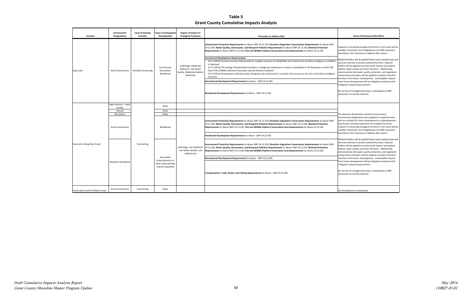$\mathfrak s$  to remaining ecological functions in this reach will be I, minimized, and mitigated per the SMP provisions ed in the Provisions to Address Risk column.

 from future development will be mitigated consistent with mitigation sequencing provisions. d buffers will be applied based upon wetland type and e intensity to protect wetland functions. Riparian will be applied to protect both riparian and upland , water quality and other functions. Additionally, environmental and water quality protection, and vegetation vation provisions will be applied to protect shoreline is from future development. Unavoidable impacts

 No net loss of ecological function is anticipated as SMP pns are strictly enforced.

 The Shoreline Residential and Rural Conservancy environment designations were applied to impacted areas í that are suitable for future development or redevelopment avoided, minimized, and mitigated per the SMP provisions described in the Provisions to Address Risk column. upon existing impairment of ecological functions. s to remaining ecological functions in this reach will be

 Wetland buffers will be applied based upon wetland type and buffers will be applied to protect weaking raintenons. The and upland habitat, water quality and other functions. Additionally, environmental and water quality protection, and vegetation functions from future development. Unavoidable impacts from future development will be mitigated consistent with mom future development will be imitigation sequencing provisions. e intensity to protect wetland functions. Riparian ation provisions will be applied to protect shoreline

゚゙ provisions are strictly enforced.loss of ecological function is anticipated as SMP

**Table 5 Grant County Cumulative Impacts Analysis**

| Location                          | <b>Environment</b><br><b>Designations</b> | <b>Level of Existing</b><br><b>Function</b> | <b>Types of Anticipated</b><br>Development                | Degree of Impact to<br><b>Ecological Functions</b>                                   | <b>Provisions to Address Risk</b>                                                                                                                                                                                                                                                                                                                                                                                                                                                                             | <b>Future Performance/Net Effect</b>                                                                                                                                                                                                                                                                      |
|-----------------------------------|-------------------------------------------|---------------------------------------------|-----------------------------------------------------------|--------------------------------------------------------------------------------------|---------------------------------------------------------------------------------------------------------------------------------------------------------------------------------------------------------------------------------------------------------------------------------------------------------------------------------------------------------------------------------------------------------------------------------------------------------------------------------------------------------------|-----------------------------------------------------------------------------------------------------------------------------------------------------------------------------------------------------------------------------------------------------------------------------------------------------------|
| Soap Lake                         |                                           | <b>Partially Functioning</b>                | Commercial,<br>Recreation,<br>Residential                 | Hydrology: Moderate<br>Sediment: Low Water<br>Quality: Moderate Habitat:<br>Moderate | Environment Protection Requirements As Above SMP 24.12.230; Shoreline Vegetation Conservation Requirements As Above SMP<br>24.12.240; Water Quality, Stormwater, and Nonpoint Pollution Requirements As Above SMP 24.12.250; Wetland Protection<br>Requirements As Above SMP 24.12.520; Fish and Wildlife Habitat Conservation Area Requirements As Above 24.12.530<br><b>Commercial Development Requirements</b>                                                                                             | mpacts to remaining ecological functions in th<br>avoided, minimized, and mitigated per the SM<br>described in the Provisions to Address Risk coll<br>Wetland buffers will be applied based upon we                                                                                                       |
|                                   | Rural Conservancy                         |                                             |                                                           |                                                                                      | 24.12.330 (h) Commercial uses shall provide for suitable measures to rehabilitate and enhance the shoreline ecology as a condition<br>of approval.<br>24.12.330 (k) The storage of potentially hazardous or dangerous substances or wastes is prohibited in the floodway or within 200<br>feet of the OHWM, whichever boundary extends farthest landward.<br>24.12.330 (I) Development shall be located, designed, and constructed in a manner that assures no net loss of shoreline ecological<br>functions. | land use intensity to protect wetland functions<br>buffers will be applied to protect both riparian<br>habitat, water quality and other functions. Ad<br>environmental and water quality protection, a<br>conservation provisions will be applied to prote<br>functions from future development. Unavoida |
|                                   |                                           |                                             |                                                           |                                                                                      | Recreational Development Requirements As Above - SMP 24.12.400                                                                                                                                                                                                                                                                                                                                                                                                                                                | from future development will be mitigated cor                                                                                                                                                                                                                                                             |
|                                   |                                           |                                             |                                                           |                                                                                      | Residential Development Requirements As Above - SMP 24.12.410                                                                                                                                                                                                                                                                                                                                                                                                                                                 | mitigation sequencing provisions.<br>No net loss of ecological function is anticipated<br>provisions are strictly enforced.                                                                                                                                                                               |
|                                   | High Intensity - Publio<br>Facility       |                                             | None                                                      |                                                                                      |                                                                                                                                                                                                                                                                                                                                                                                                                                                                                                               |                                                                                                                                                                                                                                                                                                           |
|                                   | Natural                                   |                                             | None                                                      |                                                                                      |                                                                                                                                                                                                                                                                                                                                                                                                                                                                                                               |                                                                                                                                                                                                                                                                                                           |
|                                   | Recreation                                |                                             | None                                                      |                                                                                      |                                                                                                                                                                                                                                                                                                                                                                                                                                                                                                               | The Shoreline Residential and Rural Conservar                                                                                                                                                                                                                                                             |
|                                   | <b>Rural Conservancy</b>                  |                                             | Residential                                               |                                                                                      | Environment Protection Requirements As Above SMP 24.12.230; Shoreline Vegetation Conservation Requirements As Above SMP<br>24.12.240; Water Quality, Stormwater, and Nonpoint Pollution Requirements As Above SMP 24.12.250; Wetland Protection<br>Requirements As Above SMP 24.12.520; Fish and Wildlife Habitat Conservation Area Requirements As Above 24.12.530                                                                                                                                           | environment designations were applied to imp<br>that are suitable for future development or red<br>based upon existing impairment of ecological f<br>mpacts to remaining ecological functions in th<br>avoided, minimized, and mitigated per the SM                                                       |
|                                   |                                           |                                             |                                                           |                                                                                      | Residential Development Requirements As Above - SMP 24.12.410                                                                                                                                                                                                                                                                                                                                                                                                                                                 | described in the Provisions to Address Risk coli                                                                                                                                                                                                                                                          |
| Reservoirs Along Main Canal       |                                           | Functioning                                 |                                                           | Hydrology: Low Sediment:<br>Low Water Quality: Low<br><b>Habitat Low</b>             | Environment Protection Requirements As Above SMP 24.12.230; Shoreline Vegetation Conservation Requirements As Above SMP<br>24.12.240; Water Quality, Stormwater, and Nonpoint Pollution Requirements As Above SMP 24.12.250; Wetland Protection<br>Requirements As Above SMP 24.12.520; Fish and Wildlife Habitat Conservation Area Requirements As Above 24.12.530                                                                                                                                           | Wetland buffers will be applied based upon we<br>and use intensity to protect wetland functions<br>buffers will be applied to protect both riparian<br>habitat, water quality and other functions. Ad<br>environmental and water quality protection, a                                                    |
|                                   |                                           |                                             | Recreation                                                |                                                                                      | Recreational Development Requirements As Above - SMP 24.12.400                                                                                                                                                                                                                                                                                                                                                                                                                                                | conservation provisions will be applied to prote<br>functions from future development. Unavoida                                                                                                                                                                                                           |
|                                   | Shoreline Residential                     |                                             | (improvements to<br>boat ramp) parking<br>may be expanded |                                                                                      | Transportation: Trails, Roads, and Parking Requirements As Above - SMP 24.12.440                                                                                                                                                                                                                                                                                                                                                                                                                              | rom future development will be mitigated cor<br>mitigation sequencing provisions.<br>No net loss of ecological function is anticipated<br>provisions are strictly enforced.                                                                                                                               |
| Small Lakes South of Wilson Creek | <b>Rural Conservancy</b>                  | Functioning                                 | None                                                      |                                                                                      |                                                                                                                                                                                                                                                                                                                                                                                                                                                                                                               | No development is anticipated                                                                                                                                                                                                                                                                             |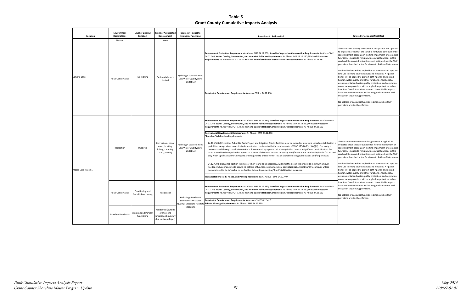environmental and water quality protection, and vegetation conservation provisions will be applied to protect shoreline functions from future development. Unavoidable impacts mitigation sequencing provisions. buffers will be applied based upon wetland type and intensity to protect wetland functions. A riparian vill be applied to protect both riparian and upland water quality and other functions. Additionally, from future development will be mitigated consistent with

 No net loss of ecological function is anticipated as SMP is are strictly enforced.

 impacted areas that are suitable for future development or functions. Impacts to remaining ecological functions in this ï provisions described in the Provisions to Address Risk column. eation environment designation was applied to pment based upon existing impairment of ecological I be avoided, minimized, and mitigated per the SMP

 Wetland buffers will be applied based upon wetland type and habitat, water quality and other functions. Additionally, environmental and water quality protection, and vegetation intensity to protect wetland functions. A riparian buffer will be applied to protect both riparian and upland ation provisions will be applied to protect shoreline s from future development. Unavoidable impacts ture development will be mitigated consistent with on sequencing provisions.

> oss of ecological function is anticipated as SMP ns are strictly enforced.

**Table 5 Grant County Cumulative Impacts Analysis**

|  | Location           | Environment<br><b>Designations</b> | <b>Level of Existing</b><br><b>Function</b>     | <b>Types of Anticipated</b><br>Development                                           | Degree of Impact to<br><b>Ecological Functions</b>                       | <b>Provisions to Address Risk</b>                                                                                                                                                                                                                                                                                                                                                                                                                                                                                                                                                                                                                                                                                                                                                                                                                                                                                                                                                                                                                                                                                                                                                                                                                                                                                                                                                                                                                                                                                                                                                                                                   | <b>Future Performance/Net Effect</b>                                                                                                                                                                                                                                                                                                                                                                                                                                                                                                                             |
|--|--------------------|------------------------------------|-------------------------------------------------|--------------------------------------------------------------------------------------|--------------------------------------------------------------------------|-------------------------------------------------------------------------------------------------------------------------------------------------------------------------------------------------------------------------------------------------------------------------------------------------------------------------------------------------------------------------------------------------------------------------------------------------------------------------------------------------------------------------------------------------------------------------------------------------------------------------------------------------------------------------------------------------------------------------------------------------------------------------------------------------------------------------------------------------------------------------------------------------------------------------------------------------------------------------------------------------------------------------------------------------------------------------------------------------------------------------------------------------------------------------------------------------------------------------------------------------------------------------------------------------------------------------------------------------------------------------------------------------------------------------------------------------------------------------------------------------------------------------------------------------------------------------------------------------------------------------------------|------------------------------------------------------------------------------------------------------------------------------------------------------------------------------------------------------------------------------------------------------------------------------------------------------------------------------------------------------------------------------------------------------------------------------------------------------------------------------------------------------------------------------------------------------------------|
|  |                    | Natural                            |                                                 | None                                                                                 |                                                                          |                                                                                                                                                                                                                                                                                                                                                                                                                                                                                                                                                                                                                                                                                                                                                                                                                                                                                                                                                                                                                                                                                                                                                                                                                                                                                                                                                                                                                                                                                                                                                                                                                                     |                                                                                                                                                                                                                                                                                                                                                                                                                                                                                                                                                                  |
|  |                    |                                    |                                                 |                                                                                      | Hydrology: Low Sediment:<br>Low Water Quality: Low<br><b>Habitat Low</b> | Environment Protection Requirements As Above SMP 24.12.230; Shoreline Vegetation Conservation Requirements As Above SMP<br>24.12.240; Water Quality, Stormwater, and Nonpoint Pollution Requirements As Above SMP 24.12.250; Wetland Protection<br>Requirements As Above SMP 24.12.520; Fish and Wildlife Habitat Conservation Area Requirements As Above 24.12.530                                                                                                                                                                                                                                                                                                                                                                                                                                                                                                                                                                                                                                                                                                                                                                                                                                                                                                                                                                                                                                                                                                                                                                                                                                                                 | The Rural Conservancy environment designatio<br>to impacted areas that are suitable for future o<br>redevelopment based upon existing impairmer<br>functions. Impacts to remaining ecological fun<br>reach will be avoided, minimized, and mitigate<br>provisions described in the Provisions to Addre                                                                                                                                                                                                                                                           |
|  | Ephrata Lakes      | Rural Conservancy                  | Functioning                                     | Residential - very<br>limited                                                        |                                                                          | Residential Development Requirements As Above SMP - 24.12.410                                                                                                                                                                                                                                                                                                                                                                                                                                                                                                                                                                                                                                                                                                                                                                                                                                                                                                                                                                                                                                                                                                                                                                                                                                                                                                                                                                                                                                                                                                                                                                       | Wetland buffers will be applied based upon we<br>land use intensity to protect wetland functions<br>buffer will be applied to protect both riparian a<br>habitat, water quality and other functions. Ad<br>environmental and water quality protection, a<br>conservation provisions will be applied to prote<br>functions from future development. Unavoida<br>from future development will be mitigated cor<br>mitigation sequencing provisions.<br>No net loss of ecological function is anticipated<br>provisions are strictly enforced.                      |
|  | Moses Lake-Reach 1 | Recreation                         | Impaired                                        | Recreation - picnic<br>areas, boating,<br>fishing, camping,<br>trails, parking       | Hydrology: Low Sediment:<br>Low Water Quality: Low<br><b>Habitat Low</b> | Environment Protection Requirements As Above SMP 24.12.230; Shoreline Vegetation Conservation Requirements As Above SMP<br>24.12.240; Water Quality, Stormwater, and Nonpoint Pollution Requirements As Above SMP 24.12.250; Wetland Protection<br>Requirements As Above SMP 24.12.520; Fish and Wildlife Habitat Conservation Area Requirements As Above 24.12.530<br>Recreational Development Requirements As Above - SMP 24.12.400<br><b>Shoreline Stabilization Requirements</b><br>24.12.430 (e) Except for Columbia Basin Project and Irrigation District facilities, new or expanded structural shoreline stabilization i<br>prohibited except when necessity is demonstrated consistent with the requirements of WAC 173-26-231(3)(a)(iii). Necessity is<br>demonstrated through conclusive evidence documented by a geotechnical analysis that there is a significant possibility that the<br>structure will be damaged within 3 years as a result of shoreline erosion caused by wind/wave action or other hydraulic forces, and<br>only when significant adverse impacts are mitigated to ensure no net loss of shoreline ecological functions and/or processes.<br>24.12.430 (k) New stabilization structures, when found to be necessary, will limit the size of the project to minimum amount<br>needed, include measures to assure no net loss of function, use biotechnical bank stabilization (soft bank) techniques unless<br>demonstrated to be infeasible or ineffective, before implementing "hard" stabilization measures.<br>ransportation: Trails, Roads, and Parking Requirements As Above - SMP 24.12.440 | The Recreation environment designation was a<br>mpacted areas that are suitable for future dev<br>redevelopment based upon existing impairmer<br>functions. Impacts to remaining ecological fun<br>reach will be avoided, minimized, and mitigate<br>provisions described in the Provisions to Addre<br>Wetland buffers will be applied based upon we<br>land use intensity to protect wetland functions<br>buffer will be applied to protect both riparian a<br>habitat, water quality and other functions. Ad<br>environmental and water quality protection, a |
|  |                    | Rural Conservancy                  | Functioning and<br><b>Partially Functioning</b> | Residential                                                                          | Hydrology: Moderate<br>Sediment: Low Water                               | Environment Protection Requirements As Above SMP 24.12.230; Shoreline Vegetation Conservation Requirements As Above SMP<br>24.12.240; Water Quality, Stormwater, and Nonpoint Pollution Requirements As Above SMP 24.12.250; Wetland Protection<br>Requirements As Above SMP 24.12.520; Fish and Wildlife Habitat Conservation Area Requirements As Above 24.12.530<br>Residential Development Requirements As Above - SMP 24.12.410                                                                                                                                                                                                                                                                                                                                                                                                                                                                                                                                                                                                                                                                                                                                                                                                                                                                                                                                                                                                                                                                                                                                                                                                | conservation provisions will be applied to prote<br>functions from future development. Unavoida<br>from future development will be mitigated cor<br>mitigation sequencing provisions.<br>No net loss of ecological function is anticipated<br>provisions are strictly enforced.                                                                                                                                                                                                                                                                                  |
|  |                    | Shoreline Residential              | <b>Impaired and Partially</b><br>Functioning    | Residential (outside<br>of shoreline<br>urisdiction boundary<br>due to steep slopes) | Quality: Moderate Habitat:<br>Moderate                                   | Private Moorage Requirements As Above - SMP 24.12.390                                                                                                                                                                                                                                                                                                                                                                                                                                                                                                                                                                                                                                                                                                                                                                                                                                                                                                                                                                                                                                                                                                                                                                                                                                                                                                                                                                                                                                                                                                                                                                               |                                                                                                                                                                                                                                                                                                                                                                                                                                                                                                                                                                  |

I Conservancy environment designation was applied that areas that are suitable for future development or pment based upon existing impairment of ecological functions. Impacts to remaining ecological functions in this reach will be avoided, minimized, and mitigated per the SMP provisions described in the Provisions to Address Risk column.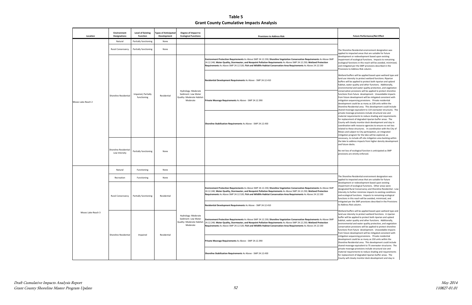eline Residential environment designation was o impacted areas that are suitable for future nent or redevelopment based upon existing ent of ecological functions. Impacts to remaining I functions in this reach will be avoided, minimized, ated per the SMP provisions described in the .<br>s to Address Risk column.

 habitat, water quality and other functions. Additionally, environmental and water quality protection, and vegetation conservation provisions will be applied to protect shoreline from future development will be mitigated consistent with shared moorage equivalent to 114 overwater structures. The private moorage provisions include structural size and material requirements to reduce shading and requirements for replacement of degraded riparian buffer areas. The County will closely monitor dock development and stay in related to these structures. In coordination with the City of mitigation program for the lake will be explored, as buffers will be applied based upon wetland type and intensity to protect wetland functions. Riparian vill be applied to protect both riparian and upland from future development. Unavoidable impacts n sequencing provisions. Private residential hent could be as many as 228 units within the Residential area. This development could include tion with resource agencies to ensure no net loss nd subject to City participation, an integrated , to include off-site mitigation area banking within the address impacts from higher density development

 No net loss of ecological function is anticipated as SMP s are strictly enforced.

 The Shoreline Residential environment designation was o impacted areas that are suitable for future nent or redevelopment based upon existing ent of ecological functions. Other areas were ed Rural Conservancy and Shoreline Residential - Low to further minimize impacts to existing conditions ogical functions. Impacts to remaining ecological in this reach will be avoided, minimized, and d per the SMP provisions described in the Provisions .<br>ss Risk column.

> buffers will be applied based upon wetland type and intensity to protect wetland functions. A riparian ill be applied to protect both riparian and upland water quality and other functions. Additionally, ental and water quality protection, and vegetation tion provisions will be applied to protect shoreline from future development. Unavoidable impacts Ire development will be mitigated consistent with n sequencing provisions. Private residential  $\frac{d}{dx}$  could be as many as 150 units within the **Residential area. This development could include** oorage equivalent to 75 overwater structures. The oorage provisions include structural size and requirements to reduce shading and requirements for rement of degraded riparian buffer areas. The rill closely monitor dock development and stay in

**Table 5 Grant County Cumulative Impacts Analysis**

|  | Location           | <b>Environment</b><br><b>Designations</b> | <b>Level of Existing</b><br><b>Function</b> | <b>Types of Anticipated</b><br>Development | Degree of Impact to<br><b>Ecological Functions</b>                                   | <b>Provisions to Address Risk</b>                                                                                                                                                                                                                                                                                                                                                                            | <b>Future Performance/Net Effect</b>                                                                                                                                                                                                                                                                                                                                                                         |
|--|--------------------|-------------------------------------------|---------------------------------------------|--------------------------------------------|--------------------------------------------------------------------------------------|--------------------------------------------------------------------------------------------------------------------------------------------------------------------------------------------------------------------------------------------------------------------------------------------------------------------------------------------------------------------------------------------------------------|--------------------------------------------------------------------------------------------------------------------------------------------------------------------------------------------------------------------------------------------------------------------------------------------------------------------------------------------------------------------------------------------------------------|
|  |                    | Natural                                   | Partially functioning                       | None                                       |                                                                                      |                                                                                                                                                                                                                                                                                                                                                                                                              |                                                                                                                                                                                                                                                                                                                                                                                                              |
|  |                    | <b>Rural Conservancy</b>                  | Partially functioning                       | None                                       |                                                                                      |                                                                                                                                                                                                                                                                                                                                                                                                              | The Shoreline Residential environment designa<br>applied to impacted areas that are suitable for                                                                                                                                                                                                                                                                                                             |
|  |                    |                                           |                                             |                                            | Hydrology: Moderate<br>Sediment: Low Water<br>Quality: Moderate Habitat:<br>Moderate | Environment Protection Requirements As Above SMP 24.12.230; Shoreline Vegetation Conservation Requirements As Above SMP<br>24.12.240; Water Quality, Stormwater, and Nonpoint Pollution Requirements As Above SMP 24.12.250; Wetland Protection<br>Requirements As Above SMP 24.12.520; Fish and Wildlife Habitat Conservation Area Requirements As Above 24.12.530                                          | development or redevelopment based upon ex<br>impairment of ecological functions. Impacts to<br>ecological functions in this reach will be avoide<br>and mitigated per the SMP provisions describe<br>Provisions to Address Risk column.                                                                                                                                                                     |
|  |                    |                                           |                                             |                                            |                                                                                      | Residential Development Requirements As Above - SMP 24.12.410                                                                                                                                                                                                                                                                                                                                                | Wetland buffers will be applied based upon we<br>land use intensity to protect wetland functions<br>buffers will be applied to protect both riparian<br>habitat, water quality and other functions. Ad<br>environmental and water quality protection, a                                                                                                                                                      |
|  | Moses Lake-Reach 2 | Shoreline Residential                     | Impaired, Partially<br>functioning          | Residential                                |                                                                                      | Private Moorage Requirements As Above - SMP 24.12.390                                                                                                                                                                                                                                                                                                                                                        | conservation provisions will be applied to prot<br>functions from future development. Unavoida<br>from future development will be mitigated cor<br>mitigation sequencing provisions. Private resi<br>development could be as many as 228 units wi<br>Shoreline Residential area. This development<br>shared moorage equivalent to 114 overwater s                                                            |
|  |                    |                                           |                                             |                                            | Shoreline Stabilization Requirements As Above - SMP 24.12.430                        | private moorage provisions include structural s<br>material requirements to reduce shading and r<br>for replacement of degraded riparian buffer ar<br>County will closely monitor dock development<br>coordination with resource agencies to ensure<br>related to these structures. In coordination w<br>Moses and subject to City participation, an inte<br>mitigation program for the lake will be explore |                                                                                                                                                                                                                                                                                                                                                                                                              |
|  |                    | Shoreline Residential<br>Low Intensity    | Partially functioning                       | None                                       |                                                                                      |                                                                                                                                                                                                                                                                                                                                                                                                              | necessary, to include off-site mitigation area b<br>the lake to address impacts from higher densit<br>and future docks.<br>No net loss of ecological function is anticipated<br>provisions are strictly enforced.                                                                                                                                                                                            |
|  |                    | Natural                                   | Functioning                                 | None                                       |                                                                                      |                                                                                                                                                                                                                                                                                                                                                                                                              |                                                                                                                                                                                                                                                                                                                                                                                                              |
|  |                    | Recreation                                | Functioning                                 | None                                       |                                                                                      |                                                                                                                                                                                                                                                                                                                                                                                                              | The Shoreline Residential environment designa<br>applied to impacted areas that are suitable for                                                                                                                                                                                                                                                                                                             |
|  |                    | Rural Conservancy                         | Partially functioning                       | Residential                                |                                                                                      | Environment Protection Requirements As Above SMP 24.12.230; Shoreline Vegetation Conservation Requirements As Above SMP<br>24.12.240; Water Quality, Stormwater, and Nonpoint Pollution Requirements As Above SMP 24.12.250; Wetland Protection<br>Requirements As Above SMP 24.12.520; Fish and Wildlife Habitat Conservation Area Requirements As Above 24.12.530                                          | development or redevelopment based upon ex<br>impairment of ecological functions. Other area<br>designated Rural Conservancy and Shoreline R<br>Intensity to further minimize impacts to existir<br>and ecological functions. Impacts to remaining<br>functions in this reach will be avoided, minimiz<br>mitigated per the SMP provisions described in                                                      |
|  |                    |                                           |                                             |                                            |                                                                                      | Residential Development Requirements As Above - SMP 24.12.410                                                                                                                                                                                                                                                                                                                                                | to Address Risk column.                                                                                                                                                                                                                                                                                                                                                                                      |
|  | Moses Lake-Reach 3 |                                           | Impaired                                    | Residential                                | Hydrology: Moderate<br>Sediment: Low Water<br>Quality: Moderate Habitat:<br>Moderate | Environment Protection Requirements As Above SMP 24.12.230; Shoreline Vegetation Conservation Requirements As Above SMP<br>24.12.240; Water Quality, Stormwater, and Nonpoint Pollution Requirements As Above SMP 24.12.250; Wetland Protection<br>Requirements As Above SMP 24.12.520; Fish and Wildlife Habitat Conservation Area Requirements As Above 24.12.530                                          | Wetland buffers will be applied based upon we<br>land use intensity to protect wetland functions<br>buffer will be applied to protect both riparian a<br>habitat, water quality and other functions. Ad<br>environmental and water quality protection, a<br>conservation provisions will be applied to prote<br>functions from future development. Unavoida<br>from future development will be mitigated cor |
|  |                    | Shoreline Residential                     |                                             |                                            |                                                                                      | Private Moorage Requirements As Above - SMP 24.12.390                                                                                                                                                                                                                                                                                                                                                        | mitigation sequencing provisions. Private resi<br>development could be as many as 150 units wi<br>Shoreline Residential area. This development<br>shared moorage equivalent to 75 overwater st<br>private moorage provisions include structural s<br>material requirements to reduce shading and r<br>for replacement of degraded riparian buffer ar<br>County will closely monitor dock development         |
|  |                    |                                           |                                             |                                            |                                                                                      | Shoreline Stabilization Requirements As Above - SMP 24.12.430                                                                                                                                                                                                                                                                                                                                                |                                                                                                                                                                                                                                                                                                                                                                                                              |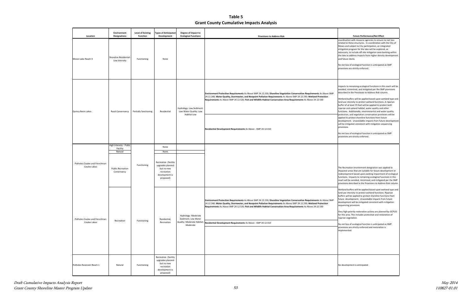#### **Future Performance/Net Effect**

ation with resource agencies to ensure no net loss to these structures. In coordination with the City of and subject to City participation, an integrated on program for the lake will be explored, as ry, to include off-site mitigation area banking within to address impacts from higher density development are docks.

loss of ecological function is anticipated as SMP pns are strictly enforced.

 Wetland buffers will be applied based upon wetland type and and use intensity to protect we<br>thank functions. A ripara riparian and upland habitat, water quality and other functions. Additionally, environmental and water quality protection, and vegetation conservation provisions will be י development. Unavoidable impacts from future development land use intensity to protect wetland functions. A riparian to protect shoreline functions from future nitigated consistent with mitigation sequencing

í provisions are strictly enforced. loss of ecological function is anticipated as SMP

 redevelopment based upon existing impairment of ecological functions. Impacts to remaining ecological functions in this reation environment designation was applied to I areas that are suitable for future development or reach will be avoided, minimized, and mitigated per the SMP provisions described in the Provisions to Address Risk column.

> d buffers will be applied based upon wetland type and intensity to protect wetland functions. Riparian will be applied to protect shoreline functions from levelopment. Unavoidable impacts from future ment will be mitigated consistent with mitigation cing provisions.

1-priority restoration actions are planned by GCPUD area. This includes protection and restoration of vegetation.

loss of ecological function is anticipated as SMP ins are strictly enforced and restoration is nted.

 Impacts to remaining ecological functions in this reach will be avoided, minimized, and mitigated per the SMP provisions described in the Provisions to Address Risk column.

**Table 5 Grant County Cumulative Impacts Analysis**

| Location                                      | Environment<br><b>Designations</b>                 | <b>Level of Existing</b><br><b>Function</b> | <b>Types of Anticipated</b><br>Development                                                                  | Degree of Impact to<br><b>Ecological Functions</b>                                   | <b>Provisions to Address Risk</b>                                                                                                                                                                                                                                                                                                                                                                                                    | <b>Future Performance/Net Effect</b>                                                                                                                                                                                                                                                                                                                                                                                                                                                                                                     |
|-----------------------------------------------|----------------------------------------------------|---------------------------------------------|-------------------------------------------------------------------------------------------------------------|--------------------------------------------------------------------------------------|--------------------------------------------------------------------------------------------------------------------------------------------------------------------------------------------------------------------------------------------------------------------------------------------------------------------------------------------------------------------------------------------------------------------------------------|------------------------------------------------------------------------------------------------------------------------------------------------------------------------------------------------------------------------------------------------------------------------------------------------------------------------------------------------------------------------------------------------------------------------------------------------------------------------------------------------------------------------------------------|
| Moses Lake-Reach 3                            | Shoreline Residential<br>Low Intensity             | Functioning                                 | None                                                                                                        |                                                                                      |                                                                                                                                                                                                                                                                                                                                                                                                                                      | coordination with resource agencies to ensure<br>related to these structures. In coordination wi<br>Moses and subject to City participation, an inte<br>mitigation program for the lake will be explore<br>necessary, to include off-site mitigation area b<br>the lake to address impacts from higher densit<br>and future docks.<br>No net loss of ecological function is anticipated<br>provisions are strictly enforced.                                                                                                             |
| Quincy Basin Lakes                            | Rural Conservancy                                  | Partially functioning                       | Residential                                                                                                 | Hydrology: Low Sediment:<br>Low Water Quality: Low<br><b>Habitat Low</b>             | Environment Protection Requirements As Above SMP 24.12.230; Shoreline Vegetation Conservation Requirements As Above SMP<br>24.12.240; Water Quality, Stormwater, and Nonpoint Pollution Requirements As Above SMP 24.12.250; Wetland Protection<br>Requirements As Above SMP 24.12.520; Fish and Wildlife Habitat Conservation Area Requirements As Above 24.12.530                                                                  | Impacts to remaining ecological functions in th<br>avoided, minimized, and mitigated per the SM<br>described in the Provisions to Address Risk col<br>Wetland buffers will be applied based upon we<br>land use intensity to protect wetland functions<br>buffer of at least 75 feet will be applied to pro<br>riparian and upland habitat, water quality and<br>functions. Additionally, environmental and wa<br>protection, and vegetation conservation provis                                                                         |
|                                               |                                                    |                                             |                                                                                                             |                                                                                      | Residential Development Requirements As Above - SMP 24.12.410                                                                                                                                                                                                                                                                                                                                                                        | applied to protect shoreline functions from fut<br>development. Unavoidable impacts from futu<br>will be mitigated consistent with mitigation ser<br>provisions.<br>No net loss of ecological function is anticipated<br>provisions are strictly enforced.                                                                                                                                                                                                                                                                               |
|                                               | High Intensity - Public<br>Facility                |                                             | None                                                                                                        |                                                                                      |                                                                                                                                                                                                                                                                                                                                                                                                                                      |                                                                                                                                                                                                                                                                                                                                                                                                                                                                                                                                          |
| Potholes Coulee and Frenchman<br>Coulee Lakes | Natural<br><b>Public Recreation</b><br>Conservancy | Functioning                                 | None<br>Recreation (facility<br>upgrades planned<br>but no new<br>recreation<br>development is<br>proposed) |                                                                                      |                                                                                                                                                                                                                                                                                                                                                                                                                                      | The Recreation environment designation was a<br>impacted areas that are suitable for future dev<br>redevelopment based upon existing impairmer<br>functions. Impacts to remaining ecological fun<br>reach will be avoided, minimized, and mitigate<br>provisions described in the Provisions to Addre                                                                                                                                                                                                                                    |
| Potholes Coulee and Frenchman<br>Coulee Lakes | Recreation                                         | Functioning                                 | Residential,<br>Recreation                                                                                  | Hydrology: Moderate<br>Sediment: Low Water<br>Quality: Moderate Habitat:<br>Moderate | Environment Protection Requirements As Above SMP 24.12.230; Shoreline Vegetation Conservation Requirements As Above SMP<br>24.12.240; Water Quality, Stormwater, and Nonpoint Pollution Requirements As Above SMP 24.12.250; Wetland Protection<br>Requirements As Above SMP 24.12.520; Fish and Wildlife Habitat Conservation Area Requirements As Above 24.12.530<br>Residential Development Requirements As Above - SMP 24.12.410 | Wetland buffers will be applied based upon we<br>land use intensity to protect wetland functions<br>buffers will be applied to protect shoreline fun<br>future development. Unavoidable impacts fro<br>development will be mitigated consistent with<br>sequencing provisions.<br>Very high-priority restoration actions are planr<br>for this area. This includes protection and resto<br>riparian vegetation.<br>No net loss of ecological function is anticipated<br>provisions are strictly enforced and restoratior<br>implemented. |
| Potholes Reservoir-Reach 1                    | Natural                                            | Functioning                                 | Recreation (facility<br>upgrades planned<br>but no new<br>recreation<br>development is<br>proposed)         |                                                                                      |                                                                                                                                                                                                                                                                                                                                                                                                                                      | No development is anticipated                                                                                                                                                                                                                                                                                                                                                                                                                                                                                                            |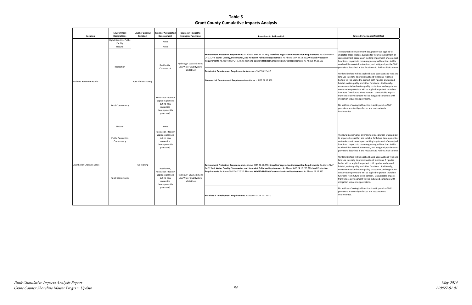#### **Future Performance/Net Effect**

eation environment designation was applied to inceas that are suitable for future development or pment based upon existing impairment of ecological . Impacts to remaining ecological functions in this reach will be avoided, minimized, and mitigated per the SMP is described in the Provisions to Address Risk column

 habitat, water quality and other functions. Additionally, conservation provisions will be applied to protect shoreline functions from future development. Unavoidable impacts from future development will be mitigated consistent with buffers will be applied based upon wetland type and intensity to protect wetland functions. Riparian will be applied to protect both riparian and upland ental and water quality protection, and vegetation n sequencing provisions.

 The Rural Conservancy environment designation was applied functions. Impacts to remaining ecological functions in this provisions described in the Provisions to Address Risk column. ted areas that are suitable for future development or pment based upon existing impairment of ecological If be avoided, minimized, and mitigated per the SMP

 Wetland buffers will be applied based upon wetland type and land use intensity to protect wetland functions. A riparian buffer will be applied to protect both riparian and upland conservation provisions will be applied to protect shoreline functions from future development. Unavoidable impacts water quality and other functions. Additionally, ental and water quality protection, and vegetation are development will be mitigated consistent with n sequencing provisions.

> oss of ecological function is anticipated as SMP is are strictly enforced and restoration is nted.

 No net loss of ecological function is anticipated as SMP provisions are strictly enforced and restoration is

**Table 5 Grant County Cumulative Impacts Analysis**

| Location                   | <b>Environment</b><br><b>Designations</b> | <b>Level of Existing</b><br><b>Function</b> | <b>Types of Anticipated</b><br><b>Development</b>                                                   | Degree of Impact to<br><b>Ecological Functions</b>                | <b>Provisions to Address Risk</b>                                                                                                                                                                                                                                                                                                                                   |                                                                                                                                                         |
|----------------------------|-------------------------------------------|---------------------------------------------|-----------------------------------------------------------------------------------------------------|-------------------------------------------------------------------|---------------------------------------------------------------------------------------------------------------------------------------------------------------------------------------------------------------------------------------------------------------------------------------------------------------------------------------------------------------------|---------------------------------------------------------------------------------------------------------------------------------------------------------|
|                            | High Intensity - Public<br>Facility       |                                             | None                                                                                                |                                                                   |                                                                                                                                                                                                                                                                                                                                                                     |                                                                                                                                                         |
|                            | Natural                                   |                                             | None                                                                                                |                                                                   |                                                                                                                                                                                                                                                                                                                                                                     |                                                                                                                                                         |
|                            |                                           |                                             | Residential,                                                                                        | Hydrology: Low Sediment:<br>Low Water Quality: Low                | Environment Protection Requirements As Above SMP 24.12.230; Shoreline Vegetation Conservation Requirements As Above SMP<br>24.12.240; Water Quality, Stormwater, and Nonpoint Pollution Requirements As Above SMP 24.12.250; Wetland Protection<br>Requirements As Above SMP 24.12.520; Fish and Wildlife Habitat Conservation Area Requirements As Above 24.12.530 | The Recreatio<br>impacted area<br>redevelopme<br>functions. Im<br>reach will be<br>provisions des                                                       |
|                            | Recreation                                |                                             | Commercial                                                                                          | Habitat Low                                                       | Residential Development Requirements As Above - SMP 24.12.410                                                                                                                                                                                                                                                                                                       | Wetland buff                                                                                                                                            |
| Potholes Reservoir-Reach 2 |                                           | Partially functioning                       |                                                                                                     |                                                                   | Commercial Development Requirements As Above - SMP 24.12.330                                                                                                                                                                                                                                                                                                        | land use inter<br>buffers will be<br>habitat, water                                                                                                     |
|                            | Rural Conservancy                         |                                             | Recreation (facility<br>upgrades planned<br>but no new<br>recreation<br>development is<br>proposed) |                                                                   |                                                                                                                                                                                                                                                                                                                                                                     | environmenta<br>conservation<br>functions fror<br>from future d<br>mitigation sed<br>No net loss of<br>provisions are<br>implemented                    |
|                            | Natural                                   |                                             | None                                                                                                |                                                                   |                                                                                                                                                                                                                                                                                                                                                                     |                                                                                                                                                         |
|                            | <b>Public Recreation</b><br>Conservancy   | Functioning                                 | Recreation (facility<br>upgrades planned<br>but no new<br>recreation<br>development is<br>proposed) |                                                                   |                                                                                                                                                                                                                                                                                                                                                                     | The Rural Cor<br>to impacted a<br>redevelopme<br>functions. Im<br>reach will be<br>provisions des                                                       |
| Drumheller Channels Lakes  | Rural Conservancy                         |                                             | Residential,<br>Recreation (facility<br>upgrades planned<br>but no new<br>recreation                | Hydrology: Low Sediment:<br>Low Water Quality: Low<br>Habitat Low | Environment Protection Requirements As Above SMP 24.12.230; Shoreline Vegetation Conservation Requirements As Above SMP<br>24.12.240; Water Quality, Stormwater, and Nonpoint Pollution Requirements As Above SMP 24.12.250; Wetland Protection<br>Requirements As Above SMP 24.12.520; Fish and Wildlife Habitat Conservation Area Requirements As Above 24.12.530 | Wetland buff<br>land use inter<br>buffer will be<br>habitat, water<br>environmenta<br>conservation<br>functions fror<br>from future d<br>mitigation sed |
|                            |                                           |                                             | development is<br>proposed)                                                                         |                                                                   | Residential Development Requirements As Above - SMP 24.12.410                                                                                                                                                                                                                                                                                                       | No net loss of<br>provisions are<br>implemented                                                                                                         |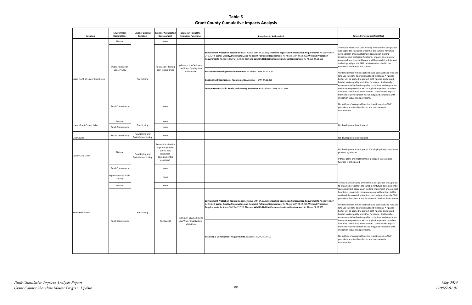Ilic Recreation Conservancy environment designation lied to impacted areas that are suitable for future oment or redevelopment based upon existing ient of ecological functions. Impacts to remaining cal functions in this reach will be avoided, minimized, igated per the SMP provisions described in the ons to Address Risk column.

 environmental and water quality protection, and vegetation conservation provisions will be applied to protect shoreline functions from future development. Unavoidable impacts mitigation sequencing provisions. I buffers will be applied based upon wetland type and intensity to protect wetland functions. A riparian vill be applied to protect both riparian and upland water quality and other functions. Additionally, ture development will be mitigated consistent with

 No net loss of ecological function is anticipated as SMP provisions are strictly enforced and restoration is l

 No development is anticipated. Very high-priority restoration by GCPUD.

> I Conservancy environment designation was applied cted areas that are suitable for future development or ppment based upon existing impairment of ecological s. Impacts to remaining ecological functions in this If be avoided, minimized, and mitigated per the SMP provisions described in the Provisions to Address Risk column.

d buffers will be applied based upon wetland type and intensity to protect wetland functions. A riparian vill be applied to protect both riparian and upland water quality and other functions. Additionally, nental and water quality protection, and vegetation ation provisions will be applied to protect shoreline s from future development. Unavoidable impacts ture development will be mitigated consistent with on sequencing provisions.

loss of ecological function is anticipated as SMP ins are strictly enforced and restoration is nted.

 If these plans are implemented, a net gain in ecological function is anticipated.

**Table 5 Grant County Cumulative Impacts Analysis**

| Location                        | Environment<br><b>Designations</b>  | Level of Existing<br><b>Function</b>     | <b>Types of Anticipated</b><br>Development                                                          | Degree of Impact to<br><b>Ecological Functions</b>                       | <b>Provisions to Address Risk</b>                                                                                                                                                                                                                                                                                                                                   | <b>Future Performance/Net Effect</b>                                                                                                                                                                                                                                                                                                                                                                                                                           |
|---------------------------------|-------------------------------------|------------------------------------------|-----------------------------------------------------------------------------------------------------|--------------------------------------------------------------------------|---------------------------------------------------------------------------------------------------------------------------------------------------------------------------------------------------------------------------------------------------------------------------------------------------------------------------------------------------------------------|----------------------------------------------------------------------------------------------------------------------------------------------------------------------------------------------------------------------------------------------------------------------------------------------------------------------------------------------------------------------------------------------------------------------------------------------------------------|
|                                 | Natural                             |                                          | None                                                                                                |                                                                          |                                                                                                                                                                                                                                                                                                                                                                     |                                                                                                                                                                                                                                                                                                                                                                                                                                                                |
| Lakes North of Lower Crab Creek | <b>Public Recreation</b>            |                                          | Recreation - fishing                                                                                | Hydrology: Low Sediment:                                                 | Environment Protection Requirements As Above SMP 24.12.230; Shoreline Vegetation Conservation Requirements As Above SMP<br>24.12.240; Water Quality, Stormwater, and Nonpoint Pollution Requirements As Above SMP 24.12.250; Wetland Protection<br>Requirements As Above SMP 24.12.520; Fish and Wildlife Habitat Conservation Area Requirements As Above 24.12.530 | The Public Recreation Conservancy environme<br>was applied to impacted areas that are suitabl<br>development or redevelopment based upon ex<br>impairment of ecological functions. Impacts to<br>ecological functions in this reach will be avoide<br>and mitigated per the SMP provisions describe<br>Provisions to Address Risk column.                                                                                                                      |
|                                 | Conservancy                         |                                          | pier, kiosks, trails                                                                                | Low Water Quality: Low<br><b>Habitat Low</b>                             | Recreational Development Requirements As Above - SMP 24.12.400                                                                                                                                                                                                                                                                                                      | Wetland buffers will be applied based upon we<br>land use intensity to protect wetland functions                                                                                                                                                                                                                                                                                                                                                               |
|                                 |                                     | Functioning                              |                                                                                                     |                                                                          | Boating Facilities: General Requirements As Above - SMP 24.12.320                                                                                                                                                                                                                                                                                                   | buffer will be applied to protect both riparian a<br>habitat, water quality and other functions. Ad                                                                                                                                                                                                                                                                                                                                                            |
|                                 |                                     |                                          |                                                                                                     |                                                                          | Transportation: Trails, Roads, and Parking Requirements As Above - SMP 24.12.440                                                                                                                                                                                                                                                                                    | environmental and water quality protection, a<br>conservation provisions will be applied to prote<br>functions from future development. Unavoida                                                                                                                                                                                                                                                                                                               |
|                                 |                                     |                                          |                                                                                                     |                                                                          |                                                                                                                                                                                                                                                                                                                                                                     | from future development will be mitigated cor<br>mitigation sequencing provisions.                                                                                                                                                                                                                                                                                                                                                                             |
|                                 | Rural Conservancy                   |                                          | None                                                                                                |                                                                          |                                                                                                                                                                                                                                                                                                                                                                     | No net loss of ecological function is anticipated<br>provisions are strictly enforced and restoration<br>implemented.                                                                                                                                                                                                                                                                                                                                          |
|                                 |                                     |                                          |                                                                                                     |                                                                          |                                                                                                                                                                                                                                                                                                                                                                     |                                                                                                                                                                                                                                                                                                                                                                                                                                                                |
|                                 | Natural                             |                                          | None                                                                                                |                                                                          |                                                                                                                                                                                                                                                                                                                                                                     |                                                                                                                                                                                                                                                                                                                                                                                                                                                                |
| Lower Grant County Lakes        | Rural Conservancy                   | Functioning                              | None                                                                                                |                                                                          |                                                                                                                                                                                                                                                                                                                                                                     | No development is anticipated                                                                                                                                                                                                                                                                                                                                                                                                                                  |
| Lind Coulee                     | <b>Rural Conservancy</b>            | Functioning and<br>Partially functioning | None                                                                                                |                                                                          |                                                                                                                                                                                                                                                                                                                                                                     | No development is anticipated                                                                                                                                                                                                                                                                                                                                                                                                                                  |
| Lower Crab Creek                | Natural                             | Functioning and<br>Partially functioning | Recreation (facility<br>upgrades planned<br>but no new<br>recreation<br>development is<br>proposed) |                                                                          |                                                                                                                                                                                                                                                                                                                                                                     | No development is anticipated. Very high-prior<br>planned by GCPUD.<br>If these plans are implemented, a net gain in e<br>function is anticipated.                                                                                                                                                                                                                                                                                                             |
|                                 | Rural Conservancy                   |                                          | None                                                                                                |                                                                          |                                                                                                                                                                                                                                                                                                                                                                     |                                                                                                                                                                                                                                                                                                                                                                                                                                                                |
|                                 | High Intensity - Public<br>Facility |                                          | None                                                                                                |                                                                          |                                                                                                                                                                                                                                                                                                                                                                     |                                                                                                                                                                                                                                                                                                                                                                                                                                                                |
|                                 | Natural                             |                                          | None                                                                                                |                                                                          |                                                                                                                                                                                                                                                                                                                                                                     | The Rural Conservancy environment designatio<br>to impacted areas that are suitable for future o                                                                                                                                                                                                                                                                                                                                                               |
| Rocky Ford Creek                |                                     | Functioning                              | Residential                                                                                         | Hydrology: Low Sediment:<br>Low Water Quality: Low<br><b>Habitat Low</b> | Environment Protection Requirements As Above SMP 24.12.230; Shoreline Vegetation Conservation Requirements As Above SMP<br>24.12.240; Water Quality, Stormwater, and Nonpoint Pollution Requirements As Above SMP 24.12.250; Wetland Protection<br>Requirements As Above SMP 24.12.520; Fish and Wildlife Habitat Conservation Area Requirements As Above 24.12.530 | redevelopment based upon existing impairmer<br>functions. Impacts to remaining ecological fun<br>reach will be avoided, minimized, and mitigate<br>provisions described in the Provisions to Addre<br>Wetland buffers will be applied based upon we<br>land use intensity to protect wetland functions<br>buffer will be applied to protect both riparian a<br>habitat, water quality and other functions. Ad<br>environmental and water quality protection, a |
|                                 | Rural Conservancy                   |                                          |                                                                                                     |                                                                          | Residential Development Requirements As Above - SMP 24.12.410                                                                                                                                                                                                                                                                                                       | conservation provisions will be applied to prote<br>functions from future development. Unavoida<br>from future development will be mitigated cor<br>mitigation sequencing provisions.<br>No net loss of ecological function is anticipated<br>provisions are strictly enforced and restoratior<br>implemented.                                                                                                                                                 |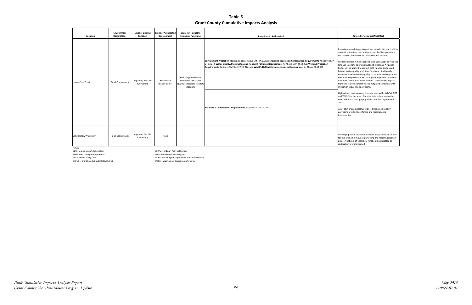#### **Table 5 Grant County Cumulative Impacts Analysis**

| Location                       | Environment<br><b>Designations</b>      | <b>Level of Existing</b><br><b>Function</b> | <b>Types of Anticipated</b><br>Development | Degree of Impact to<br><b>Ecological Functions</b>                                   | <b>Provisions to Address Risk</b>                                                                                                                                                                                                                                                                                                                                   | <b>Future Performance/Net Effect</b>                                                                                                                                                                                                                                                                                                                                                                                                                                                                                                                                                                                                                                                                                                |
|--------------------------------|-----------------------------------------|---------------------------------------------|--------------------------------------------|--------------------------------------------------------------------------------------|---------------------------------------------------------------------------------------------------------------------------------------------------------------------------------------------------------------------------------------------------------------------------------------------------------------------------------------------------------------------|-------------------------------------------------------------------------------------------------------------------------------------------------------------------------------------------------------------------------------------------------------------------------------------------------------------------------------------------------------------------------------------------------------------------------------------------------------------------------------------------------------------------------------------------------------------------------------------------------------------------------------------------------------------------------------------------------------------------------------------|
| <b>Upper Crab Creek</b>        | <b>Rural Conservancy</b><br>functioning | Impaired, Partially                         | Residential<br>(Reach 2 only)              | Hydrology: Moderate<br>Sediment: Low Water<br>Quality: Moderate Habitat:<br>Moderate | Environment Protection Requirements As Above SMP 24.12.230; Shoreline Vegetation Conservation Requirements As Above SMP<br>24.12.240; Water Quality, Stormwater, and Nonpoint Pollution Requirements As Above SMP 24.12.250; Wetland Protection<br>Requirements As Above SMP 24.12.520; Fish and Wildlife Habitat Conservation Area Requirements As Above 24.12.530 | Impacts to remaining ecological functions in this reach will b<br>avoided, minimized, and mitigated per the SMP provisions<br>described in the Provisions to Address Risk column.<br>Wetland buffers will be applied based upon wetland type an<br>land use intensity to protect wetland functions. A riparian<br>buffer will be applied to protect both riparian and upland<br>habitat, water quality and other functions. Additionally,<br>environmental and water quality protection, and vegetation<br>conservation provisions will be applied to protect shoreline<br>functions from future development. Unavoidable impacts<br>from future development will be mitigated consistent with<br>mitigation sequencing provisions. |
|                                |                                         |                                             |                                            |                                                                                      | Residential Development Requirements As Above - SMP 24.12.410                                                                                                                                                                                                                                                                                                       | High-priority restoration actions are planned by WDFW, BOR<br>and WDOE for this area. These include enhancing wetland<br>riparian habitat and applying BMPs to upland agricultural<br>areas.<br>A net gain of ecological function is anticipated as SMP<br>provisions are strictly enforced and restoration is<br>implemented.                                                                                                                                                                                                                                                                                                                                                                                                      |
| Sand Hollow Wasteway<br>Notes: | <b>Rural Conservancy</b>                | Impaired, Partially<br>functioning          | None                                       |                                                                                      |                                                                                                                                                                                                                                                                                                                                                                     | Very high-priority restoration actions are planned by GCPUD<br>for this area. This includes protecting and restoring riparian<br>areas. A net gain of ecological function is anticipated as<br>restoration is implemented.                                                                                                                                                                                                                                                                                                                                                                                                                                                                                                          |

BOR = U.S. Bureau of Reclamation

BMPS = best mangement practices<br>GCC = Grant County Code

OHWM = ordinary high water mark<br>SMP = Shoreline Master Program

GCC = Grant County Code<br>GCPUD = Grant County Public Utility District<br>WDOE = Washington Department of Energy

WDOE = Washington Department of Energy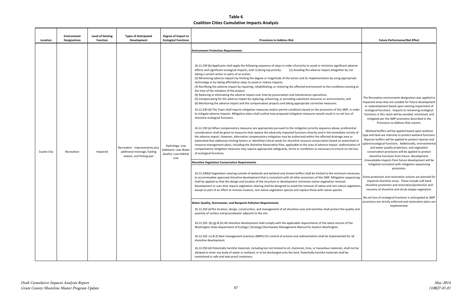| Location    | <b>Environment</b><br>Designations | Level of Existing<br><b>Function</b> | <b>Types of Anticipated</b><br>Development                                                 | Degree of Impact to<br><b>Ecological Functions</b>                          | <b>Provisions to Address Risk</b>                                                                                                                                                                                                                                                                                                                                                                                                                                                                                                                                                                                                                                                                                                                                                                                                                                                                                                                                                                                                                                                                                                                                                                                                                                                                                                                                                                                                                                                                                                                                                                                                                                                                                                                                                                                                                                                                                                                                                                                                                                                                                                                                                                                                                                                                                                                                                                                                                                                                                                                                                                                                                                                                                                                                                                                                                                                                                                                                                                                                                                                                                                                                                                                                                                                                                                                                                                                                                                                                                                                                                                                                                                                                                                                                                                                                                                                                                                                                          | <b>Future Performance/Net Effect</b>                                                                                                                                                                                                                                                                                                                                                                                                                                                                                                                                                                                                                                                                                                                                                                                                                                                                                                                                                                                                                                                                                                                                                                                                                                                   |
|-------------|------------------------------------|--------------------------------------|--------------------------------------------------------------------------------------------|-----------------------------------------------------------------------------|----------------------------------------------------------------------------------------------------------------------------------------------------------------------------------------------------------------------------------------------------------------------------------------------------------------------------------------------------------------------------------------------------------------------------------------------------------------------------------------------------------------------------------------------------------------------------------------------------------------------------------------------------------------------------------------------------------------------------------------------------------------------------------------------------------------------------------------------------------------------------------------------------------------------------------------------------------------------------------------------------------------------------------------------------------------------------------------------------------------------------------------------------------------------------------------------------------------------------------------------------------------------------------------------------------------------------------------------------------------------------------------------------------------------------------------------------------------------------------------------------------------------------------------------------------------------------------------------------------------------------------------------------------------------------------------------------------------------------------------------------------------------------------------------------------------------------------------------------------------------------------------------------------------------------------------------------------------------------------------------------------------------------------------------------------------------------------------------------------------------------------------------------------------------------------------------------------------------------------------------------------------------------------------------------------------------------------------------------------------------------------------------------------------------------------------------------------------------------------------------------------------------------------------------------------------------------------------------------------------------------------------------------------------------------------------------------------------------------------------------------------------------------------------------------------------------------------------------------------------------------------------------------------------------------------------------------------------------------------------------------------------------------------------------------------------------------------------------------------------------------------------------------------------------------------------------------------------------------------------------------------------------------------------------------------------------------------------------------------------------------------------------------------------------------------------------------------------------------------------------------------------------------------------------------------------------------------------------------------------------------------------------------------------------------------------------------------------------------------------------------------------------------------------------------------------------------------------------------------------------------------------------------------------------------------------------------------------------------|----------------------------------------------------------------------------------------------------------------------------------------------------------------------------------------------------------------------------------------------------------------------------------------------------------------------------------------------------------------------------------------------------------------------------------------------------------------------------------------------------------------------------------------------------------------------------------------------------------------------------------------------------------------------------------------------------------------------------------------------------------------------------------------------------------------------------------------------------------------------------------------------------------------------------------------------------------------------------------------------------------------------------------------------------------------------------------------------------------------------------------------------------------------------------------------------------------------------------------------------------------------------------------------|
| Coulee City | Recreation                         | Impaired                             | Recreation - improvements plus<br>additional moorage, fueling<br>station, and fishing pier | Hydrology: Low<br>Sediment: Low Water<br><b>Quality: Low Habitat</b><br>Low | <b>Environment Protection Requirements</b><br>16.12.230 (b) Applicants shall apply the following sequence of steps in order of priority to avoid or minimize significant adverse<br>(1) Avoiding the adverse impact altogether by not<br>effects and significant ecological impacts, with 1) being top priority:<br>taking a certain action or parts of an action;<br>(2) Minimizing adverse impacts by limiting the degree or magnitude of the action and its implementation by using appropriate<br>technology or by taking affirmative steps to avoid or reduce impacts;<br>(3) Rectifying the adverse impact by repairing, rehabilitating, or restoring the affected environment to the conditions existing at<br>the time of the initiation of the project;<br>(4) Reducing or eliminating the adverse impact over time by preservation and maintenance operations;<br>(5) Compensating for the adverse impact by replacing, enhancing, or providing substitute resources or environments; and<br>(6) Monitoring the adverse impact and the compensation projects and taking appropriate corrective measures.<br>16.12.230 (d) The Town shall require mitigation measures and/or permit conditions based on the provisions of this SMP, in order<br>to mitigate adverse impacts. Mitigation plans shall outline how proposed mitigation measures would result in no net loss of<br>shoreline ecological functions.<br>16.12.230 (e) When compensatory measures are appropriate pursuant to the mitigation priority sequence above, preferential<br>consideration shall be given to measures that replace the adversely impacted functions directly and in the immediate vicinity of<br>the adverse impact. However, alternative compensatory mitigation may be authorized within the affected drainage area or<br>watershed that addresses limiting factors or identified critical needs for shoreline resource conservation based on watershed or<br>resource management plans, including the Shoreline Restoration Plan, applicable to the area of adverse impact. Authorization of<br>compensatory mitigation measures may require appropriate safeguards, terms or conditions as necessary to ensure no net loss<br>of ecological functions.<br><b>Shoreline Vegetation Conservation Requirements</b><br>16.12.240(d) Vegetation clearing outside of wetlands and wetland and stream buffers shall be limited to the minimum necessary<br>to accommodate approved shoreline development that is consistent with all other provisions of this SMP. Mitigation sequencing<br>shall be applied so that the design and location of the structure or development minimizes native vegetation removal.<br>Development or uses that require vegetation clearing shall be designed to avoid the removal of native and non-native vegetation,<br>except as part of an effort to remove invasive, non-native vegetation species and replace these with native species.<br><b>Water Quality, Stormwater, and Nonpoint Pollution Requirements</b><br>16.12.250 (a)The location, design, construction, and management of all shoreline uses and activities shall protect the quality and<br>quantity of surface and groundwater adjacent to the site.<br>16.12.250 (b) (g) & (h) All shoreline development shall comply with the applicable requirements of the latest version of the<br>Washington State Department of Ecology's (Ecology) Stormwater Management Manual for Eastern Washington.<br>16.12.250 (c) & (f) Best management practices (BMPs) for control of erosion and sedimentation shall be implemented for all<br>shoreline development.<br>16.12.250 (d) Potentially harmful materials, including but not limited to oil, chemicals, tires, or hazardous materials, shall not be<br>allowed to enter any body of water or wetland, or to be discharged onto the land. Potentially harmful materials shall be<br>maintained in safe and leak-proof containers. | The Recreation environment designation was applied to<br>impacted areas that are suitable for future development<br>or redevelopment based upon existing impairment of<br>ecological functions. Impacts to remaining ecological<br>functions in this reach will be avoided, minimized, and<br>mitigated per the SMP provisions described in the<br>Provisions to Address Risk column.<br>Wetland buffers will be applied based upon wetland<br>ype and land use intensity to protect wetland functions.<br>Riparian buffers will be applied to protect riparian and<br>upland ecological functions. Additionally, environmental<br>and water quality protection, and vegetation<br>conservation provisions will be applied to protect<br>shoreline functions from future development.<br>Unavoidable impacts from future development will be<br>mitigated consistent with mitigation sequencing<br>provisions.<br>Some protection and restoration actions are planned for<br>impaired shoreline areas. These include soft bank<br>shoreline protection and restoration/protection and<br>recovery of shoreline and shrub steppe vegetation.<br>No net loss of ecological functions is anticipated as SMP<br>provisions are strictly enforced and restoration plans are<br>implemented. |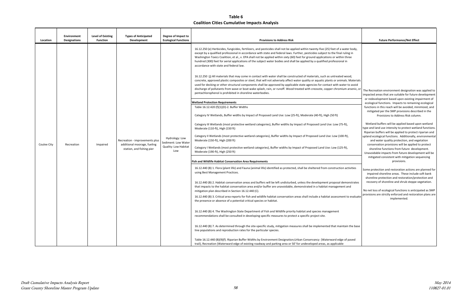| Location    | Environment<br><b>Designations</b> | <b>Level of Existing</b><br><b>Function</b> | <b>Types of Anticipated</b><br>Development                                                 | Degree of Impact to<br><b>Ecological Functions</b>                   | <b>Provisions to Address Risk</b>                                                                                                                                                                                                                                                                                                                                                                                                                                                                                                                                                                                                                                                                                                                                                                                                                                                                                                                                                                                                                                                                                                                                                                                                                                                                                                                                                                                                                                                                                                                                                                                                                                                                                                                                                                                                                                                                                                                                                                                                                                                                                                                                                                                                                                                                                                                                                                                                                                                                                                                                                                                                                                                                                                                                                                                                                                                                                                                                                                                                                                                                                                                                                                                                                                                                                                                                         | <b>Future Performance/Net Effect</b>                                                                                                                                                                                                                                                                                                                                                                                                                                                                                                                                                                                                                                                                                                                                                                                                                                                                                                                                                                                                                                                                                                                                                                                                                                                    |
|-------------|------------------------------------|---------------------------------------------|--------------------------------------------------------------------------------------------|----------------------------------------------------------------------|---------------------------------------------------------------------------------------------------------------------------------------------------------------------------------------------------------------------------------------------------------------------------------------------------------------------------------------------------------------------------------------------------------------------------------------------------------------------------------------------------------------------------------------------------------------------------------------------------------------------------------------------------------------------------------------------------------------------------------------------------------------------------------------------------------------------------------------------------------------------------------------------------------------------------------------------------------------------------------------------------------------------------------------------------------------------------------------------------------------------------------------------------------------------------------------------------------------------------------------------------------------------------------------------------------------------------------------------------------------------------------------------------------------------------------------------------------------------------------------------------------------------------------------------------------------------------------------------------------------------------------------------------------------------------------------------------------------------------------------------------------------------------------------------------------------------------------------------------------------------------------------------------------------------------------------------------------------------------------------------------------------------------------------------------------------------------------------------------------------------------------------------------------------------------------------------------------------------------------------------------------------------------------------------------------------------------------------------------------------------------------------------------------------------------------------------------------------------------------------------------------------------------------------------------------------------------------------------------------------------------------------------------------------------------------------------------------------------------------------------------------------------------------------------------------------------------------------------------------------------------------------------------------------------------------------------------------------------------------------------------------------------------------------------------------------------------------------------------------------------------------------------------------------------------------------------------------------------------------------------------------------------------------------------------------------------------------------------------------------------------|-----------------------------------------------------------------------------------------------------------------------------------------------------------------------------------------------------------------------------------------------------------------------------------------------------------------------------------------------------------------------------------------------------------------------------------------------------------------------------------------------------------------------------------------------------------------------------------------------------------------------------------------------------------------------------------------------------------------------------------------------------------------------------------------------------------------------------------------------------------------------------------------------------------------------------------------------------------------------------------------------------------------------------------------------------------------------------------------------------------------------------------------------------------------------------------------------------------------------------------------------------------------------------------------|
| Coulee City | Recreation                         | Impaired                                    | Recreation - improvements plus<br>additional moorage, fueling<br>station, and fishing pier | Hydrology: Low<br>Sediment: Low Water<br>Quality: Low Habitat<br>Low | 16.12.250 (e) Herbicides, fungicides, fertilizers, and pesticides shall not be applied within twenty-five (25) feet of a water body,<br>except by a qualified professional in accordance with state and federal laws. Further, pesticides subject to the final ruling in<br>Washington Toxics Coalition, et al., v. EPA shall not be applied within sixty (60) feet for ground applications or within three<br>hundred (300) feet for aerial applications of the subject water bodies and shall be applied by a qualified professional in<br>accordance with state and federal law.<br>16.12.250 (j) All materials that may come in contact with water shall be constructed of materials, such as untreated wood,<br>concrete, approved plastic composites or steel, that will not adversely affect water quality or aquatic plants or animals. Materials<br>used for decking or other structural components shall be approved by applicable state agencies for contact with water to avoid<br>discharge of pollutants from wave or boat wake splash, rain, or runoff. Wood treated with creosote, copper chromium arsenic, or<br>pentachlorophenol is prohibited in shoreline waterbodies.<br><b>Wetland Protection Requirements</b><br>Table 16.12.420 (f)(1)(D)-2. Buffer Widths<br>Category IV Wetlands, Buffer widths by Impact of Proposed Land Use: Low (25-ft), Moderate (40-ft), High (50 ft)<br>Category III Wetlands (most protective wetland categories), Buffer widths by Impact of Proposed Land Use: Low (75-ft),<br>Moderate (110-ft), High (150 ft)<br>Category II Wetlands (most protective wetland categories), Buffer widths by Impact of Proposed Land Use: Low (100-ft),<br>Moderate (150-ft), High (200 ft)<br>Category I Wetlands (most protective wetland categories), Buffer widths by Impact of Proposed Land Use: Low (125-ft),<br>Moderate (190-ft), High (250 ft)<br><b>Fish and Wildlife Habitat Conservation Area Requirements</b><br>16.12.440 (B) 1. Flora (plant life) and Fauna (animal life) identified as protected, shall be sheltered from construction activities<br>using Best Management Practices.<br>16.12.440 (B) 2. Habitat conservation areas and buffers will be left undisturbed, unless the development proposal demonstrates<br>that impacts to the habitat conservation area and/or buffer are unavoidable, demonstrated in a habitat management and<br>mitigation plan described in Section 16.12.440 (C).<br>16.12.440 (B) 3. Critical area reports for fish and wildlife habitat conservation areas shall include a habitat assessment to evaluate<br>the presence or absence of a potential critical species or habitat.<br>16.12.440 (B) 4. The Washington State Department of Fish and Wildlife priority habitat and species management<br>recommendations shall be consulted in developing specific measures to protect a specific project site.<br>16.12.440 (B) 7. As determined through the site-specific study, mitigation measures shall be implemented that maintain the base<br>line populations and reproduction rates for the particular species.<br>Table 16.12.440 (B)(9)(f). Riparian Buffer Widths by Environment Designation; Urban Conservancy (Waterward edge of paved<br>trail), Recreation (Waterward edge of existing roadway and parking area or 50' for undeveloped areas, as applicable | The Recreation environment designation was applied to<br>impacted areas that are suitable for future development<br>or redevelopment based upon existing impairment of<br>ecological functions. Impacts to remaining ecological<br>functions in this reach will be avoided, minimized, and<br>mitigated per the SMP provisions described in the<br>Provisions to Address Risk column.<br>Wetland buffers will be applied based upon wetland<br>type and land use intensity to protect wetland functions.<br>Riparian buffers will be applied to protect riparian and<br>upland ecological functions. Additionally, environmental<br>and water quality protection, and vegetation<br>conservation provisions will be applied to protect<br>shoreline functions from future development.<br>Unavoidable impacts from future development will be<br>mitigated consistent with mitigation sequencing<br>provisions.<br>Some protection and restoration actions are planned for<br>impaired shoreline areas. These include soft bank<br>shoreline protection and restoration/protection and<br>recovery of shoreline and shrub steppe vegetation.<br>No net loss of ecological functions is anticipated as SMP<br>provisions are strictly enforced and restoration plans are<br>implemented. |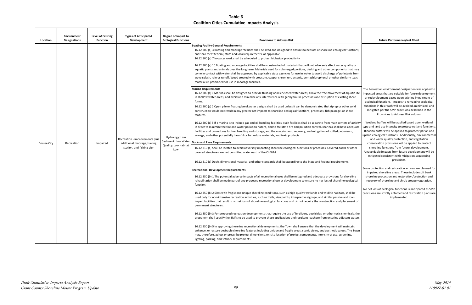| Location                              | Environment<br>Designations | <b>Level of Existing</b><br><b>Function</b> | <b>Types of Anticipated</b><br>Development                                                                                                                                                                                                                                                                                                                                                                                                                                                                                                                                                                                                                                                                                                                                                                                                                                                                                                                                                                                                                              | Degree of Impact to<br><b>Ecological Functions</b>                                                                                                                                                                                                                                                                                                                                                                                                                                                                                                                   | <b>Provisions to Address Risk</b>                                                                                                                                                                                                                                                                                                                                                                                                                                                                                                                                                                                                                                                                                                                                                                                                                                                                                                                                                   | <b>Future Performance/Net Effect</b>                                                                                                                                                                                                                                                                                                                                                                                                                                                                                                                                 |
|---------------------------------------|-----------------------------|---------------------------------------------|-------------------------------------------------------------------------------------------------------------------------------------------------------------------------------------------------------------------------------------------------------------------------------------------------------------------------------------------------------------------------------------------------------------------------------------------------------------------------------------------------------------------------------------------------------------------------------------------------------------------------------------------------------------------------------------------------------------------------------------------------------------------------------------------------------------------------------------------------------------------------------------------------------------------------------------------------------------------------------------------------------------------------------------------------------------------------|----------------------------------------------------------------------------------------------------------------------------------------------------------------------------------------------------------------------------------------------------------------------------------------------------------------------------------------------------------------------------------------------------------------------------------------------------------------------------------------------------------------------------------------------------------------------|-------------------------------------------------------------------------------------------------------------------------------------------------------------------------------------------------------------------------------------------------------------------------------------------------------------------------------------------------------------------------------------------------------------------------------------------------------------------------------------------------------------------------------------------------------------------------------------------------------------------------------------------------------------------------------------------------------------------------------------------------------------------------------------------------------------------------------------------------------------------------------------------------------------------------------------------------------------------------------------|----------------------------------------------------------------------------------------------------------------------------------------------------------------------------------------------------------------------------------------------------------------------------------------------------------------------------------------------------------------------------------------------------------------------------------------------------------------------------------------------------------------------------------------------------------------------|
| Coulee City<br>Recreation<br>Impaired |                             |                                             |                                                                                                                                                                                                                                                                                                                                                                                                                                                                                                                                                                                                                                                                                                                                                                                                                                                                                                                                                                                                                                                                         |                                                                                                                                                                                                                                                                                                                                                                                                                                                                                                                                                                      | <b>Boating Facility General Requirements</b><br>16.12.300 (a) 3 Boating and moorage facilities shall be sited and designed to ensure no net loss of shoreline ecological functions,<br>and shall meet federal, state and local requirements, as applicable.<br>16.12.300 (a) 7 In-water work shall be scheduled to protect biological productivity<br>16.12.300 (a) 10 Boating and moorage facilities shall be constructed of materials that will not adversely affect water quality or<br>aquatic plants and animals over the long term. Materials used for submerged portions, decking and other components that may<br>come in contact with water shall be approved by applicable state agencies for use in water to avoid discharge of pollutants from<br>wave splash, rain or runoff. Wood treated with creosote, copper chromium, arsenic, pentachlorophenol or other similarly toxic<br>materials is prohibited for use in moorage facilities.<br><b>Marina Requirements</b> |                                                                                                                                                                                                                                                                                                                                                                                                                                                                                                                                                                      |
|                                       |                             |                                             | 16.12.300 (c) 1 Marinas shall be designed to provide flushing of all enclosed water areas, allow the free movement of aquatic life<br>in shallow water areas, and avoid and minimize any interference with geohydraulic processes and disruption of existing shore<br>forms.<br>16.12.300 (c) 2 Open pile or floating breakwater designs shall be used unless it can be demonstrated that riprap or other solid<br>construction would not result in any greater net impacts to shoreline ecological functions, processes, fish passage, or shore<br>features.<br>16.12.300 (c) 5 If a marina is to include gas and oil handling facilities, such facilities shall be separate from main centers of activity<br>in order to minimize the fire and water pollution hazard, and to facilitate fire and pollution control. Marinas shall have adequate<br>facilities and procedures for fuel handling and storage, and the containment, recovery, and mitigation of spilled petroleum,<br>sewage, and other potentially harmful or hazardous materials, and toxic products. | The Recreation environment designation was applied to<br>impacted areas that are suitable for future development<br>or redevelopment based upon existing impairment of<br>ecological functions. Impacts to remaining ecological<br>functions in this reach will be avoided, minimized, and<br>mitigated per the SMP provisions described in the<br>Provisions to Address Risk column.<br>Wetland buffers will be applied based upon wetland<br>type and land use intensity to protect wetland functions.<br>Riparian buffers will be applied to protect riparian and |                                                                                                                                                                                                                                                                                                                                                                                                                                                                                                                                                                                                                                                                                                                                                                                                                                                                                                                                                                                     |                                                                                                                                                                                                                                                                                                                                                                                                                                                                                                                                                                      |
|                                       |                             |                                             | Recreation - improvements plus<br>additional moorage, fueling<br>station, and fishing pier                                                                                                                                                                                                                                                                                                                                                                                                                                                                                                                                                                                                                                                                                                                                                                                                                                                                                                                                                                              | Hydrology: Low<br>Sediment: Low Water<br>Quality: Low Habitat<br>Low                                                                                                                                                                                                                                                                                                                                                                                                                                                                                                 | <b>Docks and Piers Requirements</b><br>16.12.310 (a) Shall be located to avoid adversely impacting shoreline ecological functions or processes. Covered docks or other<br>covered structures are not permitted waterward of the OHWM.<br>16.12.310 (c) Docks dimensional material, and other standards shall be according to the State and Federal requirements.                                                                                                                                                                                                                                                                                                                                                                                                                                                                                                                                                                                                                    | upland ecological functions. Additionally, environmental<br>and water quality protection, and vegetation<br>conservation provisions will be applied to protect<br>shoreline functions from future development.<br>Unavoidable impacts from future development will be<br>mitigated consistent with mitigation sequencing<br>provisions.<br>Some protection and restoration actions are planned for<br>impaired shoreline areas. These include soft bank<br>shoreline protection and restoration/protection and<br>recovery of shoreline and shrub steppe vegetation. |
|                                       |                             |                                             |                                                                                                                                                                                                                                                                                                                                                                                                                                                                                                                                                                                                                                                                                                                                                                                                                                                                                                                                                                                                                                                                         |                                                                                                                                                                                                                                                                                                                                                                                                                                                                                                                                                                      | <b>Recreational Development Requirements</b><br>16.12.350 (b) 1 The potential adverse impacts of all recreational uses shall be mitigated and adequate provisions for shoreline<br>rehabilitation shall be made part of any proposed recreational use or development to ensure no net loss of shoreline ecological<br>function.                                                                                                                                                                                                                                                                                                                                                                                                                                                                                                                                                                                                                                                     |                                                                                                                                                                                                                                                                                                                                                                                                                                                                                                                                                                      |
|                                       |                             |                                             |                                                                                                                                                                                                                                                                                                                                                                                                                                                                                                                                                                                                                                                                                                                                                                                                                                                                                                                                                                                                                                                                         |                                                                                                                                                                                                                                                                                                                                                                                                                                                                                                                                                                      | 16.12.350 (b) 2 Sites with fragile and unique shoreline conditions, such as high-quality wetlands and wildlife habitats, shall be<br>used only for non-intensive recreation activities, such as trails, viewpoints, interpretive signage, and similar passive and low-<br>impact facilities that result in no net loss of shoreline ecological function, and do not require the construction and placement of<br>permanent structures.                                                                                                                                                                                                                                                                                                                                                                                                                                                                                                                                              | No net loss of ecological functions is anticipated as SMP<br>provisions are strictly enforced and restoration plans are<br>implemented.                                                                                                                                                                                                                                                                                                                                                                                                                              |
|                                       |                             |                                             |                                                                                                                                                                                                                                                                                                                                                                                                                                                                                                                                                                                                                                                                                                                                                                                                                                                                                                                                                                                                                                                                         |                                                                                                                                                                                                                                                                                                                                                                                                                                                                                                                                                                      | 16.12.350 (b) 3 For proposed recreation developments that require the use of fertilizers, pesticides, or other toxic chemicals, the<br>proponent shall specify the BMPs to be used to prevent these applications and resultant leachate from entering adjacent waters.                                                                                                                                                                                                                                                                                                                                                                                                                                                                                                                                                                                                                                                                                                              |                                                                                                                                                                                                                                                                                                                                                                                                                                                                                                                                                                      |
|                                       |                             |                                             |                                                                                                                                                                                                                                                                                                                                                                                                                                                                                                                                                                                                                                                                                                                                                                                                                                                                                                                                                                                                                                                                         |                                                                                                                                                                                                                                                                                                                                                                                                                                                                                                                                                                      | 16.12.350 (b) 5 In approving shoreline recreational developments, the Town shall ensure that the development will maintain,<br>enhance, or restore desirable shoreline features including unique and fragile areas, scenic views, and aesthetic values. The Town<br>may, therefore, adjust or prescribe project dimensions, on-site location of project components, intensity of use, screening,<br>lighting, parking, and setback requirements.                                                                                                                                                                                                                                                                                                                                                                                                                                                                                                                                    |                                                                                                                                                                                                                                                                                                                                                                                                                                                                                                                                                                      |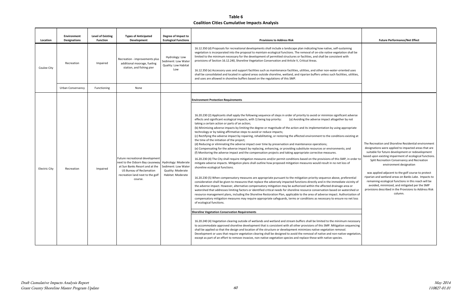May 2014 110827-01.01

| Location      | Environment<br><b>Designations</b> | Level of Existing<br><b>Function</b> | <b>Types of Anticipated</b><br>Development                                                                                                                                      | Degree of Impact to<br><b>Ecological Functions</b>                                   | <b>Provisions to Address Risk</b>                                                                                                                                                                                                                                                                                                                                                                                                                                                                                                                                                                                                                                                                                                                                                                                                                                                                                                                                                                                                                                                                                                                                                                                                                                                                                                                                                                                                                                                                                                                                                                                                                                                                                                                                                                                                                                                                                                                                                                                                                                                                                                                                                                                                                                                                                                                                                                                                                                                                                                                                                                                                                                                                                                                                                                                                                                                                                                                                      | <b>Future Performance/Net Effect</b>                                                                                                                                                                                                                                                                                                                                                                                                                                                          |
|---------------|------------------------------------|--------------------------------------|---------------------------------------------------------------------------------------------------------------------------------------------------------------------------------|--------------------------------------------------------------------------------------|------------------------------------------------------------------------------------------------------------------------------------------------------------------------------------------------------------------------------------------------------------------------------------------------------------------------------------------------------------------------------------------------------------------------------------------------------------------------------------------------------------------------------------------------------------------------------------------------------------------------------------------------------------------------------------------------------------------------------------------------------------------------------------------------------------------------------------------------------------------------------------------------------------------------------------------------------------------------------------------------------------------------------------------------------------------------------------------------------------------------------------------------------------------------------------------------------------------------------------------------------------------------------------------------------------------------------------------------------------------------------------------------------------------------------------------------------------------------------------------------------------------------------------------------------------------------------------------------------------------------------------------------------------------------------------------------------------------------------------------------------------------------------------------------------------------------------------------------------------------------------------------------------------------------------------------------------------------------------------------------------------------------------------------------------------------------------------------------------------------------------------------------------------------------------------------------------------------------------------------------------------------------------------------------------------------------------------------------------------------------------------------------------------------------------------------------------------------------------------------------------------------------------------------------------------------------------------------------------------------------------------------------------------------------------------------------------------------------------------------------------------------------------------------------------------------------------------------------------------------------------------------------------------------------------------------------------------------------|-----------------------------------------------------------------------------------------------------------------------------------------------------------------------------------------------------------------------------------------------------------------------------------------------------------------------------------------------------------------------------------------------------------------------------------------------------------------------------------------------|
| Coulee City   | Recreation                         | Impaired                             | Recreation - improvements plus<br>additional moorage, fueling<br>station, and fishing pier                                                                                      | Hydrology: Low<br>Sediment: Low Water<br>Quality: Low Habitat<br>Low                 | 16.12.350 (d) Proposals for recreational developments shall include a landscape plan indicating how native, self-sustaining<br>vegetation is incorporated into the proposal to maintain ecological functions. The removal of on-site native vegetation shall be<br>limited to the minimum necessary for the development of permitted structures or facilities, and shall be consistent with<br>provisions of Section 16.12.240, Shoreline Vegetation Conservation and Article V, Critical Areas.<br>16.12.350 (e) Accessory uses and support facilities such as maintenance facilities, utilities, and other non-water-oriented uses<br>shall be consolidated and located in upland areas outside shoreline, wetland, and riparian buffers unless such facilities, utilities,<br>and uses are allowed in shoreline buffers based on the regulations of this SMP.                                                                                                                                                                                                                                                                                                                                                                                                                                                                                                                                                                                                                                                                                                                                                                                                                                                                                                                                                                                                                                                                                                                                                                                                                                                                                                                                                                                                                                                                                                                                                                                                                                                                                                                                                                                                                                                                                                                                                                                                                                                                                                       |                                                                                                                                                                                                                                                                                                                                                                                                                                                                                               |
|               | <b>Urban Conservancy</b>           | Functioning                          | None                                                                                                                                                                            |                                                                                      |                                                                                                                                                                                                                                                                                                                                                                                                                                                                                                                                                                                                                                                                                                                                                                                                                                                                                                                                                                                                                                                                                                                                                                                                                                                                                                                                                                                                                                                                                                                                                                                                                                                                                                                                                                                                                                                                                                                                                                                                                                                                                                                                                                                                                                                                                                                                                                                                                                                                                                                                                                                                                                                                                                                                                                                                                                                                                                                                                                        |                                                                                                                                                                                                                                                                                                                                                                                                                                                                                               |
| Electric City | Recreation                         | Impaired                             | Future recreational development<br>next to the Osborn Bay causeway<br>at Sun Banks Resort and at the<br>US Bureau of Reclamation<br>recreation land next to the golf<br>course. | Hydrology: Moderate<br>Sediment: Low Water<br>Quality: Moderate<br>Habitat: Moderate | <b>Environment Protection Requirements</b><br>16.20.230 (2) Applicants shall apply the following sequence of steps in order of priority to avoid or minimize significant adverse<br>effects and significant ecological impacts, with 1) being top priority:<br>(a) Avoiding the adverse impact altogether by not<br>taking a certain action or parts of an action;<br>(b) Minimizing adverse impacts by limiting the degree or magnitude of the action and its implementation by using appropriate<br>technology or by taking affirmative steps to avoid or reduce impacts;<br>(c) Rectifying the adverse impact by repairing, rehabilitating, or restoring the affected environment to the conditions existing at<br>the time of the initiation of the project;<br>(d) Reducing or eliminating the adverse impact over time by preservation and maintenance operations;<br>(e) Compensating for the adverse impact by replacing, enhancing, or providing substitute resources or environments; and<br>(f) Monitoring the adverse impact and the compensation projects and taking appropriate corrective measures.<br>16.20.230 (4) The City shall require mitigation measures and/or permit conditions based on the provisions of this SMP, in order to<br>mitigate adverse impacts. Mitigation plans shall outline how proposed mitigation measures would result in no net loss of<br>shoreline ecological functions.<br>16.20.230 (5) When compensatory measures are appropriate pursuant to the mitigation priority sequence above, preferential<br>consideration shall be given to measures that replace the adversely impacted functions directly and in the immediate vicinity of<br>the adverse impact. However, alternative compensatory mitigation may be authorized within the affected drainage area or<br>watershed that addresses limiting factors or identified critical needs for shoreline resource conservation based on watershed or<br>resource management plans, including the Shoreline Restoration Plan, applicable to the area of adverse impact. Authorization of<br>compensatory mitigation measures may require appropriate safeguards, terms or conditions as necessary to ensure no net loss<br>of ecological functions.<br><b>Shoreline Vegetation Conservation Requirements</b><br>16.20.240 (4) Vegetation clearing outside of wetlands and wetland and stream buffers shall be limited to the minimum necessary<br>to accommodate approved shoreline development that is consistent with all other provisions of this SMP. Mitigation sequencing<br>shall be applied so that the design and location of the structure or development minimizes native vegetation removal.<br>Development or uses that require vegetation clearing shall be designed to avoid the removal of native and non-native vegetation,<br>except as part of an effort to remove invasive, non-native vegetation species and replace these with native species. | The Recreation and Shoreline Residential e<br>designations were applied to impacted are<br>suitable for future development or redev<br>based upon existing impairment of ecologic<br>Split Recreation Conservancy and Rec<br>environment designation<br>was applied adjacent to the golf course<br>riparian and wetland areas on Banks Lake.<br>remaining ecological functions in this rea<br>avoided, minimized, and mitigated per<br>provisions described in the Provisions to A<br>column. |

|                                                                           | <b>Future Performance/Net Effect</b>                                                                                                                                                                                                                                                                  |
|---------------------------------------------------------------------------|-------------------------------------------------------------------------------------------------------------------------------------------------------------------------------------------------------------------------------------------------------------------------------------------------------|
| ning<br>shall be<br>h                                                     |                                                                                                                                                                                                                                                                                                       |
| ed uses<br>, utilities,                                                   |                                                                                                                                                                                                                                                                                                       |
|                                                                           |                                                                                                                                                                                                                                                                                                       |
|                                                                           |                                                                                                                                                                                                                                                                                                       |
|                                                                           |                                                                                                                                                                                                                                                                                                       |
| adverse<br>y not                                                          |                                                                                                                                                                                                                                                                                                       |
| opriate <sup>.</sup>                                                      |                                                                                                                                                                                                                                                                                                       |
| xisting at                                                                |                                                                                                                                                                                                                                                                                                       |
| ınd<br>in order to<br>οf                                                  | The Recreation and Shoreline Residential environment<br>designations were applied to impacted areas that are<br>suitable for future development or redevelopment<br>based upon existing impairment of ecological functions.<br>Split Recreation Conservancy and Recreation<br>environment designation |
| erential<br>icinity of<br>ea or<br>ershed or<br>rization of<br>net loss ו | was applied adjacent to the golf course to protect<br>riparian and wetland areas on Banks Lake. Impacts to<br>remaining ecological functions in this reach will be<br>avoided, minimized, and mitigated per the SMP<br>provisions described in the Provisions to Address Risk<br>column.              |
|                                                                           |                                                                                                                                                                                                                                                                                                       |
| necessary<br>equencing                                                    |                                                                                                                                                                                                                                                                                                       |
| vegetation,                                                               |                                                                                                                                                                                                                                                                                                       |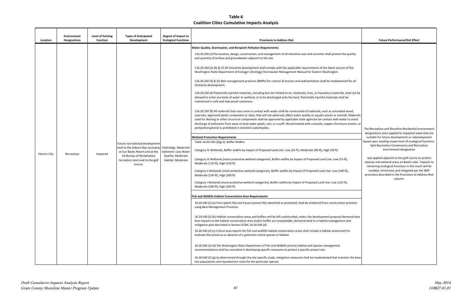|                                                 | <b>Future Performance/Net Effect</b>                                                                                                                               |
|-------------------------------------------------|--------------------------------------------------------------------------------------------------------------------------------------------------------------------|
|                                                 |                                                                                                                                                                    |
| quality                                         |                                                                                                                                                                    |
| of the                                          |                                                                                                                                                                    |
| d for all                                       |                                                                                                                                                                    |
| hall not be<br>e                                |                                                                                                                                                                    |
| vood,<br>. Materials<br>to avoid<br>arsenic, or | The Recreation and Shoreline Residential environment                                                                                                               |
|                                                 | designations were applied to impacted areas that are                                                                                                               |
|                                                 | suitable for future development or redevelopment                                                                                                                   |
|                                                 | based upon existing impairment of ecological functions.<br>Split Recreation Conservancy and Recreation<br>environment designation                                  |
| ,                                               | was applied adjacent to the golf course to protect<br>riparian and wetland areas on Banks Lake. Impacts to<br>remaining ecological functions in this reach will be |
| ),                                              | avoided, minimized, and mitigated per the SMP<br>provisions described in the Provisions to Address Risk<br>column.                                                 |
|                                                 |                                                                                                                                                                    |
|                                                 |                                                                                                                                                                    |
| ıctivities                                      |                                                                                                                                                                    |
| nonstrates<br>and                               |                                                                                                                                                                    |
| to                                              |                                                                                                                                                                    |
|                                                 |                                                                                                                                                                    |
| in the base                                     |                                                                                                                                                                    |

| Location             | <b>Environment</b><br><b>Designations</b> | <b>Level of Existing</b><br><b>Function</b> | <b>Types of Anticipated</b><br>Development                                                                                                                                      | Degree of Impact to<br><b>Ecological Functions</b>                                   | <b>Provisions to Address Risk</b>                                                                                                                                                                                                                                                                                                                                                                                                                                                                                                                                                                                                                                                                                                                                                                                                                                                                                                                                                                                                                                                                                                                                                                                                                                                                                                                                                                                                                                                                                                                                                                                                                                                                                                                                                                                                                                                                                                                                                                                                                                                                                                                                                                                                                                                                                                                                                                                                                                                                                                                                                                                                                                                                                                                                                                                                                                                                                                                                                                                                                                                                                                                                                                                                                                                                                                      | <b>Future Performance/Net Effect</b>                                                                                                                                                                                                                                                                                                                                                                                                                                                          |
|----------------------|-------------------------------------------|---------------------------------------------|---------------------------------------------------------------------------------------------------------------------------------------------------------------------------------|--------------------------------------------------------------------------------------|----------------------------------------------------------------------------------------------------------------------------------------------------------------------------------------------------------------------------------------------------------------------------------------------------------------------------------------------------------------------------------------------------------------------------------------------------------------------------------------------------------------------------------------------------------------------------------------------------------------------------------------------------------------------------------------------------------------------------------------------------------------------------------------------------------------------------------------------------------------------------------------------------------------------------------------------------------------------------------------------------------------------------------------------------------------------------------------------------------------------------------------------------------------------------------------------------------------------------------------------------------------------------------------------------------------------------------------------------------------------------------------------------------------------------------------------------------------------------------------------------------------------------------------------------------------------------------------------------------------------------------------------------------------------------------------------------------------------------------------------------------------------------------------------------------------------------------------------------------------------------------------------------------------------------------------------------------------------------------------------------------------------------------------------------------------------------------------------------------------------------------------------------------------------------------------------------------------------------------------------------------------------------------------------------------------------------------------------------------------------------------------------------------------------------------------------------------------------------------------------------------------------------------------------------------------------------------------------------------------------------------------------------------------------------------------------------------------------------------------------------------------------------------------------------------------------------------------------------------------------------------------------------------------------------------------------------------------------------------------------------------------------------------------------------------------------------------------------------------------------------------------------------------------------------------------------------------------------------------------------------------------------------------------------------------------------------------------|-----------------------------------------------------------------------------------------------------------------------------------------------------------------------------------------------------------------------------------------------------------------------------------------------------------------------------------------------------------------------------------------------------------------------------------------------------------------------------------------------|
| <b>Electric City</b> | Recreation                                | Impaired                                    | Future recreational development<br>next to the Osborn Bay causeway<br>at Sun Banks Resort and at the<br>US Bureau of Reclamation<br>recreation land next to the golf<br>course. | Hydrology: Moderate<br>Sediment: Low Water<br>Quality: Moderate<br>Habitat: Moderate | <b>Water Quality, Stormwater, and Nonpoint Pollution Requirements</b><br>116.20.250 (1) The location, design, construction, and management of all shoreline uses and activities shall protect the quality<br>and quantity of surface and groundwater adjacent to the site.<br>116.20.250 (2) (6) & (7) All shoreline development shall comply with the applicable requirements of the latest version of the<br>Washington State Department of Ecology's (Ecology) Stormwater Management Manual for Eastern Washington.<br>116.20.250 (3) & (5) Best management practices (BMPs) for control of erosion and sedimentation shall be implemented for all<br>shoreline development.<br>116.20.250 (4) Potentially harmful materials, including but not limited to oil, chemicals, tires, or hazardous materials, shall not be<br>allowed to enter any body of water or wetland, or to be discharged onto the land. Potentially harmful materials shall be<br>maintained in safe and leak-proof containers.<br>116.20.250 (9) All materials that may come in contact with water shall be constructed of materials, such as untreated wood,<br>concrete, approved plastic composites or steel, that will not adversely affect water quality or aquatic plants or animals. Materials<br>used for decking or other structural components shall be approved by applicable state agencies for contact with water to avoid<br>discharge of pollutants from wave or boat wake splash, rain, or runoff. Wood treated with creosote, copper chromium arsenic, or<br>pentachlorophenol is prohibited in shoreline waterbodies.<br><b>Wetland Protection Requirements</b><br>Table 16.20.520 (3)(g-2). Buffer Widths<br>Category IV Wetlands, Buffer widths by Impact of Proposed Land Use: Low (25-ft), Moderate (40-ft), High (50 ft)<br>Category III Wetlands (most protective wetland categories), Buffer widths by Impact of Proposed Land Use: Low (75-ft),<br>Moderate (110-ft), High (150 ft)<br>Category II Wetlands (most protective wetland categories), Buffer widths by Impact of Proposed Land Use: Low (100-ft),<br>Moderate (150-ft), High (200 ft)<br>Category I Wetlands (most protective wetland categories), Buffer widths by Impact of Proposed Land Use: Low (125-ft),<br>Moderate (190-ft), High (250 ft)<br><b>Fish and Wildlife Habitat Conservation Area Requirements</b><br>16.20.540 (2) (a) Flora (plant life) and Fauna (animal life) identified as protected, shall be sheltered from construction activities<br>using Best Management Practices.<br>16.20.540 (2) (b) Habitat conservation areas and buffers will be left undisturbed, unless the development proposal demonstrates<br>that impacts to the habitat conservation area and/or buffer are unavoidable, demonstrated in a habitat management and<br>mitigation plan described in Section ECMC 16.20.540 (d).<br>16.20.540 (2) (c) Critical area reports for fish and wildlife habitat conservation areas shall include a habitat assessment to<br>evaluate the presence or absence of a potential critical species or habitat.<br>16.20.540 (2) (d) The Washington State Department of Fish and Wildlife priority habitat and species management<br>recommendations shall be consulted in developing specific measures to protect a specific project site. | The Recreation and Shoreline Residential e<br>designations were applied to impacted are<br>suitable for future development or redev<br>based upon existing impairment of ecologio<br>Split Recreation Conservancy and Rec<br>environment designation<br>was applied adjacent to the golf course<br>riparian and wetland areas on Banks Lake.<br>remaining ecological functions in this rea<br>avoided, minimized, and mitigated per<br>provisions described in the Provisions to A<br>.column |
|                      |                                           |                                             |                                                                                                                                                                                 |                                                                                      | 16.20.540 (2) (g) As determined through the site-specific study, mitigation measures shall be implemented that maintain the base<br>line populations and reproduction rates for the particular species.                                                                                                                                                                                                                                                                                                                                                                                                                                                                                                                                                                                                                                                                                                                                                                                                                                                                                                                                                                                                                                                                                                                                                                                                                                                                                                                                                                                                                                                                                                                                                                                                                                                                                                                                                                                                                                                                                                                                                                                                                                                                                                                                                                                                                                                                                                                                                                                                                                                                                                                                                                                                                                                                                                                                                                                                                                                                                                                                                                                                                                                                                                                                |                                                                                                                                                                                                                                                                                                                                                                                                                                                                                               |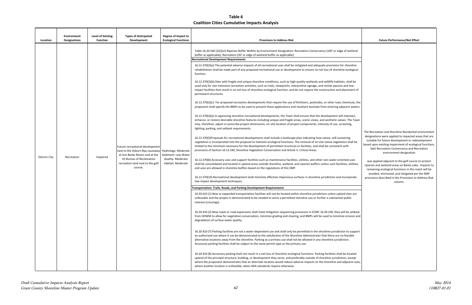| Location      | <b>Environment</b><br>Designations | <b>Level of Existing</b><br><b>Function</b> | <b>Types of Anticipated</b><br><b>Development</b>                                                                                                                                      | Degree of Impact to<br><b>Ecological Functions</b>                                   | <b>Provisions to Address Risk</b>                                                                                                                                                                                                                                                                                                                                                                                                                                                                                                                                                                                                                                                                                                                                                                                                                                                                                                                                                                                                                                                                                                                                                                                                                                                                                                                                                                                                                                                                                                                                                                                                                                                                                                                                                                                                                                                                                                                                                                                                                                                                                                                                                                                                                                                                                                                                                                                                                                                                                                                                                                                                                                                                                                                                                                                                                                                                                                                                                                                                                                                                                                                                                                                                                                                                                                                                                                                                                                                                                                                                                                                                                                                                                                                                                                                                                                                                                                                                                                                                                                                                                                                                                                                                        | <b>Future Performance/Net Effect</b>                                                                                                                                                                                                                                                                                                                                                                                                                                                                                                                                                              |
|---------------|------------------------------------|---------------------------------------------|----------------------------------------------------------------------------------------------------------------------------------------------------------------------------------------|--------------------------------------------------------------------------------------|------------------------------------------------------------------------------------------------------------------------------------------------------------------------------------------------------------------------------------------------------------------------------------------------------------------------------------------------------------------------------------------------------------------------------------------------------------------------------------------------------------------------------------------------------------------------------------------------------------------------------------------------------------------------------------------------------------------------------------------------------------------------------------------------------------------------------------------------------------------------------------------------------------------------------------------------------------------------------------------------------------------------------------------------------------------------------------------------------------------------------------------------------------------------------------------------------------------------------------------------------------------------------------------------------------------------------------------------------------------------------------------------------------------------------------------------------------------------------------------------------------------------------------------------------------------------------------------------------------------------------------------------------------------------------------------------------------------------------------------------------------------------------------------------------------------------------------------------------------------------------------------------------------------------------------------------------------------------------------------------------------------------------------------------------------------------------------------------------------------------------------------------------------------------------------------------------------------------------------------------------------------------------------------------------------------------------------------------------------------------------------------------------------------------------------------------------------------------------------------------------------------------------------------------------------------------------------------------------------------------------------------------------------------------------------------------------------------------------------------------------------------------------------------------------------------------------------------------------------------------------------------------------------------------------------------------------------------------------------------------------------------------------------------------------------------------------------------------------------------------------------------------------------------------------------------------------------------------------------------------------------------------------------------------------------------------------------------------------------------------------------------------------------------------------------------------------------------------------------------------------------------------------------------------------------------------------------------------------------------------------------------------------------------------------------------------------------------------------------------------------------------------------------------------------------------------------------------------------------------------------------------------------------------------------------------------------------------------------------------------------------------------------------------------------------------------------------------------------------------------------------------------------------------------------------------------------------------------------------------|---------------------------------------------------------------------------------------------------------------------------------------------------------------------------------------------------------------------------------------------------------------------------------------------------------------------------------------------------------------------------------------------------------------------------------------------------------------------------------------------------------------------------------------------------------------------------------------------------|
| Electric City | Recreation                         | Impaired                                    | Future recreational development<br>next to the Osborn Bay causeway<br>at Sun Banks Resort and at the<br><b>US Bureau of Reclamation</b><br>recreation land next to the golf<br>course. | Hydrology: Moderate<br>Sediment: Low Water<br>Quality: Moderate<br>Habitat: Moderate | Table 16.20.540 (2)(i)(vi) Riparian Buffer Widths by Environment Designation: Recreation Conservancy (100' or edge of wetland<br>buffer as applicable); Recreation (50' or edge of wetland buffer as applicable)<br><b>Recreational Development Requirements</b><br>16.12.370(2)(a) The potential adverse impacts of all recreational uses shall be mitigated and adequate provisions for shoreline<br>rehabilitation shall be made part of any proposed recreational use or development to ensure no net loss of shoreline ecological<br>function.<br>16.12.370(2)(b) Sites with fragile and unique shoreline conditions, such as high-quality wetlands and wildlife habitats, shall be<br>used only for non-intensive recreation activities, such as trails, viewpoints, interpretive signage, and similar passive and low-<br>impact facilities that result in no net loss of shoreline ecological function, and do not require the construction and placement of<br>permanent structures.<br>16.12.370(2)(c) For proposed recreation developments that require the use of fertilizers, pesticides, or other toxic chemicals, the<br>proponent shall specify the BMPs to be used to prevent these applications and resultant leachate from entering adjacent waters.<br>16.12.370(2)(e) In approving shoreline recreational developments, the Town shall ensure that the development will maintain,<br>enhance, or restore desirable shoreline features including unique and fragile areas, scenic views, and aesthetic values. The Town<br>may, therefore, adjust or prescribe project dimensions, on-site location of project components, intensity of use, screening,<br>lighting, parking, and setback requirements.<br>16.12.370(5)Proposals for recreational developments shall include a landscape plan indicating how native, self-sustaining<br>vegetation is incorporated into the proposal to maintain ecological functions. The removal of on-site native vegetation shall be<br>limited to the minimum necessary for the development of permitted structures or facilities, and shall be consistent with<br>provisions of Section 16.12.240, Shoreline Vegetation Conservation and Article V, Critical Areas.<br>16.12.370(6) Accessory uses and support facilities such as maintenance facilities, utilities, and other non-water-oriented uses<br>shall be consolidated and located in upland areas outside shoreline, wetland, and riparian buffers unless such facilities, utilities,<br>and uses are allowed in shoreline buffers based on the regulations of this SMP.<br>16.12.370(10) Recreational development shall minimize effective impervious surfaces in shoreline jurisdiction and incorporate<br>low-impact development techniques.<br><b>Transportation: Trails, Roads, and Parking Development Requirements</b><br>16.20.410 (1) New or expanded transportation facilities will not be located within shoreline jurisdiction unless upland sites are<br>unfeasible and the project is demonstrated to be needed to serve a permitted shoreline use or further a substantial public<br>interest (crossings).<br>16.20.410 (2) New roads or road expansions shall meet mitigation sequencing provisions in ECMC 16.20.230, they will be setback<br>from OHWM to allow for vegetation conservation, minimize grading and clearing, and BMPs will be used to minimize erosion and<br>degradation of surface water quality.<br>16.20.410 (7) Parking facilities are not a water-dependent use and shall only be permitted in the shoreline jurisdiction to support<br>an authorized use where it can be demonstrated to the satisfaction of the Shoreline Administrator that there are no feasible<br>alternative locations away from the shoreline. Parking as a primary use shall not be allowed in any shoreline jurisdiction.<br>Accessory parking facilities shall be subject to the same permit type as the primary use.<br>16.20.410 (8) Accessory parking shall not result in a net loss of shoreline ecological functions. Parking facilities shall be located<br>upland of the principal structure, building, or development they serve, and preferably outside of shoreline jurisdiction, except | The Recreation and Shoreline Residential environment<br>designations were applied to impacted areas that are<br>suitable for future development or redevelopment<br>based upon existing impairment of ecological functions.<br>Split Recreation Conservancy and Recreation<br>environment designation<br>was applied adjacent to the golf course to protect<br>riparian and wetland areas on Banks Lake. Impacts to<br>remaining ecological functions in this reach will be<br>avoided, minimized, and mitigated per the SMP<br>provisions described in the Provisions to Address Risk<br>column. |
|               |                                    |                                             |                                                                                                                                                                                        |                                                                                      | where the proponent demonstrates that an alternate location would reduce adverse impacts on the shoreline and adjacent uses;<br>where another location is unfeasible; when ADA standards require otherwise.                                                                                                                                                                                                                                                                                                                                                                                                                                                                                                                                                                                                                                                                                                                                                                                                                                                                                                                                                                                                                                                                                                                                                                                                                                                                                                                                                                                                                                                                                                                                                                                                                                                                                                                                                                                                                                                                                                                                                                                                                                                                                                                                                                                                                                                                                                                                                                                                                                                                                                                                                                                                                                                                                                                                                                                                                                                                                                                                                                                                                                                                                                                                                                                                                                                                                                                                                                                                                                                                                                                                                                                                                                                                                                                                                                                                                                                                                                                                                                                                                              |                                                                                                                                                                                                                                                                                                                                                                                                                                                                                                                                                                                                   |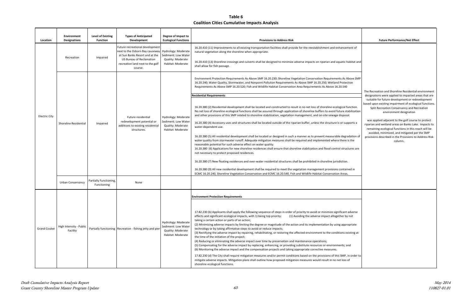|                                | <b>Future Performance/Net Effect</b>                                                                                                                                                  |
|--------------------------------|---------------------------------------------------------------------------------------------------------------------------------------------------------------------------------------|
|                                |                                                                                                                                                                                       |
| nent of                        |                                                                                                                                                                                       |
| าabitat and                    |                                                                                                                                                                                       |
| bove SMP<br>ction              |                                                                                                                                                                                       |
|                                | The Recreation and Shoreline Residential environment                                                                                                                                  |
|                                | designations were applied to impacted areas that are                                                                                                                                  |
| unction.<br>abilization<br>al. | suitable for future development or redevelopment<br>based upon existing impairment of ecological functions.<br>Split Recreation Conservancy and Recreation<br>environment designation |
| pports a                       | was applied adjacent to the golf course to protect<br>riparian and wetland areas on Banks Lake. Impacts to<br>remaining ecological functions in this reach will be                    |
| adation of<br>is the           | avoided, minimized, and mitigated per the SMP<br>provisions described in the Provisions to Address Risk<br>column.                                                                    |
| tures are:                     |                                                                                                                                                                                       |
|                                |                                                                                                                                                                                       |
|                                |                                                                                                                                                                                       |
| ned in                         |                                                                                                                                                                                       |
|                                |                                                                                                                                                                                       |
|                                |                                                                                                                                                                                       |
|                                |                                                                                                                                                                                       |
|                                |                                                                                                                                                                                       |
| adverse<br>/ not               |                                                                                                                                                                                       |
| opriate                        |                                                                                                                                                                                       |
| xisting at                     |                                                                                                                                                                                       |
| nd                             |                                                                                                                                                                                       |
| in order to<br>of              |                                                                                                                                                                                       |
|                                |                                                                                                                                                                                       |

| Location            | Environment<br><b>Designations</b>  | Level of Existing<br><b>Function</b>  | <b>Types of Anticipated</b><br>Development                                                                                                                                             | Degree of Impact to<br><b>Ecological Functions</b>                                          | <b>Provisions to Address Risk</b>                                                                                                                                                                                                                                                                                                                                                                                                                                                                                                                                                                                                                                                                                                                                                                                                                                                                                                                                                                                                                                                                                                                                                                                                                        | <b>Future Performance/Net Effect</b>                                                                                                                                                                   |
|---------------------|-------------------------------------|---------------------------------------|----------------------------------------------------------------------------------------------------------------------------------------------------------------------------------------|---------------------------------------------------------------------------------------------|----------------------------------------------------------------------------------------------------------------------------------------------------------------------------------------------------------------------------------------------------------------------------------------------------------------------------------------------------------------------------------------------------------------------------------------------------------------------------------------------------------------------------------------------------------------------------------------------------------------------------------------------------------------------------------------------------------------------------------------------------------------------------------------------------------------------------------------------------------------------------------------------------------------------------------------------------------------------------------------------------------------------------------------------------------------------------------------------------------------------------------------------------------------------------------------------------------------------------------------------------------|--------------------------------------------------------------------------------------------------------------------------------------------------------------------------------------------------------|
|                     | Recreation                          | Impaired                              | Future recreational development<br>next to the Osborn Bay causeway<br>at Sun Banks Resort and at the<br><b>US Bureau of Reclamation</b><br>recreation land next to the golf<br>course. | Hydrology: Moderate<br>Sediment: Low Water<br>Quality: Moderate<br>Habitat: Moderate        | 16.20.410 (11) Improvements to all existing transportation facilities shall provide for the reestablishment and enhancement of<br>natural vegetation along the shoreline when appropriate.<br>16.20.410 (13) Shoreline crossings and culverts shall be designed to minimize adverse impacts on riparian and aquatic habitat and<br>shall allow for fish passage.                                                                                                                                                                                                                                                                                                                                                                                                                                                                                                                                                                                                                                                                                                                                                                                                                                                                                         |                                                                                                                                                                                                        |
|                     |                                     |                                       |                                                                                                                                                                                        |                                                                                             | Environment Protection Requirements As Above SMP 16.20.230; Shoreline Vegetation Conservation Requirements As Above SMP<br>16.20.240; Water Quality, Stormwater, and Nonpoint Pollution Requirements As Above SMP 16.20.250; Wetland Protection<br>Requirements As Above SMP 16.20.520; Fish and Wildlife Habitat Conservation Area Requirements As Above 16.20.540                                                                                                                                                                                                                                                                                                                                                                                                                                                                                                                                                                                                                                                                                                                                                                                                                                                                                      | The Recreation and Shoreline Residential e                                                                                                                                                             |
| Electric City       |                                     |                                       | Future residential                                                                                                                                                                     | Hydrology: Moderate                                                                         | <b>Residential Requirements</b><br>16.20.380 (2) Residential development shall be located and constructed to result in no net loss of shoreline ecological function.<br>No net loss of shoreline ecological functions shall be assured through application of shoreline buffers to avoid future stabilization<br>and other provisions of this SMP related to shoreline stabilization, vegetation management, and on-site sewage disposal.                                                                                                                                                                                                                                                                                                                                                                                                                                                                                                                                                                                                                                                                                                                                                                                                                | designations were applied to impacted are<br>suitable for future development or redev<br>based upon existing impairment of ecologic<br>Split Recreation Conservancy and Rec<br>environment designation |
|                     | <b>Shoreline Residential</b>        | Impaired                              | redevelopment potential or<br>additions to existing residential<br>structures.                                                                                                         | Sediment: Low Water<br>Quality: Moderate<br>Habitat: Moderate                               | 16.20.380 (4) Accessory uses and structures shall be located outside of the riparian buffer, unless the structure is or supports a<br>water-dependent use.                                                                                                                                                                                                                                                                                                                                                                                                                                                                                                                                                                                                                                                                                                                                                                                                                                                                                                                                                                                                                                                                                               | was applied adjacent to the golf course<br>riparian and wetland areas on Banks Lake.<br>remaining ecological functions in this rea                                                                     |
|                     |                                     |                                       |                                                                                                                                                                                        |                                                                                             | 16.20.380 (5) All residential development shall be located or designed in such a manner as to prevent measurable degradation or<br>water quality from stormwater runoff. Adequate mitigation measures shall be required and implemented where there is the<br>reasonable potential for such adverse effect on water quality.<br>16.20.380 (6) Applications for new shoreline residences shall ensure that shoreline stabilization and flood control structures are<br>not necessary to protect proposed residences.                                                                                                                                                                                                                                                                                                                                                                                                                                                                                                                                                                                                                                                                                                                                      | avoided, minimized, and mitigated per<br>provisions described in the Provisions to A<br>column.                                                                                                        |
|                     |                                     |                                       |                                                                                                                                                                                        |                                                                                             | 16.20.380 (7) New floating residences and over-water residential structures shall be prohibited in shoreline jurisdiction.<br>16.20.380 (9) All new residential development shall be required to meet the vegetation management provisions contained in                                                                                                                                                                                                                                                                                                                                                                                                                                                                                                                                                                                                                                                                                                                                                                                                                                                                                                                                                                                                  |                                                                                                                                                                                                        |
|                     |                                     |                                       |                                                                                                                                                                                        |                                                                                             | ECMC 16.20.240, Shoreline Vegetation Conservation and ECMC 16.20.540, Fish and Wildlife Habitat Conservation Areas.                                                                                                                                                                                                                                                                                                                                                                                                                                                                                                                                                                                                                                                                                                                                                                                                                                                                                                                                                                                                                                                                                                                                      |                                                                                                                                                                                                        |
|                     | Urban Conservancy                   | Partially Functioning,<br>Functioning | None                                                                                                                                                                                   |                                                                                             |                                                                                                                                                                                                                                                                                                                                                                                                                                                                                                                                                                                                                                                                                                                                                                                                                                                                                                                                                                                                                                                                                                                                                                                                                                                          |                                                                                                                                                                                                        |
| <b>Grand Coulee</b> | High Intensity - Public<br>Facility |                                       | Partially functioning   Recreation - fishing jetty and pier                                                                                                                            | Hydrology: Moderate<br>Sediment: Low Water<br><b>Quality: Moderate</b><br>Habitat: Moderate | <b>Environment Protection Requirements</b><br>17.82.230 (b) Applicants shall apply the following sequence of steps in order of priority to avoid or minimize significant adverse<br>effects and significant ecological impacts, with 1) being top priority:<br>(1) Avoiding the adverse impact altogether by not<br>taking a certain action or parts of an action;<br>(2) Minimizing adverse impacts by limiting the degree or magnitude of the action and its implementation by using appropriate<br>technology or by taking affirmative steps to avoid or reduce impacts;<br>(3) Rectifying the adverse impact by repairing, rehabilitating, or restoring the affected environment to the conditions existing at<br>the time of the initiation of the project;<br>(4) Reducing or eliminating the adverse impact over time by preservation and maintenance operations;<br>(5) Compensating for the adverse impact by replacing, enhancing, or providing substitute resources or environments; and<br>(6) Monitoring the adverse impact and the compensation projects and taking appropriate corrective measures.<br>17.82.230 (d) The City shall require mitigation measures and/or permit conditions based on the provisions of this SMP, in order to |                                                                                                                                                                                                        |
|                     |                                     |                                       |                                                                                                                                                                                        |                                                                                             | mitigate adverse impacts. Mitigation plans shall outline how proposed mitigation measures would result in no net loss of<br>shoreline ecological functions.                                                                                                                                                                                                                                                                                                                                                                                                                                                                                                                                                                                                                                                                                                                                                                                                                                                                                                                                                                                                                                                                                              |                                                                                                                                                                                                        |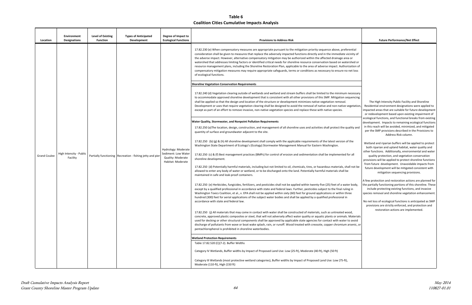**Table 6 Coalition Cities Cumulative Impacts Analysis** 

| Location            | <b>Environment</b><br><b>Designations</b> | <b>Level of Existing</b><br><b>Types of Anticipated</b><br><b>Function</b><br><b>Development</b> | Degree of Impact to<br><b>Ecological Functions</b>                                   | <b>Provisions to Address Risk</b>                                                                                                                                                                                                                                                                                                                                                                                                                                                                                                                                                                                                                                                                                                                                                                                                                                                                                                                                                                                                                                                                                                                                                                                                                                                                                                                                                                                                                                                                                                                                                                                                                                                                                                                                                                                                                                                                                                                                                                                                                                                                                                                                                                                                                                                                                                                                                                                                                                                                                                                                                                                                                                                                                                                                                                                                                                                                                                                        | <b>Future Performance/Net Effect</b>                                                                                                                                                                                                                                                                                                                                                                                                                                                                                                                                                                                                                                                                                                                                                                                                                                                                                                                                                                                                                                                                                                                                                  |
|---------------------|-------------------------------------------|--------------------------------------------------------------------------------------------------|--------------------------------------------------------------------------------------|----------------------------------------------------------------------------------------------------------------------------------------------------------------------------------------------------------------------------------------------------------------------------------------------------------------------------------------------------------------------------------------------------------------------------------------------------------------------------------------------------------------------------------------------------------------------------------------------------------------------------------------------------------------------------------------------------------------------------------------------------------------------------------------------------------------------------------------------------------------------------------------------------------------------------------------------------------------------------------------------------------------------------------------------------------------------------------------------------------------------------------------------------------------------------------------------------------------------------------------------------------------------------------------------------------------------------------------------------------------------------------------------------------------------------------------------------------------------------------------------------------------------------------------------------------------------------------------------------------------------------------------------------------------------------------------------------------------------------------------------------------------------------------------------------------------------------------------------------------------------------------------------------------------------------------------------------------------------------------------------------------------------------------------------------------------------------------------------------------------------------------------------------------------------------------------------------------------------------------------------------------------------------------------------------------------------------------------------------------------------------------------------------------------------------------------------------------------------------------------------------------------------------------------------------------------------------------------------------------------------------------------------------------------------------------------------------------------------------------------------------------------------------------------------------------------------------------------------------------------------------------------------------------------------------------------------------------|---------------------------------------------------------------------------------------------------------------------------------------------------------------------------------------------------------------------------------------------------------------------------------------------------------------------------------------------------------------------------------------------------------------------------------------------------------------------------------------------------------------------------------------------------------------------------------------------------------------------------------------------------------------------------------------------------------------------------------------------------------------------------------------------------------------------------------------------------------------------------------------------------------------------------------------------------------------------------------------------------------------------------------------------------------------------------------------------------------------------------------------------------------------------------------------|
| <b>Grand Coulee</b> | High Intensity - Public<br>Facility       | Partially functioning   Recreation - fishing jetty and pier                                      | Hydrology: Moderate<br>Sediment: Low Water<br>Quality: Moderate<br>Habitat: Moderate | 17.82.230 (e) When compensatory measures are appropriate pursuant to the mitigation priority sequence above, preferential<br>consideration shall be given to measures that replace the adversely impacted functions directly and in the immediate vicinity of<br>the adverse impact. However, alternative compensatory mitigation may be authorized within the affected drainage area or<br>watershed that addresses limiting factors or identified critical needs for shoreline resource conservation based on watershed or<br>resource management plans, including the Shoreline Restoration Plan, applicable to the area of adverse impact. Authorization of<br>compensatory mitigation measures may require appropriate safeguards, terms or conditions as necessary to ensure no net loss<br>of ecological functions.<br><b>Shoreline Vegetation Conservation Requirements</b><br>17.82.240 (d) Vegetation clearing outside of wetlands and wetland and stream buffers shall be limited to the minimum necessary<br>to accommodate approved shoreline development that is consistent with all other provisions of this SMP. Mitigation sequencing<br>shall be applied so that the design and location of the structure or development minimizes native vegetation removal.<br>Development or uses that require vegetation clearing shall be designed to avoid the removal of native and non-native vegetation,<br>except as part of an effort to remove invasive, non-native vegetation species and replace these with native species.<br>Water Quality, Stormwater, and Nonpoint Pollution Requirements<br>17.82.250 (a)The location, design, construction, and management of all shoreline uses and activities shall protect the quality and<br>quantity of surface and groundwater adjacent to the site.<br>17.82.250 (b) (g) & (h) All shoreline development shall comply with the applicable requirements of the latest version of the<br>Washington State Department of Ecology's (Ecology) Stormwater Management Manual for Eastern Washington.<br>17.82.250 (c) & (f) Best management practices (BMPs) for control of erosion and sedimentation shall be implemented for all<br>shoreline development.<br>17.82.250 (d) Potentially harmful materials, including but not limited to oil, chemicals, tires, or hazardous materials, shall not be<br>allowed to enter any body of water or wetland, or to be discharged onto the land. Potentially harmful materials shall be<br>maintained in safe and leak-proof containers.<br>17.82.250 (e) Herbicides, fungicides, fertilizers, and pesticides shall not be applied within twenty-five (25) feet of a water body,<br>except by a qualified professional in accordance with state and federal laws. Further, pesticides subject to the final ruling in<br>Washington Toxics Coalition, et al., v. EPA shall not be applied within sixty (60) feet for ground applications or within three | The High Intensity Public Facility and Shoreline<br>Residential environment designations were applied to<br>impacted areas that are suitable for future development<br>or redevelopment based upon existing impairment of<br>ecological functions, and functional breaks from existing<br>development. Impacts to remaining ecological functions<br>in this reach will be avoided, minimized, and mitigated<br>per the SMP provisions described in the Provisions to<br>Address Risk column.<br>Wetland and riparian buffers will be applied to protect<br>both riparian and upland habitat, water quality and<br>other functions. Additionally, environmental and water<br>quality protection, and vegetation conservation<br>provisions will be applied to protect shoreline functions<br>from future development. Unavoidable impacts from<br>future development will be mitigated consistent with<br>mitigation sequencing provisions.<br>A few protection and restoration actions are planned for<br>the partially functioning portions of this shoreline. These<br>include protecting existing functions, and invasive<br>species removal and shoreline vegetation enhancement. |
|                     |                                           |                                                                                                  |                                                                                      | hundred (300) feet for aerial applications of the subject water bodies and shall be applied by a qualified professional in<br>accordance with state and federal law.<br>17.82.250 (j) All materials that may come in contact with water shall be constructed of materials, such as untreated wood,<br>concrete, approved plastic composites or steel, that will not adversely affect water quality or aquatic plants or animals. Materials<br>used for decking or other structural components shall be approved by applicable state agencies for contact with water to avoid<br>discharge of pollutants from wave or boat wake splash, rain, or runoff. Wood treated with creosote, copper chromium arsenic, or                                                                                                                                                                                                                                                                                                                                                                                                                                                                                                                                                                                                                                                                                                                                                                                                                                                                                                                                                                                                                                                                                                                                                                                                                                                                                                                                                                                                                                                                                                                                                                                                                                                                                                                                                                                                                                                                                                                                                                                                                                                                                                                                                                                                                                          | No net loss of ecological functions is anticipated as SMP<br>provisions are strictly enforced, and protection and<br>restoration actions are implemented.                                                                                                                                                                                                                                                                                                                                                                                                                                                                                                                                                                                                                                                                                                                                                                                                                                                                                                                                                                                                                             |
|                     |                                           |                                                                                                  |                                                                                      | pentachlorophenol is prohibited in shoreline waterbodies.<br><b>Wetland Protection Requirements</b>                                                                                                                                                                                                                                                                                                                                                                                                                                                                                                                                                                                                                                                                                                                                                                                                                                                                                                                                                                                                                                                                                                                                                                                                                                                                                                                                                                                                                                                                                                                                                                                                                                                                                                                                                                                                                                                                                                                                                                                                                                                                                                                                                                                                                                                                                                                                                                                                                                                                                                                                                                                                                                                                                                                                                                                                                                                      |                                                                                                                                                                                                                                                                                                                                                                                                                                                                                                                                                                                                                                                                                                                                                                                                                                                                                                                                                                                                                                                                                                                                                                                       |
|                     |                                           |                                                                                                  |                                                                                      | Table 17.82.520 (C)(7-2). Buffer Widths<br>Category IV Wetlands, Buffer widths by Impact of Proposed Land Use: Low (25-ft), Moderate (40-ft), High (50 ft)                                                                                                                                                                                                                                                                                                                                                                                                                                                                                                                                                                                                                                                                                                                                                                                                                                                                                                                                                                                                                                                                                                                                                                                                                                                                                                                                                                                                                                                                                                                                                                                                                                                                                                                                                                                                                                                                                                                                                                                                                                                                                                                                                                                                                                                                                                                                                                                                                                                                                                                                                                                                                                                                                                                                                                                               |                                                                                                                                                                                                                                                                                                                                                                                                                                                                                                                                                                                                                                                                                                                                                                                                                                                                                                                                                                                                                                                                                                                                                                                       |
|                     |                                           |                                                                                                  |                                                                                      | Category III Wetlands (most protective wetland categories), Buffer widths by Impact of Proposed Land Use: Low (75-ft),<br>Moderate (110-ft), High (150 ft)                                                                                                                                                                                                                                                                                                                                                                                                                                                                                                                                                                                                                                                                                                                                                                                                                                                                                                                                                                                                                                                                                                                                                                                                                                                                                                                                                                                                                                                                                                                                                                                                                                                                                                                                                                                                                                                                                                                                                                                                                                                                                                                                                                                                                                                                                                                                                                                                                                                                                                                                                                                                                                                                                                                                                                                               |                                                                                                                                                                                                                                                                                                                                                                                                                                                                                                                                                                                                                                                                                                                                                                                                                                                                                                                                                                                                                                                                                                                                                                                       |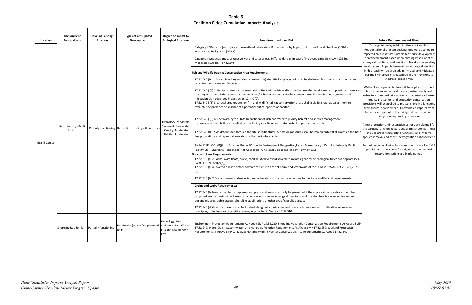| Location            | Environment<br><b>Designations</b>  | <b>Level of Existing</b><br><b>Function</b> | <b>Types of Anticipated</b><br>Development                | Degree of Impact to<br><b>Ecological Functions</b>                                   | <b>Provisions to Address Risk</b>                                                                                                                                                                                                                                                                                                                                                                                                                                                                                                                                                                                                                                                                                                                                                                                                                                                                                                                                                                                                                                                                                                                                                                                                                                                                                                                                                                                                                                                                                                                                                                                                                                                                                                                                                                                                                                                                                                                                                                                                                                                                                                                                                                                                                                                                             | <b>Future Performance/Net Effect</b>                                                                                                                                                                                                                                                                                                                                                                                                                                                                                                                                                                                                                                                                                                                                                                                                                                                                                                                                                                                                                                                                                                                                                                                                                                                                                                               |
|---------------------|-------------------------------------|---------------------------------------------|-----------------------------------------------------------|--------------------------------------------------------------------------------------|---------------------------------------------------------------------------------------------------------------------------------------------------------------------------------------------------------------------------------------------------------------------------------------------------------------------------------------------------------------------------------------------------------------------------------------------------------------------------------------------------------------------------------------------------------------------------------------------------------------------------------------------------------------------------------------------------------------------------------------------------------------------------------------------------------------------------------------------------------------------------------------------------------------------------------------------------------------------------------------------------------------------------------------------------------------------------------------------------------------------------------------------------------------------------------------------------------------------------------------------------------------------------------------------------------------------------------------------------------------------------------------------------------------------------------------------------------------------------------------------------------------------------------------------------------------------------------------------------------------------------------------------------------------------------------------------------------------------------------------------------------------------------------------------------------------------------------------------------------------------------------------------------------------------------------------------------------------------------------------------------------------------------------------------------------------------------------------------------------------------------------------------------------------------------------------------------------------------------------------------------------------------------------------------------------------|----------------------------------------------------------------------------------------------------------------------------------------------------------------------------------------------------------------------------------------------------------------------------------------------------------------------------------------------------------------------------------------------------------------------------------------------------------------------------------------------------------------------------------------------------------------------------------------------------------------------------------------------------------------------------------------------------------------------------------------------------------------------------------------------------------------------------------------------------------------------------------------------------------------------------------------------------------------------------------------------------------------------------------------------------------------------------------------------------------------------------------------------------------------------------------------------------------------------------------------------------------------------------------------------------------------------------------------------------|
| <b>Grand Coulee</b> | High Intensity - Public<br>Facility |                                             | Partially functioning Recreation - fishing jetty and pier | Hydrology: Moderate<br>Sediment: Low Water<br>Quality: Moderate<br>Habitat: Moderate | Category II Wetlands (most protective wetland categories), Buffer widths by Impact of Proposed Land Use: Low (100-ft),<br>Moderate (150-ft), High (200 ft)<br>Category I Wetlands (most protective wetland categories), Buffer widths by Impact of Proposed Land Use: Low (125-ft),<br>Moderate (190-ft), High (250 ft)<br><b>Fish and Wildlife Habitat Conservation Area Requirements</b><br>17.82.540 (B) 1. Flora (plant life) and Fauna (animal life) identified as protected, shall be sheltered from construction activities<br>using Best Management Practices.<br>17.82.540 (B) 2. Habitat conservation areas and buffers will be left undisturbed, unless the development proposal demonstrates<br>that impacts to the habitat conservation area and/or buffer are unavoidable, demonstrated in a habitat management and<br>mitigation plan described in Section 16.12.440 (C).<br>17.82.540 ( (B) 3. Critical area reports for fish and wildlife habitat conservation areas shall include a habitat assessment to<br>evaluate the presence or absence of a potential critical species or habitat.<br>17.82.540 ((B) 4. The Washington State Department of Fish and Wildlife priority habitat and species management<br>recommendations shall be consulted in developing specific measures to protect a specific project site.<br>17.82.540 ((B) 7. As determined through the site-specific study, mitigation measures shall be implemented that maintain the base<br>line populations and reproduction rates for the particular species.<br>Table 17.82.540 ( (B)(9)(f). Riparian Buffer Widths by Environment Designation; Urban Conservancy (75'), High Intensity Public<br>Facility (25'); Shoreline Residential (Not Applicable, functionally disconnected by Highway 155)<br><b>Docks and Piers Requirements</b><br>17.82.310 (a) 2 Docks, swim floats, buoys, shall be sited to avoid adversely impacting shoreline ecological functions or processes.<br>$(WAC 173-26-321(2)(d)).$<br>17.82.310 (a) 4 Covered docks or other covered structures are not permitted waterward of the OHWM. (WAC 173-26-321(2)(b,<br>d)).<br>17.82.310 (b) 2 Docks dimensional material, and other standards shall be according to the State and Federal requirements.<br><b>Groins and Weirs Requirements:</b> | The High Intensity Public Facility and Shoreline<br>Residential environment designations were applied to<br>impacted areas that are suitable for future development<br>or redevelopment based upon existing impairment of<br>ecological functions, and functional breaks from existing<br>development. Impacts to remaining ecological functions<br>in this reach will be avoided, minimized, and mitigated<br>per the SMP provisions described in the Provisions to<br>Address Risk column.<br>Wetland and riparian buffers will be applied to protect<br>both riparian and upland habitat, water quality and<br>other functions. Additionally, environmental and water<br>quality protection, and vegetation conservation<br>provisions will be applied to protect shoreline functions<br>from future development. Unavoidable impacts from<br>future development will be mitigated consistent with<br>mitigation sequencing provisions.<br>A few protection and restoration actions are planned for<br>the partially functioning portions of this shoreline. These<br>include protecting existing functions, and invasive<br>species removal and shoreline vegetation enhancement.<br>No net loss of ecological functions is anticipated as SMP<br>provisions are strictly enforced, and protection and<br>restoration actions are implemented. |
|                     |                                     |                                             |                                                           |                                                                                      | 17.82.340 (b) New, expanded or replacement groins and weirs shall only be permitted if the applicant demonstrates that the<br>proposed groin or weir will not result in a net loss of shoreline ecological functions, and the structure is necessary for water-<br>dependent uses, public access, shoreline stabilization, or other specific public purposes.<br>17.82.340 (d) Groins and weirs shall be located, designed, constructed and operated consistent with mitigation sequencing                                                                                                                                                                                                                                                                                                                                                                                                                                                                                                                                                                                                                                                                                                                                                                                                                                                                                                                                                                                                                                                                                                                                                                                                                                                                                                                                                                                                                                                                                                                                                                                                                                                                                                                                                                                                                    |                                                                                                                                                                                                                                                                                                                                                                                                                                                                                                                                                                                                                                                                                                                                                                                                                                                                                                                                                                                                                                                                                                                                                                                                                                                                                                                                                    |
|                     | Shoreline Residential               | Partially functioning                       | Residential (only a few potential<br>units)               | Hydrology: Low<br>Sediment: Low Water<br>Quality: Low Habitat<br>Low                 | principles, including avoiding critical areas, as provided in Section 17.82.510.<br>Environment Protection Requirements As Above SMP 17.82.230; Shoreline Vegetation Conservation Requirements As Above SMP<br>17.82.240; Water Quality, Stormwater, and Nonpoint Pollution Requirements As Above SMP 17.82.250; Wetland Protection<br>Requirements As Above SMP 17.82.520; Fish and Wildlife Habitat Conservation Area Requirements As Above 17.82.540                                                                                                                                                                                                                                                                                                                                                                                                                                                                                                                                                                                                                                                                                                                                                                                                                                                                                                                                                                                                                                                                                                                                                                                                                                                                                                                                                                                                                                                                                                                                                                                                                                                                                                                                                                                                                                                       |                                                                                                                                                                                                                                                                                                                                                                                                                                                                                                                                                                                                                                                                                                                                                                                                                                                                                                                                                                                                                                                                                                                                                                                                                                                                                                                                                    |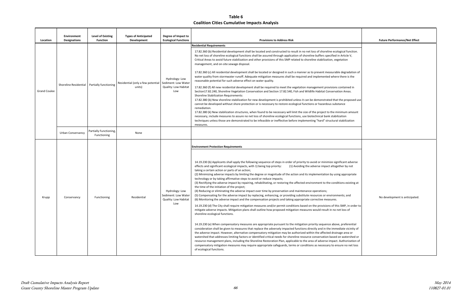| <b>Future Performance/Net Effect</b> |
|--------------------------------------|
|                                      |
|                                      |
|                                      |
|                                      |
|                                      |
|                                      |
|                                      |
|                                      |
|                                      |
|                                      |
|                                      |
|                                      |
| No development is anticipated.       |
|                                      |
|                                      |
|                                      |

| Location            | Environment<br><b>Designations</b> | <b>Level of Existing</b><br><b>Function</b> | <b>Types of Anticipated</b><br>Development  | Degree of Impact to<br><b>Ecological Functions</b>                          | <b>Provisions to Address Risk</b>                                                                                                                                                                                                                                                                                                                                                                                                                                                                                                                                                                                                                                                                                                                                                                                                                                                                                                                                                                                                                                                                                                                                                                                                                                                                                                                                                                                                                                                                                                                                                                                                                                                                                                                                                                                                                                                                                                                                                                                                                                                                                                                                                                                                                     | <b>Future Performance/Net Effect</b> |
|---------------------|------------------------------------|---------------------------------------------|---------------------------------------------|-----------------------------------------------------------------------------|-------------------------------------------------------------------------------------------------------------------------------------------------------------------------------------------------------------------------------------------------------------------------------------------------------------------------------------------------------------------------------------------------------------------------------------------------------------------------------------------------------------------------------------------------------------------------------------------------------------------------------------------------------------------------------------------------------------------------------------------------------------------------------------------------------------------------------------------------------------------------------------------------------------------------------------------------------------------------------------------------------------------------------------------------------------------------------------------------------------------------------------------------------------------------------------------------------------------------------------------------------------------------------------------------------------------------------------------------------------------------------------------------------------------------------------------------------------------------------------------------------------------------------------------------------------------------------------------------------------------------------------------------------------------------------------------------------------------------------------------------------------------------------------------------------------------------------------------------------------------------------------------------------------------------------------------------------------------------------------------------------------------------------------------------------------------------------------------------------------------------------------------------------------------------------------------------------------------------------------------------------|--------------------------------------|
| <b>Grand Coulee</b> | Shoreline Residential              | Partially functioning                       | Residential (only a few potential<br>units) | Hydrology: Low<br>Sediment: Low Water<br><b>Quality: Low Habitat</b><br>Low | <b>Residential Requirements</b><br>17.82.360 (b) Residential development shall be located and constructed to result in no net loss of shoreline ecological function.<br>No net loss of shoreline ecological functions shall be assured through application of shoreline buffers specified in Article V,<br>Critical Areas to avoid future stabilization and other provisions of this SMP related to shoreline stabilization, vegetation<br>management, and on-site sewage disposal.<br>17.82.360 (c) All residential development shall be located or designed in such a manner as to prevent measurable degradation of<br>water quality from stormwater runoff. Adequate mitigation measures shall be required and implemented where there is the<br>reasonable potential for such adverse effect on water quality.<br>17.82.360 (f) All new residential development shall be required to meet the vegetation management provisions contained in<br>Section17.82.240, Shoreline Vegetation Conservation and Section 17.82.540, Fish and Wildlife Habitat Conservation Areas.<br><b>Shoreline Stabilization Requirements:</b><br>17.82.380 (b) New shoreline stabilization for new development is prohibited unless it can be demonstrated that the proposed use<br>cannot be developed without shore protection or is necessary to restore ecological functions or hazardous substance<br>remediation.<br>17.82.380 (k) New stabilization structures, when found to be necessary will limit the size of the project to the minimum amount<br>necessary, include measures to assure no net loss of shoreline ecological functions, use biotechnical bank stabilization<br>techniques unless those are demonstrated to be infeasible or ineffective before implementing "hard" structural stabilization<br>measures.                                                                                                                                                                                                                                                                                                                                                                                                                                    |                                      |
|                     | Urban Conservancy                  | Partially Functioning,<br>Functioning       | None                                        |                                                                             |                                                                                                                                                                                                                                                                                                                                                                                                                                                                                                                                                                                                                                                                                                                                                                                                                                                                                                                                                                                                                                                                                                                                                                                                                                                                                                                                                                                                                                                                                                                                                                                                                                                                                                                                                                                                                                                                                                                                                                                                                                                                                                                                                                                                                                                       |                                      |
| Krupp               | Conservancy                        | Functioning                                 | Residential                                 | Hydrology: Low<br>Sediment: Low Water<br><b>Quality: Low Habitat</b><br>Low | <b>Environment Protection Requirements</b><br>14.19.230 (b) Applicants shall apply the following sequence of steps in order of priority to avoid or minimize significant adverse<br>effects and significant ecological impacts, with 1) being top priority:<br>(1) Avoiding the adverse impact altogether by not<br>taking a certain action or parts of an action;<br>(2) Minimizing adverse impacts by limiting the degree or magnitude of the action and its implementation by using appropriate<br>technology or by taking affirmative steps to avoid or reduce impacts;<br>(3) Rectifying the adverse impact by repairing, rehabilitating, or restoring the affected environment to the conditions existing at<br>the time of the initiation of the project;<br>(4) Reducing or eliminating the adverse impact over time by preservation and maintenance operations;<br>(5) Compensating for the adverse impact by replacing, enhancing, or providing substitute resources or environments; and<br>(6) Monitoring the adverse impact and the compensation projects and taking appropriate corrective measures.<br>14.19.230 (d) The City shall require mitigation measures and/or permit conditions based on the provisions of this SMP, in order to<br>mitigate adverse impacts. Mitigation plans shall outline how proposed mitigation measures would result in no net loss of<br>shoreline ecological functions.<br>14.19.230 (e) When compensatory measures are appropriate pursuant to the mitigation priority sequence above, preferential<br>consideration shall be given to measures that replace the adversely impacted functions directly and in the immediate vicinity of<br>the adverse impact. However, alternative compensatory mitigation may be authorized within the affected drainage area or<br>watershed that addresses limiting factors or identified critical needs for shoreline resource conservation based on watershed or<br>resource management plans, including the Shoreline Restoration Plan, applicable to the area of adverse impact. Authorization of<br>compensatory mitigation measures may require appropriate safeguards, terms or conditions as necessary to ensure no net loss<br>of ecological functions. | No development is anticipated        |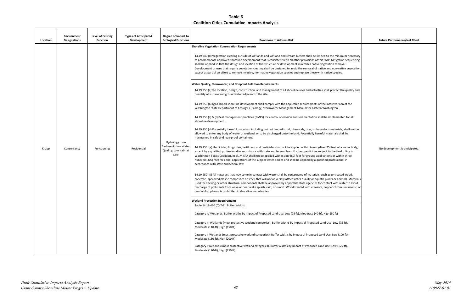| <b>Provisions to Address Risk</b><br><b>Shoreline Vegetation Conservation Requirements</b><br>14.19.240 (d) Vegetation clearing outside of wetlands and wetland and stream buffers shall be limited to the minimum necessary<br>to accommodate approved shoreline development that is consistent with all other provisions of this SMP. Mitigation sequencing<br>shall be applied so that the design and location of the structure or development minimizes native vegetation removal.<br>Development or uses that require vegetation clearing shall be designed to avoid the removal of native and non-native vegetation,<br>except as part of an effort to remove invasive, non-native vegetation species and replace these with native species.<br><b>Water Quality, Stormwater, and Nonpoint Pollution Requirements</b><br>14.19.250 (a) The location, design, construction, and management of all shoreline uses and activities shall protect the quality and<br>quantity of surface and groundwater adjacent to the site.<br>14.19.250 (b) (g) & (h) All shoreline development shall comply with the applicable requirements of the latest version of the<br>Washington State Department of Ecology's (Ecology) Stormwater Management Manual for Eastern Washington.<br>14.19.250 (c) & (f) Best management practices (BMPs) for control of erosion and sedimentation shall be implemented for all<br>shoreline development.                                                                                                                                                                                                                                                                                                                                                                                                                                                                                                                                                                                                                                                                                                              |                                                                       | Degree of Impact to         | <b>Types of Anticipated</b> | <b>Level of Existing</b> | <b>Environment</b>  |          |
|-------------------------------------------------------------------------------------------------------------------------------------------------------------------------------------------------------------------------------------------------------------------------------------------------------------------------------------------------------------------------------------------------------------------------------------------------------------------------------------------------------------------------------------------------------------------------------------------------------------------------------------------------------------------------------------------------------------------------------------------------------------------------------------------------------------------------------------------------------------------------------------------------------------------------------------------------------------------------------------------------------------------------------------------------------------------------------------------------------------------------------------------------------------------------------------------------------------------------------------------------------------------------------------------------------------------------------------------------------------------------------------------------------------------------------------------------------------------------------------------------------------------------------------------------------------------------------------------------------------------------------------------------------------------------------------------------------------------------------------------------------------------------------------------------------------------------------------------------------------------------------------------------------------------------------------------------------------------------------------------------------------------------------------------------------------------------------------------------------------------------------------------------|-----------------------------------------------------------------------|-----------------------------|-----------------------------|--------------------------|---------------------|----------|
| 14.19.250 (d) Potentially harmful materials, including but not limited to oil, chemicals, tires, or hazardous materials, shall not be<br>allowed to enter any body of water or wetland, or to be discharged onto the land. Potentially harmful materials shall be<br>maintained in safe and leak-proof containers.<br>Hydrology: Low<br>Sediment: Low Water<br>14.19.250 (e) Herbicides, fungicides, fertilizers, and pesticides shall not be applied within twenty-five (25) feet of a water body,<br>Residential<br>Krupp<br>Functioning<br>Conservancy<br>Quality: Low Habitat<br>except by a qualified professional in accordance with state and federal laws. Further, pesticides subject to the final ruling in<br>Low<br>Washington Toxics Coalition, et al., v. EPA shall not be applied within sixty (60) feet for ground applications or within three<br>hundred (300) feet for aerial applications of the subject water bodies and shall be applied by a qualified professional in<br>accordance with state and federal law.<br>14.19.250 (j) All materials that may come in contact with water shall be constructed of materials, such as untreated wood,<br>concrete, approved plastic composites or steel, that will not adversely affect water quality or aquatic plants or animals. Materials<br>used for decking or other structural components shall be approved by applicable state agencies for contact with water to avoid<br>discharge of pollutants from wave or boat wake splash, rain, or runoff. Wood treated with creosote, copper chromium arsenic, or<br>pentachlorophenol is prohibited in shoreline waterbodies.<br><b>Wetland Protection Requirements</b><br>Table 14.19.420 (C)(7-2). Buffer Widths<br>Category IV Wetlands, Buffer widths by Impact of Proposed Land Use: Low (25-ft), Moderate (40-ft), High (50 ft)<br>Category III Wetlands (most protective wetland categories), Buffer widths by Impact of Proposed Land Use: Low (75-ft),<br>Moderate (110-ft), High (150 ft)<br>Category II Wetlands (most protective wetland categories), Buffer widths by Impact of Proposed Land Use: Low (100-ft), | <b>Future Performance/Net Effect</b><br>No development is anticipated | <b>Ecological Functions</b> | Development                 | <b>Function</b>          | <b>Designations</b> | Location |

|                                                | <b>Future Performance/Net Effect</b> |
|------------------------------------------------|--------------------------------------|
| necessary<br>equencing<br>vegetation,          |                                      |
| uality and                                     |                                      |
| the                                            |                                      |
| or all                                         |                                      |
| all not be<br>e                                |                                      |
| ter body,<br>ng in<br>ıree                     | No development is anticipated.       |
| ood,<br>. Materials<br>to avoid<br>arsenic, or |                                      |
|                                                |                                      |
|                                                |                                      |
| ),                                             |                                      |
|                                                |                                      |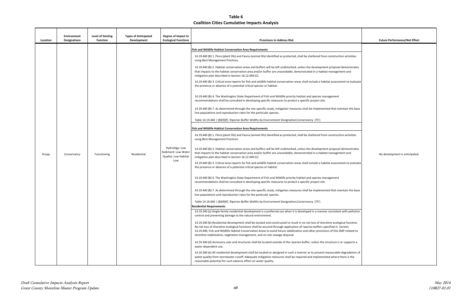|             | <b>Future Performance/Net Effect</b> |
|-------------|--------------------------------------|
|             |                                      |
|             |                                      |
| ctivities   |                                      |
|             |                                      |
| onstrates   |                                      |
| and         |                                      |
| to evaluate |                                      |
|             |                                      |
|             |                                      |
|             |                                      |
|             |                                      |
| n the base  |                                      |
|             |                                      |
|             |                                      |
|             |                                      |
| ctivities   |                                      |
|             |                                      |
| onstrates   |                                      |
| and         | No development is anticipated.       |
| to evaluate |                                      |
|             |                                      |
|             |                                      |
|             |                                      |
| n the base  |                                      |
|             |                                      |
|             |                                      |
|             |                                      |
| n pollution |                                      |
| function.   |                                      |
| n           |                                      |
| elated to   |                                      |
|             |                                      |
| pports a    |                                      |
| adation of  |                                      |
| is the      |                                      |
|             |                                      |

| Location | <b>Environment</b><br><b>Designations</b> | Level of Existing<br><b>Function</b> | <b>Types of Anticipated</b><br>Development | Degree of Impact to<br><b>Ecological Functions</b>                   | <b>Provisions to Address Risk</b>                                                                                                                                                                                                                                                                                                                                                                                                                                                                                                                                                                                                                                                                                                                                                                                                                                                                                                                                                                                                                                                                                                                                                                                                                                                                                                                                                                                                                                                                                                                                                                                                                                                                                                                                                                                                                                                                                                                                                                                                                                                                                                                                                                                                                                                                                                                                                                                                                                                                                                                                                                                                                                                                                                                                                                                                                                                                                                                                                                                                                                                                                                                                                                                                                                                                                                                                                                                                                                                                                                                                                                                                                                              | <b>Future Performance/Net Effect</b> |
|----------|-------------------------------------------|--------------------------------------|--------------------------------------------|----------------------------------------------------------------------|--------------------------------------------------------------------------------------------------------------------------------------------------------------------------------------------------------------------------------------------------------------------------------------------------------------------------------------------------------------------------------------------------------------------------------------------------------------------------------------------------------------------------------------------------------------------------------------------------------------------------------------------------------------------------------------------------------------------------------------------------------------------------------------------------------------------------------------------------------------------------------------------------------------------------------------------------------------------------------------------------------------------------------------------------------------------------------------------------------------------------------------------------------------------------------------------------------------------------------------------------------------------------------------------------------------------------------------------------------------------------------------------------------------------------------------------------------------------------------------------------------------------------------------------------------------------------------------------------------------------------------------------------------------------------------------------------------------------------------------------------------------------------------------------------------------------------------------------------------------------------------------------------------------------------------------------------------------------------------------------------------------------------------------------------------------------------------------------------------------------------------------------------------------------------------------------------------------------------------------------------------------------------------------------------------------------------------------------------------------------------------------------------------------------------------------------------------------------------------------------------------------------------------------------------------------------------------------------------------------------------------------------------------------------------------------------------------------------------------------------------------------------------------------------------------------------------------------------------------------------------------------------------------------------------------------------------------------------------------------------------------------------------------------------------------------------------------------------------------------------------------------------------------------------------------------------------------------------------------------------------------------------------------------------------------------------------------------------------------------------------------------------------------------------------------------------------------------------------------------------------------------------------------------------------------------------------------------------------------------------------------------------------------------------------------|--------------------------------------|
| Krupp    | Conservancy                               | Functioning                          | Residential                                | Hydrology: Low<br>Sediment: Low Water<br>Quality: Low Habitat<br>Low | <b>Fish and Wildlife Habitat Conservation Area Requirements</b><br>14.19.440 (B) 1. Flora (plant life) and Fauna (animal life) identified as protected, shall be sheltered from construction activities<br>using Best Management Practices.<br>14.19.440 (B) 2. Habitat conservation areas and buffers will be left undisturbed, unless the development proposal demonstrates<br>that impacts to the habitat conservation area and/or buffer are unavoidable, demonstrated in a habitat management and<br>mitigation plan described in Section 16.12.440 (C).<br>14.19.440 (B) 3. Critical area reports for fish and wildlife habitat conservation areas shall include a habitat assessment to evaluate<br>the presence or absence of a potential critical species or habitat.<br>14.19.440 (B) 4. The Washington State Department of Fish and Wildlife priority habitat and species management<br>recommendations shall be consulted in developing specific measures to protect a specific project site.<br>14.19.440 (B) 7. As determined through the site-specific study, mitigation measures shall be implemented that maintain the base<br>line populations and reproduction rates for the particular species.<br>Table 14.19.440 (B)(9)(f). Riparian Buffer Widths by Environment Designation; Conservancy (75')<br><b>Fish and Wildlife Habitat Conservation Area Requirements</b><br>14.19.440 (B) 1. Flora (plant life) and Fauna (animal life) identified as protected, shall be sheltered from construction activities<br>using Best Management Practices.<br>14.19.440 (B) 2. Habitat conservation areas and buffers will be left undisturbed, unless the development proposal demonstrates<br>that impacts to the habitat conservation area and/or buffer are unavoidable, demonstrated in a habitat management and<br>mitigation plan described in Section 16.12.440 (C).<br>14.19.440 (B) 3. Critical area reports for fish and wildlife habitat conservation areas shall include a habitat assessment to evaluate<br>the presence or absence of a potential critical species or habitat.<br>14.19.440 (B) 4. The Washington State Department of Fish and Wildlife priority habitat and species management<br>recommendations shall be consulted in developing specific measures to protect a specific project site.<br>14.19.440 (B) 7. As determined through the site-specific study, mitigation measures shall be implemented that maintain the base<br>line populations and reproduction rates for the particular species.<br>Table 14.19.440 (B)(9)(f). Riparian Buffer Widths by Environment Designation;Conservancy (75')<br><b>Residential Requirements</b><br>14.19.340 (a) Single-family residential development is a preferred use when it is developed in a manner consistent with pollution<br>control and preventing damage to the natural environment.<br>14.19.340 (b) Residential development shall be located and constructed to result in no net loss of shoreline ecological function.<br>No net loss of shoreline ecological functions shall be assured through application of riparian buffers specified in Section<br>14.19.440, Fish and Wildlife Habitat Conservation Areas to avoid future stabilization and other provisions of this SMP related to<br>shoreline stabilization, vegetation management, and on-site sewage disposal.<br>14.19.340 (d) Accessory uses and structures shall be located outside of the riparian buffer, unless the structure is or supports a<br>water-dependent use.<br>14.19.340 (e) All residential development shall be located or designed in such a manner as to prevent measurable degradation of | No development is anticipated        |
|          |                                           |                                      |                                            |                                                                      | water quality from stormwater runoff. Adequate mitigation measures shall be required and implemented where there is the<br>reasonable potential for such adverse effect on water quality.                                                                                                                                                                                                                                                                                                                                                                                                                                                                                                                                                                                                                                                                                                                                                                                                                                                                                                                                                                                                                                                                                                                                                                                                                                                                                                                                                                                                                                                                                                                                                                                                                                                                                                                                                                                                                                                                                                                                                                                                                                                                                                                                                                                                                                                                                                                                                                                                                                                                                                                                                                                                                                                                                                                                                                                                                                                                                                                                                                                                                                                                                                                                                                                                                                                                                                                                                                                                                                                                                      |                                      |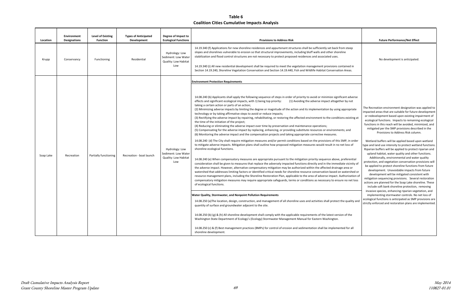| Location  | <b>Environment</b><br><b>Designations</b> | <b>Level of Existing</b><br><b>Function</b> | <b>Types of Anticipated</b><br>Development | Degree of Impact to<br><b>Ecological Functions</b>                                                                                                                                                                                                                                                   | <b>Provisions to Address Risk</b>                                                                                                                                                                                                                                                                                                                                                                                                                                                                                                                                                                                                                                                                                                                                                                                                                                                                                                                                                                                                                                                                                                                                                                                                                                                                                                                                                                                                                                                                                                                                                                                                                                                                                                                                                                                                                                                                                                                                                                                                                                                                                                                                                                                                                                                                                                                                                                                      | <b>Future Performance/Net Effect</b>                                                                                                                                                                                                                                                                                                                                                                                                                                                                                                                                                                                                                                                                                                                                                                                                                                                                                                                                                                                       |
|-----------|-------------------------------------------|---------------------------------------------|--------------------------------------------|------------------------------------------------------------------------------------------------------------------------------------------------------------------------------------------------------------------------------------------------------------------------------------------------------|------------------------------------------------------------------------------------------------------------------------------------------------------------------------------------------------------------------------------------------------------------------------------------------------------------------------------------------------------------------------------------------------------------------------------------------------------------------------------------------------------------------------------------------------------------------------------------------------------------------------------------------------------------------------------------------------------------------------------------------------------------------------------------------------------------------------------------------------------------------------------------------------------------------------------------------------------------------------------------------------------------------------------------------------------------------------------------------------------------------------------------------------------------------------------------------------------------------------------------------------------------------------------------------------------------------------------------------------------------------------------------------------------------------------------------------------------------------------------------------------------------------------------------------------------------------------------------------------------------------------------------------------------------------------------------------------------------------------------------------------------------------------------------------------------------------------------------------------------------------------------------------------------------------------------------------------------------------------------------------------------------------------------------------------------------------------------------------------------------------------------------------------------------------------------------------------------------------------------------------------------------------------------------------------------------------------------------------------------------------------------------------------------------------------|----------------------------------------------------------------------------------------------------------------------------------------------------------------------------------------------------------------------------------------------------------------------------------------------------------------------------------------------------------------------------------------------------------------------------------------------------------------------------------------------------------------------------------------------------------------------------------------------------------------------------------------------------------------------------------------------------------------------------------------------------------------------------------------------------------------------------------------------------------------------------------------------------------------------------------------------------------------------------------------------------------------------------|
| Krupp     | Conservancy                               | Functioning                                 | Residential                                | Hydrology: Low<br>Sediment: Low Water<br>Quality: Low Habitat<br>Low                                                                                                                                                                                                                                 | 14.19.340 (f) Applications for new shoreline residences and appurtenant structures shall be sufficiently set back from steep<br>slopes and shorelines vulnerable to erosion so that structural improvements, including bluff walls and other shoreline<br>stabilization and flood control structures are not necessary to protect proposed residences and associated uses.<br>14.19.340 (i) All new residential development shall be required to meet the vegetation management provisions contained in<br>Section 14.19.240, Shoreline Vegetation Conservation and Section 14.19.440, Fish and Wildlife Habitat Conservation Areas.                                                                                                                                                                                                                                                                                                                                                                                                                                                                                                                                                                                                                                                                                                                                                                                                                                                                                                                                                                                                                                                                                                                                                                                                                                                                                                                                                                                                                                                                                                                                                                                                                                                                                                                                                                                   | No development is anticipated.                                                                                                                                                                                                                                                                                                                                                                                                                                                                                                                                                                                                                                                                                                                                                                                                                                                                                                                                                                                             |
|           |                                           |                                             |                                            |                                                                                                                                                                                                                                                                                                      | <b>Environment Protection Requirements</b>                                                                                                                                                                                                                                                                                                                                                                                                                                                                                                                                                                                                                                                                                                                                                                                                                                                                                                                                                                                                                                                                                                                                                                                                                                                                                                                                                                                                                                                                                                                                                                                                                                                                                                                                                                                                                                                                                                                                                                                                                                                                                                                                                                                                                                                                                                                                                                             |                                                                                                                                                                                                                                                                                                                                                                                                                                                                                                                                                                                                                                                                                                                                                                                                                                                                                                                                                                                                                            |
| Soap Lake | Recreation                                | Partially functioning                       | Recreation - boat launch                   | Hydrology: Low<br>Sediment: Low Water<br>Quality: Low Habitat<br>Low                                                                                                                                                                                                                                 | 14.08.240 (b) Applicants shall apply the following sequence of steps in order of priority to avoid or minimize significant adverse<br>effects and significant ecological impacts, with 1) being top priority:<br>(1) Avoiding the adverse impact altogether by not<br>taking a certain action or parts of an action;<br>(2) Minimizing adverse impacts by limiting the degree or magnitude of the action and its implementation by using appropriate<br>technology or by taking affirmative steps to avoid or reduce impacts;<br>(3) Rectifying the adverse impact by repairing, rehabilitating, or restoring the affected environment to the conditions existing at<br>the time of the initiation of the project;<br>(4) Reducing or eliminating the adverse impact over time by preservation and maintenance operations;<br>(5) Compensating for the adverse impact by replacing, enhancing, or providing substitute resources or environments; and<br>(6) Monitoring the adverse impact and the compensation projects and taking appropriate corrective measures.<br>14.08.240 (d) The City shall require mitigation measures and/or permit conditions based on the provisions of this SMP, in order<br>to mitigate adverse impacts. Mitigation plans shall outline how proposed mitigation measures would result in no net loss of<br>shoreline ecological functions.<br>14.08.240 (e) When compensatory measures are appropriate pursuant to the mitigation priority sequence above, preferential<br>consideration shall be given to measures that replace the adversely impacted functions directly and in the immediate vicinity of<br>the adverse impact. However, alternative compensatory mitigation may be authorized within the affected drainage area or<br>watershed that addresses limiting factors or identified critical needs for shoreline resource conservation based on watershed or<br>resource management plans, including the Shoreline Restoration Plan, applicable to the area of adverse impact. Authorization of<br>compensatory mitigation measures may require appropriate safeguards, terms or conditions as necessary to ensure no net loss<br>of ecological functions.<br><b>Water Quality, Stormwater, and Nonpoint Pollution Requirements</b><br>14.08.250 (a)The location, design, construction, and management of all shoreline uses and activities shall protect the quality and | The Recreation environment designation wa<br>impacted areas that are suitable for future o<br>or redevelopment based upon existing imp<br>ecological functions. Impacts to remaining<br>functions in this reach will be avoided, min<br>mitigated per the SMP provisions describ<br>Provisions to Address Risk colum<br>Wetland buffers will be applied based upo<br>type and land use intensity to protect wetlar<br>Riparian buffers will be applied to protect r<br>upland habitat, water quality and other f<br>Additionally, environmental and water<br>protection, and vegetation conservation pro<br>be applied to protect shoreline functions f<br>development. Unavoidable impacts fro<br>development will be mitigated consiste<br>mitigation sequencing provisions. Several<br>actions are planned for the Soap Lake shor<br>include soft bank shoreline protection, i<br>invasive species, enhancing riparian veget<br>implementing stormwater controls. No n<br>ecological functions is anticipated as SMP pr |
|           |                                           |                                             |                                            | quantity of surface and groundwater adjacent to the site.<br>14.08.250 (b) (g) & (h) All shoreline development shall comply with the applicable requirements of the latest version of the<br>Washington State Department of Ecology's (Ecology) Stormwater Management Manual for Eastern Washington. | strictly enforced and restoration plans are ir                                                                                                                                                                                                                                                                                                                                                                                                                                                                                                                                                                                                                                                                                                                                                                                                                                                                                                                                                                                                                                                                                                                                                                                                                                                                                                                                                                                                                                                                                                                                                                                                                                                                                                                                                                                                                                                                                                                                                                                                                                                                                                                                                                                                                                                                                                                                                                         |                                                                                                                                                                                                                                                                                                                                                                                                                                                                                                                                                                                                                                                                                                                                                                                                                                                                                                                                                                                                                            |
|           |                                           |                                             |                                            |                                                                                                                                                                                                                                                                                                      | 14.08.250 (c) & (f) Best management practices (BMPs) for control of erosion and sedimentation shall be implemented for all<br>shoreline development.                                                                                                                                                                                                                                                                                                                                                                                                                                                                                                                                                                                                                                                                                                                                                                                                                                                                                                                                                                                                                                                                                                                                                                                                                                                                                                                                                                                                                                                                                                                                                                                                                                                                                                                                                                                                                                                                                                                                                                                                                                                                                                                                                                                                                                                                   |                                                                                                                                                                                                                                                                                                                                                                                                                                                                                                                                                                                                                                                                                                                                                                                                                                                                                                                                                                                                                            |

|                                                                         | <b>Future Performance/Net Effect</b>                                                                                                                                                                                                                                                                                                                                                                                                      |
|-------------------------------------------------------------------------|-------------------------------------------------------------------------------------------------------------------------------------------------------------------------------------------------------------------------------------------------------------------------------------------------------------------------------------------------------------------------------------------------------------------------------------------|
| teep                                                                    |                                                                                                                                                                                                                                                                                                                                                                                                                                           |
| າed in<br>eas.                                                          | No development is anticipated.                                                                                                                                                                                                                                                                                                                                                                                                            |
|                                                                         |                                                                                                                                                                                                                                                                                                                                                                                                                                           |
| adverse<br>y not                                                        |                                                                                                                                                                                                                                                                                                                                                                                                                                           |
| opriate                                                                 | The Recreation environment designation was applied to<br>impacted areas that are suitable for future development<br>or redevelopment based upon existing impairment of                                                                                                                                                                                                                                                                    |
| xisting at<br>ınd                                                       | ecological functions. Impacts to remaining ecological<br>functions in this reach will be avoided, minimized, and<br>mitigated per the SMP provisions described in the<br>Provisions to Address Risk column.                                                                                                                                                                                                                               |
| , in order<br>ss of                                                     | Wetland buffers will be applied based upon wetland<br>type and land use intensity to protect wetland functions.<br>Riparian buffers will be applied to protect riparian and<br>upland habitat, water quality and other functions.                                                                                                                                                                                                         |
| erential<br>icinity of<br>ea or<br>ershed or<br>rization of<br>net loss | Additionally, environmental and water quality<br>protection, and vegetation conservation provisions will<br>be applied to protect shoreline functions from future<br>development. Unavoidable impacts from future<br>development will be mitigated consistent with<br>mitigation sequencing provisions. Several restoration<br>actions are planned for the Soap Lake shoreline. These<br>include soft bank shoreline protection, removing |
| uality and                                                              | invasive species, enhancing riparian vegetation, and<br>implementing stormwater controls. No net loss of<br>ecological functions is anticipated as SMP provisions are<br>strictly enforced and restoration plans are implemented.                                                                                                                                                                                                         |
| the                                                                     |                                                                                                                                                                                                                                                                                                                                                                                                                                           |
| or all                                                                  |                                                                                                                                                                                                                                                                                                                                                                                                                                           |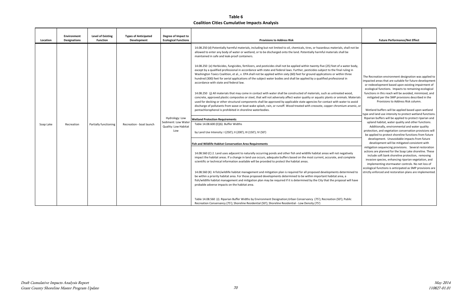| Location  | <b>Environment</b><br><b>Designations</b> | <b>Level of Existing</b><br><b>Function</b> | <b>Types of Anticipated</b><br>Development | Degree of Impact to<br><b>Ecological Functions</b>                   | <b>Provisions to Address Risk</b>                                                                                                                                                                                                                                                                                                                                                                                                                                                                                                                                                                                                                                                                                                                                                                                                                                                                                                                                                                                                                                                                                                                                                                                                                                                                                                                                                                                                                                                                                                                                                                                                                                                                                                                                                                                                                                                                                                                                                                                                                                                                                                                                                                                                                                                                                                                                                                                                                                                                                                                                                                                                                                                | <b>Future Performance/Net Effect</b>                                                                                                                                                                                                                                                                                                                                                                                                                                                                                                                                                                                                                                                                                                                                                                                                                                                                                                                                                                                                                                                                                                                                                                                                                                                                        |
|-----------|-------------------------------------------|---------------------------------------------|--------------------------------------------|----------------------------------------------------------------------|----------------------------------------------------------------------------------------------------------------------------------------------------------------------------------------------------------------------------------------------------------------------------------------------------------------------------------------------------------------------------------------------------------------------------------------------------------------------------------------------------------------------------------------------------------------------------------------------------------------------------------------------------------------------------------------------------------------------------------------------------------------------------------------------------------------------------------------------------------------------------------------------------------------------------------------------------------------------------------------------------------------------------------------------------------------------------------------------------------------------------------------------------------------------------------------------------------------------------------------------------------------------------------------------------------------------------------------------------------------------------------------------------------------------------------------------------------------------------------------------------------------------------------------------------------------------------------------------------------------------------------------------------------------------------------------------------------------------------------------------------------------------------------------------------------------------------------------------------------------------------------------------------------------------------------------------------------------------------------------------------------------------------------------------------------------------------------------------------------------------------------------------------------------------------------------------------------------------------------------------------------------------------------------------------------------------------------------------------------------------------------------------------------------------------------------------------------------------------------------------------------------------------------------------------------------------------------------------------------------------------------------------------------------------------------|-------------------------------------------------------------------------------------------------------------------------------------------------------------------------------------------------------------------------------------------------------------------------------------------------------------------------------------------------------------------------------------------------------------------------------------------------------------------------------------------------------------------------------------------------------------------------------------------------------------------------------------------------------------------------------------------------------------------------------------------------------------------------------------------------------------------------------------------------------------------------------------------------------------------------------------------------------------------------------------------------------------------------------------------------------------------------------------------------------------------------------------------------------------------------------------------------------------------------------------------------------------------------------------------------------------|
| Soap Lake | Recreation                                | Partially functioning                       | Recreation - boat launch                   | Hydrology: Low<br>Sediment: Low Water<br>Quality: Low Habitat<br>Low | 14.08.250 (d) Potentially harmful materials, including but not limited to oil, chemicals, tires, or hazardous materials, shall not be<br>allowed to enter any body of water or wetland, or to be discharged onto the land. Potentially harmful materials shall be<br>maintained in safe and leak-proof containers.<br>14.08.250 (e) Herbicides, fungicides, fertilizers, and pesticides shall not be applied within twenty-five (25) feet of a water body,<br>except by a qualified professional in accordance with state and federal laws. Further, pesticides subject to the final ruling in<br>Washington Toxics Coalition, et al., v. EPA shall not be applied within sixty (60) feet for ground applications or within three<br>hundred (300) feet for aerial applications of the subject water bodies and shall be applied by a qualified professional in<br>accordance with state and federal law.<br>14.08.250 (j) All materials that may come in contact with water shall be constructed of materials, such as untreated wood,<br>concrete, approved plastic composites or steel, that will not adversely affect water quality or aquatic plants or animals. Materials<br>used for decking or other structural components shall be approved by applicable state agencies for contact with water to avoid<br>discharge of pollutants from wave or boat wake splash, rain, or runoff. Wood treated with creosote, copper chromium arsenic, or<br>pentachlorophenol is prohibited in shoreline waterbodies.<br><b>Wetland Protection Requirements</b><br>Table 14.08.600 (E)(6). Buffer Widths<br>by Land Use Intensity: I (250'); II (200'); III (150'); IV (50')<br>Fish and Wildlife Habitat Conservation Area Requirements<br>14.08.560 (C) 2. Land uses adjacent to naturally occurring ponds and other fish and wildlife habitat areas will not negatively<br>impact the habitat areas. If a change in land use occurs, adequate buffers based on the most current, accurate, and complete<br>scientific or technical information available will be provided to protect the habitat areas.<br>14.08.560 (K) A fish/wildlife habitat management and mitigation plan is required for all proposed developments determined to<br>be within a priority habitat area. For those proposed developments determined to be within important habitat area, a<br>fish/wildlife habitat management and mitigation plan may be required if it is determined by the City that the proposal will have<br>probable adverse impacts on the habitat area.<br>Table 14.08.560 (J). Riparian Buffer Widths by Environment Designation; Urban Conservancy (75'); Recreation (50'); Public | The Recreation environment designation was applied to<br>impacted areas that are suitable for future development<br>or redevelopment based upon existing impairment of<br>ecological functions. Impacts to remaining ecological<br>functions in this reach will be avoided, minimized, and<br>mitigated per the SMP provisions described in the<br>Provisions to Address Risk column.<br>Wetland buffers will be applied based upon wetland<br>ype and land use intensity to protect wetland functions.<br>Riparian buffers will be applied to protect riparian and<br>upland habitat, water quality and other functions.<br>Additionally, environmental and water quality<br>protection, and vegetation conservation provisions will<br>be applied to protect shoreline functions from future<br>development. Unavoidable impacts from future<br>development will be mitigated consistent with<br>mitigation sequencing provisions. Several restoration<br>actions are planned for the Soap Lake shoreline. These<br>include soft bank shoreline protection, removing<br>invasive species, enhancing riparian vegetation, and<br>implementing stormwater controls. No net loss of<br>ecological functions is anticipated as SMP provisions are<br>strictly enforced and restoration plans are implemented. |
|           |                                           |                                             |                                            |                                                                      | Recreation Conservancy (75'); Shoreline Residential (50'); Shoreline Residential - Low Density (75')                                                                                                                                                                                                                                                                                                                                                                                                                                                                                                                                                                                                                                                                                                                                                                                                                                                                                                                                                                                                                                                                                                                                                                                                                                                                                                                                                                                                                                                                                                                                                                                                                                                                                                                                                                                                                                                                                                                                                                                                                                                                                                                                                                                                                                                                                                                                                                                                                                                                                                                                                                             |                                                                                                                                                                                                                                                                                                                                                                                                                                                                                                                                                                                                                                                                                                                                                                                                                                                                                                                                                                                                                                                                                                                                                                                                                                                                                                             |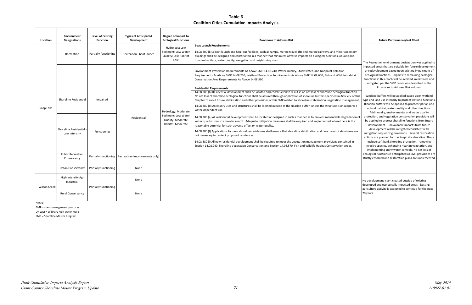I

Notes:

BMPs = best management practices

| Location            | <b>Environment</b><br><b>Designations</b> | <b>Level of Existing</b><br><b>Function</b> | <b>Types of Anticipated</b><br>Development             | Degree of Impact to<br><b>Ecological Functions</b>                                   | <b>Provisions to Address Risk</b>                                                                                                                                                                                                                                                                                                                                                                                                                                                                                                                                                                                                                                                                                                                                             | <b>Future Performance/Net Effect</b>                                                                                                                                                                                                                                                                                                                                                                                                                                                                                                                                                                                                                                                                                                                                                                                                                                                                                                                                                                                                                                                                                                                                                                                                                                                                        |
|---------------------|-------------------------------------------|---------------------------------------------|--------------------------------------------------------|--------------------------------------------------------------------------------------|-------------------------------------------------------------------------------------------------------------------------------------------------------------------------------------------------------------------------------------------------------------------------------------------------------------------------------------------------------------------------------------------------------------------------------------------------------------------------------------------------------------------------------------------------------------------------------------------------------------------------------------------------------------------------------------------------------------------------------------------------------------------------------|-------------------------------------------------------------------------------------------------------------------------------------------------------------------------------------------------------------------------------------------------------------------------------------------------------------------------------------------------------------------------------------------------------------------------------------------------------------------------------------------------------------------------------------------------------------------------------------------------------------------------------------------------------------------------------------------------------------------------------------------------------------------------------------------------------------------------------------------------------------------------------------------------------------------------------------------------------------------------------------------------------------------------------------------------------------------------------------------------------------------------------------------------------------------------------------------------------------------------------------------------------------------------------------------------------------|
| Soap Lake           | Recreation                                | Partially functioning                       | Recreation - boat launch                               | Hydrology: Low<br>Sediment: Low Water<br>Quality: Low Habitat<br>Low                 | <b>Boat Launch Requirements</b><br>14.08.300 (b) 3 Boat launch and haul-out facilities, such as ramps, marine travel lifts and marine railways, and minor accessory<br>buildings shall be designed and constructed in a manner that minimizes adverse impacts on biological functions, aquatic and<br>riparian habitats, water quality, navigation and neighboring uses.                                                                                                                                                                                                                                                                                                                                                                                                      | The Recreation environment designation was applied to<br>impacted areas that are suitable for future development<br>or redevelopment based upon existing impairment of<br>ecological functions. Impacts to remaining ecological<br>functions in this reach will be avoided, minimized, and<br>mitigated per the SMP provisions described in the<br>Provisions to Address Risk column.<br>Wetland buffers will be applied based upon wetland<br>type and land use intensity to protect wetland functions.<br>Riparian buffers will be applied to protect riparian and<br>upland habitat, water quality and other functions.<br>Additionally, environmental and water quality<br>protection, and vegetation conservation provisions wil<br>be applied to protect shoreline functions from future<br>development. Unavoidable impacts from future<br>development will be mitigated consistent with<br>mitigation sequencing provisions. Several restoration<br>actions are planned for the Soap Lake shoreline. These<br>include soft bank shoreline protection, removing<br>invasive species, enhancing riparian vegetation, and<br>implementing stormwater controls. No net loss of<br>ecological functions is anticipated as SMP provisions are<br>strictly enforced and restoration plans are implemented. |
|                     |                                           |                                             |                                                        |                                                                                      | Environment Protection Requirements As Above SMP 14.08.240; Water Quality, Stormwater, and Nonpoint Pollution<br>Requirements As Above SMP 14.08.250; Wetland Protection Requirements As Above SMP 14.08.600; Fish and Wildlife Habitat<br>Conservation Area Requirements As Above 14.08.560                                                                                                                                                                                                                                                                                                                                                                                                                                                                                  |                                                                                                                                                                                                                                                                                                                                                                                                                                                                                                                                                                                                                                                                                                                                                                                                                                                                                                                                                                                                                                                                                                                                                                                                                                                                                                             |
|                     | Shoreline Residential                     | Impaired                                    |                                                        | Hydrology: Moderate<br>Sediment: Low Water<br>Quality: Moderate<br>Habitat: Moderate | <b>Residential Requirements</b><br>14.08.380 (b) Residential development shall be located and constructed to result in no net loss of shoreline ecological function.<br>No net loss of shoreline ecological functions shall be assured through application of shoreline buffers specified in Article V of this<br>Chapter to avoid future stabilization and other provisions of this SMP related to shoreline stabilization, vegetation management,<br>14.08.380 (d) Accessory uses and structures shall be located outside of the riparian buffer, unless the structure is or supports a<br>water-dependent use.                                                                                                                                                             |                                                                                                                                                                                                                                                                                                                                                                                                                                                                                                                                                                                                                                                                                                                                                                                                                                                                                                                                                                                                                                                                                                                                                                                                                                                                                                             |
|                     | Shoreline Residential<br>Low Intensity    | Functioning                                 | Residential                                            |                                                                                      | 14.08.380 (e) All residential development shall be located or designed in such a manner as to prevent measurable degradation of<br>water quality from stormwater runoff. Adequate mitigation measures shall be required and implemented where there is the<br>reasonable potential for such adverse effect on water quality.<br>14.08.380 (f) Applications for new shoreline residences shall ensure that shoreline stabilization and flood control structures are<br>not necessary to protect proposed residences.<br>14.08.380 (i) All new residential development shall be required to meet the vegetation management provisions contained in<br>Section 14.08.240, Shoreline Vegetation Conservation and Section 14.08.570, Fish and Wildlife Habitat Conservation Areas. |                                                                                                                                                                                                                                                                                                                                                                                                                                                                                                                                                                                                                                                                                                                                                                                                                                                                                                                                                                                                                                                                                                                                                                                                                                                                                                             |
|                     | <b>Public Recreation</b><br>Conservancy   |                                             | Partially functioning   Recreation (improvements only) |                                                                                      |                                                                                                                                                                                                                                                                                                                                                                                                                                                                                                                                                                                                                                                                                                                                                                               |                                                                                                                                                                                                                                                                                                                                                                                                                                                                                                                                                                                                                                                                                                                                                                                                                                                                                                                                                                                                                                                                                                                                                                                                                                                                                                             |
|                     | <b>Urban Conservancy</b>                  | Partially functioning                       | None                                                   |                                                                                      |                                                                                                                                                                                                                                                                                                                                                                                                                                                                                                                                                                                                                                                                                                                                                                               |                                                                                                                                                                                                                                                                                                                                                                                                                                                                                                                                                                                                                                                                                                                                                                                                                                                                                                                                                                                                                                                                                                                                                                                                                                                                                                             |
| <b>Wilson Creek</b> | High Intensity Ag-<br>Industrial          | Partially functioning                       | None                                                   |                                                                                      |                                                                                                                                                                                                                                                                                                                                                                                                                                                                                                                                                                                                                                                                                                                                                                               | No development is anticipated outside of existing<br>developed and ecologically impacted areas. Existing                                                                                                                                                                                                                                                                                                                                                                                                                                                                                                                                                                                                                                                                                                                                                                                                                                                                                                                                                                                                                                                                                                                                                                                                    |
|                     | <b>Rural Conservancy</b>                  |                                             | None                                                   |                                                                                      |                                                                                                                                                                                                                                                                                                                                                                                                                                                                                                                                                                                                                                                                                                                                                                               | agriculture activity is expected to continue for the next<br>20 years.                                                                                                                                                                                                                                                                                                                                                                                                                                                                                                                                                                                                                                                                                                                                                                                                                                                                                                                                                                                                                                                                                                                                                                                                                                      |

OHWM = ordinary high water mark

SMP = Shoreline Master Program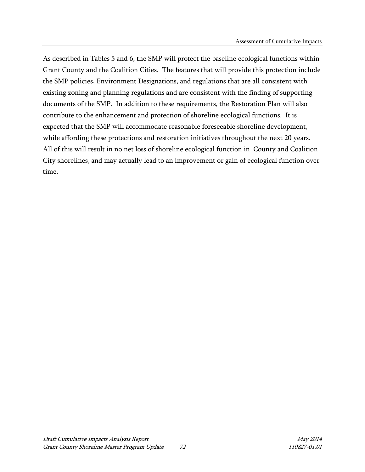As described in Tables 5 and 6, the SMP will protect the baseline ecological functions within Grant County and the Coalition Cities. The features that will provide this protection include the SMP policies, Environment Designations, and regulations that are all consistent with existing zoning and planning regulations and are consistent with the finding of supporting documents of the SMP. In addition to these requirements, the Restoration Plan will also contribute to the enhancement and protection of shoreline ecological functions. It is expected that the SMP will accommodate reasonable foreseeable shoreline development, while affording these protections and restoration initiatives throughout the next 20 years. All of this will result in no net loss of shoreline ecological function in County and Coalition City shorelines, and may actually lead to an improvement or gain of ecological function over time.